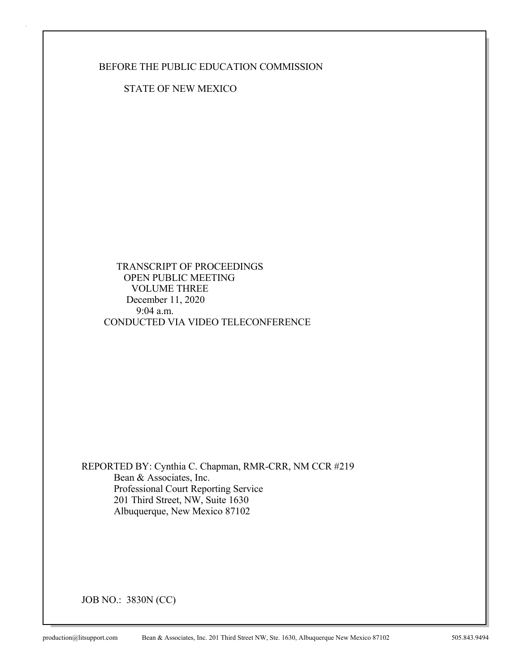BEFORE THE PUBLIC EDUCATION COMMISSION

STATE OF NEW MEXICO

 TRANSCRIPT OF PROCEEDINGS OPEN PUBLIC MEETING VOLUME THREE December 11, 2020 9:04 a.m. CONDUCTED VIA VIDEO TELECONFERENCE

REPORTED BY: Cynthia C. Chapman, RMR-CRR, NM CCR #219 Bean & Associates, Inc. Professional Court Reporting Service 201 Third Street, NW, Suite 1630 Albuquerque, New Mexico 87102

JOB NO.: 3830N (CC)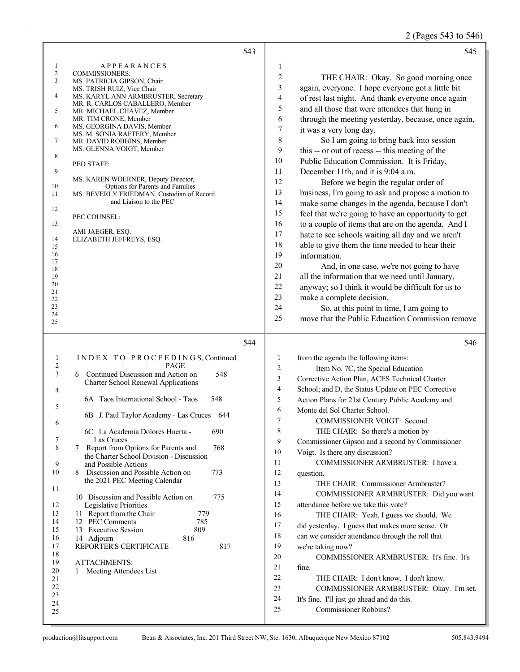2 (Pages 543 to 546)

|                | 543                                                                     | 545                                                                  |
|----------------|-------------------------------------------------------------------------|----------------------------------------------------------------------|
| 1              | <b>APPEARANCES</b>                                                      | $\mathbf{1}$                                                         |
| $\overline{c}$ | <b>COMMISSIONERS:</b>                                                   | $\boldsymbol{2}$<br>THE CHAIR: Okay. So good morning once            |
| 3              | MS. PATRICIA GIPSON, Chair<br>MS. TRISH RUIZ, Vice Chair                | 3<br>again, everyone. I hope everyone got a little bit               |
| 4              | MS. KARYL ANN ARMBRUSTER, Secretary                                     | 4<br>of rest last night. And thank everyone once again               |
|                | MR. R. CARLOS CABALLERO, Member                                         | 5<br>and all those that were attendees that hung in                  |
| 5              | MR. MICHAEL CHAVEZ, Member                                              |                                                                      |
| 6              | MR. TIM CRONE, Member<br>MS. GEORGINA DAVIS, Member                     | 6<br>through the meeting yesterday, because, once again,             |
|                | MS. M. SONIA RAFTERY, Member                                            | $\tau$<br>it was a very long day.                                    |
| 7              | MR. DAVID ROBBINS, Member                                               | $\,8\,$<br>So I am going to bring back into session                  |
| 8              | MS. GLENNA VOIGT, Member                                                | 9<br>this -- or out of recess -- this meeting of the                 |
|                | PED STAFF:                                                              | 10<br>Public Education Commission. It is Friday,                     |
| 9              |                                                                         | 11<br>December 11th, and it is 9:04 a.m.                             |
| 10             | MS. KAREN WOERNER, Deputy Director,<br>Options for Parents and Families | 12<br>Before we begin the regular order of                           |
| 11             | MS. BEVERLY FRIEDMAN, Custodian of Record                               | 13<br>business, I'm going to ask and propose a motion to             |
|                | and Liaison to the PEC                                                  | 14<br>make some changes in the agenda, because I don't               |
| 12             | PEC COUNSEL:                                                            | 15<br>feel that we're going to have an opportunity to get            |
| 13             |                                                                         | 16<br>to a couple of items that are on the agenda. And I             |
|                | AMI JAEGER, ESQ.                                                        | 17<br>hate to see schools waiting all day and we aren't              |
| 14<br>15       | ELIZABETH JEFFREYS, ESQ.                                                | 18<br>able to give them the time needed to hear their                |
| 16             |                                                                         | 19<br>information.                                                   |
| 17             |                                                                         | 20<br>And, in one case, we're not going to have                      |
| 18<br>19       |                                                                         | 21<br>all the information that we need until January,                |
| 20             |                                                                         | 22<br>anyway; so I think it would be difficult for us to             |
| 21             |                                                                         | 23                                                                   |
| 22<br>23       |                                                                         | make a complete decision.<br>24                                      |
| 24             |                                                                         | So, at this point in time, I am going to                             |
| 25             |                                                                         | 25<br>move that the Public Education Commission remove               |
|                |                                                                         |                                                                      |
|                | 544                                                                     | 546                                                                  |
| 1              | INDEX TO PROCEEDINGS, Continued                                         | $\mathbf{1}$<br>from the agenda the following items:                 |
| $\overline{c}$ | <b>PAGE</b>                                                             | $\overline{2}$<br>Item No. 7C, the Special Education                 |
| 3              | 6 Continued Discussion and Action on<br>548                             | 3<br>Corrective Action Plan, ACES Technical Charter                  |
| 4              | <b>Charter School Renewal Applications</b>                              | $\overline{4}$<br>School; and D, the Status Update on PEC Corrective |
|                | 6A Taos International School - Taos<br>548                              | 5<br>Action Plans for 21st Century Public Academy and                |
| 5              |                                                                         | 6<br>Monte del Sol Charter School.                                   |
|                | 6B J. Paul Taylor Academy - Las Cruces 644                              | $\overline{7}$<br>COMMISSIONER VOIGT: Second.                        |
| 6              | 6C La Academia Dolores Huerta -<br>690                                  | 8<br>THE CHAIR: So there's a motion by                               |
| 7              | Las Cruces                                                              | 9<br>Commissioner Gipson and a second by Commissioner                |
| 8              | Report from Options for Parents and<br>768<br>7                         | 10<br>Voigt. Is there any discussion?                                |
|                | the Charter School Division - Discussion                                |                                                                      |
| 9<br>10        | and Possible Actions<br>8 Discussion and Possible Action on<br>773      | 11<br>COMMISSIONER ARMBRUSTER: I have a                              |
|                | the 2021 PEC Meeting Calendar                                           | 12<br>question.                                                      |
| 11             |                                                                         | THE CHAIR: Commissioner Armbruster?<br>13                            |
|                | 10 Discussion and Possible Action on<br>775                             | 14<br>COMMISSIONER ARMBRUSTER: Did you want                          |
| 12             | Legislative Priorities                                                  | 15<br>attendance before we take this vote?                           |
| 13<br>14       | 11 Report from the Chair<br>779<br>12 PEC Comments<br>785               | 16<br>THE CHAIR: Yeah, I guess we should. We                         |
| 15             |                                                                         | 17<br>did yesterday. I guess that makes more sense. Or               |
| 16             |                                                                         |                                                                      |
|                | 809<br>13 Executive Session                                             | 18<br>can we consider attendance through the roll that               |
| 17             | 816<br>14 Adjourn<br>817<br>REPORTER'S CERTIFICATE                      | 19<br>we're taking now?                                              |
| 18             |                                                                         | 20<br>COMMISSIONER ARMBRUSTER: It's fine. It's                       |
| 19             | <b>ATTACHMENTS:</b>                                                     | 21<br>fine.                                                          |
| 20             | Meeting Attendees List<br>1                                             | 22                                                                   |
| 21<br>22       |                                                                         | THE CHAIR: I don't know. I don't know.<br>23                         |
| 23             |                                                                         | COMMISSIONER ARMBRUSTER: Okay. I'm set.                              |
| 24             |                                                                         | 24<br>It's fine. I'll just go ahead and do this.                     |
| 25             |                                                                         | 25<br>Commissioner Robbins?                                          |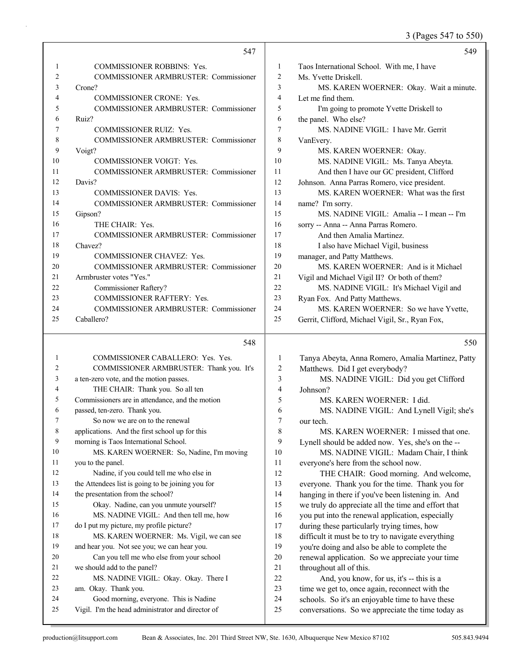3 (Pages 547 to 550)

|    | 547                                          |    | 549                                             |
|----|----------------------------------------------|----|-------------------------------------------------|
| 1  | <b>COMMISSIONER ROBBINS: Yes.</b>            | 1  | Taos International School. With me, I have      |
| 2  | <b>COMMISSIONER ARMBRUSTER: Commissioner</b> | 2  | Ms. Yvette Driskell.                            |
| 3  | Crone?                                       | 3  | MS. KAREN WOERNER: Okay. Wait a minute.         |
| 4  | <b>COMMISSIONER CRONE: Yes.</b>              | 4  | Let me find them.                               |
| 5  | <b>COMMISSIONER ARMBRUSTER: Commissioner</b> | 5  | I'm going to promote Yvette Driskell to         |
| 6  | Ruiz?                                        | 6  | the panel. Who else?                            |
| 7  | <b>COMMISSIONER RUIZ: Yes.</b>               | 7  | MS. NADINE VIGIL: I have Mr. Gerrit             |
| 8  | <b>COMMISSIONER ARMBRUSTER: Commissioner</b> | 8  | VanEvery.                                       |
| 9  | Voigt?                                       | 9  | MS. KAREN WOERNER: Okay.                        |
| 10 | <b>COMMISSIONER VOIGT: Yes.</b>              | 10 | MS. NADINE VIGIL: Ms. Tanya Abeyta.             |
| 11 | COMMISSIONER ARMBRUSTER: Commissioner        | 11 | And then I have our GC president, Clifford      |
| 12 | Davis?                                       | 12 | Johnson. Anna Parras Romero, vice president.    |
| 13 | <b>COMMISSIONER DAVIS: Yes.</b>              | 13 | MS. KAREN WOERNER: What was the first           |
| 14 | <b>COMMISSIONER ARMBRUSTER: Commissioner</b> | 14 | name? I'm sorry.                                |
| 15 | Gipson?                                      | 15 | MS. NADINE VIGIL: Amalia -- I mean -- I'm       |
| 16 | THE CHAIR: Yes.                              | 16 | sorry -- Anna -- Anna Parras Romero.            |
| 17 | <b>COMMISSIONER ARMBRUSTER: Commissioner</b> | 17 | And then Amalia Martinez.                       |
| 18 | Chavez?                                      | 18 | I also have Michael Vigil, business             |
| 19 | <b>COMMISSIONER CHAVEZ: Yes.</b>             | 19 | manager, and Patty Matthews.                    |
| 20 | COMMISSIONER ARMBRUSTER: Commissioner        | 20 | MS. KAREN WOERNER: And is it Michael            |
| 21 | Armbruster votes "Yes."                      | 21 | Vigil and Michael Vigil II? Or both of them?    |
| 22 | Commissioner Raftery?                        | 22 | MS. NADINE VIGIL: It's Michael Vigil and        |
| 23 | <b>COMMISSIONER RAFTERY: Yes.</b>            | 23 | Ryan Fox. And Patty Matthews.                   |
| 24 | <b>COMMISSIONER ARMBRUSTER: Commissioner</b> | 24 | MS. KAREN WOERNER: So we have Yvette,           |
| 25 | Caballero?                                   | 25 | Gerrit, Clifford, Michael Vigil, Sr., Ryan Fox, |

#### 548

| $\mathbf{1}$ | COMMISSIONER CABALLERO: Yes. Yes.                 |                |
|--------------|---------------------------------------------------|----------------|
| 2            | COMMISSIONER ARMBRUSTER: Thank you. It's          |                |
| 3            | a ten-zero vote, and the motion passes.           |                |
| 4            | THE CHAIR: Thank you. So all ten                  |                |
| 5            | Commissioners are in attendance, and the motion   |                |
| 6            | passed, ten-zero. Thank you.                      |                |
| 7            | So now we are on to the renewal                   |                |
| 8            | applications. And the first school up for this    |                |
| 9            | morning is Taos International School.             |                |
| 10           | MS. KAREN WOERNER: So, Nadine, I'm moving         | $\mathbf{1}$   |
| 11           | you to the panel.                                 | $\mathbf{1}$   |
| 12           | Nadine, if you could tell me who else in          | $1^{\circ}$    |
| 13           | the Attendees list is going to be joining you for | $1^{\circ}$    |
| 14           | the presentation from the school?                 | 1 <sup>1</sup> |
| 15           | Okay. Nadine, can you unmute yourself?            | 1:             |
| 16           | MS. NADINE VIGIL: And then tell me, how           | $\mathbf{1}$   |
| 17           | do I put my picture, my profile picture?          | 1'             |
| 18           | MS. KAREN WOERNER: Ms. Vigil, we can see          | 1:             |
| 19           | and hear you. Not see you; we can hear you.       | 1 <sup>1</sup> |
| 20           | Can you tell me who else from your school         | $\overline{2}$ |
| 21           | we should add to the panel?                       | 2              |
| 22           | MS. NADINE VIGIL: Okay. Okay. There I             | $\overline{c}$ |
| 23           | am. Okay. Thank you.                              | $\overline{2}$ |
| 24           | Good morning, everyone. This is Nadine            | $\mathbf{2}$   |
| 25           | Vigil. I'm the head administrator and director of | $\overline{2}$ |
|              |                                                   |                |

### 550

| Tanya Abeyta, Anna Romero, Amalia Martinez, Patty   |
|-----------------------------------------------------|
| Matthews. Did I get everybody?                      |
| MS. NADINE VIGIL: Did you get Clifford              |
| Johnson?                                            |
| MS. KAREN WOERNER: I did.                           |
| MS. NADINE VIGIL: And Lynell Vigil; she's           |
| our tech.                                           |
| MS. KAREN WOERNER: I missed that one.               |
| Lynell should be added now. Yes, she's on the --    |
| MS. NADINE VIGIL: Madam Chair, I think              |
| everyone's here from the school now.                |
| THE CHAIR: Good morning. And welcome,               |
| everyone. Thank you for the time. Thank you for     |
| hanging in there if you've been listening in. And   |
| we truly do appreciate all the time and effort that |
| you put into the renewal application, especially    |
| during these particularly trying times, how         |
| difficult it must be to try to navigate everything  |
| you're doing and also be able to complete the       |
| renewal application. So we appreciate your time     |
| throughout all of this.                             |
| And, you know, for us, it's -- this is a            |
| time we get to, once again, reconnect with the      |
| schools. So it's an enjoyable time to have these    |
| conversations. So we appreciate the time today as   |
|                                                     |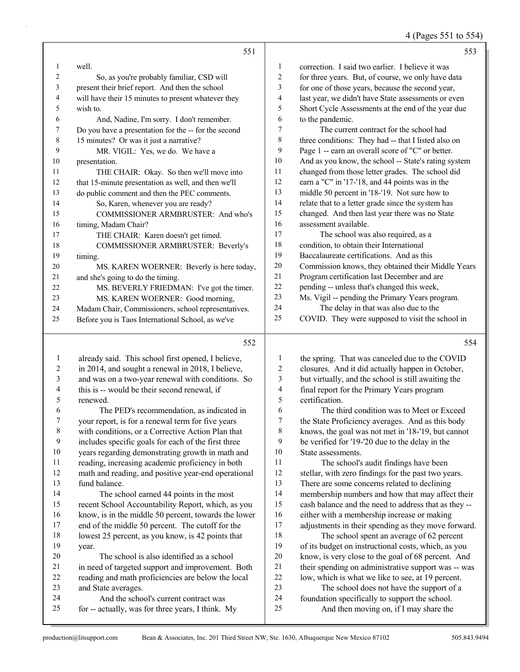4 (Pages 551 to 554)

|    | 551                                                  |                | 553                                                  |
|----|------------------------------------------------------|----------------|------------------------------------------------------|
| -1 | well.                                                | $\mathbf{1}$   | correction. I said two earlier. I believe it was     |
| 2  | So, as you're probably familiar, CSD will            | $\overline{c}$ | for three years. But, of course, we only have data   |
| 3  | present their brief report. And then the school      | 3              | for one of those years, because the second year,     |
| 4  | will have their 15 minutes to present whatever they  | $\overline{4}$ | last year, we didn't have State assessments or even  |
| 5  | wish to.                                             | 5              | Short Cycle Assessments at the end of the year due   |
| 6  | And, Nadine, I'm sorry. I don't remember.            | 6              | to the pandemic.                                     |
| 7  | Do you have a presentation for the -- for the second | 7              | The current contract for the school had              |
| 8  | 15 minutes? Or was it just a narrative?              | 8              | three conditions: They had -- that I listed also on  |
| 9  | MR. VIGIL: Yes, we do. We have a                     | 9              | Page 1 -- earn an overall score of "C" or better.    |
| 10 | presentation.                                        | 10             | And as you know, the school -- State's rating system |
| 11 | THE CHAIR: Okay. So then we'll move into             | 11             | changed from those letter grades. The school did     |
| 12 | that 15-minute presentation as well, and then we'll  | 12             | earn a "C" in '17-'18, and 44 points was in the      |
| 13 | do public comment and then the PEC comments.         | 13             | middle 50 percent in '18-'19. Not sure how to        |
| 14 | So, Karen, whenever you are ready?                   | 14             | relate that to a letter grade since the system has   |
| 15 | COMMISSIONER ARMBRUSTER: And who's                   | 15             | changed. And then last year there was no State       |
| 16 | timing, Madam Chair?                                 | 16             | assessment available.                                |
| 17 | THE CHAIR: Karen doesn't get timed.                  | 17             | The school was also required, as a                   |
| 18 | COMMISSIONER ARMBRUSTER: Beverly's                   | 18             | condition, to obtain their International             |
| 19 | timing.                                              | 19             | Baccalaureate certifications. And as this            |
| 20 | MS. KAREN WOERNER: Beverly is here today,            | 20             | Commission knows, they obtained their Middle Years   |
| 21 | and she's going to do the timing.                    | 21             | Program certification last December and are          |
| 22 | MS. BEVERLY FRIEDMAN: I've got the timer.            | 22             | pending -- unless that's changed this week,          |
| 23 | MS. KAREN WOERNER: Good morning,                     | 23             | Ms. Vigil -- pending the Primary Years program.      |
| 24 | Madam Chair, Commissioners, school representatives.  | 24             | The delay in that was also due to the                |
| 25 | Before you is Taos International School, as we've    | 25             | COVID. They were supposed to visit the school in     |
|    | 552                                                  |                | 554                                                  |
|    |                                                      |                |                                                      |

| 1  | already said. This school first opened, I believe,   | 1  | the spring. That was canceled due to the COVID       |
|----|------------------------------------------------------|----|------------------------------------------------------|
| 2  | in 2014, and sought a renewal in 2018, I believe,    | 2  | closures. And it did actually happen in October,     |
| 3  | and was on a two-year renewal with conditions. So    | 3  | but virtually, and the school is still awaiting the  |
| 4  | this is -- would be their second renewal, if         | 4  | final report for the Primary Years program           |
| 5  | renewed.                                             | 5  | certification.                                       |
| 6  | The PED's recommendation, as indicated in            | 6  | The third condition was to Meet or Exceed            |
| 7  | your report, is for a renewal term for five years    | 7  | the State Proficiency averages. And as this body     |
| 8  | with conditions, or a Corrective Action Plan that    | 8  | knows, the goal was not met in '18-'19, but cannot   |
| 9  | includes specific goals for each of the first three  | 9  | be verified for '19-'20 due to the delay in the      |
| 10 | years regarding demonstrating growth in math and     | 10 | State assessments.                                   |
| 11 | reading, increasing academic proficiency in both     | 11 | The school's audit findings have been                |
| 12 | math and reading, and positive year-end operational  | 12 | stellar, with zero findings for the past two years.  |
| 13 | fund balance.                                        | 13 | There are some concerns related to declining         |
| 14 | The school earned 44 points in the most              | 14 | membership numbers and how that may affect their     |
| 15 | recent School Accountability Report, which, as you   | 15 | cash balance and the need to address that as they -- |
| 16 | know, is in the middle 50 percent, towards the lower | 16 | either with a membership increase or making          |
| 17 | end of the middle 50 percent. The cutoff for the     | 17 | adjustments in their spending as they move forward.  |
| 18 | lowest 25 percent, as you know, is 42 points that    | 18 | The school spent an average of 62 percent            |
| 19 | year.                                                | 19 | of its budget on instructional costs, which, as you  |
| 20 | The school is also identified as a school            | 20 | know, is very close to the goal of 68 percent. And   |
| 21 | in need of targeted support and improvement. Both    | 21 | their spending on administrative support was -- was  |
| 22 | reading and math proficiencies are below the local   | 22 | low, which is what we like to see, at 19 percent.    |
| 23 | and State averages.                                  | 23 | The school does not have the support of a            |
| 24 | And the school's current contract was                | 24 | foundation specifically to support the school.       |
| 25 | for -- actually, was for three years, I think. My    | 25 | And then moving on, if I may share the               |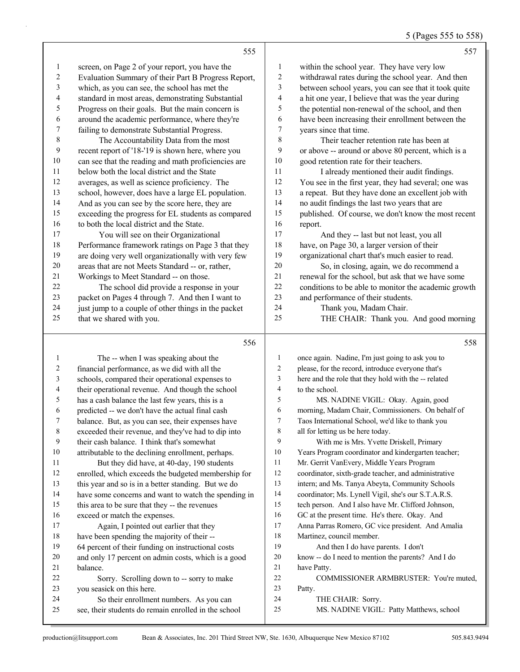| 5 (Pages 555 to 558) |
|----------------------|
|----------------------|

|    | 555                                                 |                          | 557                                                  |
|----|-----------------------------------------------------|--------------------------|------------------------------------------------------|
| 1  | screen, on Page 2 of your report, you have the      | 1                        | within the school year. They have very low           |
| 2  | Evaluation Summary of their Part B Progress Report, | 2                        | withdrawal rates during the school year. And then    |
| 3  | which, as you can see, the school has met the       | 3                        | between school years, you can see that it took quite |
| 4  | standard in most areas, demonstrating Substantial   | $\overline{\mathcal{A}}$ | a hit one year, I believe that was the year during   |
| 5  | Progress on their goals. But the main concern is    | 5                        | the potential non-renewal of the school, and then    |
| 6  | around the academic performance, where they're      | 6                        | have been increasing their enrollment between the    |
| 7  | failing to demonstrate Substantial Progress.        | $\tau$                   | years since that time.                               |
| 8  | The Accountability Data from the most               | 8                        | Their teacher retention rate has been at             |
| 9  | recent report of '18-'19 is shown here, where you   | 9                        | or above -- around or above 80 percent, which is a   |
| 10 | can see that the reading and math proficiencies are | 10                       | good retention rate for their teachers.              |
| 11 | below both the local district and the State         | 11                       | I already mentioned their audit findings.            |
| 12 | averages, as well as science proficiency. The       | 12                       | You see in the first year, they had several; one was |
| 13 | school, however, does have a large EL population.   | 13                       | a repeat. But they have done an excellent job with   |
| 14 | And as you can see by the score here, they are      | 14                       | no audit findings the last two years that are        |
| 15 | exceeding the progress for EL students as compared  | 15                       | published. Of course, we don't know the most recent  |
| 16 | to both the local district and the State.           | 16                       | report.                                              |
| 17 | You will see on their Organizational                | 17                       | And they -- last but not least, you all              |
| 18 | Performance framework ratings on Page 3 that they   | 18                       | have, on Page 30, a larger version of their          |
| 19 | are doing very well organizationally with very few  | 19                       | organizational chart that's much easier to read.     |
| 20 | areas that are not Meets Standard -- or, rather,    | 20                       | So, in closing, again, we do recommend a             |
| 21 | Workings to Meet Standard -- on those.              | 21                       | renewal for the school, but ask that we have some    |
| 22 | The school did provide a response in your           | 22                       | conditions to be able to monitor the academic growth |
| 23 | packet on Pages 4 through 7. And then I want to     | 23                       | and performance of their students.                   |
| 24 | just jump to a couple of other things in the packet | 24                       | Thank you, Madam Chair.                              |
| 25 | that we shared with you.                            | 25                       | THE CHAIR: Thank you. And good morning               |
|    |                                                     |                          |                                                      |
|    | 556                                                 |                          | 558                                                  |

### 

|    | The -- when I was speaking about the                 | 1              | once again. Nadine, I'm just going to ask you to     |
|----|------------------------------------------------------|----------------|------------------------------------------------------|
| 2  | financial performance, as we did with all the        | $\overline{2}$ | please, for the record, introduce everyone that's    |
| 3  | schools, compared their operational expenses to      | 3              | here and the role that they hold with the -- related |
| 4  | their operational revenue. And though the school     | 4              | to the school.                                       |
| 5  | has a cash balance the last few years, this is a     | 5              | MS. NADINE VIGIL: Okay. Again, good                  |
| 6  | predicted -- we don't have the actual final cash     | 6              | morning, Madam Chair, Commissioners. On behalf of    |
| 7  | balance. But, as you can see, their expenses have    | 7              | Taos International School, we'd like to thank you    |
| 8  | exceeded their revenue, and they've had to dip into  | 8              | all for letting us be here today.                    |
| 9  | their cash balance. I think that's somewhat          | 9              | With me is Mrs. Yvette Driskell, Primary             |
| 10 | attributable to the declining enrollment, perhaps.   | 10             | Years Program coordinator and kindergarten teacher;  |
| 11 | But they did have, at 40-day, 190 students           | 11             | Mr. Gerrit VanEvery, Middle Years Program            |
| 12 | enrolled, which exceeds the budgeted membership for  | 12             | coordinator, sixth-grade teacher, and administrative |
| 13 | this year and so is in a better standing. But we do  | 13             | intern; and Ms. Tanya Abeyta, Community Schools      |
| 14 | have some concerns and want to watch the spending in | 14             | coordinator; Ms. Lynell Vigil, she's our S.T.A.R.S.  |
| 15 | this area to be sure that they -- the revenues       | 15             | tech person. And I also have Mr. Clifford Johnson,   |
| 16 | exceed or match the expenses.                        | 16             | GC at the present time. He's there. Okay. And        |
| 17 | Again, I pointed out earlier that they               | 17             | Anna Parras Romero, GC vice president. And Amalia    |
| 18 | have been spending the majority of their --          | 18             | Martinez, council member.                            |
| 19 | 64 percent of their funding on instructional costs   | 19             | And then I do have parents. I don't                  |
| 20 | and only 17 percent on admin costs, which is a good  | 20             | know -- do I need to mention the parents? And I do   |
| 21 | balance.                                             | 21             | have Patty.                                          |
| 22 | Sorry. Scrolling down to -- sorry to make            | 22             | COMMISSIONER ARMBRUSTER: You're muted.               |
| 23 | you seasick on this here.                            | 23             | Patty.                                               |
| 24 | So their enrollment numbers. As you can              | 24             | THE CHAIR: Sorry.                                    |
| 25 | see, their students do remain enrolled in the school | 25             | MS. NADINE VIGIL: Patty Matthews, school             |
|    |                                                      |                |                                                      |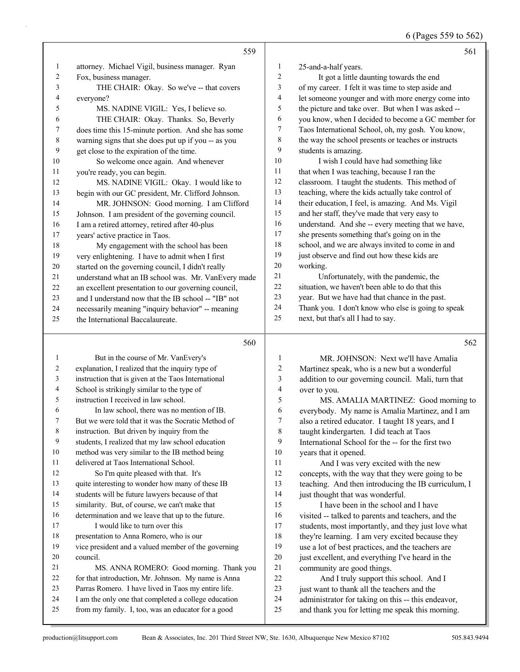6 (Pages 559 to 562)

|                   | 559                                                                                                        |                  | 561                                                                                                    |
|-------------------|------------------------------------------------------------------------------------------------------------|------------------|--------------------------------------------------------------------------------------------------------|
| 1                 | attorney. Michael Vigil, business manager. Ryan                                                            | 1                | 25-and-a-half years.                                                                                   |
| 2                 | Fox, business manager.                                                                                     | $\overline{c}$   | It got a little daunting towards the end                                                               |
| 3                 | THE CHAIR: Okay. So we've -- that covers                                                                   | 3                | of my career. I felt it was time to step aside and                                                     |
| 4                 | everyone?                                                                                                  | $\overline{4}$   | let someone younger and with more energy come into                                                     |
| 5                 | MS. NADINE VIGIL: Yes, I believe so.                                                                       | 5                | the picture and take over. But when I was asked --                                                     |
| 6                 | THE CHAIR: Okay. Thanks. So, Beverly                                                                       | 6                | you know, when I decided to become a GC member for                                                     |
| 7                 | does time this 15-minute portion. And she has some                                                         | 7                | Taos International School, oh, my gosh. You know,                                                      |
| $\,8\,$           | warning signs that she does put up if you -- as you                                                        | 8                | the way the school presents or teaches or instructs                                                    |
| 9                 | get close to the expiration of the time.                                                                   | 9                | students is amazing.                                                                                   |
| 10                | So welcome once again. And whenever                                                                        | 10               | I wish I could have had something like                                                                 |
| 11                | you're ready, you can begin.                                                                               | 11               | that when I was teaching, because I ran the                                                            |
| 12                | MS. NADINE VIGIL: Okay. I would like to                                                                    | 12               | classroom. I taught the students. This method of                                                       |
| 13                | begin with our GC president, Mr. Clifford Johnson.                                                         | 13               | teaching, where the kids actually take control of                                                      |
| 14                | MR. JOHNSON: Good morning. I am Clifford                                                                   | 14               | their education, I feel, is amazing. And Ms. Vigil                                                     |
| 15                | Johnson. I am president of the governing council.                                                          | 15               | and her staff, they've made that very easy to                                                          |
| 16                | I am a retired attorney, retired after 40-plus                                                             | 16               | understand. And she -- every meeting that we have,                                                     |
| 17                | years' active practice in Taos.                                                                            | 17               | she presents something that's going on in the                                                          |
| 18                | My engagement with the school has been                                                                     | $18\,$           | school, and we are always invited to come in and                                                       |
| 19                | very enlightening. I have to admit when I first                                                            | 19               | just observe and find out how these kids are                                                           |
| 20                | started on the governing council, I didn't really                                                          | 20               | working.                                                                                               |
| 21                | understand what an IB school was. Mr. VanEvery made                                                        | $21\,$           | Unfortunately, with the pandemic, the                                                                  |
| 22                | an excellent presentation to our governing council,                                                        | $22\,$           | situation, we haven't been able to do that this                                                        |
| 23                | and I understand now that the IB school -- "IB" not                                                        | 23               | year. But we have had that chance in the past.                                                         |
| 24                | necessarily meaning "inquiry behavior" -- meaning                                                          | 24               | Thank you. I don't know who else is going to speak                                                     |
| 25                | the International Baccalaureate.                                                                           | 25               | next, but that's all I had to say.                                                                     |
|                   |                                                                                                            |                  |                                                                                                        |
|                   | 560                                                                                                        |                  | 562                                                                                                    |
|                   |                                                                                                            |                  |                                                                                                        |
| $\mathbf{1}$<br>2 | But in the course of Mr. VanEvery's                                                                        | $\mathbf{1}$     | MR. JOHNSON: Next we'll have Amalia                                                                    |
| 3                 | explanation, I realized that the inquiry type of                                                           | $\boldsymbol{2}$ | Martinez speak, who is a new but a wonderful                                                           |
| 4                 | instruction that is given at the Taos International                                                        | 3                | addition to our governing council. Mali, turn that                                                     |
| 5                 | School is strikingly similar to the type of<br>instruction I received in law school.                       | 4<br>5           | over to you.                                                                                           |
| 6                 | In law school, there was no mention of IB.                                                                 | 6                | MS. AMALIA MARTINEZ: Good morning to                                                                   |
| 7                 | But we were told that it was the Socratic Method of                                                        | 7                | everybody. My name is Amalia Martinez, and I am                                                        |
| 8                 | instruction. But driven by inquiry from the                                                                | 8                | also a retired educator. I taught 18 years, and I                                                      |
| 9                 | students, I realized that my law school education                                                          | 9                | taught kindergarten. I did teach at Taos<br>International School for the -- for the first two          |
| 10                | method was very similar to the IB method being                                                             | 10               | years that it opened.                                                                                  |
| 11                | delivered at Taos International School.                                                                    | 11               | And I was very excited with the new                                                                    |
| 12                | So I'm quite pleased with that. It's                                                                       | 12               | concepts, with the way that they were going to be                                                      |
| 13                | quite interesting to wonder how many of these IB                                                           | 13               | teaching. And then introducing the IB curriculum, I                                                    |
| 14                | students will be future lawyers because of that                                                            | 14               | just thought that was wonderful.                                                                       |
| 15                | similarity. But, of course, we can't make that                                                             | 15               | I have been in the school and I have                                                                   |
| 16                | determination and we leave that up to the future.                                                          | 16               | visited -- talked to parents and teachers, and the                                                     |
| 17                | I would like to turn over this                                                                             | 17               | students, most importantly, and they just love what                                                    |
| 18                | presentation to Anna Romero, who is our                                                                    | 18               | they're learning. I am very excited because they                                                       |
| 19                | vice president and a valued member of the governing                                                        | 19               | use a lot of best practices, and the teachers are                                                      |
| 20                | council.                                                                                                   | 20               | just excellent, and everything I've heard in the                                                       |
| 21                | MS. ANNA ROMERO: Good morning. Thank you                                                                   | 21               | community are good things.                                                                             |
| 22                | for that introduction, Mr. Johnson. My name is Anna                                                        | $22\,$           | And I truly support this school. And I                                                                 |
| 23                | Parras Romero. I have lived in Taos my entire life.                                                        | 23               | just want to thank all the teachers and the                                                            |
| 24<br>25          | I am the only one that completed a college education<br>from my family. I, too, was an educator for a good | 24<br>25         | administrator for taking on this -- this endeavor,<br>and thank you for letting me speak this morning. |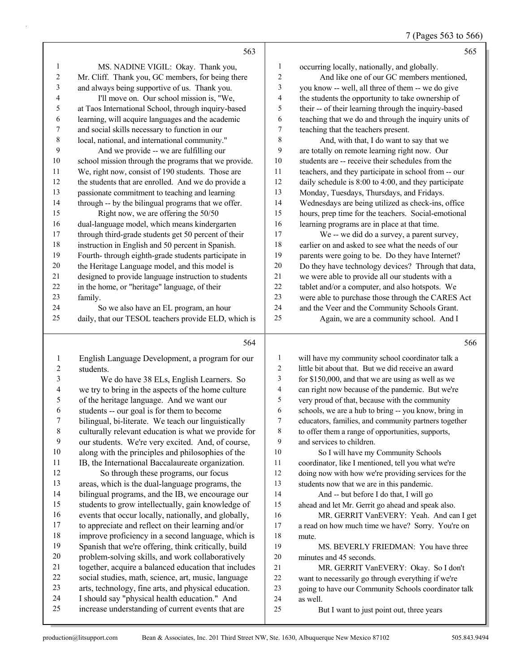|                          | 563                                                  |                  | 565                                                  |
|--------------------------|------------------------------------------------------|------------------|------------------------------------------------------|
| $\mathbf{1}$             | MS. NADINE VIGIL: Okay. Thank you,                   | 1                | occurring locally, nationally, and globally.         |
| $\sqrt{2}$               | Mr. Cliff. Thank you, GC members, for being there    | $\overline{c}$   | And like one of our GC members mentioned,            |
| 3                        | and always being supportive of us. Thank you.        | 3                | you know -- well, all three of them -- we do give    |
| $\overline{\mathcal{A}}$ | I'll move on. Our school mission is, "We,            | 4                | the students the opportunity to take ownership of    |
| 5                        | at Taos International School, through inquiry-based  | 5                | their -- of their learning through the inquiry-based |
| 6                        | learning, will acquire languages and the academic    | 6                | teaching that we do and through the inquiry units of |
| 7                        | and social skills necessary to function in our       | 7                | teaching that the teachers present.                  |
| 8                        | local, national, and international community."       | 8                | And, with that, I do want to say that we             |
| 9                        | And we provide -- we are fulfilling our              | 9                | are totally on remote learning right now. Our        |
| $10\,$                   | school mission through the programs that we provide. | 10               | students are -- receive their schedules from the     |
| 11                       | We, right now, consist of 190 students. Those are    | 11               | teachers, and they participate in school from -- our |
| 12                       | the students that are enrolled. And we do provide a  | 12               | daily schedule is 8:00 to 4:00, and they participate |
| 13                       | passionate commitment to teaching and learning       | 13               | Monday, Tuesdays, Thursdays, and Fridays.            |
| 14                       | through -- by the bilingual programs that we offer.  | 14               | Wednesdays are being utilized as check-ins, office   |
| 15                       | Right now, we are offering the 50/50                 | 15               | hours, prep time for the teachers. Social-emotional  |
| 16                       | dual-language model, which means kindergarten        | 16               | learning programs are in place at that time.         |
| 17                       | through third-grade students get 50 percent of their | 17               | We -- we did do a survey, a parent survey,           |
| $18\,$                   | instruction in English and 50 percent in Spanish.    | 18               | earlier on and asked to see what the needs of our    |
| 19                       | Fourth-through eighth-grade students participate in  | 19               | parents were going to be. Do they have Internet?     |
| 20                       | the Heritage Language model, and this model is       | $20\,$           | Do they have technology devices? Through that data,  |
| 21                       | designed to provide language instruction to students | $21\,$           | we were able to provide all our students with a      |
| 22                       | in the home, or "heritage" language, of their        | $22\,$           | tablet and/or a computer, and also hotspots. We      |
| 23                       | family.                                              | 23               | were able to purchase those through the CARES Act    |
| 24                       | So we also have an EL program, an hour               | 24               | and the Veer and the Community Schools Grant.        |
| 25                       | daily, that our TESOL teachers provide ELD, which is | 25               | Again, we are a community school. And I              |
|                          | 564                                                  |                  | 566                                                  |
| $\mathbf{1}$             | English Language Development, a program for our      | 1                | will have my community school coordinator talk a     |
| 2                        | students.                                            | $\overline{2}$   | little bit about that. But we did receive an award   |
| 3                        | We do have 38 ELs, English Learners. So              | 3                | for \$150,000, and that we are using as well as we   |
| 4                        | we try to bring in the aspects of the home culture   | 4                | can right now because of the pandemic. But we're     |
| 5                        | of the heritage language. And we want our            | 5                | very proud of that, because with the community       |
| 6                        | students -- our goal is for them to become           | 6                | schools, we are a hub to bring -- you know, bring in |
| 7                        | bilingual, bi-literate. We teach our linguistically  | $\boldsymbol{7}$ | educators, families, and community partners together |
| $8\phantom{.0}$          | culturally relevant education is what we provide for | 8                | to offer them a range of opportunities, supports,    |
| $\boldsymbol{9}$         | our students. We're very excited. And, of course,    | 9                | and services to children.                            |
| $10\,$                   | along with the principles and philosophies of the    | 10               | So I will have my Community Schools                  |
| 11                       | IB, the International Baccalaureate organization.    | 11               | coordinator, like I mentioned, tell you what we're   |
| 12                       | So through these programs, our focus                 | 12               | doing now with how we're providing services for the  |
| 13                       | areas, which is the dual-language programs, the      | 13               | students now that we are in this pandemic.           |
| 14                       | bilingual programs, and the IB, we encourage our     | 14               | And -- but before I do that, I will go               |
| 15                       | students to grow intellectually, gain knowledge of   | 15               | ahead and let Mr. Gerrit go ahead and speak also.    |

16 MR. GERRIT VanEVERY: Yeah. And can I get a read on how much time we have? Sorry. You're on mute.

19 MS. BEVERLY FRIEDMAN: You have three minutes and 45 seconds.

21 MR. GERRIT VanEVERY: Okay. So I don't want to necessarily go through everything if we're going to have our Community Schools coordinator talk as well.

25 But I want to just point out, three years

 events that occur locally, nationally, and globally, to appreciate and reflect on their learning and/or improve proficiency in a second language, which is Spanish that we're offering, think critically, build problem-solving skills, and work collaboratively together, acquire a balanced education that includes social studies, math, science, art, music, language arts, technology, fine arts, and physical education. I should say "physical health education." And increase understanding of current events that are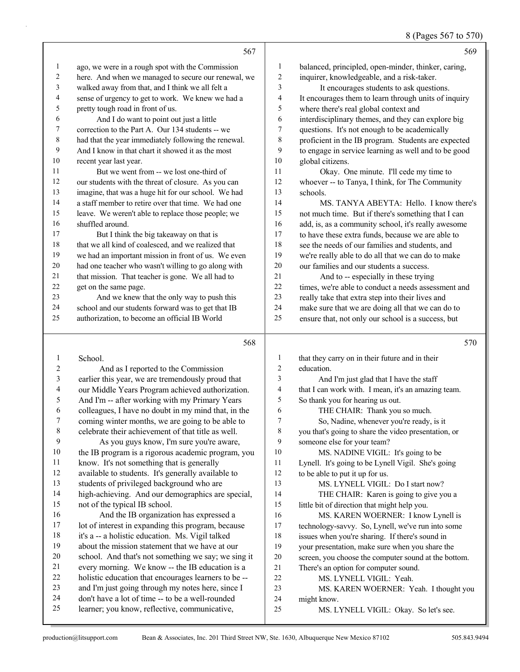8 (Pages 567 to 570)

|                  |                                                      |                | $\sigma$ (1 ages 507 to 570                          |
|------------------|------------------------------------------------------|----------------|------------------------------------------------------|
|                  | 567                                                  |                | 569                                                  |
| 1                | ago, we were in a rough spot with the Commission     | 1              | balanced, principled, open-minder, thinker, caring,  |
| 2                | here. And when we managed to secure our renewal, we  | $\overline{c}$ | inquirer, knowledgeable, and a risk-taker.           |
| 3                | walked away from that, and I think we all felt a     | 3              | It encourages students to ask questions.             |
| 4                | sense of urgency to get to work. We knew we had a    | 4              | It encourages them to learn through units of inquiry |
| 5                | pretty tough road in front of us.                    | 5              | where there's real global context and                |
| 6                | And I do want to point out just a little             | 6              | interdisciplinary themes, and they can explore big   |
| 7                | correction to the Part A. Our 134 students -- we     | $\tau$         | questions. It's not enough to be academically        |
| $\,8\,$          | had that the year immediately following the renewal. | 8              | proficient in the IB program. Students are expected  |
| $\boldsymbol{9}$ | And I know in that chart it showed it as the most    | 9              | to engage in service learning as well and to be good |
| 10               | recent year last year.                               | $10\,$         | global citizens.                                     |
| 11               | But we went from -- we lost one-third of             | 11             | Okay. One minute. I'll cede my time to               |
| $12\,$           | our students with the threat of closure. As you can  | $12\,$         | whoever -- to Tanya, I think, for The Community      |
| 13               | imagine, that was a huge hit for our school. We had  | 13             | schools.                                             |
| 14               | a staff member to retire over that time. We had one  | 14             | MS. TANYA ABEYTA: Hello. I know there's              |
| 15               | leave. We weren't able to replace those people; we   | 15             | not much time. But if there's something that I can   |
| 16               | shuffled around.                                     | 16             | add, is, as a community school, it's really awesome  |
| 17               | But I think the big takeaway on that is              | $17\,$         | to have these extra funds, because we are able to    |
| 18               | that we all kind of coalesced, and we realized that  | $18\,$         | see the needs of our families and students, and      |
| 19               | we had an important mission in front of us. We even  | 19             | we're really able to do all that we can do to make   |
| 20               | had one teacher who wasn't willing to go along with  | 20             | our families and our students a success.             |
| 21               | that mission. That teacher is gone. We all had to    | 21             | And to -- especially in these trying                 |
| 22               | get on the same page.                                | 22             | times, we're able to conduct a needs assessment and  |
| 23               | And we knew that the only way to push this           | 23             | really take that extra step into their lives and     |
| 24               | school and our students forward was to get that IB   | 24             | make sure that we are doing all that we can do to    |
| 25               | authorization, to become an official IB World        | 25             | ensure that, not only our school is a success, but   |
|                  | 568                                                  |                | 570                                                  |
| $\mathbf{1}$     | School.                                              | $\mathbf{1}$   | that they carry on in their future and in their      |
| 2                | And as I reported to the Commission                  | 2              | education.                                           |
| 3                | earlier this year, we are tremendously proud that    | 3              | And I'm just glad that I have the staff              |
| 4                | our Middle Years Program achieved authorization.     | 4              | that I can work with. I mean, it's an amazing team.  |
| 5                | And I'm -- after working with my Primary Years       | 5              | So thank you for hearing us out.                     |
| 6                | colleagues, I have no doubt in my mind that, in the  | 6              | THE CHAIR: Thank you so much.                        |
| Τ                | coming winter months, we are going to be able to     | 7              | So, Nadine, whenever you're ready, is it             |
| 8                | celebrate their achievement of that title as well.   | $\,8\,$        | you that's going to share the video presentation, or |
| 9                | As you guys know, I'm sure you're aware,             | 9              | someone else for your team?                          |
| 10               | the IB program is a rigorous academic program, you   | 10             | MS. NADINE VIGIL: It's going to be                   |
| 11               | know. It's not something that is generally           | 11             | Lynell. It's going to be Lynell Vigil. She's going   |
| 12               | available to students. It's generally available to   | 12             | to be able to put it up for us.                      |
| 13               | students of privileged background who are            | 13             | MS. LYNELL VIGIL: Do I start now?                    |
| 14               | high-achieving. And our demographics are special,    | 14             | THE CHAIR: Karen is going to give you a              |
| 15               | not of the typical IB school.                        | 15             | little bit of direction that might help you.         |
| 16               | And the IB organization has expressed a              | 16             | MS. KAREN WOERNER: I know Lynell is                  |
| 17               | lot of interest in expanding this program, because   | 17             | technology-savvy. So, Lynell, we've run into some    |
| 18               | it's a -- a holistic education. Ms. Vigil talked     | 18             | issues when you're sharing. If there's sound in      |
| 19               | about the mission statement that we have at our      | 19             | your presentation, make sure when you share the      |
| 20               | school. And that's not something we say; we sing it  | $20\,$         | screen, you choose the computer sound at the bottom. |
| 21               | every morning. We know -- the IB education is a      | $21\,$         | There's an option for computer sound.                |
| $22\,$           | holistic education that encourages learners to be -- | 22             | MS. LYNELL VIGIL: Yeah.                              |
| 23               | and I'm just going through my notes here, since I    | 23             | MS. KAREN WOERNER: Yeah. I thought you               |
| 24               | don't have a lot of time -- to be a well-rounded     | 24             | might know.                                          |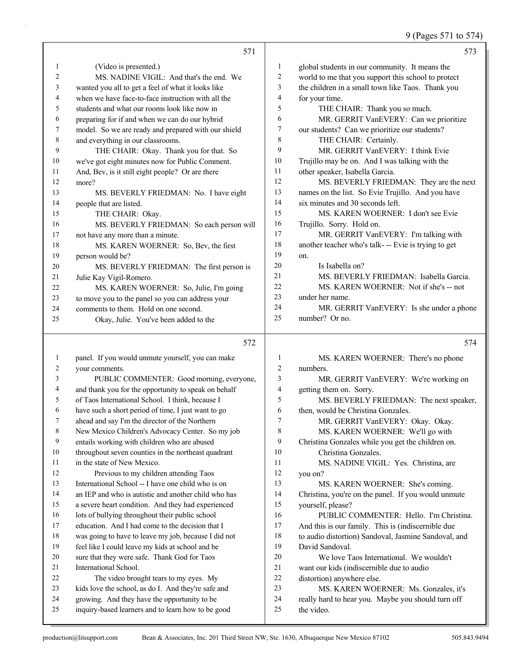9 (Pages 571 to 574)

|                | 571                                                                                                |                | 573                                                              |
|----------------|----------------------------------------------------------------------------------------------------|----------------|------------------------------------------------------------------|
| 1              | (Video is presented.)                                                                              | 1              | global students in our community. It means the                   |
| $\overline{2}$ | MS. NADINE VIGIL: And that's the end. We                                                           | $\overline{2}$ | world to me that you support this school to protect              |
| 3              | wanted you all to get a feel of what it looks like                                                 | 3              | the children in a small town like Taos. Thank you                |
| 4              | when we have face-to-face instruction with all the                                                 | $\overline{4}$ | for your time.                                                   |
| 5              | students and what our rooms look like now in                                                       | 5              | THE CHAIR: Thank you so much.                                    |
| 6              | preparing for if and when we can do our hybrid                                                     | 6              | MR. GERRIT VanEVERY: Can we prioritize                           |
| 7              | model. So we are ready and prepared with our shield                                                | 7              | our students? Can we prioritize our students?                    |
| 8              | and everything in our classrooms.                                                                  | 8              | THE CHAIR: Certainly.                                            |
| 9              | THE CHAIR: Okay. Thank you for that. So                                                            | 9              | MR. GERRIT VanEVERY: I think Evie                                |
| 10             | we've got eight minutes now for Public Comment.                                                    | 10             | Trujillo may be on. And I was talking with the                   |
| 11             | And, Bev, is it still eight people? Or are there                                                   | 11             | other speaker, Isabella Garcia.                                  |
| 12             | more?                                                                                              | 12             | MS. BEVERLY FRIEDMAN: They are the next                          |
| 13             | MS. BEVERLY FRIEDMAN: No. I have eight                                                             | 13             | names on the list. So Evie Trujillo. And you have                |
| 14             | people that are listed.                                                                            | 14             | six minutes and 30 seconds left.                                 |
| 15             | THE CHAIR: Okay.                                                                                   | 15             | MS. KAREN WOERNER: I don't see Evie                              |
| 16             | MS. BEVERLY FRIEDMAN: So each person will                                                          | 16<br>17       | Trujillo. Sorry. Hold on.                                        |
| 17             | not have any more than a minute.                                                                   | 18             | MR. GERRIT VanEVERY: I'm talking with                            |
| 18             | MS. KAREN WOERNER: So, Bev, the first                                                              | 19             | another teacher who's talk- -- Evie is trying to get             |
| 19<br>20       | person would be?                                                                                   | 20             | on.<br>Is Isabella on?                                           |
| 21             | MS. BEVERLY FRIEDMAN: The first person is<br>Julie Kay Vigil-Romero.                               | 21             | MS. BEVERLY FRIEDMAN: Isabella Garcia.                           |
| 22             | MS. KAREN WOERNER: So, Julie, I'm going                                                            | 22             | MS. KAREN WOERNER: Not if she's -- not                           |
| 23             | to move you to the panel so you can address your                                                   | 23             | under her name.                                                  |
| 24             | comments to them. Hold on one second.                                                              | 24             | MR. GERRIT VanEVERY: Is she under a phone                        |
| 25             | Okay, Julie. You've been added to the                                                              | 25             | number? Or no.                                                   |
|                |                                                                                                    |                |                                                                  |
|                |                                                                                                    |                |                                                                  |
|                | 572                                                                                                |                | 574                                                              |
| $\mathbf{1}$   | panel. If you would unmute yourself, you can make                                                  | $\mathbf{1}$   | MS. KAREN WOERNER: There's no phone                              |
| 2              | your comments.                                                                                     | $\overline{2}$ | numbers.                                                         |
| 3              | PUBLIC COMMENTER: Good morning, everyone,                                                          | 3              | MR. GERRIT VanEVERY: We're working on                            |
| 4              | and thank you for the opportunity to speak on behalf                                               | 4              | getting them on. Sorry.                                          |
| 5              | of Taos International School. I think, because I                                                   | 5              | MS. BEVERLY FRIEDMAN: The next speaker,                          |
| 6              | have such a short period of time, I just want to go                                                | 6              | then, would be Christina Gonzales.                               |
| $\mathcal{L}$  | ahead and say I'm the director of the Northern                                                     | 7              | MR. GERRIT VanEVERY: Okay. Okay.                                 |
| 8              | New Mexico Children's Advocacy Center. So my job                                                   | $\,8\,$        | MS. KAREN WOERNER: We'll go with                                 |
| 9              | entails working with children who are abused                                                       | 9              | Christina Gonzales while you get the children on.                |
| 10             | throughout seven counties in the northeast quadrant                                                | 10             | Christina Gonzales.                                              |
| 11             | in the state of New Mexico.                                                                        | 11             | MS. NADINE VIGIL: Yes. Christina, are                            |
| 12             | Previous to my children attending Taos                                                             | 12             | you on?                                                          |
| 13             | International School -- I have one child who is on                                                 | 13             | MS. KAREN WOERNER: She's coming.                                 |
| 14             | an IEP and who is autistic and another child who has                                               | 14             | Christina, you're on the panel. If you would unmute              |
| 15             | a severe heart condition. And they had experienced                                                 | 15             | yourself, please?                                                |
| 16             | lots of bullying throughout their public school                                                    | 16             | PUBLIC COMMENTER: Hello. I'm Christina.                          |
| 17             | education. And I had come to the decision that I                                                   | 17             | And this is our family. This is (indiscernible due               |
| 18             | was going to have to leave my job, because I did not                                               | 18             | to audio distortion) Sandoval, Jasmine Sandoval, and             |
| 19             | feel like I could leave my kids at school and be                                                   | 19             | David Sandoval.                                                  |
| 20             | sure that they were safe. Thank God for Taos                                                       | 20             | We love Taos International. We wouldn't                          |
| 21             | International School.                                                                              | $21\,$         | want our kids (indiscernible due to audio                        |
| 22             | The video brought tears to my eyes. My                                                             | 22             | distortion) anywhere else.                                       |
| 23             | kids love the school, as do I. And they're safe and                                                | 23             | MS. KAREN WOERNER: Ms. Gonzales, it's                            |
| 24<br>25       | growing. And they have the opportunity to be<br>inquiry-based learners and to learn how to be good | 24<br>25       | really hard to hear you. Maybe you should turn off<br>the video. |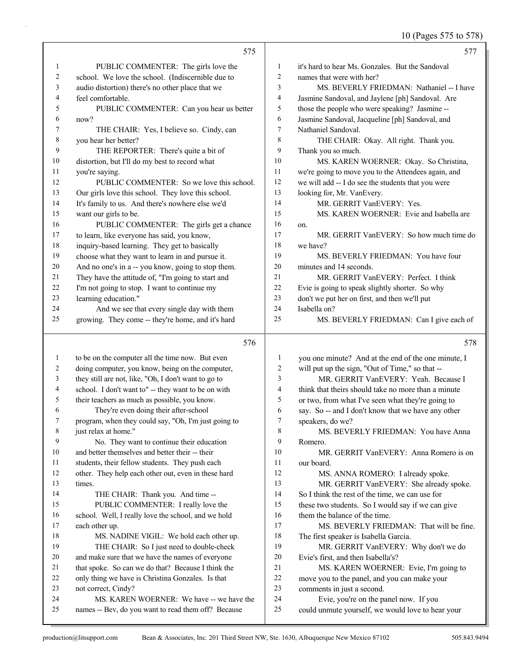### 10 (Pages 575 to 578)

|          | 575                                                              |                | 577                                                                 |
|----------|------------------------------------------------------------------|----------------|---------------------------------------------------------------------|
| 1        | PUBLIC COMMENTER: The girls love the                             | 1              | it's hard to hear Ms. Gonzales. But the Sandoval                    |
| 2        | school. We love the school. (Indiscernible due to                | 2              | names that were with her?                                           |
| 3        | audio distortion) there's no other place that we                 | 3              | MS. BEVERLY FRIEDMAN: Nathaniel -- I have                           |
| 4        | feel comfortable.                                                | 4              | Jasmine Sandoval, and Jaylene [ph] Sandoval. Are                    |
| 5        | PUBLIC COMMENTER: Can you hear us better                         | 5              | those the people who were speaking? Jasmine --                      |
| 6        | now?                                                             | 6              | Jasmine Sandoval, Jacqueline [ph] Sandoval, and                     |
| 7        | THE CHAIR: Yes, I believe so. Cindy, can                         | $\overline{7}$ | Nathaniel Sandoval.                                                 |
| 8        | you hear her better?                                             | 8              | THE CHAIR: Okay. All right. Thank you.                              |
| 9        | THE REPORTER: There's quite a bit of                             | 9              | Thank you so much.                                                  |
| 10       | distortion, but I'll do my best to record what                   | 10             | MS. KAREN WOERNER: Okay. So Christina,                              |
| 11       | you're saying.                                                   | 11             | we're going to move you to the Attendees again, and                 |
| 12       | PUBLIC COMMENTER: So we love this school.                        | 12             | we will add -- I do see the students that you were                  |
| 13       | Our girls love this school. They love this school.               | 13             | looking for, Mr. VanEvery.                                          |
| 14       | It's family to us. And there's nowhere else we'd                 | 14             | MR. GERRIT VanEVERY: Yes.                                           |
| 15       | want our girls to be.                                            | 15             | MS. KAREN WOERNER: Evie and Isabella are                            |
| 16       | PUBLIC COMMENTER: The girls get a chance                         | 16             | on.                                                                 |
| 17       | to learn, like everyone has said, you know,                      | 17             | MR. GERRIT VanEVERY: So how much time do                            |
| 18       | inquiry-based learning. They get to basically                    | 18             | we have?                                                            |
| 19       | choose what they want to learn in and pursue it.                 | 19             | MS. BEVERLY FRIEDMAN: You have four                                 |
| 20       | And no one's in a -- you know, going to stop them.               | 20             | minutes and 14 seconds.                                             |
| 21       | They have the attitude of, "I'm going to start and               | 21             | MR. GERRIT VanEVERY: Perfect. I think                               |
| 22       | I'm not going to stop. I want to continue my                     | 22             | Evie is going to speak slightly shorter. So why                     |
| 23       | learning education."                                             | 23             | don't we put her on first, and then we'll put                       |
| 24       | And we see that every single day with them                       | 24             | Isabella on?                                                        |
| 25       | growing. They come -- they're home, and it's hard                | 25             | MS. BEVERLY FRIEDMAN: Can I give each of                            |
|          |                                                                  |                |                                                                     |
|          | 576                                                              |                | 578                                                                 |
| 1        | to be on the computer all the time now. But even                 | $\mathbf{1}$   | you one minute? And at the end of the one minute, I                 |
| 2        | doing computer, you know, being on the computer,                 | 2              | will put up the sign, "Out of Time," so that --                     |
| 3        | they still are not, like, "Oh, I don't want to go to             | 3              | MR. GERRIT VanEVERY: Yeah. Because I                                |
| 4        | school. I don't want to" -- they want to be on with              | 4              | think that theirs should take no more than a minute                 |
| 5        | their teachers as much as possible, you know.                    | 5              | or two, from what I've seen what they're going to                   |
| 6        | They're even doing their after-school                            | 6              | say. So -- and I don't know that we have any other                  |
|          | program, when they could say, "Oh, I'm just going to             | 7              | speakers, do we?                                                    |
| 8        | just relax at home."                                             | 8              | MS. BEVERLY FRIEDMAN: You have Anna                                 |
| 9        | No. They want to continue their education                        | 9              | Romero.                                                             |
| 10       | and better themselves and better their -- their                  | 10             | MR. GERRIT VanEVERY: Anna Romero is on                              |
| 11       | students, their fellow students. They push each                  | 11             | our board.                                                          |
| 12       | other. They help each other out, even in these hard              | 12             | MS. ANNA ROMERO: I already spoke.                                   |
| 13       | times.                                                           | 13             | MR. GERRIT VanEVERY: She already spoke.                             |
| 14       | THE CHAIR: Thank you. And time --                                | 14             | So I think the rest of the time, we can use for                     |
| 15       | PUBLIC COMMENTER: I really love the                              | 15             | these two students. So I would say if we can give                   |
| 16       | school. Well, I really love the school, and we hold              | 16             | them the balance of the time.                                       |
| 17       | each other up.                                                   | 17             | MS. BEVERLY FRIEDMAN: That will be fine.                            |
| 18       | MS. NADINE VIGIL: We hold each other up.                         | 18             | The first speaker is Isabella Garcia.                               |
| 19       | THE CHAIR: So I just need to double-check                        | 19             | MR. GERRIT VanEVERY: Why don't we do                                |
| 20       | and make sure that we have the names of everyone                 | 20             | Evie's first, and then Isabella's?                                  |
| 21       | that spoke. So can we do that? Because I think the               | 21             | MS. KAREN WOERNER: Evie, I'm going to                               |
| 22       | only thing we have is Christina Gonzales. Is that                | $22\,$         | move you to the panel, and you can make your                        |
| 23<br>24 | not correct, Cindy?<br>MS. KAREN WOERNER: We have -- we have the | 23<br>24       | comments in just a second.<br>Evie, you're on the panel now. If you |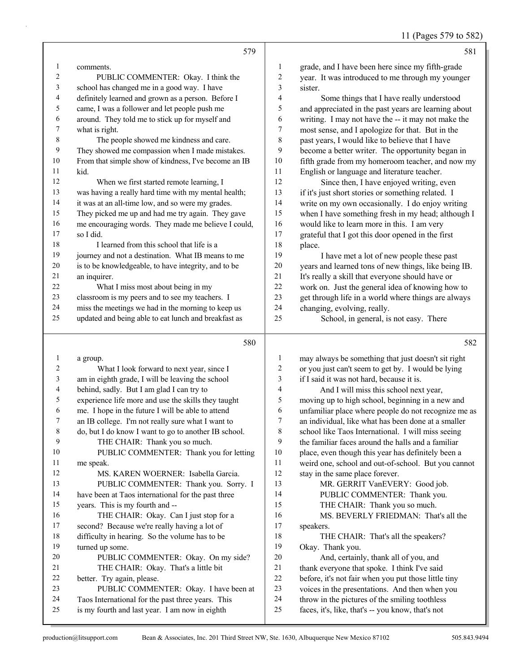| 11 (Pages 579 to 582) |  |
|-----------------------|--|
|-----------------------|--|

|          | 579                                                                                                      |                                  | 581                                                                                                         |
|----------|----------------------------------------------------------------------------------------------------------|----------------------------------|-------------------------------------------------------------------------------------------------------------|
| 1        | comments.                                                                                                | 1                                | grade, and I have been here since my fifth-grade                                                            |
| 2        | PUBLIC COMMENTER: Okay. I think the                                                                      | $\overline{c}$                   | year. It was introduced to me through my younger                                                            |
| 3        | school has changed me in a good way. I have                                                              | 3                                | sister.                                                                                                     |
| 4        | definitely learned and grown as a person. Before I                                                       | 4                                | Some things that I have really understood                                                                   |
| 5        | came, I was a follower and let people push me                                                            | 5                                | and appreciated in the past years are learning about                                                        |
| 6        | around. They told me to stick up for myself and                                                          | 6                                | writing. I may not have the -- it may not make the                                                          |
| 7        | what is right.                                                                                           | $\boldsymbol{7}$                 | most sense, and I apologize for that. But in the                                                            |
| 8        | The people showed me kindness and care.                                                                  | 8                                | past years, I would like to believe that I have                                                             |
| 9        | They showed me compassion when I made mistakes.                                                          | 9                                | become a better writer. The opportunity began in                                                            |
| 10       | From that simple show of kindness, I've become an IB                                                     | $10\,$                           | fifth grade from my homeroom teacher, and now my                                                            |
| 11       | kid.                                                                                                     | 11                               | English or language and literature teacher.                                                                 |
| 12       | When we first started remote learning, I                                                                 | 12                               | Since then, I have enjoyed writing, even                                                                    |
| 13       | was having a really hard time with my mental health;                                                     | 13                               | if it's just short stories or something related. I                                                          |
| 14       | it was at an all-time low, and so were my grades.                                                        | 14                               | write on my own occasionally. I do enjoy writing                                                            |
| 15       | They picked me up and had me try again. They gave                                                        | 15                               | when I have something fresh in my head; although I                                                          |
| 16       | me encouraging words. They made me believe I could,                                                      | 16                               | would like to learn more in this. I am very                                                                 |
| 17       | so I did.                                                                                                | 17                               | grateful that I got this door opened in the first                                                           |
| 18       | I learned from this school that life is a                                                                | 18                               | place.                                                                                                      |
| 19       | journey and not a destination. What IB means to me                                                       | 19                               | I have met a lot of new people these past                                                                   |
| 20       | is to be knowledgeable, to have integrity, and to be                                                     | $20\,$                           | years and learned tons of new things, like being IB.                                                        |
| 21       | an inquirer.                                                                                             | $21\,$                           | It's really a skill that everyone should have or                                                            |
| 22       | What I miss most about being in my                                                                       | 22                               | work on. Just the general idea of knowing how to                                                            |
| 23       | classroom is my peers and to see my teachers. I                                                          | 23                               | get through life in a world where things are always                                                         |
| 24       | miss the meetings we had in the morning to keep us                                                       | 24                               | changing, evolving, really.                                                                                 |
| 25       | updated and being able to eat lunch and breakfast as                                                     | 25                               | School, in general, is not easy. There                                                                      |
|          |                                                                                                          |                                  |                                                                                                             |
|          | 580                                                                                                      |                                  | 582                                                                                                         |
| 1        |                                                                                                          |                                  |                                                                                                             |
| 2        | a group.                                                                                                 | $\mathbf{1}$<br>$\boldsymbol{2}$ | may always be something that just doesn't sit right                                                         |
| 3        | What I look forward to next year, since I<br>am in eighth grade, I will be leaving the school            | $\mathfrak{Z}$                   | or you just can't seem to get by. I would be lying<br>if I said it was not hard, because it is.             |
| 4        | behind, sadly. But I am glad I can try to                                                                | 4                                | And I will miss this school next year,                                                                      |
| 5        |                                                                                                          | 5                                |                                                                                                             |
| 6        | experience life more and use the skills they taught<br>me. I hope in the future I will be able to attend | 6                                | moving up to high school, beginning in a new and                                                            |
| 7        | an IB college. I'm not really sure what I want to                                                        | $\tau$                           | unfamiliar place where people do not recognize me as<br>an individual, like what has been done at a smaller |
| 8        | do, but I do know I want to go to another IB school.                                                     | 8                                | school like Taos International. I will miss seeing                                                          |
| 9        | THE CHAIR: Thank you so much.                                                                            | 9                                | the familiar faces around the halls and a familiar                                                          |
| 10       | PUBLIC COMMENTER: Thank you for letting                                                                  | 10                               | place, even though this year has definitely been a                                                          |
| 11       | me speak.                                                                                                | 11                               | weird one, school and out-of-school. But you cannot                                                         |
| 12       | MS. KAREN WOERNER: Isabella Garcia.                                                                      | 12                               | stay in the same place forever.                                                                             |
| 13       | PUBLIC COMMENTER: Thank you. Sorry. I                                                                    | 13                               | MR. GERRIT VanEVERY: Good job.                                                                              |
| 14       | have been at Taos international for the past three                                                       | 14                               | PUBLIC COMMENTER: Thank you.                                                                                |
| 15       | years. This is my fourth and --                                                                          | 15                               | THE CHAIR: Thank you so much.                                                                               |
| 16       | THE CHAIR: Okay. Can I just stop for a                                                                   | 16                               | MS. BEVERLY FRIEDMAN: That's all the                                                                        |
| 17       | second? Because we're really having a lot of                                                             | 17                               | speakers.                                                                                                   |
| 18       | difficulty in hearing. So the volume has to be                                                           | 18                               | THE CHAIR: That's all the speakers?                                                                         |
| 19       | turned up some.                                                                                          | 19                               | Okay. Thank you.                                                                                            |
| 20       | PUBLIC COMMENTER: Okay. On my side?                                                                      | 20                               | And, certainly, thank all of you, and                                                                       |
| 21       | THE CHAIR: Okay. That's a little bit                                                                     | $21\,$                           | thank everyone that spoke. I think I've said                                                                |
| 22       | better. Try again, please.                                                                               | $22\,$                           | before, it's not fair when you put those little tiny                                                        |
| 23       | PUBLIC COMMENTER: Okay. I have been at                                                                   | 23                               | voices in the presentations. And then when you                                                              |
| 24<br>25 | Taos International for the past three years. This<br>is my fourth and last year. I am now in eighth      | 24<br>$25\,$                     | throw in the pictures of the smiling toothless<br>faces, it's, like, that's -- you know, that's not         |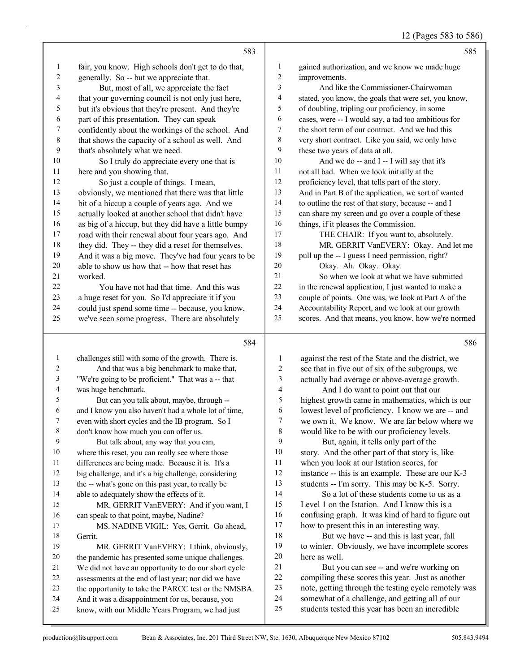12 (Pages 583 to 586)

|                          | 583                                                                                                  |                | 585                                                                                                    |
|--------------------------|------------------------------------------------------------------------------------------------------|----------------|--------------------------------------------------------------------------------------------------------|
| 1                        | fair, you know. High schools don't get to do that,                                                   | 1              | gained authorization, and we know we made huge                                                         |
| 2                        | generally. So -- but we appreciate that.                                                             | $\overline{c}$ | improvements.                                                                                          |
| 3                        | But, most of all, we appreciate the fact                                                             | 3              | And like the Commissioner-Chairwoman                                                                   |
| $\overline{\mathcal{A}}$ | that your governing council is not only just here,                                                   | 4              | stated, you know, the goals that were set, you know,                                                   |
| 5                        | but it's obvious that they're present. And they're                                                   | 5              | of doubling, tripling our proficiency, in some                                                         |
| 6                        | part of this presentation. They can speak                                                            | 6              | cases, were -- I would say, a tad too ambitious for                                                    |
| $\boldsymbol{7}$         | confidently about the workings of the school. And                                                    | 7              | the short term of our contract. And we had this                                                        |
| $\,$ $\,$                | that shows the capacity of a school as well. And                                                     | $\,$ 8 $\,$    | very short contract. Like you said, we only have                                                       |
| 9                        | that's absolutely what we need.                                                                      | 9              | these two years of data at all.                                                                        |
| 10                       | So I truly do appreciate every one that is                                                           | 10             | And we do -- and I -- I will say that it's                                                             |
| 11                       | here and you showing that.                                                                           | 11             | not all bad. When we look initially at the                                                             |
| 12                       | So just a couple of things. I mean,                                                                  | 12             | proficiency level, that tells part of the story.                                                       |
| 13                       | obviously, we mentioned that there was that little                                                   | 13             | And in Part B of the application, we sort of wanted                                                    |
| 14                       | bit of a hiccup a couple of years ago. And we                                                        | 14             | to outline the rest of that story, because -- and I                                                    |
| 15                       | actually looked at another school that didn't have                                                   | 15             | can share my screen and go over a couple of these                                                      |
| 16                       | as big of a hiccup, but they did have a little bumpy                                                 | 16             | things, if it pleases the Commission.                                                                  |
| 17                       | road with their renewal about four years ago. And                                                    | 17             | THE CHAIR: If you want to, absolutely.                                                                 |
| 18                       | they did. They -- they did a reset for themselves.                                                   | 18             | MR. GERRIT VanEVERY: Okay. And let me                                                                  |
| 19                       | And it was a big move. They've had four years to be                                                  | 19             | pull up the -- I guess I need permission, right?                                                       |
| $20\,$                   | able to show us how that -- how that reset has                                                       | 20             | Okay. Ah. Okay. Okay.                                                                                  |
| 21                       | worked.                                                                                              | 21             | So when we look at what we have submitted                                                              |
| 22                       | You have not had that time. And this was                                                             | 22             | in the renewal application, I just wanted to make a                                                    |
| 23                       | a huge reset for you. So I'd appreciate it if you                                                    | 23             | couple of points. One was, we look at Part A of the                                                    |
| 24                       | could just spend some time -- because, you know,                                                     | 24             | Accountability Report, and we look at our growth                                                       |
| 25                       | we've seen some progress. There are absolutely                                                       | 25             | scores. And that means, you know, how we're normed                                                     |
|                          |                                                                                                      |                |                                                                                                        |
|                          | 584                                                                                                  |                | 586                                                                                                    |
| $\mathbf{1}$             |                                                                                                      | $\mathbf{1}$   |                                                                                                        |
| 2                        | challenges still with some of the growth. There is.<br>And that was a big benchmark to make that,    | $\overline{c}$ | against the rest of the State and the district, we<br>see that in five out of six of the subgroups, we |
| $\mathfrak{Z}$           | "We're going to be proficient." That was a -- that                                                   | $\mathfrak{Z}$ |                                                                                                        |
| 4                        | was huge benchmark.                                                                                  | $\overline{4}$ | actually had average or above-average growth.<br>And I do want to point out that our                   |
| 5                        | But can you talk about, maybe, through --                                                            | 5              | highest growth came in mathematics, which is our                                                       |
| 6                        | and I know you also haven't had a whole lot of time,                                                 | 6              | lowest level of proficiency. I know we are -- and                                                      |
| 7                        | even with short cycles and the IB program. So I                                                      | 7              | we own it. We know. We are far below where we                                                          |
| 8                        | don't know how much you can offer us.                                                                | $\,$ 8 $\,$    | would like to be with our proficiency levels.                                                          |
| 9                        | But talk about, any way that you can,                                                                | 9              | But, again, it tells only part of the                                                                  |
| 10                       | where this reset, you can really see where those                                                     | $10\,$         | story. And the other part of that story is, like                                                       |
| 11                       | differences are being made. Because it is. It's a                                                    | 11             | when you look at our Istation scores, for                                                              |
| 12                       | big challenge, and it's a big challenge, considering                                                 | 12             | instance -- this is an example. These are our K-3                                                      |
| 13                       | the -- what's gone on this past year, to really be                                                   | 13             | students -- I'm sorry. This may be K-5. Sorry.                                                         |
| 14                       | able to adequately show the effects of it.                                                           | 14             | So a lot of these students come to us as a                                                             |
| 15                       | MR. GERRIT VanEVERY: And if you want, I                                                              | 15             | Level 1 on the Istation. And I know this is a                                                          |
| 16                       | can speak to that point, maybe, Nadine?                                                              | 16             | confusing graph. It was kind of hard to figure out                                                     |
| 17                       | MS. NADINE VIGIL: Yes, Gerrit. Go ahead,                                                             | 17             | how to present this in an interesting way.                                                             |
| 18                       | Gerrit.                                                                                              | 18             | But we have -- and this is last year, fall                                                             |
| 19                       | MR. GERRIT VanEVERY: I think, obviously,                                                             | 19             | to winter. Obviously, we have incomplete scores                                                        |
| 20                       | the pandemic has presented some unique challenges.                                                   | 20             | here as well.                                                                                          |
| 21                       | We did not have an opportunity to do our short cycle                                                 | 21             | But you can see -- and we're working on                                                                |
| 22                       | assessments at the end of last year; nor did we have                                                 | 22             | compiling these scores this year. Just as another                                                      |
| 23                       | the opportunity to take the PARCC test or the NMSBA.                                                 | 23             | note, getting through the testing cycle remotely was                                                   |
| 24<br>25                 | And it was a disappointment for us, because, you<br>know, with our Middle Years Program, we had just | 24<br>25       | somewhat of a challenge, and getting all of our<br>students tested this year has been an incredible    |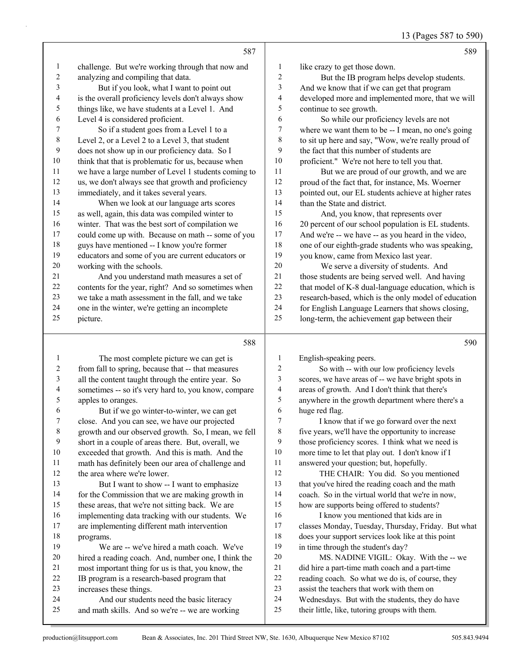13 (Pages 587 to 590)

|         | 587                                                  |                | 589                                                  |
|---------|------------------------------------------------------|----------------|------------------------------------------------------|
| 1       | challenge. But we're working through that now and    | 1              | like crazy to get those down.                        |
| 2       | analyzing and compiling that data.                   | $\overline{2}$ | But the IB program helps develop students.           |
| 3       | But if you look, what I want to point out            | 3              | And we know that if we can get that program          |
| 4       | is the overall proficiency levels don't always show  | 4              | developed more and implemented more, that we will    |
| 5       | things like, we have students at a Level 1. And      | 5              | continue to see growth.                              |
| 6       | Level 4 is considered proficient.                    | 6              | So while our proficiency levels are not              |
| 7       | So if a student goes from a Level 1 to a             | 7              | where we want them to be -- I mean, no one's going   |
| $\,8\,$ | Level 2, or a Level 2 to a Level 3, that student     | 8              | to sit up here and say, "Wow, we're really proud of  |
| 9       | does not show up in our proficiency data. So I       | 9              | the fact that this number of students are            |
| 10      | think that that is problematic for us, because when  | 10             | proficient." We're not here to tell you that.        |
| 11      | we have a large number of Level 1 students coming to | 11             | But we are proud of our growth, and we are           |
| 12      | us, we don't always see that growth and proficiency  | 12             | proud of the fact that, for instance, Ms. Woerner    |
| 13      | immediately, and it takes several years.             | 13             | pointed out, our EL students achieve at higher rates |
| 14      | When we look at our language arts scores             | 14             | than the State and district.                         |
| 15      | as well, again, this data was compiled winter to     | 15             | And, you know, that represents over                  |
| 16      | winter. That was the best sort of compilation we     | 16             | 20 percent of our school population is EL students.  |
| 17      | could come up with. Because on math -- some of you   | 17             | And we're -- we have -- as you heard in the video,   |
| 18      | guys have mentioned -- I know you're former          | 18             | one of our eighth-grade students who was speaking,   |
| 19      | educators and some of you are current educators or   | 19             | you know, came from Mexico last year.                |
| 20      | working with the schools.                            | 20             | We serve a diversity of students. And                |
| 21      | And you understand math measures a set of            | 21             | those students are being served well. And having     |
| 22      | contents for the year, right? And so sometimes when  | 22             | that model of K-8 dual-language education, which is  |
| 23      | we take a math assessment in the fall, and we take   | 23             | research-based, which is the only model of education |
| 24      | one in the winter, we're getting an incomplete       | 24             | for English Language Learners that shows closing,    |
| 25      | picture.                                             | 25             | long-term, the achievement gap between their         |
|         | 588                                                  |                | 590                                                  |
|         | The most complete picture we can get is              |                | English-speaking peers.                              |
|         |                                                      |                |                                                      |

 from fall to spring, because that -- that measures all the content taught through the entire year. So sometimes -- so it's very hard to, you know, compare apples to oranges. 6 But if we go winter-to-winter, we can get close. And you can see, we have our projected growth and our observed growth. So, I mean, we fell short in a couple of areas there. But, overall, we exceeded that growth. And this is math. And the math has definitely been our area of challenge and 12 the area where we're lower. 13 But I want to show -- I want to emphasize for the Commission that we are making growth in these areas, that we're not sitting back. We are implementing data tracking with our students. We huge red flag.

 are implementing different math intervention programs. 19 We are -- we've hired a math coach. We've hired a reading coach. And, number one, I think the most important thing for us is that, you know, the IB program is a research-based program that increases these things.

24 And our students need the basic literacy

2 So with -- with our low proficiency levels scores, we have areas of -- we have bright spots in areas of growth. And I don't think that there's anywhere in the growth department where there's a

I know that if we go forward over the next five years, we'll have the opportunity to increase those proficiency scores. I think what we need is more time to let that play out. I don't know if I answered your question; but, hopefully.

12 THE CHAIR: You did. So you mentioned that you've hired the reading coach and the math coach. So in the virtual world that we're in now, how are supports being offered to students?

16 I know you mentioned that kids are in classes Monday, Tuesday, Thursday, Friday. But what does your support services look like at this point in time through the student's day? 20 MS. NADINE VIGIL: Okay. With the -- we

- did hire a part-time math coach and a part-time
- reading coach. So what we do is, of course, they
- assist the teachers that work with them on
- Wednesdays. But with the students, they do have
- their little, like, tutoring groups with them.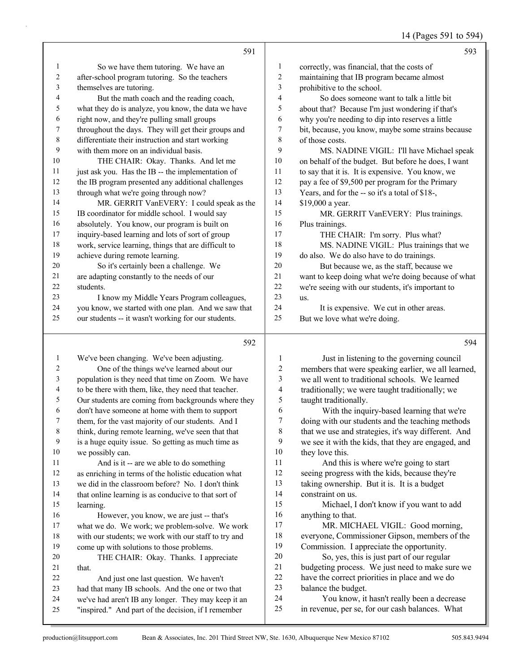14 (Pages 591 to 594)

|                         |                                                      |                          | $17$ (1 ages 371 to 37                              |
|-------------------------|------------------------------------------------------|--------------------------|-----------------------------------------------------|
|                         | 591                                                  |                          | 593                                                 |
| 1                       | So we have them tutoring. We have an                 | $\mathbf{1}$             | correctly, was financial, that the costs of         |
| 2                       | after-school program tutoring. So the teachers       | $\overline{2}$           | maintaining that IB program became almost           |
| 3                       | themselves are tutoring.                             | 3                        | prohibitive to the school.                          |
| 4                       | But the math coach and the reading coach,            | 4                        | So does someone want to talk a little bit           |
| 5                       | what they do is analyze, you know, the data we have  | 5                        | about that? Because I'm just wondering if that's    |
| 6                       | right now, and they're pulling small groups          | 6                        | why you're needing to dip into reserves a little    |
| 7                       | throughout the days. They will get their groups and  | 7                        | bit, because, you know, maybe some strains because  |
| $\,8\,$                 | differentiate their instruction and start working    | $\,$ $\,$                | of those costs.                                     |
| 9                       | with them more on an individual basis.               | 9                        | MS. NADINE VIGIL: I'll have Michael speak           |
| 10                      | THE CHAIR: Okay. Thanks. And let me                  | $10\,$                   | on behalf of the budget. But before he does, I want |
| 11                      | just ask you. Has the IB -- the implementation of    | 11                       | to say that it is. It is expensive. You know, we    |
| 12                      | the IB program presented any additional challenges   | 12                       | pay a fee of \$9,500 per program for the Primary    |
| 13                      | through what we're going through now?                | 13                       | Years, and for the -- so it's a total of \$18-,     |
| 14                      | MR. GERRIT VanEVERY: I could speak as the            | 14                       | \$19,000 a year.                                    |
| 15                      | IB coordinator for middle school. I would say        | 15                       | MR. GERRIT VanEVERY: Plus trainings.                |
| 16                      | absolutely. You know, our program is built on        | 16                       | Plus trainings.                                     |
| 17                      | inquiry-based learning and lots of sort of group     | 17                       | THE CHAIR: I'm sorry. Plus what?                    |
| 18                      | work, service learning, things that are difficult to | 18                       | MS. NADINE VIGIL: Plus trainings that we            |
| 19                      | achieve during remote learning.                      | 19                       | do also. We do also have to do trainings.           |
| 20                      | So it's certainly been a challenge. We               | 20                       | But because we, as the staff, because we            |
| 21                      | are adapting constantly to the needs of our          | 21                       | want to keep doing what we're doing because of what |
| 22                      | students.                                            | 22                       | we're seeing with our students, it's important to   |
| 23                      | I know my Middle Years Program colleagues,           | 23                       | us.                                                 |
| 24                      | you know, we started with one plan. And we saw that  | 24                       | It is expensive. We cut in other areas.             |
| 25                      | our students -- it wasn't working for our students.  | 25                       | But we love what we're doing.                       |
|                         | 592                                                  |                          | 594                                                 |
| $\mathbf{1}$            | We've been changing. We've been adjusting.           | $\mathbf{1}$             | Just in listening to the governing council          |
| $\overline{\mathbf{c}}$ | One of the things we've learned about our            | $\overline{c}$           | members that were speaking earlier, we all learned, |
| 3                       | population is they need that time on Zoom. We have   | $\overline{\mathbf{3}}$  | we all went to traditional schools. We learned      |
| 4                       | to be there with them, like, they need that teacher. | $\overline{\mathcal{L}}$ | traditionally; we were taught traditionally; we     |
| 5                       | Our students are coming from backgrounds where they  | 5                        | taught traditionally.                               |
| 6                       | don't have someone at home with them to support      | 6                        | With the inquiry-based learning that we're          |
| 7                       | them, for the vast majority of our students. And I   | 7                        | doing with our students and the teaching methods    |
| 8                       | think, during remote learning, we've seen that that  | 8                        | that we use and strategies, it's way different. And |
| 9                       | is a huge equity issue. So getting as much time as   | 9                        | we see it with the kids, that they are engaged, and |
| 10                      | we possibly can.                                     | 10                       | they love this.                                     |
| 11                      | And is it -- are we able to do something             | 11                       | And this is where we're going to start              |
| 12                      | as enriching in terms of the holistic education what | 12                       | seeing progress with the kids, because they're      |
| 13                      | we did in the classroom before? No. I don't think    | 13                       | taking ownership. But it is. It is a budget         |
| 14                      | that online learning is as conducive to that sort of | 14                       | constraint on us.                                   |
| 15                      | learning.                                            | 15                       | Michael, I don't know if you want to add            |
| 16                      | However, you know, we are just -- that's             | 16                       | anything to that.                                   |
| 17                      | what we do. We work; we problem-solve. We work       | 17                       | MR. MICHAEL VIGIL: Good morning,                    |
| 18                      | with our students; we work with our staff to try and | 18                       | everyone, Commissioner Gipson, members of the       |
| 19                      | come up with solutions to those problems.            | 19                       | Commission. I appreciate the opportunity.           |
| 20                      | THE CHAIR: Okay. Thanks. I appreciate                | $20\,$                   | So, yes, this is just part of our regular           |
| 21                      | that.                                                | 21                       | budgeting process. We just need to make sure we     |
| 22                      | And just one last question. We haven't               | $22\,$                   | have the correct priorities in place and we do      |

- had that many IB schools. And the one or two that balance the budget.
- we've had aren't IB any longer. They may keep it an
- "inspired." And part of the decision, if I remember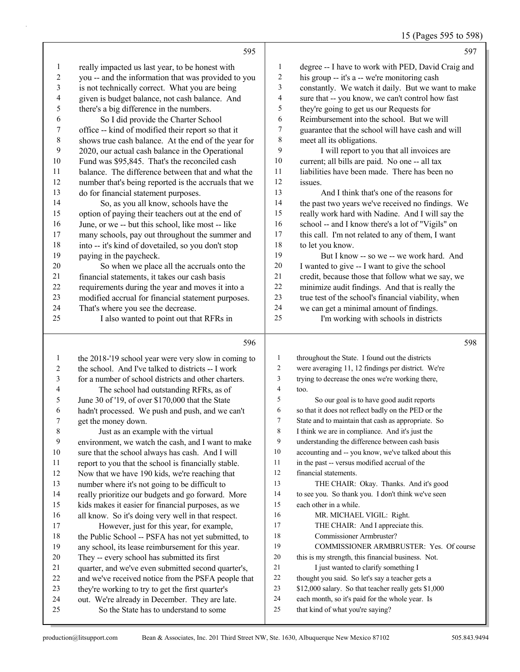15 (Pages 595 to 598)

|                |                                                      |              | $15$ (Pages $395$ to $398$                          |
|----------------|------------------------------------------------------|--------------|-----------------------------------------------------|
|                | 595                                                  |              | 597                                                 |
| $\mathbf{l}$   | really impacted us last year, to be honest with      | $\mathbf{1}$ | degree -- I have to work with PED, David Craig and  |
| 2              | you -- and the information that was provided to you  | 2            | his group -- it's a -- we're monitoring cash        |
| $\mathfrak{Z}$ | is not technically correct. What you are being       | 3            | constantly. We watch it daily. But we want to make  |
| 4              | given is budget balance, not cash balance. And       | 4            | sure that -- you know, we can't control how fast    |
| 5              | there's a big difference in the numbers.             | 5            | they're going to get us our Requests for            |
| 6              | So I did provide the Charter School                  | 6            | Reimbursement into the school. But we will          |
| 7              | office -- kind of modified their report so that it   | 7            | guarantee that the school will have cash and will   |
| 8              | shows true cash balance. At the end of the year for  | 8            | meet all its obligations.                           |
| 9              | 2020, our actual cash balance in the Operational     | 9            | I will report to you that all invoices are          |
| 10             | Fund was \$95,845. That's the reconciled cash        | 10           | current; all bills are paid. No one -- all tax      |
| 11             | balance. The difference between that and what the    | 11           | liabilities have been made. There has been no       |
| 12             | number that's being reported is the accruals that we | 12           | issues.                                             |
| 13             | do for financial statement purposes.                 | 13           | And I think that's one of the reasons for           |
| 14             | So, as you all know, schools have the                | 14           | the past two years we've received no findings. We   |
| 15             | option of paying their teachers out at the end of    | 15           | really work hard with Nadine. And I will say the    |
| 16             | June, or we -- but this school, like most -- like    | 16           | school -- and I know there's a lot of "Vigils" on   |
| 17             | many schools, pay out throughout the summer and      | 17           | this call. I'm not related to any of them, I want   |
| 18             | into -- it's kind of dovetailed, so you don't stop   | 18           | to let you know.                                    |
| 19             | paying in the paycheck.                              | 19           | But I know -- so we -- we work hard. And            |
| 20             | So when we place all the accruals onto the           | $20\,$       | I wanted to give -- I want to give the school       |
| 21             | financial statements, it takes our cash basis        | 21           | credit, because those that follow what we say, we   |
| 22             | requirements during the year and moves it into a     | $22\,$       | minimize audit findings. And that is really the     |
| 23             | modified accrual for financial statement purposes.   | 23           | true test of the school's financial viability, when |
| 24             | That's where you see the decrease.                   | 24           | we can get a minimal amount of findings.            |
| 25             | I also wanted to point out that RFRs in              | 25           | I'm working with schools in districts               |
|                | 596                                                  |              | 598                                                 |
| 1              | the 2018-'19 school year were very slow in coming to | 1            | throughout the State. I found out the districts     |
| 2              | the school. And I've talked to districts -- I work   | 2            | were averaging 11, 12 findings per district. We're  |
| 3              | for a number of school districts and other charters. | 3            | trying to decrease the ones we're working there,    |
| 4              | The school had outstanding RFRs, as of               | 4            | too.                                                |
| 5              | June 30 of '19, of over \$170,000 that the State     | 5            | So our goal is to have good audit reports           |
| 6              | hadn't processed. We push and push, and we can't     | 6            | so that it does not reflect badly on the PED or the |
| 7              | get the money down.                                  | 7            | State and to maintain that cash as appropriate. So  |
| 8              | Just as an example with the virtual                  | 8            | I think we are in compliance. And it's just the     |
| 9              | environment, we watch the cash, and I want to make   | 9            | understanding the difference between cash basis     |
| 10             | sure that the school always has cash. And I will     | 10           | accounting and -- you know, we've talked about this |
| 11             | report to you that the school is financially stable. | 11           | in the past -- versus modified accrual of the       |
| 12             | Now that we have 190 kids, we're reaching that       | 12           | financial statements.                               |
| 13             | number where it's not going to be difficult to       | 13           | THE CHAIR: Okay. Thanks. And it's good              |
| 14             | really prioritize our budgets and go forward. More   | 14           | to see you. So thank you. I don't think we've seen  |
| 15             | kids makes it easier for financial purposes, as we   | 15           | each other in a while.                              |
| 16             | all know. So it's doing very well in that respect.   | 16           | MR. MICHAEL VIGIL: Right.                           |
| 17             | However, just for this year, for example,            | 17           | THE CHAIR: And I appreciate this.                   |
| 18             | the Public School -- PSFA has not yet submitted, to  | 18           | Commissioner Armbruster?                            |
| 19             | any school, its lease reimbursement for this year.   | 19           | COMMISSIONER ARMBRUSTER: Yes. Of course             |
| 20             | They -- every school has submitted its first         | 20           | this is my strength, this financial business. Not.  |

- They -- every school has submitted its first quarter, and we've even submitted second quarter's, 21 I just wanted to clarify something I
	- 22 and we've received notice from the PSFA people that<br>23 they're working to try to get the first quarter's
	- they're working to try to get the first quarter's out. We're already in December. They are late.
	- 25 So the State has to understand to some

 thought you said. So let's say a teacher gets a \$12,000 salary. So that teacher really gets \$1,000 each month, so it's paid for the whole year. Is

that kind of what you're saying?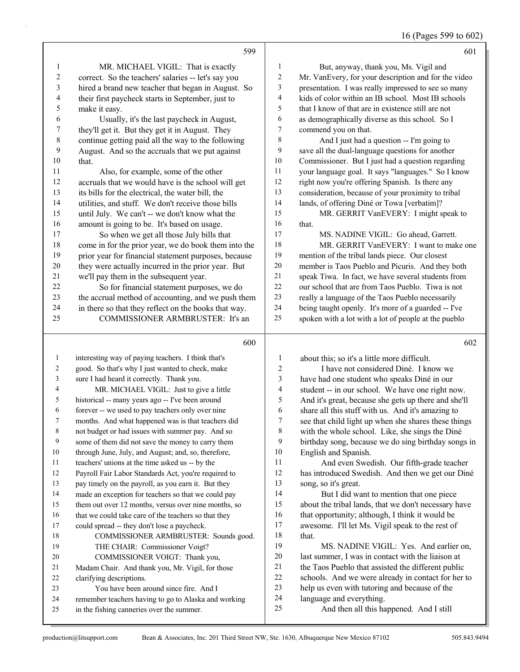|  |  | 16 (Pages 599 to 602) |  |  |  |
|--|--|-----------------------|--|--|--|
|--|--|-----------------------|--|--|--|

|                          | 599                                                                                                         |                         | 601                                                                      |
|--------------------------|-------------------------------------------------------------------------------------------------------------|-------------------------|--------------------------------------------------------------------------|
| $\mathbf{1}$             | MR. MICHAEL VIGIL: That is exactly                                                                          | 1                       | But, anyway, thank you, Ms. Vigil and                                    |
| $\sqrt{2}$               | correct. So the teachers' salaries -- let's say you                                                         | $\overline{\mathbf{c}}$ | Mr. VanEvery, for your description and for the video                     |
| $\sqrt{3}$               | hired a brand new teacher that began in August. So                                                          | 3                       | presentation. I was really impressed to see so many                      |
| $\overline{\mathcal{A}}$ | their first paycheck starts in September, just to                                                           | 4                       | kids of color within an IB school. Most IB schools                       |
| $\sqrt{5}$               | make it easy.                                                                                               | 5                       | that I know of that are in existence still are not                       |
| 6                        | Usually, it's the last paycheck in August,                                                                  | 6                       | as demographically diverse as this school. So I                          |
| $\boldsymbol{7}$         | they'll get it. But they get it in August. They                                                             | 7                       | commend you on that.                                                     |
| $\,$ $\,$                | continue getting paid all the way to the following                                                          | 8                       | And I just had a question -- I'm going to                                |
| 9                        | August. And so the accruals that we put against                                                             | 9                       | save all the dual-language questions for another                         |
| 10                       | that.                                                                                                       | $10\,$                  | Commissioner. But I just had a question regarding                        |
| 11                       | Also, for example, some of the other                                                                        | 11                      | your language goal. It says "languages." So I know                       |
| 12                       | accruals that we would have is the school will get                                                          | 12                      | right now you're offering Spanish. Is there any                          |
| 13                       | its bills for the electrical, the water bill, the                                                           | 13                      | consideration, because of your proximity to tribal                       |
| 14                       | utilities, and stuff. We don't receive those bills                                                          | 14                      | lands, of offering Diné or Towa [verbatim]?                              |
| 15                       | until July. We can't -- we don't know what the                                                              | 15                      | MR. GERRIT VanEVERY: I might speak to                                    |
| 16                       | amount is going to be. It's based on usage.                                                                 | 16                      | that.                                                                    |
| 17                       | So when we get all those July bills that                                                                    | 17                      | MS. NADINE VIGIL: Go ahead, Garrett.                                     |
| $18\,$                   | come in for the prior year, we do book them into the                                                        | 18                      | MR. GERRIT VanEVERY: I want to make one                                  |
| 19                       | prior year for financial statement purposes, because                                                        | 19                      | mention of the tribal lands piece. Our closest                           |
| 20                       | they were actually incurred in the prior year. But                                                          | 20                      | member is Taos Pueblo and Picuris. And they both                         |
| 21                       | we'll pay them in the subsequent year.                                                                      | $21\,$                  | speak Tiwa. In fact, we have several students from                       |
| 22                       | So for financial statement purposes, we do                                                                  | 22                      | our school that are from Taos Pueblo. Tiwa is not                        |
| 23                       | the accrual method of accounting, and we push them                                                          | $23\,$                  | really a language of the Taos Pueblo necessarily                         |
| 24                       | in there so that they reflect on the books that way.                                                        | $24\,$                  | being taught openly. It's more of a guarded -- I've                      |
| 25                       | COMMISSIONER ARMBRUSTER: It's an                                                                            | 25                      | spoken with a lot with a lot of people at the pueblo                     |
|                          |                                                                                                             |                         |                                                                          |
|                          |                                                                                                             |                         | 602                                                                      |
|                          | 600                                                                                                         |                         |                                                                          |
| $\mathbf{1}$             | interesting way of paying teachers. I think that's                                                          | 1                       | about this; so it's a little more difficult.                             |
| $\overline{c}$           | good. So that's why I just wanted to check, make                                                            | $\overline{c}$          | I have not considered Diné. I know we                                    |
| 3                        | sure I had heard it correctly. Thank you.                                                                   | $\overline{\mathbf{3}}$ | have had one student who speaks Diné in our                              |
| 4                        | MR. MICHAEL VIGIL: Just to give a little                                                                    | 4                       | student -- in our school. We have one right now.                         |
| 5                        | historical -- many years ago -- I've been around                                                            | 5                       | And it's great, because she gets up there and she'll                     |
| 6                        | forever -- we used to pay teachers only over nine                                                           | 6                       | share all this stuff with us. And it's amazing to                        |
| 7                        | months. And what happened was is that teachers did                                                          | 7                       | see that child light up when she shares these things                     |
| 8                        | not budget or had issues with summer pay. And so                                                            | 8<br>9                  | with the whole school. Like, she sings the Diné                          |
| 9                        | some of them did not save the money to carry them                                                           | 10                      | birthday song, because we do sing birthday songs in                      |
| 10<br>11                 | through June, July, and August; and, so, therefore,                                                         | 11                      | English and Spanish.                                                     |
| 12                       | teachers' unions at the time asked us -- by the                                                             | 12                      | And even Swedish. Our fifth-grade teacher                                |
| 13                       | Payroll Fair Labor Standards Act, you're required to<br>pay timely on the payroll, as you earn it. But they | 13                      | has introduced Swedish. And then we get our Diné<br>song, so it's great. |
| 14                       | made an exception for teachers so that we could pay                                                         | 14                      | But I did want to mention that one piece                                 |
| 15                       | them out over 12 months, versus over nine months, so                                                        | 15                      | about the tribal lands, that we don't necessary have                     |
| 16                       | that we could take care of the teachers so that they                                                        | 16                      | that opportunity; although, I think it would be                          |
| 17                       | could spread -- they don't lose a paycheck.                                                                 | 17                      | awesome. I'll let Ms. Vigil speak to the rest of                         |
| 18                       | COMMISSIONER ARMBRUSTER: Sounds good.                                                                       | 18                      | that.                                                                    |
| 19                       | THE CHAIR: Commissioner Voigt?                                                                              | 19                      | MS. NADINE VIGIL: Yes. And earlier on,                                   |
| 20                       | COMMISSIONER VOIGT: Thank you,                                                                              | 20                      | last summer, I was in contact with the liaison at                        |
| 21                       | Madam Chair. And thank you, Mr. Vigil, for those                                                            | 21                      | the Taos Pueblo that assisted the different public                       |
| 22                       | clarifying descriptions.                                                                                    | $22\,$                  | schools. And we were already in contact for her to                       |
| 23                       | You have been around since fire. And I                                                                      | 23                      | help us even with tutoring and because of the                            |
| 24<br>25                 | remember teachers having to go to Alaska and working<br>in the fishing canneries over the summer.           | 24<br>25                | language and everything.<br>And then all this happened. And I still      |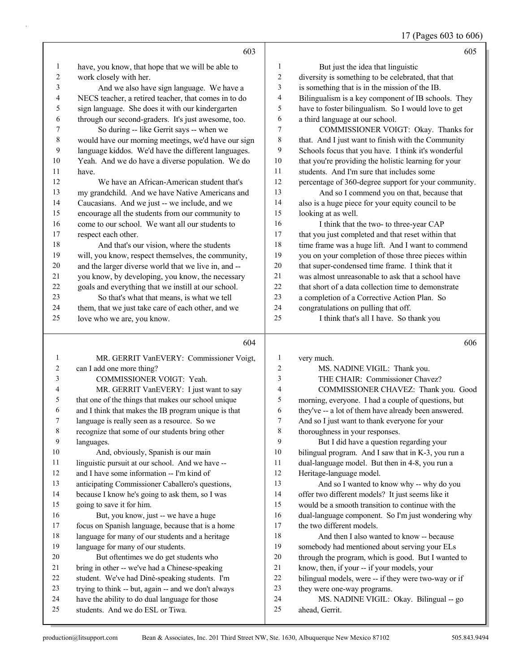17 (Pages 603 to 606)

|                | 603                                                                                |                          | 605                                                       |
|----------------|------------------------------------------------------------------------------------|--------------------------|-----------------------------------------------------------|
| 1              | have, you know, that hope that we will be able to                                  | $\mathbf{1}$             | But just the idea that linguistic                         |
| 2              | work closely with her.                                                             | $\overline{c}$           | diversity is something to be celebrated, that that        |
| 3              | And we also have sign language. We have a                                          | 3                        | is something that is in the mission of the IB.            |
| 4              | NECS teacher, a retired teacher, that comes in to do                               | $\overline{\mathcal{A}}$ | Bilingualism is a key component of IB schools. They       |
| 5              | sign language. She does it with our kindergarten                                   | 5                        | have to foster bilingualism. So I would love to get       |
| 6              | through our second-graders. It's just awesome, too.                                | 6                        | a third language at our school.                           |
| 7              | So during -- like Gerrit says -- when we                                           | 7                        | COMMISSIONER VOIGT: Okay. Thanks for                      |
| 8              | would have our morning meetings, we'd have our sign                                | 8                        | that. And I just want to finish with the Community        |
| 9              | language kiddos. We'd have the different languages.                                | 9                        | Schools focus that you have. I think it's wonderful       |
| 10             | Yeah. And we do have a diverse population. We do                                   | 10                       | that you're providing the holistic learning for your      |
| 11             | have.                                                                              | 11                       | students. And I'm sure that includes some                 |
| 12             | We have an African-American student that's                                         | 12                       | percentage of 360-degree support for your community.      |
| 13             | my grandchild. And we have Native Americans and                                    | 13                       | And so I commend you on that, because that                |
| 14             | Caucasians. And we just -- we include, and we                                      | 14                       | also is a huge piece for your equity council to be        |
| 15             | encourage all the students from our community to                                   | 15                       | looking at as well.                                       |
| 16             | come to our school. We want all our students to                                    | 16                       | I think that the two- to three-year CAP                   |
| 17             | respect each other.                                                                | 17                       | that you just completed and that reset within that        |
| 18             | And that's our vision, where the students                                          | 18                       | time frame was a huge lift. And I want to commend         |
| 19             | will, you know, respect themselves, the community,                                 | 19                       | you on your completion of those three pieces within       |
| $20\,$         | and the larger diverse world that we live in, and --                               | 20                       | that super-condensed time frame. I think that it          |
| 21             | you know, by developing, you know, the necessary                                   | 21                       | was almost unreasonable to ask that a school have         |
| 22             | goals and everything that we instill at our school.                                | 22                       | that short of a data collection time to demonstrate       |
| 23             | So that's what that means, is what we tell                                         | 23                       | a completion of a Corrective Action Plan. So              |
| 24             | them, that we just take care of each other, and we                                 | 24                       | congratulations on pulling that off.                      |
| 25             | love who we are, you know.                                                         | 25                       | I think that's all I have. So thank you                   |
|                |                                                                                    |                          |                                                           |
|                |                                                                                    |                          |                                                           |
|                | 604                                                                                |                          | 606                                                       |
| $\mathbf{1}$   | MR. GERRIT VanEVERY: Commissioner Voigt,                                           | 1                        | very much.                                                |
| $\overline{c}$ | can I add one more thing?                                                          | 2                        | MS. NADINE VIGIL: Thank you.                              |
| 3              | COMMISSIONER VOIGT: Yeah.                                                          | 3                        | THE CHAIR: Commissioner Chavez?                           |
| 4              | MR. GERRIT VanEVERY: I just want to say                                            | 4                        | COMMISSIONER CHAVEZ: Thank you. Good                      |
| 5              | that one of the things that makes our school unique                                | 5                        | morning, everyone. I had a couple of questions, but       |
| 6              | and I think that makes the IB program unique is that                               | 6                        | they've -- a lot of them have already been answered.      |
| 7              | language is really seen as a resource. So we                                       | 7                        | And so I just want to thank everyone for your             |
| $\,8\,$        | recognize that some of our students bring other                                    | $\,$ $\,$                | thoroughness in your responses.                           |
| 9              | languages.                                                                         | 9                        | But I did have a question regarding your                  |
| 10             | And, obviously, Spanish is our main                                                | 10                       | bilingual program. And I saw that in K-3, you run a       |
| 11             | linguistic pursuit at our school. And we have --                                   | 11                       | dual-language model. But then in 4-8, you run a           |
| 12             | and I have some information -- I'm kind of                                         | 12                       | Heritage-language model.                                  |
| 13             | anticipating Commissioner Caballero's questions,                                   | 13                       | And so I wanted to know why -- why do you                 |
| 14             | because I know he's going to ask them, so I was                                    | 14                       | offer two different models? It just seems like it         |
| 15             | going to save it for him.                                                          | 15                       | would be a smooth transition to continue with the         |
| 16             | But, you know, just -- we have a huge                                              | 16                       | dual-language component. So I'm just wondering why        |
| 17             | focus on Spanish language, because that is a home                                  | 17                       | the two different models.                                 |
| 18             | language for many of our students and a heritage                                   | 18                       | And then I also wanted to know -- because                 |
| 19             | language for many of our students.                                                 | 19                       | somebody had mentioned about serving your ELs             |
| 20             | But oftentimes we do get students who                                              | $20\,$                   | through the program, which is good. But I wanted to       |
| 21             | bring in other -- we've had a Chinese-speaking                                     | $21\,$                   | know, then, if your -- if your models, your               |
| 22             | student. We've had Diné-speaking students. I'm                                     | 22                       | bilingual models, were -- if they were two-way or if      |
| 23             | trying to think -- but, again -- and we don't always                               | 23                       | they were one-way programs.                               |
| 24<br>25       | have the ability to do dual language for those<br>students. And we do ESL or Tiwa. | 24<br>25                 | MS. NADINE VIGIL: Okay. Bilingual -- go<br>ahead, Gerrit. |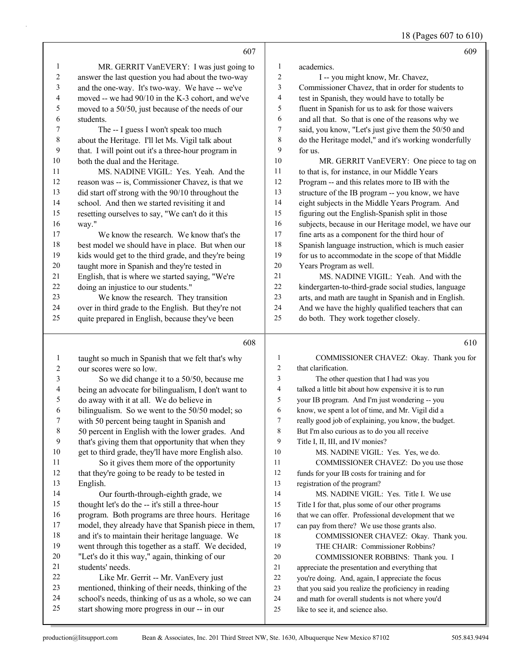18 (Pages 607 to 610)

|                         | 607                                                                                                  |                         | 609                                                                                   |
|-------------------------|------------------------------------------------------------------------------------------------------|-------------------------|---------------------------------------------------------------------------------------|
| 1                       | MR. GERRIT VanEVERY: I was just going to                                                             | 1                       | academics.                                                                            |
| $\overline{c}$          | answer the last question you had about the two-way                                                   | $\overline{\mathbf{c}}$ | I -- you might know, Mr. Chavez,                                                      |
| 3                       | and the one-way. It's two-way. We have -- we've                                                      | 3                       | Commissioner Chavez, that in order for students to                                    |
| $\overline{4}$          | moved -- we had 90/10 in the K-3 cohort, and we've                                                   | 4                       | test in Spanish, they would have to totally be                                        |
| $\sqrt{5}$              | moved to a 50/50, just because of the needs of our                                                   | 5                       | fluent in Spanish for us to ask for those waivers                                     |
| 6                       | students.                                                                                            | 6                       | and all that. So that is one of the reasons why we                                    |
| $\boldsymbol{7}$        | The -- I guess I won't speak too much                                                                | 7                       | said, you know, "Let's just give them the 50/50 and                                   |
| $\,$ $\,$               | about the Heritage. I'll let Ms. Vigil talk about                                                    | 8                       | do the Heritage model," and it's working wonderfully                                  |
| 9                       | that. I will point out it's a three-hour program in                                                  | 9                       | for us.                                                                               |
| $10\,$                  | both the dual and the Heritage.                                                                      | $10\,$                  | MR. GERRIT VanEVERY: One piece to tag on                                              |
| 11                      | MS. NADINE VIGIL: Yes. Yeah. And the                                                                 | 11                      | to that is, for instance, in our Middle Years                                         |
| 12                      | reason was -- is, Commissioner Chavez, is that we                                                    | 12                      | Program -- and this relates more to IB with the                                       |
| 13                      | did start off strong with the 90/10 throughout the                                                   | 13                      | structure of the IB program -- you know, we have                                      |
| 14                      | school. And then we started revisiting it and                                                        | 14                      | eight subjects in the Middle Years Program. And                                       |
| 15                      | resetting ourselves to say, "We can't do it this                                                     | 15                      | figuring out the English-Spanish split in those                                       |
| 16                      | way."                                                                                                | 16                      | subjects, because in our Heritage model, we have our                                  |
| 17                      | We know the research. We know that's the                                                             | 17                      | fine arts as a component for the third hour of                                        |
| 18                      | best model we should have in place. But when our                                                     | 18                      | Spanish language instruction, which is much easier                                    |
| 19                      | kids would get to the third grade, and they're being                                                 | 19                      | for us to accommodate in the scope of that Middle                                     |
| $20\,$                  | taught more in Spanish and they're tested in                                                         | 20                      | Years Program as well.                                                                |
| 21                      |                                                                                                      | 21                      | MS. NADINE VIGIL: Yeah. And with the                                                  |
| $22\,$                  | English, that is where we started saying, "We're<br>doing an injustice to our students."             | $22\,$                  | kindergarten-to-third-grade social studies, language                                  |
| 23                      |                                                                                                      | 23                      |                                                                                       |
| 24                      | We know the research. They transition                                                                | 24                      | arts, and math are taught in Spanish and in English.                                  |
|                         | over in third grade to the English. But they're not                                                  | 25                      | And we have the highly qualified teachers that can                                    |
| 25                      | quite prepared in English, because they've been                                                      |                         | do both. They work together closely.                                                  |
|                         |                                                                                                      |                         |                                                                                       |
|                         | 608                                                                                                  |                         | 610                                                                                   |
|                         |                                                                                                      |                         |                                                                                       |
| $\mathbf{1}$            | taught so much in Spanish that we felt that's why                                                    | $\mathbf{1}$            | COMMISSIONER CHAVEZ: Okay. Thank you for                                              |
| $\overline{c}$          | our scores were so low.                                                                              | $\overline{c}$          | that clarification.                                                                   |
| $\mathfrak{Z}$          | So we did change it to a 50/50, because me                                                           | 3                       | The other question that I had was you                                                 |
| $\overline{\mathbf{4}}$ | being an advocate for bilingualism, I don't want to                                                  | $\overline{4}$          | talked a little bit about how expensive it is to run                                  |
| 5                       | do away with it at all. We do believe in                                                             | 5                       | your IB program. And I'm just wondering -- you                                        |
| 6                       | bilingualism. So we went to the 50/50 model; so                                                      | 6                       | know, we spent a lot of time, and Mr. Vigil did a                                     |
| 7                       | with 50 percent being taught in Spanish and                                                          | 7                       | really good job of explaining, you know, the budget.                                  |
| 8                       | 50 percent in English with the lower grades. And                                                     | 8                       | But I'm also curious as to do you all receive                                         |
| 9                       | that's giving them that opportunity that when they                                                   | 9                       | Title I, II, III, and IV monies?                                                      |
| 10                      | get to third grade, they'll have more English also.                                                  | 10                      | MS. NADINE VIGIL: Yes. Yes, we do.                                                    |
| 11                      | So it gives them more of the opportunity                                                             | 11                      | COMMISSIONER CHAVEZ: Do you use those                                                 |
| 12                      | that they're going to be ready to be tested in                                                       | 12                      | funds for your IB costs for training and for                                          |
| 13                      | English.                                                                                             | 13                      | registration of the program?                                                          |
| 14                      | Our fourth-through-eighth grade, we                                                                  | 14                      | MS. NADINE VIGIL: Yes. Title I. We use                                                |
| 15                      | thought let's do the -- it's still a three-hour                                                      | 15                      | Title I for that, plus some of our other programs                                     |
| 16                      | program. Both programs are three hours. Heritage                                                     | 16                      | that we can offer. Professional development that we                                   |
| 17                      | model, they already have that Spanish piece in them,                                                 | 17                      | can pay from there? We use those grants also.                                         |
| 18                      | and it's to maintain their heritage language. We                                                     | 18                      | COMMISSIONER CHAVEZ: Okay. Thank you.                                                 |
| 19                      | went through this together as a staff. We decided,                                                   | 19                      | THE CHAIR: Commissioner Robbins?                                                      |
| 20                      | "Let's do it this way," again, thinking of our                                                       | $20\,$                  | COMMISSIONER ROBBINS: Thank you. I                                                    |
| 21                      | students' needs.                                                                                     | 21                      | appreciate the presentation and everything that                                       |
| 22                      | Like Mr. Gerrit -- Mr. VanEvery just                                                                 | $22\,$                  | you're doing. And, again, I appreciate the focus                                      |
| 23                      | mentioned, thinking of their needs, thinking of the                                                  | 23                      | that you said you realize the proficiency in reading                                  |
| 24<br>25                | school's needs, thinking of us as a whole, so we can<br>start showing more progress in our -- in our | 24<br>25                | and math for overall students is not where you'd<br>like to see it, and science also. |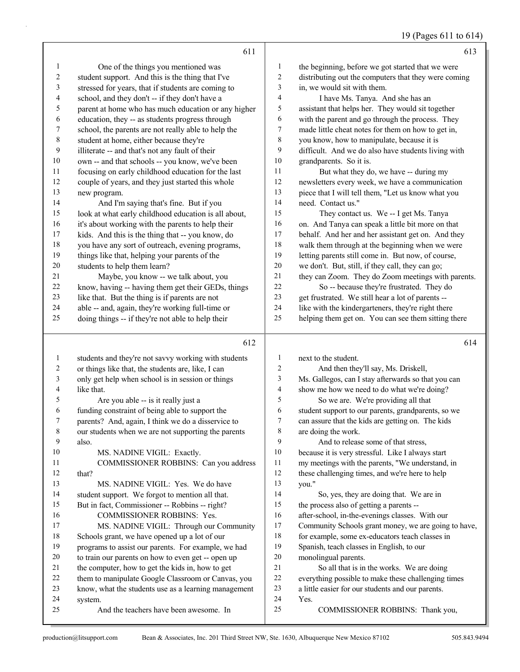## 19 (Pages 611 to 614)

|                          | 611                                                  |                  | 613                                                  |
|--------------------------|------------------------------------------------------|------------------|------------------------------------------------------|
| 1                        | One of the things you mentioned was                  | 1                | the beginning, before we got started that we were    |
| 2                        | student support. And this is the thing that I've     | $\overline{c}$   | distributing out the computers that they were coming |
| 3                        | stressed for years, that if students are coming to   | 3                | in, we would sit with them.                          |
| 4                        | school, and they don't -- if they don't have a       | $\overline{4}$   | I have Ms. Tanya. And she has an                     |
| 5                        | parent at home who has much education or any higher  | 5                | assistant that helps her. They would sit together    |
| 6                        | education, they -- as students progress through      | 6                | with the parent and go through the process. They     |
| $\boldsymbol{7}$         | school, the parents are not really able to help the  | 7                | made little cheat notes for them on how to get in,   |
| $\,$ $\,$                | student at home, either because they're              | $\,$ $\,$        | you know, how to manipulate, because it is           |
| 9                        | illiterate -- and that's not any fault of their      | $\boldsymbol{9}$ | difficult. And we do also have students living with  |
| $10\,$                   | own -- and that schools -- you know, we've been      | $10\,$           | grandparents. So it is.                              |
| 11                       | focusing on early childhood education for the last   | 11               | But what they do, we have -- during my               |
| 12                       | couple of years, and they just started this whole    | $12\,$           | newsletters every week, we have a communication      |
| 13                       | new program.                                         | 13               | piece that I will tell them, "Let us know what you   |
| 14                       | And I'm saying that's fine. But if you               | 14               | need. Contact us."                                   |
| 15                       | look at what early childhood education is all about, | 15               | They contact us. We -- I get Ms. Tanya               |
| 16                       | it's about working with the parents to help their    | 16               | on. And Tanya can speak a little bit more on that    |
| 17                       | kids. And this is the thing that -- you know, do     | $17$             | behalf. And her and her assistant get on. And they   |
| 18                       | you have any sort of outreach, evening programs,     | $18\,$           | walk them through at the beginning when we were      |
| 19                       | things like that, helping your parents of the        | 19               | letting parents still come in. But now, of course,   |
| $20\,$                   | students to help them learn?                         | $20\,$           | we don't. But, still, if they call, they can go;     |
| 21                       | Maybe, you know -- we talk about, you                | 21               | they can Zoom. They do Zoom meetings with parents.   |
| $22\,$                   | know, having -- having them get their GEDs, things   | 22               | So -- because they're frustrated. They do            |
| 23                       | like that. But the thing is if parents are not       | 23               | get frustrated. We still hear a lot of parents --    |
| 24                       | able -- and, again, they're working full-time or     | 24               | like with the kindergarteners, they're right there   |
| 25                       | doing things -- if they're not able to help their    | 25               | helping them get on. You can see them sitting there  |
|                          |                                                      |                  |                                                      |
|                          | 612                                                  |                  | 614                                                  |
| $\mathbf{1}$             | students and they're not savvy working with students | $\mathbf{1}$     | next to the student.                                 |
| $\overline{c}$           | or things like that, the students are, like, I can   | $\sqrt{2}$       | And then they'll say, Ms. Driskell,                  |
| $\sqrt{3}$               | only get help when school is in session or things    | 3                | Ms. Gallegos, can I stay afterwards so that you can  |
| $\overline{\mathcal{A}}$ | like that.                                           | $\overline{4}$   | show me how we need to do what we're doing?          |
| 5                        | Are you able -- is it really just a                  | $\mathfrak s$    | So we are. We're providing all that                  |
| 6                        | funding constraint of being able to support the      | 6                | student support to our parents, grandparents, so we  |
| 7                        | parents? And, again, I think we do a disservice to   | $\tau$           | can assure that the kids are getting on. The kids    |
| 8                        | our students when we are not supporting the parents  | 8                | are doing the work.                                  |
| 9                        | also.                                                | 9                | And to release some of that stress,                  |
| 10                       | MS. NADINE VIGIL: Exactly.                           | 10               | because it is very stressful. Like I always start    |
| 11                       | COMMISSIONER ROBBINS: Can you address                | 11               | my meetings with the parents, "We understand, in     |
| 12                       | that?                                                | 12               | these challenging times, and we're here to help      |
| 13                       | MS. NADINE VIGIL: Yes. We do have                    |                  |                                                      |
| 14                       |                                                      | 13               | you."                                                |
| 15                       | student support. We forgot to mention all that.      | 14               | So, yes, they are doing that. We are in              |
|                          | But in fact, Commissioner -- Robbins -- right?       | 15               | the process also of getting a parents --             |
| 16                       | COMMISSIONER ROBBINS: Yes.                           | 16               | after-school, in-the-evenings classes. With our      |
| 17                       | MS. NADINE VIGIL: Through our Community              | 17               | Community Schools grant money, we are going to have, |
| 18                       | Schools grant, we have opened up a lot of our        | 18               | for example, some ex-educators teach classes in      |
| 19                       | programs to assist our parents. For example, we had  | 19               | Spanish, teach classes in English, to our            |
| 20                       | to train our parents on how to even get -- open up   | $20\,$           | monolingual parents.                                 |
| 21                       | the computer, how to get the kids in, how to get     | $21$             | So all that is in the works. We are doing            |
| $22\,$                   | them to manipulate Google Classroom or Canvas, you   | $22\,$           | everything possible to make these challenging times  |
| 23                       | know, what the students use as a learning management | 23               | a little easier for our students and our parents.    |
| 24                       | system.                                              | 24               | Yes.                                                 |
| 25                       | And the teachers have been awesome. In               | 25               | COMMISSIONER ROBBINS: Thank you,                     |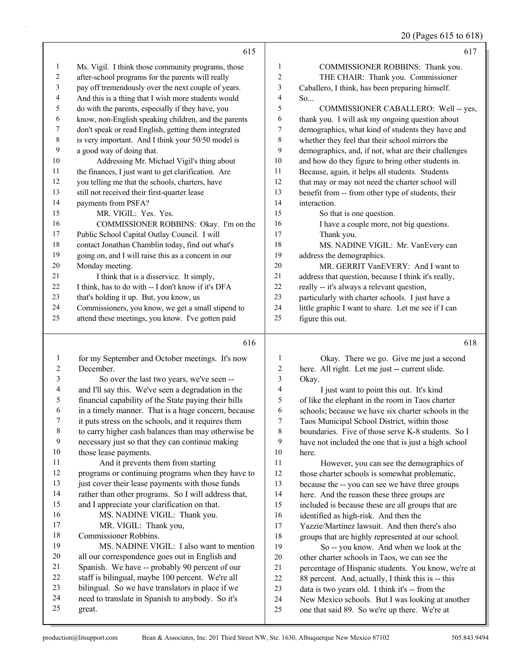#### 20 (Pages 615 to 618)

|                |                                                      |                  | $20$ (F ages 01.) to 010                             |
|----------------|------------------------------------------------------|------------------|------------------------------------------------------|
|                | 615                                                  |                  | 617                                                  |
| 1              | Ms. Vigil. I think those community programs, those   | 1                | COMMISSIONER ROBBINS: Thank you.                     |
| $\sqrt{2}$     | after-school programs for the parents will really    | $\boldsymbol{2}$ | THE CHAIR: Thank you. Commissioner                   |
| $\mathfrak{Z}$ | pay off tremendously over the next couple of years.  | 3                | Caballero, I think, has been preparing himself.      |
| $\overline{4}$ | And this is a thing that I wish more students would  | $\overline{4}$   | So                                                   |
| 5              | do with the parents, especially if they have, you    | 5                | COMMISSIONER CABALLERO: Well -- yes,                 |
| 6              | know, non-English speaking children, and the parents | 6                | thank you. I will ask my ongoing question about      |
| 7              | don't speak or read English, getting them integrated | 7                | demographics, what kind of students they have and    |
| $\,8\,$        | is very important. And I think your 50/50 model is   | $\,$ 8 $\,$      | whether they feel that their school mirrors the      |
| 9              | a good way of doing that.                            | 9                | demographics, and, if not, what are their challenges |
| 10             | Addressing Mr. Michael Vigil's thing about           | 10               | and how do they figure to bring other students in.   |
| 11             | the finances, I just want to get clarification. Are  | 11               | Because, again, it helps all students. Students      |
| 12             | you telling me that the schools, charters, have      | 12               | that may or may not need the charter school will     |
| 13             | still not received their first-quarter lease         | 13               | benefit from -- from other type of students, their   |
| 14             | payments from PSFA?                                  | 14               | interaction.                                         |
| 15             | MR. VIGIL: Yes. Yes.                                 | 15               | So that is one question.                             |
| 16             | COMMISSIONER ROBBINS: Okay. I'm on the               | 16               | I have a couple more, not big questions.             |
| 17             | Public School Capital Outlay Council. I will         | 17               | Thank you.                                           |
| $18\,$         | contact Jonathan Chamblin today, find out what's     | 18               | MS. NADINE VIGIL: Mr. VanEvery can                   |
| 19             | going on, and I will raise this as a concern in our  | 19               | address the demographics.                            |
| $20\,$         | Monday meeting.                                      | 20               | MR. GERRIT VanEVERY: And I want to                   |
| 21             | I think that is a disservice. It simply,             | $21\,$           | address that question, because I think it's really,  |
| 22             | I think, has to do with -- I don't know if it's DFA  | $22\,$           | really -- it's always a relevant question,           |
| 23             | that's holding it up. But, you know, us              | 23               | particularly with charter schools. I just have a     |
| 24             | Commissioners, you know, we get a small stipend to   | 24               | little graphic I want to share. Let me see if I can  |
| 25             | attend these meetings, you know. I've gotten paid    | 25               | figure this out.                                     |
|                | 616                                                  |                  | 618                                                  |
| $\mathbf{1}$   | for my September and October meetings. It's now      | 1                | Okay. There we go. Give me just a second             |
| $\overline{c}$ | December.                                            | 2                | here. All right. Let me just -- current slide.       |
| 3              | So over the last two years, we've seen --            | 3                | Okay.                                                |
| 4              | and I'll say this. We've seen a degradation in the   | 4                | I just want to point this out. It's kind             |
| 5              | financial capability of the State paying their bills | 5                | of like the elephant in the room in Taos charter     |
| 6              | in a timely manner. That is a huge concern, because  | 6                | schools; because we have six charter schools in the  |
| 7              | it puts stress on the schools, and it requires them  | 7                | Taos Municipal School District, within those         |
| 8              | to carry higher cash balances than may otherwise be  | 8                | boundaries. Five of those serve K-8 students. So I   |
| 9              | necessary just so that they can continue making      | 9                | have not included the one that is just a high school |
| $10\,$         | those lease payments.                                | 10               | here.                                                |
| 11             | And it prevents them from starting                   | 11               | However, you can see the demographics of             |
| 12             | programs or continuing programs when they have to    | 12               | those charter schools is somewhat problematic,       |
| 13             | just cover their lease payments with those funds     | 13               | because the -- you can see we have three groups      |
| 14             | rather than other programs. So I will address that,  | 14               | here. And the reason these three groups are          |
| 15             | and I appreciate your clarification on that.         | 15               | included is because these are all groups that are    |
| 16             | MS. NADINE VIGIL: Thank you.                         | 16               | identified as high-risk. And then the                |
| 17             | MR. VIGIL: Thank you,                                | 17               | Yazzie/Martinez lawsuit. And then there's also       |

 Commissioner Robbins. 19 MS. NADINE VIGIL: I also want to mention

- all our correspondence goes out in English and Spanish. We have -- probably 90 percent of our
- staff is bilingual, maybe 100 percent. We're all
- bilingual. So we have translators in place if we
- need to translate in Spanish to anybody. So it's
- great.

 groups that are highly represented at our school. 19 So -- you know. And when we look at the other charter schools in Taos, we can see the

 percentage of Hispanic students. You know, we're at 88 percent. And, actually, I think this is -- this data is two years old. I think it's -- from the New Mexico schools. But I was looking at another one that said 89. So we're up there. We're at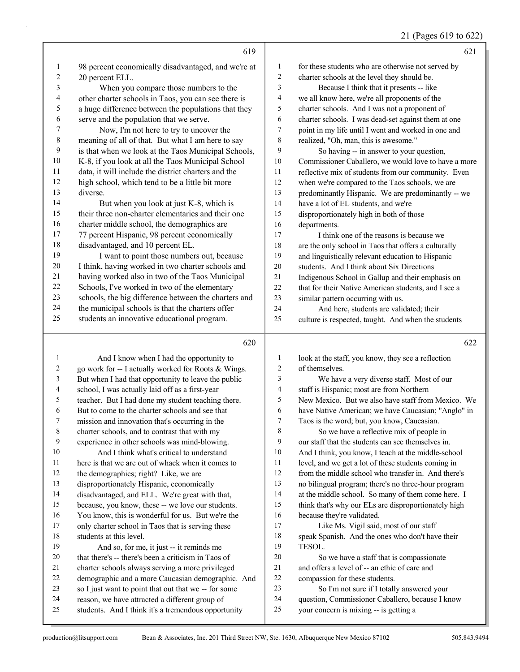| 21 (Pages 619 to 622) |  |  |  |  |  |
|-----------------------|--|--|--|--|--|
|-----------------------|--|--|--|--|--|

|                  |                                                      |                          | $21$ (1 agos 01) to 022)                             |
|------------------|------------------------------------------------------|--------------------------|------------------------------------------------------|
|                  | 619                                                  |                          | 621                                                  |
| $\mathbf{1}$     | 98 percent economically disadvantaged, and we're at  | $\mathbf{1}$             | for these students who are otherwise not served by   |
| $\boldsymbol{2}$ | 20 percent ELL.                                      | $\boldsymbol{2}$         | charter schools at the level they should be.         |
| 3                | When you compare those numbers to the                | $\overline{\mathbf{3}}$  | Because I think that it presents -- like             |
| 4                | other charter schools in Taos, you can see there is  | $\overline{\mathcal{L}}$ | we all know here, we're all proponents of the        |
| 5                | a huge difference between the populations that they  | 5                        | charter schools. And I was not a proponent of        |
| 6                | serve and the population that we serve.              | 6                        | charter schools. I was dead-set against them at one  |
| 7                | Now, I'm not here to try to uncover the              | $\overline{7}$           | point in my life until I went and worked in one and  |
| $\,$ $\,$        | meaning of all of that. But what I am here to say    | $\,$ $\,$                | realized, "Oh, man, this is awesome."                |
| 9                | is that when we look at the Taos Municipal Schools,  | 9                        | So having -- in answer to your question,             |
| 10               | K-8, if you look at all the Taos Municipal School    | 10                       | Commissioner Caballero, we would love to have a more |
| 11               | data, it will include the district charters and the  | 11                       | reflective mix of students from our community. Even  |
| 12               | high school, which tend to be a little bit more      | 12                       | when we're compared to the Taos schools, we are      |
| 13               | diverse.                                             | 13                       | predominantly Hispanic. We are predominantly -- we   |
| 14               | But when you look at just K-8, which is              | 14                       | have a lot of EL students, and we're                 |
| 15               | their three non-charter elementaries and their one   | 15                       | disproportionately high in both of those             |
| 16               | charter middle school, the demographics are          | 16                       | departments.                                         |
| $17$             | 77 percent Hispanic, 98 percent economically         | 17                       | I think one of the reasons is because we             |
| 18               | disadvantaged, and 10 percent EL.                    | 18                       | are the only school in Taos that offers a culturally |
| 19               | I want to point those numbers out, because           | 19                       | and linguistically relevant education to Hispanic    |
| 20               | I think, having worked in two charter schools and    | $20\,$                   | students. And I think about Six Directions           |
| $21\,$           | having worked also in two of the Taos Municipal      | 21                       | Indigenous School in Gallup and their emphasis on    |
| 22               | Schools, I've worked in two of the elementary        | 22                       | that for their Native American students, and I see a |
| 23               | schools, the big difference between the charters and | 23                       | similar pattern occurring with us.                   |
| 24               | the municipal schools is that the charters offer     | 24                       | And here, students are validated; their              |
| 25               | students an innovative educational program.          | 25                       | culture is respected, taught. And when the students  |
|                  | 620                                                  |                          | 622                                                  |
| $\mathbf{1}$     | And I know when I had the opportunity to             | $\mathbf{1}$             | look at the staff, you know, they see a reflection   |
| 2                | go work for -- I actually worked for Roots & Wings.  | $\sqrt{2}$               | of themselves.                                       |
| 3                | But when I had that opportunity to leave the public  | 3                        | We have a very diverse staff. Most of our            |
| 4                | school, I was actually laid off as a first-year      | $\overline{\mathcal{L}}$ | staff is Hispanic; most are from Northern            |
| $\sqrt{5}$       | teacher. But I had done my student teaching there.   | 5                        | New Mexico. But we also have staff from Mexico. We   |
| 6                | But to come to the charter schools and see that      | 6                        | have Native American; we have Caucasian; "Anglo" in  |
| 7                | mission and innovation that's occurring in the       | $\boldsymbol{7}$         | Taos is the word; but, you know, Caucasian.          |
| 8                | charter schools, and to contrast that with my        | 8                        | So we have a reflective mix of people in             |
| 9                | experience in other schools was mind-blowing.        | 9                        | our staff that the students can see themselves in.   |
| 10               | And I think what's critical to understand            | 10                       | And I think, you know, I teach at the middle-school  |
| 11               | here is that we are out of whack when it comes to    | 11                       | level, and we get a lot of these students coming in  |
| 12               | the demographics; right? Like, we are                | 12                       | from the middle school who transfer in. And there's  |

disproportionately Hispanic, economically

disadvantaged, and ELL. We're great with that,

because, you know, these -- we love our students.

 You know, this is wonderful for us. But we're the only charter school in Taos that is serving these students at this level.

#### 19 And so, for me, it just -- it reminds me

- that there's -- there's been a criticism in Taos of
- charter schools always serving a more privileged
- demographic and a more Caucasian demographic. And
- so I just want to point that out that we -- for some
- reason, we have attracted a different group of
- students. And I think it's a tremendous opportunity

 no bilingual program; there's no three-hour program at the middle school. So many of them come here. I think that's why our ELs are disproportionately high

17 Like Ms. Vigil said, most of our staff speak Spanish. And the ones who don't have their

20 So we have a staff that is compassionate and offers a level of -- an ethic of care and

23 So I'm not sure if I totally answered your question, Commissioner Caballero, because I know

because they're validated.

compassion for these students.

your concern is mixing -- is getting a

TESOL.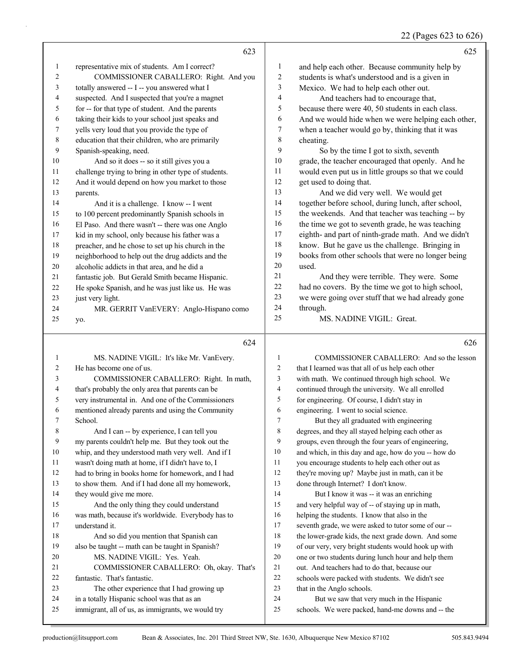22 (Pages 623 to 626)

|                | 623                                                  |                | 625                                                 |
|----------------|------------------------------------------------------|----------------|-----------------------------------------------------|
|                |                                                      |                |                                                     |
| -1             | representative mix of students. Am I correct?        | 1              | and help each other. Because community help by      |
| 2              | COMMISSIONER CABALLERO: Right. And you               | $\overline{c}$ | students is what's understood and is a given in     |
| 3              | totally answered -- I -- you answered what I         | 3              | Mexico. We had to help each other out.              |
| 4              | suspected. And I suspected that you're a magnet      | $\overline{4}$ | And teachers had to encourage that,                 |
| 5              | for -- for that type of student. And the parents     | 5              | because there were 40, 50 students in each class.   |
| 6              | taking their kids to your school just speaks and     | 6              | And we would hide when we were helping each other,  |
| 7              | yells very loud that you provide the type of         | $\tau$         | when a teacher would go by, thinking that it was    |
| 8              | education that their children, who are primarily     | 8              | cheating.                                           |
| 9              | Spanish-speaking, need.                              | 9              | So by the time I got to sixth, seventh              |
| 10             | And so it does -- so it still gives you a            | 10             | grade, the teacher encouraged that openly. And he   |
| 11             | challenge trying to bring in other type of students. | 11             | would even put us in little groups so that we could |
| 12             | And it would depend on how you market to those       | 12             | get used to doing that.                             |
| 13             | parents.                                             | 13             | And we did very well. We would get                  |
| 14             | And it is a challenge. I know -- I went              | 14             | together before school, during lunch, after school, |
| 15             | to 100 percent predominantly Spanish schools in      | 15             | the weekends. And that teacher was teaching -- by   |
| 16             | El Paso. And there wasn't -- there was one Anglo     | 16             | the time we got to seventh grade, he was teaching   |
| 17             | kid in my school, only because his father was a      | 17             | eighth- and part of ninth-grade math. And we didn't |
| 18             | preacher, and he chose to set up his church in the   | 18             | know. But he gave us the challenge. Bringing in     |
| 19             | neighborhood to help out the drug addicts and the    | 19             | books from other schools that were no longer being  |
| 20             | alcoholic addicts in that area, and he did a         | 20             | used.                                               |
| 21             | fantastic job. But Gerald Smith became Hispanic.     | 21             | And they were terrible. They were. Some             |
| 22             | He spoke Spanish, and he was just like us. He was    | 22             | had no covers. By the time we got to high school,   |
| 23             | just very light.                                     | 23             | we were going over stuff that we had already gone   |
| 24             | MR. GERRIT VanEVERY: Anglo-Hispano como              | 24             | through.                                            |
| 25             | yo.                                                  | 25             | MS. NADINE VIGIL: Great.                            |
|                | 624                                                  |                | 626                                                 |
|                | MS. NADINE VIGIL: It's like Mr. VanEvery.            |                | COMMISSIONER CABALLERO: And so the lesson           |
| $\overline{2}$ | He has become one of us.                             | $\overline{2}$ | that I learned was that all of us help each other   |

| 3  | COMMISSIONER CABALLERO: Right. In math,            | 3      | with math. We continued through high school. We      |
|----|----------------------------------------------------|--------|------------------------------------------------------|
| 4  | that's probably the only area that parents can be  | 4      | continued through the university. We all enrolled    |
| 5  | very instrumental in. And one of the Commissioners | 5      | for engineering. Of course, I didn't stay in         |
| 6  | mentioned already parents and using the Community  | 6      | engineering. I went to social science.               |
| 7  | School.                                            | $\tau$ | But they all graduated with engineering              |
| 8  | And I can -- by experience, I can tell you         | 8      | degrees, and they all stayed helping each other as   |
| 9  | my parents couldn't help me. But they took out the | 9      | groups, even through the four years of engineering,  |
| 10 | whip, and they understood math very well. And if I | 10     | and which, in this day and age, how do you -- how do |
| 11 | wasn't doing math at home, if I didn't have to, I  | 11     | you encourage students to help each other out as     |
| 12 | had to bring in books home for homework, and I had | 12     | they're moving up? Maybe just in math, can it be     |
| 13 | to show them. And if I had done all my homework,   | 13     | done through Internet? I don't know.                 |
| 14 | they would give me more.                           | 14     | But I know it was -- it was an enriching             |
| 15 | And the only thing they could understand           | 15     | and very helpful way of -- of staying up in math,    |
| 16 | was math, because it's worldwide. Everybody has to | 16     | helping the students. I know that also in the        |
| 17 | understand it.                                     | 17     | seventh grade, we were asked to tutor some of our -- |
| 18 | And so did you mention that Spanish can            | 18     | the lower-grade kids, the next grade down. And some  |
| 19 | also be taught -- math can be taught in Spanish?   | 19     | of our very, very bright students would hook up with |
| 20 | MS. NADINE VIGIL: Yes. Yeah.                       | 20     | one or two students during lunch hour and help them  |
| 21 | COMMISSIONER CABALLERO: Oh, okay. That's           | 21     | out. And teachers had to do that, because our        |
| 22 | fantastic. That's fantastic.                       | 22     | schools were packed with students. We didn't see     |
| 23 | The other experience that I had growing up         | 23     | that in the Anglo schools.                           |
| 24 | in a totally Hispanic school was that as an        | 24     | But we saw that very much in the Hispanic            |
| 25 | immigrant, all of us, as immigrants, we would try  | 25     | schools. We were packed, hand-me downs and -- the    |
|    |                                                    |        |                                                      |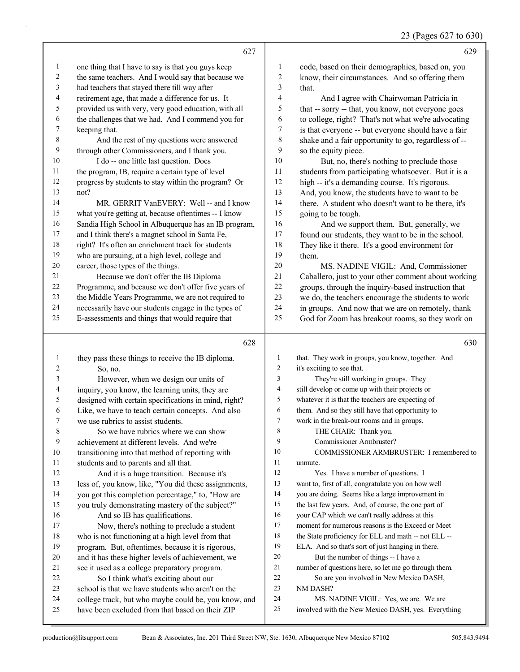| 23 (Pages 627 to 630) |  |  |  |  |  |
|-----------------------|--|--|--|--|--|
|-----------------------|--|--|--|--|--|

|              |                                                      |        | 0                                                    |
|--------------|------------------------------------------------------|--------|------------------------------------------------------|
|              | 627                                                  |        | 629                                                  |
| 1            | one thing that I have to say is that you guys keep   | 1      | code, based on their demographics, based on, you     |
| 2            | the same teachers. And I would say that because we   | 2      | know, their circumstances. And so offering them      |
| 3            | had teachers that stayed there till way after        | 3      | that.                                                |
| 4            | retirement age, that made a difference for us. It    | 4      | And I agree with Chairwoman Patricia in              |
| 5            | provided us with very, very good education, with all | 5      | that -- sorry -- that, you know, not everyone goes   |
| 6            | the challenges that we had. And I commend you for    | 6      | to college, right? That's not what we're advocating  |
| 7            | keeping that.                                        | $\tau$ | is that everyone -- but everyone should have a fair  |
| 8            | And the rest of my questions were answered           | 8      | shake and a fair opportunity to go, regardless of -- |
| 9            | through other Commissioners, and I thank you.        | 9      | so the equity piece.                                 |
| 10           | I do -- one little last question. Does               | $10\,$ | But, no, there's nothing to preclude those           |
| 11           | the program, IB, require a certain type of level     | 11     | students from participating whatsoever. But it is a  |
| 12           | progress by students to stay within the program? Or  | 12     | high -- it's a demanding course. It's rigorous.      |
| 13           | not?                                                 | 13     | And, you know, the students have to want to be       |
| 14           | MR. GERRIT VanEVERY: Well -- and I know              | 14     | there. A student who doesn't want to be there, it's  |
| 15           | what you're getting at, because oftentimes -- I know | 15     | going to be tough.                                   |
| 16           | Sandia High School in Albuquerque has an IB program, | 16     | And we support them. But, generally, we              |
| 17           | and I think there's a magnet school in Santa Fe,     | 17     | found our students, they want to be in the school.   |
| 18           | right? It's often an enrichment track for students   | 18     | They like it there. It's a good environment for      |
| 19           | who are pursuing, at a high level, college and       | 19     | them.                                                |
| $20\,$       | career, those types of the things.                   | $20\,$ | MS. NADINE VIGIL: And, Commissioner                  |
| 21           | Because we don't offer the IB Diploma                | 21     | Caballero, just to your other comment about working  |
| 22           | Programme, and because we don't offer five years of  | 22     | groups, through the inquiry-based instruction that   |
| 23           | the Middle Years Programme, we are not required to   | 23     | we do, the teachers encourage the students to work   |
| 24           | necessarily have our students engage in the types of | 24     | in groups. And now that we are on remotely, thank    |
| 25           | E-assessments and things that would require that     | 25     | God for Zoom has breakout rooms, so they work on     |
|              | 628                                                  |        | 630                                                  |
| $\mathbf{1}$ | they pass these things to receive the IB diploma.    | 1      | that. They work in groups, you know, together. And   |
| 2            | So, no.                                              | 2      | it's exciting to see that.                           |
| 3            | However, when we design our units of                 | 3      | They're still working in groups. They                |
| 4            | inquiry, you know, the learning units, they are      | 4      | still develop or come up with their projects or      |
| 5            | designed with certain specifications in mind, right? | 5      | whatever it is that the teachers are expecting of    |
| 6            | Like, we have to teach certain concepts. And also    | 6      | them. And so they still have that opportunity to     |
| 7            | we use rubrics to assist students.                   | 7      | work in the break-out rooms and in groups.           |
| $\,$ 8 $\,$  | So we have rubrics where we can show                 | 8      | THE CHAIR: Thank you.                                |
| 9            | achievement at different levels. And we're           | 9      | Commissioner Armbruster?                             |
| 10           | transitioning into that method of reporting with     | 10     | COMMISSIONER ARMBRUSTER: I remembered to             |
| 11           | students and to parents and all that.                | 11     | unmute.                                              |
| 12           | And it is a huge transition. Because it's            | 12     | Yes. I have a number of questions. I                 |
| 13           | less of, you know, like, "You did these assignments, | 13     | want to, first of all, congratulate you on how well  |
| 14           | you got this completion percentage," to, "How are    | 14     | you are doing. Seems like a large improvement in     |
| 15           | you truly demonstrating mastery of the subject?"     | 15     | the last few years. And, of course, the one part of  |
| 16           | And so IB has qualifications.                        | 16     | your CAP which we can't really address at this       |
| 17           | Now, there's nothing to preclude a student           | 17     | moment for numerous reasons is the Exceed or Meet    |
| 18           | who is not functioning at a high level from that     | 18     | the State proficiency for ELL and math -- not ELL -- |
| 19           | program. But, oftentimes, because it is rigorous,    | 19     | ELA. And so that's sort of just hanging in there.    |
| 20           | and it has these higher levels of achievement, we    | 20     | But the number of things -- I have a                 |
| 21           | see it used as a college preparatory program.        | 21     | number of questions here, so let me go through them. |
| 22           | So I think what's exciting about our                 | $22\,$ | So are you involved in New Mexico DASH,              |

- school is that we have students who aren't on the college track, but who maybe could be, you know, and NM DASH? 24 MS. NADINE VIGIL: Yes, we are. We are
- have been excluded from that based on their ZIP

involved with the New Mexico DASH, yes. Everything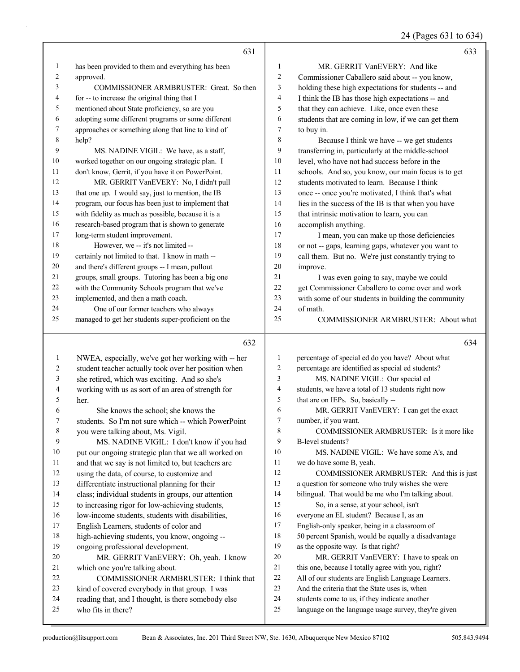24 (Pages 631 to 634)

|              | 631                                                                                                    |              | 633                                                                                                   |
|--------------|--------------------------------------------------------------------------------------------------------|--------------|-------------------------------------------------------------------------------------------------------|
| 1            | has been provided to them and everything has been                                                      | 1            | MR. GERRIT VanEVERY: And like                                                                         |
| 2            | approved.                                                                                              | 2            | Commissioner Caballero said about -- you know,                                                        |
| 3            | COMMISSIONER ARMBRUSTER: Great. So then                                                                | 3            | holding these high expectations for students -- and                                                   |
| 4            | for -- to increase the original thing that I                                                           | 4            | I think the IB has those high expectations -- and                                                     |
| 5            | mentioned about State proficiency, so are you                                                          | 5            | that they can achieve. Like, once even these                                                          |
| 6            | adopting some different programs or some different                                                     | 6            | students that are coming in low, if we can get them                                                   |
| 7            | approaches or something along that line to kind of                                                     | 7            | to buy in.                                                                                            |
| 8            | help?                                                                                                  | 8            | Because I think we have -- we get students                                                            |
| 9            | MS. NADINE VIGIL: We have, as a staff,                                                                 | 9            | transferring in, particularly at the middle-school                                                    |
| 10           | worked together on our ongoing strategic plan. I                                                       | 10           | level, who have not had success before in the                                                         |
| 11           | don't know, Gerrit, if you have it on PowerPoint.                                                      | 11           | schools. And so, you know, our main focus is to get                                                   |
| 12           | MR. GERRIT VanEVERY: No, I didn't pull                                                                 | 12           | students motivated to learn. Because I think                                                          |
| 13           | that one up. I would say, just to mention, the IB                                                      | 13           | once -- once you're motivated, I think that's what                                                    |
| 14           | program, our focus has been just to implement that                                                     | 14           | lies in the success of the IB is that when you have                                                   |
| 15           | with fidelity as much as possible, because it is a                                                     | 15           | that intrinsic motivation to learn, you can                                                           |
| 16           | research-based program that is shown to generate                                                       | 16           | accomplish anything.                                                                                  |
| 17           | long-term student improvement.                                                                         | 17           | I mean, you can make up those deficiencies                                                            |
| 18           | However, we -- it's not limited --                                                                     | 18           | or not -- gaps, learning gaps, whatever you want to                                                   |
| 19           | certainly not limited to that. I know in math --                                                       | 19           | call them. But no. We're just constantly trying to                                                    |
| 20           | and there's different groups -- I mean, pullout                                                        | 20           | improve.                                                                                              |
| 21           | groups, small groups. Tutoring has been a big one                                                      | 21           | I was even going to say, maybe we could                                                               |
| 22           | with the Community Schools program that we've                                                          | 22           | get Commissioner Caballero to come over and work                                                      |
| 23           | implemented, and then a math coach.                                                                    | 23           | with some of our students in building the community                                                   |
| 24           | One of our former teachers who always                                                                  | 24           | of math.                                                                                              |
| 25           | managed to get her students super-proficient on the                                                    | 25           | COMMISSIONER ARMBRUSTER: About what                                                                   |
|              | 632                                                                                                    |              | 634                                                                                                   |
| $\mathbf{1}$ | NWEA, especially, we've got her working with -- her                                                    | 1            | percentage of special ed do you have? About what                                                      |
| 2            | student teacher actually took over her position when                                                   | 2            | percentage are identified as special ed students?                                                     |
| 3            | she retired, which was exciting. And so she's                                                          | 3            | MS. NADINE VIGIL: Our special ed                                                                      |
| 4            | working with us as sort of an area of strength for                                                     | 4            | students, we have a total of 13 students right now                                                    |
| 5            | her.                                                                                                   | 5            | that are on IEPs. So, basically --                                                                    |
| 6            | She knows the school; she knows the                                                                    | 6            | MR. GERRIT VanEVERY: I can get the exact                                                              |
| 7            | students. So I'm not sure which -- which PowerPoint                                                    | 7            | number, if you want.                                                                                  |
| 8            | you were talking about, Ms. Vigil.                                                                     | 8            | COMMISSIONER ARMBRUSTER: Is it more like                                                              |
| 9            | MS. NADINE VIGIL: I don't know if you had                                                              | 9            | B-level students?                                                                                     |
| 10           | put our ongoing strategic plan that we all worked on                                                   | 10           | MS. NADINE VIGIL: We have some A's, and                                                               |
| 11           | and that we say is not limited to, but teachers are                                                    | 11<br>12     | we do have some B, yeah.                                                                              |
| 12           | using the data, of course, to customize and                                                            | 13           | COMMISSIONER ARMBRUSTER: And this is just<br>a question for someone who truly wishes she were         |
| 13<br>14     | differentiate instructional planning for their                                                         | 14           | bilingual. That would be me who I'm talking about.                                                    |
| 15           | class; individual students in groups, our attention<br>to increasing rigor for low-achieving students, | 15           | So, in a sense, at your school, isn't                                                                 |
| 16           | low-income students, students with disabilities,                                                       | 16           | everyone an EL student? Because I, as an                                                              |
| 17           | English Learners, students of color and                                                                | 17           | English-only speaker, being in a classroom of                                                         |
| $18\,$       | high-achieving students, you know, ongoing --                                                          | 18           | 50 percent Spanish, would be equally a disadvantage                                                   |
| 19           | ongoing professional development.                                                                      | 19           | as the opposite way. Is that right?                                                                   |
| $20\,$       |                                                                                                        |              | MR. GERRIT VanEVERY: I have to speak on                                                               |
| 21           |                                                                                                        |              |                                                                                                       |
|              | MR. GERRIT VanEVERY: Oh, yeah. I know                                                                  | 20           |                                                                                                       |
| 22           | which one you're talking about.                                                                        | 21<br>$22\,$ | this one, because I totally agree with you, right?                                                    |
| 23           | COMMISSIONER ARMBRUSTER: I think that                                                                  | 23           | All of our students are English Language Learners.                                                    |
| 24           | kind of covered everybody in that group. I was                                                         | 24           | And the criteria that the State uses is, when                                                         |
| 25           | reading that, and I thought, is there somebody else<br>who fits in there?                              | 25           | students come to us, if they indicate another<br>language on the language usage survey, they're given |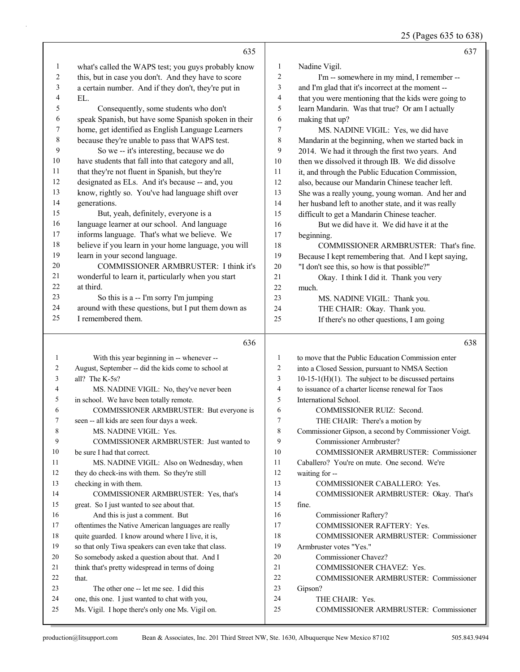25 (Pages 635 to 638)

|                | 635                                                                                                |              | 637                                                                 |
|----------------|----------------------------------------------------------------------------------------------------|--------------|---------------------------------------------------------------------|
| 1              | what's called the WAPS test; you guys probably know                                                | $\mathbf{1}$ | Nadine Vigil.                                                       |
| 2              | this, but in case you don't. And they have to score                                                | 2            | I'm -- somewhere in my mind, I remember --                          |
| 3              | a certain number. And if they don't, they're put in                                                | 3            | and I'm glad that it's incorrect at the moment --                   |
| 4              | EL.                                                                                                | 4            | that you were mentioning that the kids were going to                |
| 5              | Consequently, some students who don't                                                              | 5            | learn Mandarin. Was that true? Or am I actually                     |
| 6              | speak Spanish, but have some Spanish spoken in their                                               | 6            | making that up?                                                     |
| 7              | home, get identified as English Language Learners                                                  | 7            | MS. NADINE VIGIL: Yes, we did have                                  |
| $\,$ 8 $\,$    | because they're unable to pass that WAPS test.                                                     | 8            | Mandarin at the beginning, when we started back in                  |
| 9              | So we -- it's interesting, because we do                                                           | 9            | 2014. We had it through the first two years. And                    |
| 10             | have students that fall into that category and all,                                                | 10           | then we dissolved it through IB. We did dissolve                    |
| 11             | that they're not fluent in Spanish, but they're                                                    | $11\,$       | it, and through the Public Education Commission,                    |
| 12             | designated as ELs. And it's because -- and, you                                                    | 12           | also, because our Mandarin Chinese teacher left.                    |
| 13             | know, rightly so. You've had language shift over                                                   | 13           | She was a really young, young woman. And her and                    |
| 14             | generations.                                                                                       | 14           | her husband left to another state, and it was really                |
| 15             | But, yeah, definitely, everyone is a                                                               | 15           | difficult to get a Mandarin Chinese teacher.                        |
| 16             | language learner at our school. And language                                                       | 16           | But we did have it. We did have it at the                           |
| 17             | informs language. That's what we believe. We                                                       | 17           | beginning.                                                          |
| 18             | believe if you learn in your home language, you will                                               | 18           | COMMISSIONER ARMBRUSTER: That's fine.                               |
| 19             | learn in your second language.                                                                     | 19           | Because I kept remembering that. And I kept saying,                 |
| 20             | <b>COMMISSIONER ARMBRUSTER: I think it's</b>                                                       | 20           | "I don't see this, so how is that possible?"                        |
| 21             | wonderful to learn it, particularly when you start                                                 | 21           | Okay. I think I did it. Thank you very                              |
| 22             | at third.                                                                                          | 22           | much.                                                               |
| 23             | So this is a -- I'm sorry I'm jumping                                                              | 23           | MS. NADINE VIGIL: Thank you.                                        |
| 24             | around with these questions, but I put them down as                                                | 24           | THE CHAIR: Okay. Thank you.                                         |
| 25             | I remembered them.                                                                                 | 25           | If there's no other questions, I am going                           |
|                | 636                                                                                                |              | 638                                                                 |
| 1              | With this year beginning in -- whenever --                                                         | 1            | to move that the Public Education Commission enter                  |
| $\overline{c}$ | August, September -- did the kids come to school at                                                | 2            | into a Closed Session, pursuant to NMSA Section                     |
| 3              | all? The K-5s?                                                                                     | 3            | $10-15-1(H)(1)$ . The subject to be discussed pertains              |
| 4              | MS. NADINE VIGIL: No, they've never been                                                           | 4            | to issuance of a charter license renewal for Taos                   |
| 5              | in school. We have been totally remote.                                                            | 5            | International School.                                               |
| 6              | COMMISSIONER ARMBRUSTER: But everyone is                                                           | 6            | COMMISSIONER RUIZ: Second.                                          |
| 7              | seen -- all kids are seen four days a week.                                                        | 7            | THE CHAIR: There's a motion by                                      |
| 8              | MS. NADINE VIGIL: Yes.                                                                             | 8            | Commissioner Gipson, a second by Commissioner Voigt.                |
| 9              | COMMISSIONER ARMBRUSTER: Just wanted to                                                            | 9            | Commissioner Armbruster?                                            |
| 10             | be sure I had that correct.                                                                        | 10           | COMMISSIONER ARMBRUSTER: Commissioner                               |
| 11             | MS. NADINE VIGIL: Also on Wednesday, when                                                          | 11           | Caballero? You're on mute. One second. We're                        |
| 12             | they do check-ins with them. So they're still                                                      | 12           | waiting for --                                                      |
| 13             | checking in with them.                                                                             | 13           | COMMISSIONER CABALLERO: Yes.                                        |
| 14             | COMMISSIONER ARMBRUSTER: Yes, that's                                                               | 14           | COMMISSIONER ARMBRUSTER: Okay. That's                               |
| 15<br>16       | great. So I just wanted to see about that.                                                         | 15<br>16     | fine.                                                               |
| 17             | And this is just a comment. But<br>oftentimes the Native American languages are really             | 17           | Commissioner Raftery?                                               |
| 18             | quite guarded. I know around where I live, it is,                                                  | 18           | COMMISSIONER RAFTERY: Yes.<br>COMMISSIONER ARMBRUSTER: Commissioner |
| 19             | so that only Tiwa speakers can even take that class.                                               | 19           | Armbruster votes "Yes."                                             |
| 20             | So somebody asked a question about that. And I                                                     | 20           | Commissioner Chavez?                                                |
| 21             | think that's pretty widespread in terms of doing                                                   | 21           | COMMISSIONER CHAVEZ: Yes.                                           |
| 22             | that.                                                                                              | 22           | COMMISSIONER ARMBRUSTER: Commissioner                               |
| 23             | The other one -- let me see. I did this                                                            | 23           | Gipson?                                                             |
|                |                                                                                                    |              |                                                                     |
| 24             |                                                                                                    | 24           | THE CHAIR: Yes.                                                     |
| 25             | one, this one. I just wanted to chat with you,<br>Ms. Vigil. I hope there's only one Ms. Vigil on. | 25           | COMMISSIONER ARMBRUSTER: Commissioner                               |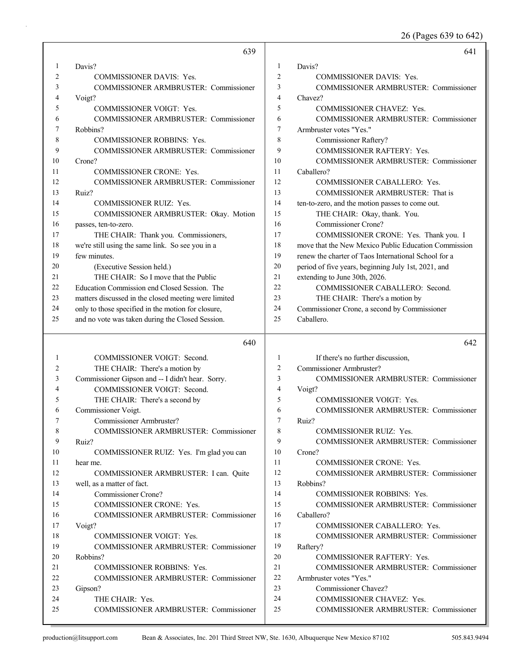26 (Pages 639 to 642)

|              | 639                                                   |                | 641                                                  |
|--------------|-------------------------------------------------------|----------------|------------------------------------------------------|
| $\mathbf{1}$ | Davis?                                                | 1              | Davis?                                               |
| 2            | <b>COMMISSIONER DAVIS: Yes.</b>                       | $\overline{2}$ | <b>COMMISSIONER DAVIS: Yes.</b>                      |
| 3            | COMMISSIONER ARMBRUSTER: Commissioner                 | 3              | COMMISSIONER ARMBRUSTER: Commissioner                |
| 4            | Voigt?                                                | $\overline{4}$ | Chavez?                                              |
| 5            | <b>COMMISSIONER VOIGT: Yes.</b>                       | 5              | COMMISSIONER CHAVEZ: Yes.                            |
| 6            | COMMISSIONER ARMBRUSTER: Commissioner                 | 6              | COMMISSIONER ARMBRUSTER: Commissioner                |
| 7            | Robbins?                                              | $\overline{7}$ | Armbruster votes "Yes."                              |
| 8            | <b>COMMISSIONER ROBBINS: Yes.</b>                     | 8              | Commissioner Raftery?                                |
| 9            | COMMISSIONER ARMBRUSTER: Commissioner                 | 9              | COMMISSIONER RAFTERY: Yes.                           |
| 10           | Crone?                                                | 10             | COMMISSIONER ARMBRUSTER: Commissioner                |
| 11           | <b>COMMISSIONER CRONE: Yes.</b>                       | 11             | Caballero?                                           |
| 12           | COMMISSIONER ARMBRUSTER: Commissioner                 | 12             | COMMISSIONER CABALLERO: Yes.                         |
| 13           | Ruiz?                                                 | 13             | COMMISSIONER ARMBRUSTER: That is                     |
| 14           | COMMISSIONER RUIZ: Yes.                               | 14             | ten-to-zero, and the motion passes to come out.      |
| 15           | COMMISSIONER ARMBRUSTER: Okay. Motion                 | 15             | THE CHAIR: Okay, thank. You.                         |
| 16           | passes, ten-to-zero.                                  | 16             | Commissioner Crone?                                  |
| 17           | THE CHAIR: Thank you. Commissioners,                  | 17             | COMMISSIONER CRONE: Yes. Thank you. I                |
| 18           | we're still using the same link. So see you in a      | 18             | move that the New Mexico Public Education Commission |
| 19           | few minutes.                                          | 19             | renew the charter of Taos International School for a |
| 20           | (Executive Session held.)                             | 20             | period of five years, beginning July 1st, 2021, and  |
| 21           | THE CHAIR: So I move that the Public                  | 21             | extending to June 30th, 2026.                        |
| 22           | Education Commission end Closed Session. The          | 22             | COMMISSIONER CABALLERO: Second.                      |
| 23           | matters discussed in the closed meeting were limited  | 23             | THE CHAIR: There's a motion by                       |
| 24           | only to those specified in the motion for closure,    | 24             | Commissioner Crone, a second by Commissioner         |
| 25           | and no vote was taken during the Closed Session.      | 25             | Caballero.                                           |
|              | 640                                                   |                | 642                                                  |
| 1            | COMMISSIONER VOIGT: Second.                           | $\mathbf{1}$   | If there's no further discussion,                    |
| 2            | THE CHAIR: There's a motion by                        | $\overline{2}$ | Commissioner Armbruster?                             |
| 3            | Commissioner Gipson and -- I didn't hear. Sorry.      | $\mathfrak{Z}$ | COMMISSIONER ARMBRUSTER: Commissioner                |
| 4            | COMMISSIONER VOIGT: Second.                           | $\overline{4}$ | Voigt?                                               |
| 5            | THE CHAIR: There's a second by                        | 5              | COMMISSIONER VOIGT: Yes.                             |
| 6            | Commissioner Voigt.                                   |                |                                                      |
| 7            |                                                       | 6              |                                                      |
|              |                                                       | $\overline{7}$ | COMMISSIONER ARMBRUSTER: Commissioner                |
| 8            | Commissioner Armbruster?                              | 8              | Ruiz?<br><b>COMMISSIONER RUIZ: Yes.</b>              |
| 9            | <b>COMMISSIONER ARMBRUSTER: Commissioner</b><br>Ruiz? | 9              |                                                      |
| 10           |                                                       | 10             | COMMISSIONER ARMBRUSTER: Commissioner<br>Crone?      |
| 11           | COMMISSIONER RUIZ: Yes. I'm glad you can<br>hear me.  | 11             | <b>COMMISSIONER CRONE: Yes.</b>                      |
| 12           | COMMISSIONER ARMBRUSTER: I can. Quite                 | 12             | <b>COMMISSIONER ARMBRUSTER: Commissioner</b>         |
| 13           | well, as a matter of fact.                            | 13             | Robbins?                                             |
| 14           | Commissioner Crone?                                   | 14             | COMMISSIONER ROBBINS: Yes.                           |
| 15           | COMMISSIONER CRONE: Yes.                              | 15             | COMMISSIONER ARMBRUSTER: Commissioner                |
| 16           | COMMISSIONER ARMBRUSTER: Commissioner                 | 16             | Caballero?                                           |
| 17           | Voigt?                                                | 17             | COMMISSIONER CABALLERO: Yes.                         |
| 18           | COMMISSIONER VOIGT: Yes.                              | 18             | <b>COMMISSIONER ARMBRUSTER: Commissioner</b>         |
| 19           | COMMISSIONER ARMBRUSTER: Commissioner                 | 19             | Raftery?                                             |
| 20           | Robbins?                                              | 20             | <b>COMMISSIONER RAFTERY: Yes.</b>                    |
| 21           | COMMISSIONER ROBBINS: Yes.                            | 21             | COMMISSIONER ARMBRUSTER: Commissioner                |
| 22           | COMMISSIONER ARMBRUSTER: Commissioner                 | 22             | Armbruster votes "Yes."                              |
| 23           | Gipson?                                               | 23             | Commissioner Chavez?                                 |
| 24           | THE CHAIR: Yes.                                       | 24             | COMMISSIONER CHAVEZ: Yes.                            |
| 25           | COMMISSIONER ARMBRUSTER: Commissioner                 | 25             | COMMISSIONER ARMBRUSTER: Commissioner                |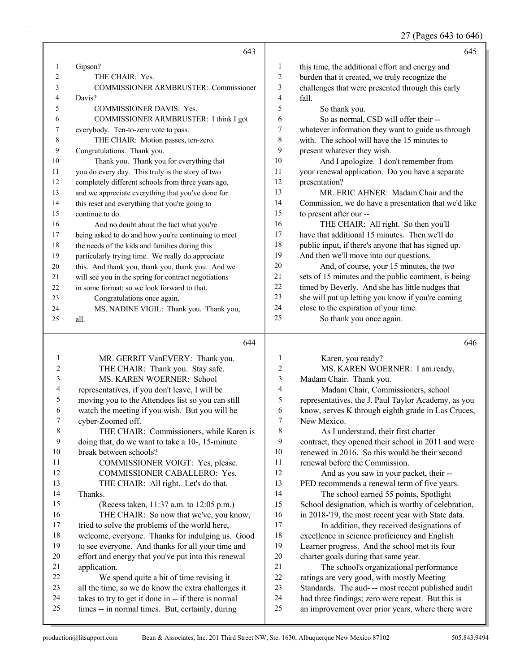27 (Pages 643 to 646)

|    | 643                                                  |                | 645                                                  |
|----|------------------------------------------------------|----------------|------------------------------------------------------|
| 1  | Gipson?                                              | 1              | this time, the additional effort and energy and      |
| 2  | THE CHAIR: Yes.                                      | $\overline{2}$ | burden that it created, we truly recognize the       |
| 3  | <b>COMMISSIONER ARMBRUSTER: Commissioner</b>         | 3              | challenges that were presented through this early    |
| 4  | Davis?                                               | 4              | fall.                                                |
| 5  | <b>COMMISSIONER DAVIS: Yes.</b>                      | 5              | So thank you.                                        |
| 6  | COMMISSIONER ARMBRUSTER: I think I got               | 6              | So as normal, CSD will offer their --                |
| 7  | everybody. Ten-to-zero vote to pass.                 | 7              | whatever information they want to guide us through   |
| 8  | THE CHAIR: Motion passes, ten-zero.                  | 8              | with. The school will have the 15 minutes to         |
| 9  | Congratulations. Thank you.                          | 9              | present whatever they wish.                          |
| 10 | Thank you. Thank you for everything that             | 10             | And I apologize. I don't remember from               |
| 11 | you do every day. This truly is the story of two     | 11             | your renewal application. Do you have a separate     |
| 12 | completely different schools from three years ago,   | 12             | presentation?                                        |
| 13 | and we appreciate everything that you've done for    | 13             | MR. ERIC AHNER: Madam Chair and the                  |
| 14 | this reset and everything that you're going to       | 14             | Commission, we do have a presentation that we'd like |
| 15 | continue to do.                                      | 15             | to present after our --                              |
| 16 | And no doubt about the fact what you're              | 16             | THE CHAIR: All right. So then you'll                 |
| 17 | being asked to do and how you're continuing to meet  | 17             | have that additional 15 minutes. Then we'll do       |
| 18 | the needs of the kids and families during this       | 18             | public input, if there's anyone that has signed up.  |
| 19 | particularly trying time. We really do appreciate    | 19             | And then we'll move into our questions.              |
| 20 | this. And thank you, thank you, thank you. And we    | 20             | And, of course, your 15 minutes, the two             |
| 21 | will see you in the spring for contract negotiations | 21             | sets of 15 minutes and the public comment, is being  |
| 22 | in some format; so we look forward to that.          | 22             | timed by Beverly. And she has little nudges that     |
| 23 | Congratulations once again.                          | 23             | she will put up letting you know if you're coming    |
| 24 | MS. NADINE VIGIL: Thank you. Thank you,              | 24             | close to the expiration of your time.                |
| 25 | all.                                                 | 25             | So thank you once again.                             |
|    | 644                                                  |                | 646                                                  |

|    | MR. GERRIT VanEVERY: Thank you.                      |    | Karen, you ready?                                   |
|----|------------------------------------------------------|----|-----------------------------------------------------|
| 2  | THE CHAIR: Thank you. Stay safe.                     | 2  | MS. KAREN WOERNER: I am ready,                      |
| 3  | MS. KAREN WOERNER: School                            | 3  | Madam Chair. Thank you.                             |
| 4  | representatives, if you don't leave, I will be       | 4  | Madam Chair, Commissioners, school                  |
| 5  | moving you to the Attendees list so you can still    | 5  | representatives, the J. Paul Taylor Academy, as you |
| 6  | watch the meeting if you wish. But you will be       | 6  | know, serves K through eighth grade in Las Cruces,  |
| 7  | cyber-Zoomed off.                                    | 7  | New Mexico.                                         |
| 8  | THE CHAIR: Commissioners, while Karen is             | 8  | As I understand, their first charter                |
| 9  | doing that, do we want to take a 10-, 15-minute      | 9  | contract, they opened their school in 2011 and were |
| 10 | break between schools?                               | 10 | renewed in 2016. So this would be their second      |
| 11 | COMMISSIONER VOIGT: Yes, please.                     | 11 | renewal before the Commission.                      |
| 12 | COMMISSIONER CABALLERO: Yes.                         | 12 | And as you saw in your packet, their --             |
| 13 | THE CHAIR: All right. Let's do that.                 | 13 | PED recommends a renewal term of five years.        |
| 14 | Thanks.                                              | 14 | The school earned 55 points, Spotlight              |
| 15 | (Recess taken, 11:37 a.m. to 12:05 p.m.)             | 15 | School designation, which is worthy of celebration, |
| 16 | THE CHAIR: So now that we've, you know,              | 16 | in 2018-'19, the most recent year with State data.  |
| 17 | tried to solve the problems of the world here,       | 17 | In addition, they received designations of          |
| 18 | welcome, everyone. Thanks for indulging us. Good     | 18 | excellence in science proficiency and English       |
| 19 | to see everyone. And thanks for all your time and    | 19 | Learner progress. And the school met its four       |
| 20 | effort and energy that you've put into this renewal  | 20 | charter goals during that same year.                |
| 21 | application.                                         | 21 | The school's organizational performance             |
| 22 | We spend quite a bit of time revising it             | 22 | ratings are very good, with mostly Meeting          |
| 23 | all the time, so we do know the extra challenges it  | 23 | Standards. The aud- -- most recent published audit  |
| 24 | takes to try to get it done in -- if there is normal | 24 | had three findings; zero were repeat. But this is   |
| 25 | times -- in normal times. But, certainly, during     | 25 | an improvement over prior years, where there were   |
|    |                                                      |    |                                                     |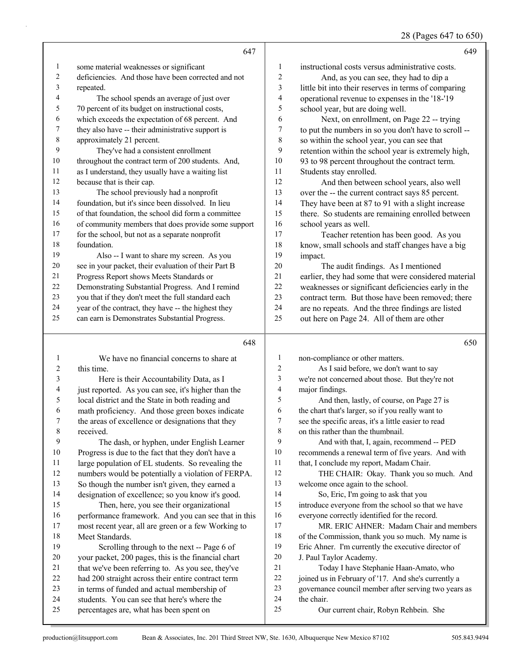28 (Pages 647 to 650)

|                | 647                                                                                        |                  | 649                                                                |
|----------------|--------------------------------------------------------------------------------------------|------------------|--------------------------------------------------------------------|
| $\mathbf{1}$   | some material weaknesses or significant                                                    | 1                | instructional costs versus administrative costs.                   |
| 2              | deficiencies. And those have been corrected and not                                        | $\overline{c}$   | And, as you can see, they had to dip a                             |
| 3              | repeated.                                                                                  | 3                | little bit into their reserves in terms of comparing               |
| 4              | The school spends an average of just over                                                  | 4                | operational revenue to expenses in the '18-'19                     |
| 5              | 70 percent of its budget on instructional costs,                                           | 5                | school year, but are doing well.                                   |
| 6              | which exceeds the expectation of 68 percent. And                                           | 6                | Next, on enrollment, on Page 22 -- trying                          |
| 7              | they also have -- their administrative support is                                          | $\boldsymbol{7}$ | to put the numbers in so you don't have to scroll --               |
| 8              | approximately 21 percent.                                                                  | 8                | so within the school year, you can see that                        |
| 9              | They've had a consistent enrollment                                                        | 9                | retention within the school year is extremely high,                |
| 10             | throughout the contract term of 200 students. And,                                         | 10               | 93 to 98 percent throughout the contract term.                     |
| 11             | as I understand, they usually have a waiting list                                          | 11               | Students stay enrolled.                                            |
| 12             | because that is their cap.                                                                 | 12               | And then between school years, also well                           |
| 13             | The school previously had a nonprofit                                                      | 13               | over the -- the current contract says 85 percent.                  |
| 14             | foundation, but it's since been dissolved. In lieu                                         | 14               | They have been at 87 to 91 with a slight increase                  |
| 15             | of that foundation, the school did form a committee                                        | 15               | there. So students are remaining enrolled between                  |
| 16             | of community members that does provide some support                                        | 16               | school years as well.                                              |
| 17             | for the school, but not as a separate nonprofit                                            | 17               | Teacher retention has been good. As you                            |
| $18\,$         | foundation.                                                                                | 18               | know, small schools and staff changes have a big                   |
| 19             | Also -- I want to share my screen. As you                                                  | 19               | impact.                                                            |
| $20\,$         | see in your packet, their evaluation of their Part B                                       | $20\,$           | The audit findings. As I mentioned                                 |
| 21             | Progress Report shows Meets Standards or                                                   | 21               | earlier, they had some that were considered material               |
| 22             | Demonstrating Substantial Progress. And I remind                                           | 22               | weaknesses or significant deficiencies early in the                |
| 23             | you that if they don't meet the full standard each                                         | 23               | contract term. But those have been removed; there                  |
| 24             | year of the contract, they have -- the highest they                                        | 24               | are no repeats. And the three findings are listed                  |
| 25             | can earn is Demonstrates Substantial Progress.                                             | 25               | out here on Page 24. All of them are other                         |
|                |                                                                                            |                  |                                                                    |
|                | 648                                                                                        |                  | 650                                                                |
| 1              | We have no financial concerns to share at                                                  | 1                | non-compliance or other matters.                                   |
| $\overline{c}$ | this time.                                                                                 | $\boldsymbol{2}$ | As I said before, we don't want to say                             |
| 3              | Here is their Accountability Data, as I                                                    | 3                | we're not concerned about those. But they're not                   |
| 4              | just reported. As you can see, it's higher than the                                        | 4                | major findings.                                                    |
| 5              | local district and the State in both reading and                                           | 5                | And then, lastly, of course, on Page 27 is                         |
| 6              | math proficiency. And those green boxes indicate                                           | 6                | the chart that's larger, so if you really want to                  |
| 7              | the areas of excellence or designations that they                                          | 7                | see the specific areas, it's a little easier to read               |
| 8              | received.                                                                                  | 8                | on this rather than the thumbnail.                                 |
| 9              | The dash, or hyphen, under English Learner                                                 | 9                | And with that, I, again, recommend -- PED                          |
| 10             | Progress is due to the fact that they don't have a                                         | 10               | recommends a renewal term of five years. And with                  |
| 11             | large population of EL students. So revealing the                                          | 11               | that, I conclude my report, Madam Chair.                           |
| 12             | numbers would be potentially a violation of FERPA.                                         | 12               | THE CHAIR: Okay. Thank you so much. And                            |
| 13             | So though the number isn't given, they earned a                                            | 13               | welcome once again to the school.                                  |
| 14             | designation of excellence; so you know it's good.                                          | 14               | So, Eric, I'm going to ask that you                                |
| 15             | Then, here, you see their organizational                                                   | 15               | introduce everyone from the school so that we have                 |
| 16             | performance framework. And you can see that in this                                        | 16               | everyone correctly identified for the record.                      |
| 17             | most recent year, all are green or a few Working to                                        | 17               | MR. ERIC AHNER: Madam Chair and members                            |
| 18             | Meet Standards.                                                                            | 18               | of the Commission, thank you so much. My name is                   |
| 19             | Scrolling through to the next -- Page 6 of                                                 | 19               | Eric Ahner. I'm currently the executive director of                |
| 20             | your packet, 200 pages, this is the financial chart                                        | 20               | J. Paul Taylor Academy.                                            |
| 21<br>22       | that we've been referring to. As you see, they've                                          | $21\,$<br>$22\,$ | Today I have Stephanie Haan-Amato, who                             |
| 23             | had 200 straight across their entire contract term                                         | 23               | joined us in February of '17. And she's currently a                |
| 24             | in terms of funded and actual membership of<br>students. You can see that here's where the | 24               | governance council member after serving two years as<br>the chair. |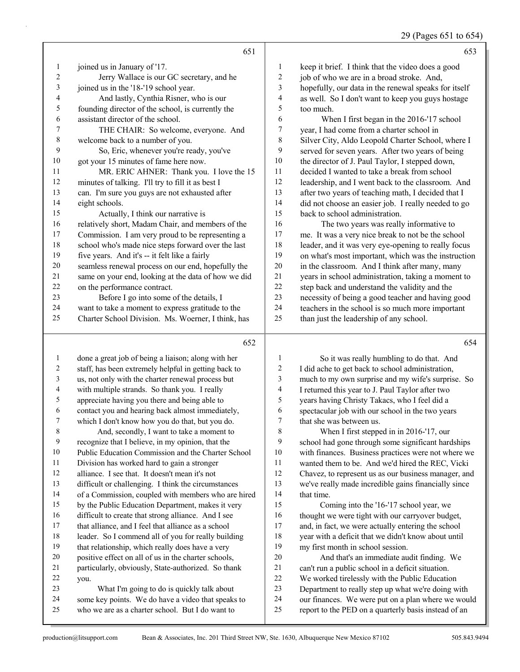29 (Pages 651 to 654)

|                |                                                     |                | $27$ (1 agus 001 to 00.                              |
|----------------|-----------------------------------------------------|----------------|------------------------------------------------------|
|                | 651                                                 |                | 653                                                  |
| 1              | joined us in January of '17.                        | 1              | keep it brief. I think that the video does a good    |
| $\overline{2}$ | Jerry Wallace is our GC secretary, and he           | $\overline{c}$ | job of who we are in a broad stroke. And,            |
| 3              | joined us in the '18-'19 school year.               | 3              | hopefully, our data in the renewal speaks for itself |
| 4              | And lastly, Cynthia Risner, who is our              | 4              | as well. So I don't want to keep you guys hostage    |
| 5              | founding director of the school, is currently the   | 5              | too much.                                            |
| 6              | assistant director of the school.                   | 6              | When I first began in the 2016-'17 school            |
| 7              | THE CHAIR: So welcome, everyone. And                | $\sqrt{ }$     | year, I had come from a charter school in            |
| 8              | welcome back to a number of you.                    | 8              | Silver City, Aldo Leopold Charter School, where I    |
| 9              | So, Eric, whenever you're ready, you've             | 9              | served for seven years. After two years of being     |
| 10             | got your 15 minutes of fame here now.               | 10             | the director of J. Paul Taylor, I stepped down,      |
| 11             | MR. ERIC AHNER: Thank you. I love the 15            | 11             | decided I wanted to take a break from school         |
| 12             | minutes of talking. I'll try to fill it as best I   | 12             | leadership, and I went back to the classroom. And    |
| 13             | can. I'm sure you guys are not exhausted after      | 13             | after two years of teaching math, I decided that I   |
| 14             | eight schools.                                      | 14             | did not choose an easier job. I really needed to go  |
| 15             | Actually, I think our narrative is                  | 15             | back to school administration.                       |
| 16             | relatively short, Madam Chair, and members of the   | 16             | The two years was really informative to              |
| 17             | Commission. I am very proud to be representing a    | 17             | me. It was a very nice break to not be the school    |
| 18             | school who's made nice steps forward over the last  | 18             | leader, and it was very eye-opening to really focus  |
| 19             | five years. And it's -- it felt like a fairly       | 19             | on what's most important, which was the instruction  |
| 20             | seamless renewal process on our end, hopefully the  | 20             | in the classroom. And I think after many, many       |
| 21             | same on your end, looking at the data of how we did | 21             | years in school administration, taking a moment to   |
| 22             | on the performance contract.                        | 22             | step back and understand the validity and the        |
| 23             | Before I go into some of the details, I             | 23             | necessity of being a good teacher and having good    |
| 24             | want to take a moment to express gratitude to the   | 24             | teachers in the school is so much more important     |
| 25             | Charter School Division. Ms. Woerner, I think, has  | 25             | than just the leadership of any school.              |
|                | 652                                                 |                | 654                                                  |

 done a great job of being a liaison; along with her staff, has been extremely helpful in getting back to us, not only with the charter renewal process but with multiple strands. So thank you. I really appreciate having you there and being able to 6 contact you and hearing back almost immediately,<br>
7 which I don't know how you do that, but you do. which I don't know how you do that, but you do. 8 And, secondly, I want to take a moment to recognize that I believe, in my opinion, that the Public Education Commission and the Charter School Division has worked hard to gain a stronger alliance. I see that. It doesn't mean it's not difficult or challenging. I think the circumstances of a Commission, coupled with members who are hired by the Public Education Department, makes it very difficult to create that strong alliance. And I see that alliance, and I feel that alliance as a school leader. So I commend all of you for really building that relationship, which really does have a very positive effect on all of us in the charter schools, particularly, obviously, State-authorized. So thank you. 23 What I'm going to do is quickly talk about some key points. We do have a video that speaks to who we are as a charter school. But I do want to 14 that time. our finances. We were put on a plan where we would

1 So it was really humbling to do that. And I did ache to get back to school administration, much to my own surprise and my wife's surprise. So I returned this year to J. Paul Taylor after two years having Christy Takacs, who I feel did a spectacular job with our school in the two years that she was between us. 8 When I first stepped in in 2016-'17, our

 school had gone through some significant hardships with finances. Business practices were not where we wanted them to be. And we'd hired the REC, Vicki Chavez, to represent us as our business manager, and we've really made incredible gains financially since

15 Coming into the '16-'17 school year, we 16 thought we were tight with our carryover budget, and, in fact, we were actually entering the school year with a deficit that we didn't know about until my first month in school session.

20 And that's an immediate audit finding. We can't run a public school in a deficit situation. We worked tirelessly with the Public Education

Department to really step up what we're doing with

report to the PED on a quarterly basis instead of an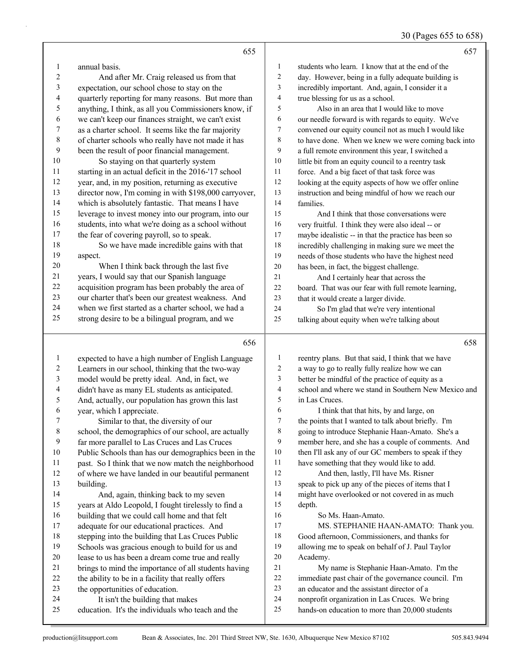| 30 (Pages 655 to 658) |
|-----------------------|
|-----------------------|

|                  | 655                                                                                   |                   | 657                                                                                                      |
|------------------|---------------------------------------------------------------------------------------|-------------------|----------------------------------------------------------------------------------------------------------|
| 1                | annual basis.                                                                         | 1                 | students who learn. I know that at the end of the                                                        |
| $\boldsymbol{2}$ | And after Mr. Craig released us from that                                             | 2                 | day. However, being in a fully adequate building is                                                      |
| 3                | expectation, our school chose to stay on the                                          | 3                 | incredibly important. And, again, I consider it a                                                        |
| 4                | quarterly reporting for many reasons. But more than                                   | 4                 | true blessing for us as a school.                                                                        |
| 5                | anything, I think, as all you Commissioners know, if                                  | 5                 | Also in an area that I would like to move                                                                |
| 6                | we can't keep our finances straight, we can't exist                                   | 6                 | our needle forward is with regards to equity. We've                                                      |
| 7                | as a charter school. It seems like the far majority                                   | 7                 | convened our equity council not as much I would like                                                     |
| 8                | of charter schools who really have not made it has                                    | 8                 | to have done. When we knew we were coming back into                                                      |
| 9                | been the result of poor financial management.                                         | 9                 | a full remote environment this year, I switched a                                                        |
| 10               | So staying on that quarterly system                                                   | 10                | little bit from an equity council to a reentry task                                                      |
| 11               | starting in an actual deficit in the 2016-'17 school                                  | 11                | force. And a big facet of that task force was                                                            |
| 12               | year, and, in my position, returning as executive                                     | 12                | looking at the equity aspects of how we offer online                                                     |
| 13               | director now, I'm coming in with \$198,000 carryover,                                 | 13                | instruction and being mindful of how we reach our                                                        |
| 14               | which is absolutely fantastic. That means I have                                      | 14                | families.                                                                                                |
| 15               | leverage to invest money into our program, into our                                   | 15                | And I think that those conversations were                                                                |
| 16               | students, into what we're doing as a school without                                   | 16                | very fruitful. I think they were also ideal -- or                                                        |
| 17               | the fear of covering payroll, so to speak.                                            | 17                | maybe idealistic -- in that the practice has been so                                                     |
| 18               | So we have made incredible gains with that                                            | 18                | incredibly challenging in making sure we meet the                                                        |
| 19               | aspect.                                                                               | 19                | needs of those students who have the highest need                                                        |
| 20               | When I think back through the last five                                               | 20                | has been, in fact, the biggest challenge.                                                                |
| 21               | years, I would say that our Spanish language                                          | 21                | And I certainly hear that across the                                                                     |
| 22               | acquisition program has been probably the area of                                     | 22                | board. That was our fear with full remote learning,                                                      |
| 23               | our charter that's been our greatest weakness. And                                    | 23                | that it would create a larger divide.                                                                    |
| 24               | when we first started as a charter school, we had a                                   | 24                | So I'm glad that we're very intentional                                                                  |
| 25               | strong desire to be a bilingual program, and we                                       | 25                | talking about equity when we're talking about                                                            |
|                  |                                                                                       |                   |                                                                                                          |
|                  | 656                                                                                   |                   | 658                                                                                                      |
|                  |                                                                                       |                   |                                                                                                          |
| $\mathbf{1}$     | expected to have a high number of English Language                                    | $\mathbf{1}$<br>2 | reentry plans. But that said, I think that we have                                                       |
| 2<br>3           | Learners in our school, thinking that the two-way                                     | 3                 | a way to go to really fully realize how we can                                                           |
| 4                | model would be pretty ideal. And, in fact, we                                         | 4                 | better be mindful of the practice of equity as a<br>school and where we stand in Southern New Mexico and |
| 5                | didn't have as many EL students as anticipated.                                       | 5                 | in Las Cruces.                                                                                           |
| 6                | And, actually, our population has grown this last                                     | 6                 | I think that that hits, by and large, on                                                                 |
| 7                | year, which I appreciate.<br>Similar to that, the diversity of our                    | 7                 | the points that I wanted to talk about briefly. I'm                                                      |
| $\,$ 8 $\,$      | school, the demographics of our school, are actually                                  | 8                 | going to introduce Stephanie Haan-Amato. She's a                                                         |
| 9                | far more parallel to Las Cruces and Las Cruces                                        | 9                 | member here, and she has a couple of comments. And                                                       |
| 10               | Public Schools than has our demographics been in the                                  | 10                | then I'll ask any of our GC members to speak if they                                                     |
| 11               | past. So I think that we now match the neighborhood                                   | 11                | have something that they would like to add.                                                              |
| 12               | of where we have landed in our beautiful permanent                                    | 12                | And then, lastly, I'll have Ms. Risner                                                                   |
| 13               | building.                                                                             | 13                | speak to pick up any of the pieces of items that I                                                       |
| 14               | And, again, thinking back to my seven                                                 | 14                | might have overlooked or not covered in as much                                                          |
| 15               | years at Aldo Leopold, I fought tirelessly to find a                                  | 15                | depth.                                                                                                   |
| 16               | building that we could call home and that felt                                        | 16                | So Ms. Haan-Amato.                                                                                       |
| 17               | adequate for our educational practices. And                                           | 17                | MS. STEPHANIE HAAN-AMATO: Thank you.                                                                     |
| 18               | stepping into the building that Las Cruces Public                                     | 18                | Good afternoon, Commissioners, and thanks for                                                            |
| 19               | Schools was gracious enough to build for us and                                       | 19                | allowing me to speak on behalf of J. Paul Taylor                                                         |
| 20               | lease to us has been a dream come true and really                                     | 20                | Academy.                                                                                                 |
| 21               | brings to mind the importance of all students having                                  | 21                | My name is Stephanie Haan-Amato. I'm the                                                                 |
| 22               | the ability to be in a facility that really offers                                    | 22                | immediate past chair of the governance council. I'm                                                      |
| 23               | the opportunities of education.                                                       | 23                | an educator and the assistant director of a                                                              |
| 24<br>25         | It isn't the building that makes<br>education. It's the individuals who teach and the | 24<br>$25\,$      | nonprofit organization in Las Cruces. We bring<br>hands-on education to more than 20,000 students        |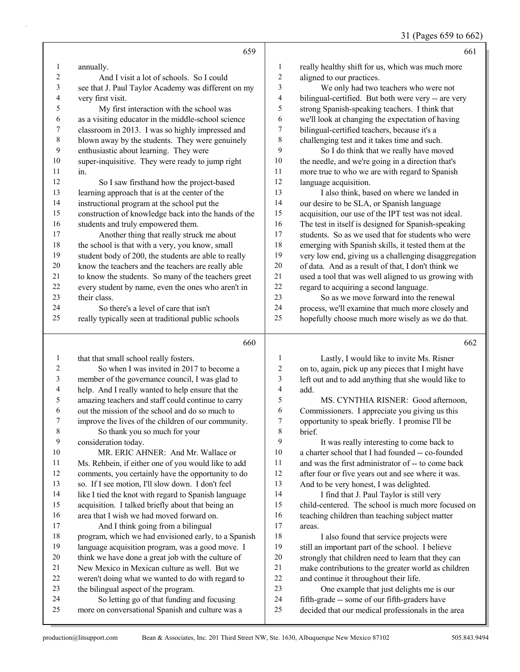## 31 (Pages 659 to 662)

| $\mathbf{1}$<br>annually.<br>really healthy shift for us, which was much more<br>1<br>$\sqrt{2}$<br>2<br>And I visit a lot of schools. So I could<br>aligned to our practices.<br>$\mathfrak{Z}$<br>3<br>We only had two teachers who were not<br>see that J. Paul Taylor Academy was different on my<br>bilingual-certified. But both were very -- are very<br>4<br>very first visit.<br>4<br>5<br>5<br>strong Spanish-speaking teachers. I think that<br>My first interaction with the school was<br>6<br>6<br>as a visiting educator in the middle-school science<br>we'll look at changing the expectation of having<br>$\boldsymbol{7}$<br>classroom in 2013. I was so highly impressed and<br>$\tau$<br>bilingual-certified teachers, because it's a<br>$\,$ $\,$<br>$\,8\,$<br>blown away by the students. They were genuinely<br>challenging test and it takes time and such.<br>9<br>$\mathbf{9}$<br>enthusiastic about learning. They were<br>So I do think that we really have moved<br>$10\,$<br>10<br>super-inquisitive. They were ready to jump right<br>the needle, and we're going in a direction that's<br>11<br>more true to who we are with regard to Spanish<br>11<br>in.<br>12<br>12<br>language acquisition.<br>So I saw firsthand how the project-based<br>13<br>13<br>I also think, based on where we landed in<br>learning approach that is at the center of the<br>14<br>14<br>instructional program at the school put the<br>our desire to be SLA, or Spanish language<br>15<br>15<br>construction of knowledge back into the hands of the<br>acquisition, our use of the IPT test was not ideal.<br>16<br>16<br>students and truly empowered them.<br>The test in itself is designed for Spanish-speaking<br>$17\,$<br>17<br>Another thing that really struck me about<br>students. So as we used that for students who were<br>$18\,$<br>$18\,$<br>the school is that with a very, you know, small<br>emerging with Spanish skills, it tested them at the<br>19<br>19<br>student body of 200, the students are able to really<br>very low end, giving us a challenging disaggregation<br>20<br>20<br>know the teachers and the teachers are really able<br>of data. And as a result of that, I don't think we<br>21<br>21<br>to know the students. So many of the teachers greet<br>used a tool that was well aligned to us growing with<br>22<br>$22\,$<br>every student by name, even the ones who aren't in<br>regard to acquiring a second language.<br>23<br>So as we move forward into the renewal<br>23<br>their class.<br>24<br>24<br>So there's a level of care that isn't<br>process, we'll examine that much more closely and<br>25<br>25<br>hopefully choose much more wisely as we do that.<br>really typically seen at traditional public schools<br>660<br>662<br>$\mathbf{1}$<br>$\mathbf{1}$<br>Lastly, I would like to invite Ms. Risner<br>that that small school really fosters.<br>2<br>So when I was invited in 2017 to become a<br>$\overline{c}$<br>on to, again, pick up any pieces that I might have<br>$\mathfrak{Z}$<br>$\mathfrak{Z}$<br>left out and to add anything that she would like to<br>member of the governance council, I was glad to<br>4<br>4<br>help. And I really wanted to help ensure that the<br>add.<br>5<br>5<br>amazing teachers and staff could continue to carry<br>MS. CYNTHIA RISNER: Good afternoon,<br>6<br>6<br>out the mission of the school and do so much to<br>Commissioners. I appreciate you giving us this<br>$\boldsymbol{7}$<br>opportunity to speak briefly. I promise I'll be<br>7<br>improve the lives of the children of our community.<br>8<br>So thank you so much for your<br>8<br>brief.<br>9<br>9<br>consideration today.<br>It was really interesting to come back to<br>10<br>$10\,$<br>a charter school that I had founded -- co-founded<br>MR. ERIC AHNER: And Mr. Wallace or<br>11<br>Ms. Rehbein, if either one of you would like to add<br>11<br>and was the first administrator of -- to come back<br>12<br>12<br>after four or five years out and see where it was.<br>comments, you certainly have the opportunity to do<br>13<br>13<br>so. If I see motion, I'll slow down. I don't feel<br>And to be very honest, I was delighted.<br>14<br>14<br>like I tied the knot with regard to Spanish language<br>I find that J. Paul Taylor is still very<br>15<br>15<br>acquisition. I talked briefly about that being an<br>child-centered. The school is much more focused on<br>16<br>16<br>area that I wish we had moved forward on.<br>teaching children than teaching subject matter<br>17<br>17<br>And I think going from a bilingual<br>areas.<br>$18\,$<br>18<br>program, which we had envisioned early, to a Spanish<br>I also found that service projects were<br>19<br>19<br>language acquisition program, was a good move. I<br>still an important part of the school. I believe<br>$20\,$<br>20<br>think we have done a great job with the culture of<br>strongly that children need to learn that they can<br>New Mexico in Mexican culture as well. But we<br>21<br>21<br>make contributions to the greater world as children<br>22<br>22<br>weren't doing what we wanted to do with regard to<br>and continue it throughout their life.<br>23<br>23<br>the bilingual aspect of the program.<br>One example that just delights me is our<br>24<br>24<br>So letting go of that funding and focusing<br>fifth-grade -- some of our fifth-graders have<br>25<br>25<br>more on conversational Spanish and culture was a<br>decided that our medical professionals in the area | 659 | 661 |
|--------------------------------------------------------------------------------------------------------------------------------------------------------------------------------------------------------------------------------------------------------------------------------------------------------------------------------------------------------------------------------------------------------------------------------------------------------------------------------------------------------------------------------------------------------------------------------------------------------------------------------------------------------------------------------------------------------------------------------------------------------------------------------------------------------------------------------------------------------------------------------------------------------------------------------------------------------------------------------------------------------------------------------------------------------------------------------------------------------------------------------------------------------------------------------------------------------------------------------------------------------------------------------------------------------------------------------------------------------------------------------------------------------------------------------------------------------------------------------------------------------------------------------------------------------------------------------------------------------------------------------------------------------------------------------------------------------------------------------------------------------------------------------------------------------------------------------------------------------------------------------------------------------------------------------------------------------------------------------------------------------------------------------------------------------------------------------------------------------------------------------------------------------------------------------------------------------------------------------------------------------------------------------------------------------------------------------------------------------------------------------------------------------------------------------------------------------------------------------------------------------------------------------------------------------------------------------------------------------------------------------------------------------------------------------------------------------------------------------------------------------------------------------------------------------------------------------------------------------------------------------------------------------------------------------------------------------------------------------------------------------------------------------------------------------------------------------------------------------------------------------------------------------------------------------------------------------------------------------------------------------------------------------------------------------------------------------------------------------------------------------------------------------------------------------------------------------------------------------------------------------------------------------------------------------------------------------------------------------------------------------------------------------------------------------------------------------------------------------------------------------------------------------------------------------------------------------------------------------------------------------------------------------------------------------------------------------------------------------------------------------------------------------------------------------------------------------------------------------------------------------------------------------------------------------------------------------------------------------------------------------------------------------------------------------------------------------------------------------------------------------------------------------------------------------------------------------------------------------------------------------------------------------------------------------------------------------------------------------------------------------------------------------------------------------------------------------------------------------------------------------------------------------------------------------------------------------------------------------------------------------------------------------------------------------------------------------------------------------------------------------------------------------------------------------------------------------------------------------------------------------------------------------------------------------------------------------------------------------------------------------------------------------------------------------------------------------------------------------------------------------------------------------------------------------------------------------------------------------------------------------------------------------------------------------------------------------------------------------|-----|-----|
|                                                                                                                                                                                                                                                                                                                                                                                                                                                                                                                                                                                                                                                                                                                                                                                                                                                                                                                                                                                                                                                                                                                                                                                                                                                                                                                                                                                                                                                                                                                                                                                                                                                                                                                                                                                                                                                                                                                                                                                                                                                                                                                                                                                                                                                                                                                                                                                                                                                                                                                                                                                                                                                                                                                                                                                                                                                                                                                                                                                                                                                                                                                                                                                                                                                                                                                                                                                                                                                                                                                                                                                                                                                                                                                                                                                                                                                                                                                                                                                                                                                                                                                                                                                                                                                                                                                                                                                                                                                                                                                                                                                                                                                                                                                                                                                                                                                                                                                                                                                                                                                                                                                                                                                                                                                                                                                                                                                                                                                                                                                                                                                                        |     |     |
|                                                                                                                                                                                                                                                                                                                                                                                                                                                                                                                                                                                                                                                                                                                                                                                                                                                                                                                                                                                                                                                                                                                                                                                                                                                                                                                                                                                                                                                                                                                                                                                                                                                                                                                                                                                                                                                                                                                                                                                                                                                                                                                                                                                                                                                                                                                                                                                                                                                                                                                                                                                                                                                                                                                                                                                                                                                                                                                                                                                                                                                                                                                                                                                                                                                                                                                                                                                                                                                                                                                                                                                                                                                                                                                                                                                                                                                                                                                                                                                                                                                                                                                                                                                                                                                                                                                                                                                                                                                                                                                                                                                                                                                                                                                                                                                                                                                                                                                                                                                                                                                                                                                                                                                                                                                                                                                                                                                                                                                                                                                                                                                                        |     |     |
|                                                                                                                                                                                                                                                                                                                                                                                                                                                                                                                                                                                                                                                                                                                                                                                                                                                                                                                                                                                                                                                                                                                                                                                                                                                                                                                                                                                                                                                                                                                                                                                                                                                                                                                                                                                                                                                                                                                                                                                                                                                                                                                                                                                                                                                                                                                                                                                                                                                                                                                                                                                                                                                                                                                                                                                                                                                                                                                                                                                                                                                                                                                                                                                                                                                                                                                                                                                                                                                                                                                                                                                                                                                                                                                                                                                                                                                                                                                                                                                                                                                                                                                                                                                                                                                                                                                                                                                                                                                                                                                                                                                                                                                                                                                                                                                                                                                                                                                                                                                                                                                                                                                                                                                                                                                                                                                                                                                                                                                                                                                                                                                                        |     |     |
|                                                                                                                                                                                                                                                                                                                                                                                                                                                                                                                                                                                                                                                                                                                                                                                                                                                                                                                                                                                                                                                                                                                                                                                                                                                                                                                                                                                                                                                                                                                                                                                                                                                                                                                                                                                                                                                                                                                                                                                                                                                                                                                                                                                                                                                                                                                                                                                                                                                                                                                                                                                                                                                                                                                                                                                                                                                                                                                                                                                                                                                                                                                                                                                                                                                                                                                                                                                                                                                                                                                                                                                                                                                                                                                                                                                                                                                                                                                                                                                                                                                                                                                                                                                                                                                                                                                                                                                                                                                                                                                                                                                                                                                                                                                                                                                                                                                                                                                                                                                                                                                                                                                                                                                                                                                                                                                                                                                                                                                                                                                                                                                                        |     |     |
|                                                                                                                                                                                                                                                                                                                                                                                                                                                                                                                                                                                                                                                                                                                                                                                                                                                                                                                                                                                                                                                                                                                                                                                                                                                                                                                                                                                                                                                                                                                                                                                                                                                                                                                                                                                                                                                                                                                                                                                                                                                                                                                                                                                                                                                                                                                                                                                                                                                                                                                                                                                                                                                                                                                                                                                                                                                                                                                                                                                                                                                                                                                                                                                                                                                                                                                                                                                                                                                                                                                                                                                                                                                                                                                                                                                                                                                                                                                                                                                                                                                                                                                                                                                                                                                                                                                                                                                                                                                                                                                                                                                                                                                                                                                                                                                                                                                                                                                                                                                                                                                                                                                                                                                                                                                                                                                                                                                                                                                                                                                                                                                                        |     |     |
|                                                                                                                                                                                                                                                                                                                                                                                                                                                                                                                                                                                                                                                                                                                                                                                                                                                                                                                                                                                                                                                                                                                                                                                                                                                                                                                                                                                                                                                                                                                                                                                                                                                                                                                                                                                                                                                                                                                                                                                                                                                                                                                                                                                                                                                                                                                                                                                                                                                                                                                                                                                                                                                                                                                                                                                                                                                                                                                                                                                                                                                                                                                                                                                                                                                                                                                                                                                                                                                                                                                                                                                                                                                                                                                                                                                                                                                                                                                                                                                                                                                                                                                                                                                                                                                                                                                                                                                                                                                                                                                                                                                                                                                                                                                                                                                                                                                                                                                                                                                                                                                                                                                                                                                                                                                                                                                                                                                                                                                                                                                                                                                                        |     |     |
|                                                                                                                                                                                                                                                                                                                                                                                                                                                                                                                                                                                                                                                                                                                                                                                                                                                                                                                                                                                                                                                                                                                                                                                                                                                                                                                                                                                                                                                                                                                                                                                                                                                                                                                                                                                                                                                                                                                                                                                                                                                                                                                                                                                                                                                                                                                                                                                                                                                                                                                                                                                                                                                                                                                                                                                                                                                                                                                                                                                                                                                                                                                                                                                                                                                                                                                                                                                                                                                                                                                                                                                                                                                                                                                                                                                                                                                                                                                                                                                                                                                                                                                                                                                                                                                                                                                                                                                                                                                                                                                                                                                                                                                                                                                                                                                                                                                                                                                                                                                                                                                                                                                                                                                                                                                                                                                                                                                                                                                                                                                                                                                                        |     |     |
|                                                                                                                                                                                                                                                                                                                                                                                                                                                                                                                                                                                                                                                                                                                                                                                                                                                                                                                                                                                                                                                                                                                                                                                                                                                                                                                                                                                                                                                                                                                                                                                                                                                                                                                                                                                                                                                                                                                                                                                                                                                                                                                                                                                                                                                                                                                                                                                                                                                                                                                                                                                                                                                                                                                                                                                                                                                                                                                                                                                                                                                                                                                                                                                                                                                                                                                                                                                                                                                                                                                                                                                                                                                                                                                                                                                                                                                                                                                                                                                                                                                                                                                                                                                                                                                                                                                                                                                                                                                                                                                                                                                                                                                                                                                                                                                                                                                                                                                                                                                                                                                                                                                                                                                                                                                                                                                                                                                                                                                                                                                                                                                                        |     |     |
|                                                                                                                                                                                                                                                                                                                                                                                                                                                                                                                                                                                                                                                                                                                                                                                                                                                                                                                                                                                                                                                                                                                                                                                                                                                                                                                                                                                                                                                                                                                                                                                                                                                                                                                                                                                                                                                                                                                                                                                                                                                                                                                                                                                                                                                                                                                                                                                                                                                                                                                                                                                                                                                                                                                                                                                                                                                                                                                                                                                                                                                                                                                                                                                                                                                                                                                                                                                                                                                                                                                                                                                                                                                                                                                                                                                                                                                                                                                                                                                                                                                                                                                                                                                                                                                                                                                                                                                                                                                                                                                                                                                                                                                                                                                                                                                                                                                                                                                                                                                                                                                                                                                                                                                                                                                                                                                                                                                                                                                                                                                                                                                                        |     |     |
|                                                                                                                                                                                                                                                                                                                                                                                                                                                                                                                                                                                                                                                                                                                                                                                                                                                                                                                                                                                                                                                                                                                                                                                                                                                                                                                                                                                                                                                                                                                                                                                                                                                                                                                                                                                                                                                                                                                                                                                                                                                                                                                                                                                                                                                                                                                                                                                                                                                                                                                                                                                                                                                                                                                                                                                                                                                                                                                                                                                                                                                                                                                                                                                                                                                                                                                                                                                                                                                                                                                                                                                                                                                                                                                                                                                                                                                                                                                                                                                                                                                                                                                                                                                                                                                                                                                                                                                                                                                                                                                                                                                                                                                                                                                                                                                                                                                                                                                                                                                                                                                                                                                                                                                                                                                                                                                                                                                                                                                                                                                                                                                                        |     |     |
|                                                                                                                                                                                                                                                                                                                                                                                                                                                                                                                                                                                                                                                                                                                                                                                                                                                                                                                                                                                                                                                                                                                                                                                                                                                                                                                                                                                                                                                                                                                                                                                                                                                                                                                                                                                                                                                                                                                                                                                                                                                                                                                                                                                                                                                                                                                                                                                                                                                                                                                                                                                                                                                                                                                                                                                                                                                                                                                                                                                                                                                                                                                                                                                                                                                                                                                                                                                                                                                                                                                                                                                                                                                                                                                                                                                                                                                                                                                                                                                                                                                                                                                                                                                                                                                                                                                                                                                                                                                                                                                                                                                                                                                                                                                                                                                                                                                                                                                                                                                                                                                                                                                                                                                                                                                                                                                                                                                                                                                                                                                                                                                                        |     |     |
|                                                                                                                                                                                                                                                                                                                                                                                                                                                                                                                                                                                                                                                                                                                                                                                                                                                                                                                                                                                                                                                                                                                                                                                                                                                                                                                                                                                                                                                                                                                                                                                                                                                                                                                                                                                                                                                                                                                                                                                                                                                                                                                                                                                                                                                                                                                                                                                                                                                                                                                                                                                                                                                                                                                                                                                                                                                                                                                                                                                                                                                                                                                                                                                                                                                                                                                                                                                                                                                                                                                                                                                                                                                                                                                                                                                                                                                                                                                                                                                                                                                                                                                                                                                                                                                                                                                                                                                                                                                                                                                                                                                                                                                                                                                                                                                                                                                                                                                                                                                                                                                                                                                                                                                                                                                                                                                                                                                                                                                                                                                                                                                                        |     |     |
|                                                                                                                                                                                                                                                                                                                                                                                                                                                                                                                                                                                                                                                                                                                                                                                                                                                                                                                                                                                                                                                                                                                                                                                                                                                                                                                                                                                                                                                                                                                                                                                                                                                                                                                                                                                                                                                                                                                                                                                                                                                                                                                                                                                                                                                                                                                                                                                                                                                                                                                                                                                                                                                                                                                                                                                                                                                                                                                                                                                                                                                                                                                                                                                                                                                                                                                                                                                                                                                                                                                                                                                                                                                                                                                                                                                                                                                                                                                                                                                                                                                                                                                                                                                                                                                                                                                                                                                                                                                                                                                                                                                                                                                                                                                                                                                                                                                                                                                                                                                                                                                                                                                                                                                                                                                                                                                                                                                                                                                                                                                                                                                                        |     |     |
|                                                                                                                                                                                                                                                                                                                                                                                                                                                                                                                                                                                                                                                                                                                                                                                                                                                                                                                                                                                                                                                                                                                                                                                                                                                                                                                                                                                                                                                                                                                                                                                                                                                                                                                                                                                                                                                                                                                                                                                                                                                                                                                                                                                                                                                                                                                                                                                                                                                                                                                                                                                                                                                                                                                                                                                                                                                                                                                                                                                                                                                                                                                                                                                                                                                                                                                                                                                                                                                                                                                                                                                                                                                                                                                                                                                                                                                                                                                                                                                                                                                                                                                                                                                                                                                                                                                                                                                                                                                                                                                                                                                                                                                                                                                                                                                                                                                                                                                                                                                                                                                                                                                                                                                                                                                                                                                                                                                                                                                                                                                                                                                                        |     |     |
|                                                                                                                                                                                                                                                                                                                                                                                                                                                                                                                                                                                                                                                                                                                                                                                                                                                                                                                                                                                                                                                                                                                                                                                                                                                                                                                                                                                                                                                                                                                                                                                                                                                                                                                                                                                                                                                                                                                                                                                                                                                                                                                                                                                                                                                                                                                                                                                                                                                                                                                                                                                                                                                                                                                                                                                                                                                                                                                                                                                                                                                                                                                                                                                                                                                                                                                                                                                                                                                                                                                                                                                                                                                                                                                                                                                                                                                                                                                                                                                                                                                                                                                                                                                                                                                                                                                                                                                                                                                                                                                                                                                                                                                                                                                                                                                                                                                                                                                                                                                                                                                                                                                                                                                                                                                                                                                                                                                                                                                                                                                                                                                                        |     |     |
|                                                                                                                                                                                                                                                                                                                                                                                                                                                                                                                                                                                                                                                                                                                                                                                                                                                                                                                                                                                                                                                                                                                                                                                                                                                                                                                                                                                                                                                                                                                                                                                                                                                                                                                                                                                                                                                                                                                                                                                                                                                                                                                                                                                                                                                                                                                                                                                                                                                                                                                                                                                                                                                                                                                                                                                                                                                                                                                                                                                                                                                                                                                                                                                                                                                                                                                                                                                                                                                                                                                                                                                                                                                                                                                                                                                                                                                                                                                                                                                                                                                                                                                                                                                                                                                                                                                                                                                                                                                                                                                                                                                                                                                                                                                                                                                                                                                                                                                                                                                                                                                                                                                                                                                                                                                                                                                                                                                                                                                                                                                                                                                                        |     |     |
|                                                                                                                                                                                                                                                                                                                                                                                                                                                                                                                                                                                                                                                                                                                                                                                                                                                                                                                                                                                                                                                                                                                                                                                                                                                                                                                                                                                                                                                                                                                                                                                                                                                                                                                                                                                                                                                                                                                                                                                                                                                                                                                                                                                                                                                                                                                                                                                                                                                                                                                                                                                                                                                                                                                                                                                                                                                                                                                                                                                                                                                                                                                                                                                                                                                                                                                                                                                                                                                                                                                                                                                                                                                                                                                                                                                                                                                                                                                                                                                                                                                                                                                                                                                                                                                                                                                                                                                                                                                                                                                                                                                                                                                                                                                                                                                                                                                                                                                                                                                                                                                                                                                                                                                                                                                                                                                                                                                                                                                                                                                                                                                                        |     |     |
|                                                                                                                                                                                                                                                                                                                                                                                                                                                                                                                                                                                                                                                                                                                                                                                                                                                                                                                                                                                                                                                                                                                                                                                                                                                                                                                                                                                                                                                                                                                                                                                                                                                                                                                                                                                                                                                                                                                                                                                                                                                                                                                                                                                                                                                                                                                                                                                                                                                                                                                                                                                                                                                                                                                                                                                                                                                                                                                                                                                                                                                                                                                                                                                                                                                                                                                                                                                                                                                                                                                                                                                                                                                                                                                                                                                                                                                                                                                                                                                                                                                                                                                                                                                                                                                                                                                                                                                                                                                                                                                                                                                                                                                                                                                                                                                                                                                                                                                                                                                                                                                                                                                                                                                                                                                                                                                                                                                                                                                                                                                                                                                                        |     |     |
|                                                                                                                                                                                                                                                                                                                                                                                                                                                                                                                                                                                                                                                                                                                                                                                                                                                                                                                                                                                                                                                                                                                                                                                                                                                                                                                                                                                                                                                                                                                                                                                                                                                                                                                                                                                                                                                                                                                                                                                                                                                                                                                                                                                                                                                                                                                                                                                                                                                                                                                                                                                                                                                                                                                                                                                                                                                                                                                                                                                                                                                                                                                                                                                                                                                                                                                                                                                                                                                                                                                                                                                                                                                                                                                                                                                                                                                                                                                                                                                                                                                                                                                                                                                                                                                                                                                                                                                                                                                                                                                                                                                                                                                                                                                                                                                                                                                                                                                                                                                                                                                                                                                                                                                                                                                                                                                                                                                                                                                                                                                                                                                                        |     |     |
|                                                                                                                                                                                                                                                                                                                                                                                                                                                                                                                                                                                                                                                                                                                                                                                                                                                                                                                                                                                                                                                                                                                                                                                                                                                                                                                                                                                                                                                                                                                                                                                                                                                                                                                                                                                                                                                                                                                                                                                                                                                                                                                                                                                                                                                                                                                                                                                                                                                                                                                                                                                                                                                                                                                                                                                                                                                                                                                                                                                                                                                                                                                                                                                                                                                                                                                                                                                                                                                                                                                                                                                                                                                                                                                                                                                                                                                                                                                                                                                                                                                                                                                                                                                                                                                                                                                                                                                                                                                                                                                                                                                                                                                                                                                                                                                                                                                                                                                                                                                                                                                                                                                                                                                                                                                                                                                                                                                                                                                                                                                                                                                                        |     |     |
|                                                                                                                                                                                                                                                                                                                                                                                                                                                                                                                                                                                                                                                                                                                                                                                                                                                                                                                                                                                                                                                                                                                                                                                                                                                                                                                                                                                                                                                                                                                                                                                                                                                                                                                                                                                                                                                                                                                                                                                                                                                                                                                                                                                                                                                                                                                                                                                                                                                                                                                                                                                                                                                                                                                                                                                                                                                                                                                                                                                                                                                                                                                                                                                                                                                                                                                                                                                                                                                                                                                                                                                                                                                                                                                                                                                                                                                                                                                                                                                                                                                                                                                                                                                                                                                                                                                                                                                                                                                                                                                                                                                                                                                                                                                                                                                                                                                                                                                                                                                                                                                                                                                                                                                                                                                                                                                                                                                                                                                                                                                                                                                                        |     |     |
|                                                                                                                                                                                                                                                                                                                                                                                                                                                                                                                                                                                                                                                                                                                                                                                                                                                                                                                                                                                                                                                                                                                                                                                                                                                                                                                                                                                                                                                                                                                                                                                                                                                                                                                                                                                                                                                                                                                                                                                                                                                                                                                                                                                                                                                                                                                                                                                                                                                                                                                                                                                                                                                                                                                                                                                                                                                                                                                                                                                                                                                                                                                                                                                                                                                                                                                                                                                                                                                                                                                                                                                                                                                                                                                                                                                                                                                                                                                                                                                                                                                                                                                                                                                                                                                                                                                                                                                                                                                                                                                                                                                                                                                                                                                                                                                                                                                                                                                                                                                                                                                                                                                                                                                                                                                                                                                                                                                                                                                                                                                                                                                                        |     |     |
|                                                                                                                                                                                                                                                                                                                                                                                                                                                                                                                                                                                                                                                                                                                                                                                                                                                                                                                                                                                                                                                                                                                                                                                                                                                                                                                                                                                                                                                                                                                                                                                                                                                                                                                                                                                                                                                                                                                                                                                                                                                                                                                                                                                                                                                                                                                                                                                                                                                                                                                                                                                                                                                                                                                                                                                                                                                                                                                                                                                                                                                                                                                                                                                                                                                                                                                                                                                                                                                                                                                                                                                                                                                                                                                                                                                                                                                                                                                                                                                                                                                                                                                                                                                                                                                                                                                                                                                                                                                                                                                                                                                                                                                                                                                                                                                                                                                                                                                                                                                                                                                                                                                                                                                                                                                                                                                                                                                                                                                                                                                                                                                                        |     |     |
|                                                                                                                                                                                                                                                                                                                                                                                                                                                                                                                                                                                                                                                                                                                                                                                                                                                                                                                                                                                                                                                                                                                                                                                                                                                                                                                                                                                                                                                                                                                                                                                                                                                                                                                                                                                                                                                                                                                                                                                                                                                                                                                                                                                                                                                                                                                                                                                                                                                                                                                                                                                                                                                                                                                                                                                                                                                                                                                                                                                                                                                                                                                                                                                                                                                                                                                                                                                                                                                                                                                                                                                                                                                                                                                                                                                                                                                                                                                                                                                                                                                                                                                                                                                                                                                                                                                                                                                                                                                                                                                                                                                                                                                                                                                                                                                                                                                                                                                                                                                                                                                                                                                                                                                                                                                                                                                                                                                                                                                                                                                                                                                                        |     |     |
|                                                                                                                                                                                                                                                                                                                                                                                                                                                                                                                                                                                                                                                                                                                                                                                                                                                                                                                                                                                                                                                                                                                                                                                                                                                                                                                                                                                                                                                                                                                                                                                                                                                                                                                                                                                                                                                                                                                                                                                                                                                                                                                                                                                                                                                                                                                                                                                                                                                                                                                                                                                                                                                                                                                                                                                                                                                                                                                                                                                                                                                                                                                                                                                                                                                                                                                                                                                                                                                                                                                                                                                                                                                                                                                                                                                                                                                                                                                                                                                                                                                                                                                                                                                                                                                                                                                                                                                                                                                                                                                                                                                                                                                                                                                                                                                                                                                                                                                                                                                                                                                                                                                                                                                                                                                                                                                                                                                                                                                                                                                                                                                                        |     |     |
|                                                                                                                                                                                                                                                                                                                                                                                                                                                                                                                                                                                                                                                                                                                                                                                                                                                                                                                                                                                                                                                                                                                                                                                                                                                                                                                                                                                                                                                                                                                                                                                                                                                                                                                                                                                                                                                                                                                                                                                                                                                                                                                                                                                                                                                                                                                                                                                                                                                                                                                                                                                                                                                                                                                                                                                                                                                                                                                                                                                                                                                                                                                                                                                                                                                                                                                                                                                                                                                                                                                                                                                                                                                                                                                                                                                                                                                                                                                                                                                                                                                                                                                                                                                                                                                                                                                                                                                                                                                                                                                                                                                                                                                                                                                                                                                                                                                                                                                                                                                                                                                                                                                                                                                                                                                                                                                                                                                                                                                                                                                                                                                                        |     |     |
|                                                                                                                                                                                                                                                                                                                                                                                                                                                                                                                                                                                                                                                                                                                                                                                                                                                                                                                                                                                                                                                                                                                                                                                                                                                                                                                                                                                                                                                                                                                                                                                                                                                                                                                                                                                                                                                                                                                                                                                                                                                                                                                                                                                                                                                                                                                                                                                                                                                                                                                                                                                                                                                                                                                                                                                                                                                                                                                                                                                                                                                                                                                                                                                                                                                                                                                                                                                                                                                                                                                                                                                                                                                                                                                                                                                                                                                                                                                                                                                                                                                                                                                                                                                                                                                                                                                                                                                                                                                                                                                                                                                                                                                                                                                                                                                                                                                                                                                                                                                                                                                                                                                                                                                                                                                                                                                                                                                                                                                                                                                                                                                                        |     |     |
|                                                                                                                                                                                                                                                                                                                                                                                                                                                                                                                                                                                                                                                                                                                                                                                                                                                                                                                                                                                                                                                                                                                                                                                                                                                                                                                                                                                                                                                                                                                                                                                                                                                                                                                                                                                                                                                                                                                                                                                                                                                                                                                                                                                                                                                                                                                                                                                                                                                                                                                                                                                                                                                                                                                                                                                                                                                                                                                                                                                                                                                                                                                                                                                                                                                                                                                                                                                                                                                                                                                                                                                                                                                                                                                                                                                                                                                                                                                                                                                                                                                                                                                                                                                                                                                                                                                                                                                                                                                                                                                                                                                                                                                                                                                                                                                                                                                                                                                                                                                                                                                                                                                                                                                                                                                                                                                                                                                                                                                                                                                                                                                                        |     |     |
|                                                                                                                                                                                                                                                                                                                                                                                                                                                                                                                                                                                                                                                                                                                                                                                                                                                                                                                                                                                                                                                                                                                                                                                                                                                                                                                                                                                                                                                                                                                                                                                                                                                                                                                                                                                                                                                                                                                                                                                                                                                                                                                                                                                                                                                                                                                                                                                                                                                                                                                                                                                                                                                                                                                                                                                                                                                                                                                                                                                                                                                                                                                                                                                                                                                                                                                                                                                                                                                                                                                                                                                                                                                                                                                                                                                                                                                                                                                                                                                                                                                                                                                                                                                                                                                                                                                                                                                                                                                                                                                                                                                                                                                                                                                                                                                                                                                                                                                                                                                                                                                                                                                                                                                                                                                                                                                                                                                                                                                                                                                                                                                                        |     |     |
|                                                                                                                                                                                                                                                                                                                                                                                                                                                                                                                                                                                                                                                                                                                                                                                                                                                                                                                                                                                                                                                                                                                                                                                                                                                                                                                                                                                                                                                                                                                                                                                                                                                                                                                                                                                                                                                                                                                                                                                                                                                                                                                                                                                                                                                                                                                                                                                                                                                                                                                                                                                                                                                                                                                                                                                                                                                                                                                                                                                                                                                                                                                                                                                                                                                                                                                                                                                                                                                                                                                                                                                                                                                                                                                                                                                                                                                                                                                                                                                                                                                                                                                                                                                                                                                                                                                                                                                                                                                                                                                                                                                                                                                                                                                                                                                                                                                                                                                                                                                                                                                                                                                                                                                                                                                                                                                                                                                                                                                                                                                                                                                                        |     |     |
|                                                                                                                                                                                                                                                                                                                                                                                                                                                                                                                                                                                                                                                                                                                                                                                                                                                                                                                                                                                                                                                                                                                                                                                                                                                                                                                                                                                                                                                                                                                                                                                                                                                                                                                                                                                                                                                                                                                                                                                                                                                                                                                                                                                                                                                                                                                                                                                                                                                                                                                                                                                                                                                                                                                                                                                                                                                                                                                                                                                                                                                                                                                                                                                                                                                                                                                                                                                                                                                                                                                                                                                                                                                                                                                                                                                                                                                                                                                                                                                                                                                                                                                                                                                                                                                                                                                                                                                                                                                                                                                                                                                                                                                                                                                                                                                                                                                                                                                                                                                                                                                                                                                                                                                                                                                                                                                                                                                                                                                                                                                                                                                                        |     |     |
|                                                                                                                                                                                                                                                                                                                                                                                                                                                                                                                                                                                                                                                                                                                                                                                                                                                                                                                                                                                                                                                                                                                                                                                                                                                                                                                                                                                                                                                                                                                                                                                                                                                                                                                                                                                                                                                                                                                                                                                                                                                                                                                                                                                                                                                                                                                                                                                                                                                                                                                                                                                                                                                                                                                                                                                                                                                                                                                                                                                                                                                                                                                                                                                                                                                                                                                                                                                                                                                                                                                                                                                                                                                                                                                                                                                                                                                                                                                                                                                                                                                                                                                                                                                                                                                                                                                                                                                                                                                                                                                                                                                                                                                                                                                                                                                                                                                                                                                                                                                                                                                                                                                                                                                                                                                                                                                                                                                                                                                                                                                                                                                                        |     |     |
|                                                                                                                                                                                                                                                                                                                                                                                                                                                                                                                                                                                                                                                                                                                                                                                                                                                                                                                                                                                                                                                                                                                                                                                                                                                                                                                                                                                                                                                                                                                                                                                                                                                                                                                                                                                                                                                                                                                                                                                                                                                                                                                                                                                                                                                                                                                                                                                                                                                                                                                                                                                                                                                                                                                                                                                                                                                                                                                                                                                                                                                                                                                                                                                                                                                                                                                                                                                                                                                                                                                                                                                                                                                                                                                                                                                                                                                                                                                                                                                                                                                                                                                                                                                                                                                                                                                                                                                                                                                                                                                                                                                                                                                                                                                                                                                                                                                                                                                                                                                                                                                                                                                                                                                                                                                                                                                                                                                                                                                                                                                                                                                                        |     |     |
|                                                                                                                                                                                                                                                                                                                                                                                                                                                                                                                                                                                                                                                                                                                                                                                                                                                                                                                                                                                                                                                                                                                                                                                                                                                                                                                                                                                                                                                                                                                                                                                                                                                                                                                                                                                                                                                                                                                                                                                                                                                                                                                                                                                                                                                                                                                                                                                                                                                                                                                                                                                                                                                                                                                                                                                                                                                                                                                                                                                                                                                                                                                                                                                                                                                                                                                                                                                                                                                                                                                                                                                                                                                                                                                                                                                                                                                                                                                                                                                                                                                                                                                                                                                                                                                                                                                                                                                                                                                                                                                                                                                                                                                                                                                                                                                                                                                                                                                                                                                                                                                                                                                                                                                                                                                                                                                                                                                                                                                                                                                                                                                                        |     |     |
|                                                                                                                                                                                                                                                                                                                                                                                                                                                                                                                                                                                                                                                                                                                                                                                                                                                                                                                                                                                                                                                                                                                                                                                                                                                                                                                                                                                                                                                                                                                                                                                                                                                                                                                                                                                                                                                                                                                                                                                                                                                                                                                                                                                                                                                                                                                                                                                                                                                                                                                                                                                                                                                                                                                                                                                                                                                                                                                                                                                                                                                                                                                                                                                                                                                                                                                                                                                                                                                                                                                                                                                                                                                                                                                                                                                                                                                                                                                                                                                                                                                                                                                                                                                                                                                                                                                                                                                                                                                                                                                                                                                                                                                                                                                                                                                                                                                                                                                                                                                                                                                                                                                                                                                                                                                                                                                                                                                                                                                                                                                                                                                                        |     |     |
|                                                                                                                                                                                                                                                                                                                                                                                                                                                                                                                                                                                                                                                                                                                                                                                                                                                                                                                                                                                                                                                                                                                                                                                                                                                                                                                                                                                                                                                                                                                                                                                                                                                                                                                                                                                                                                                                                                                                                                                                                                                                                                                                                                                                                                                                                                                                                                                                                                                                                                                                                                                                                                                                                                                                                                                                                                                                                                                                                                                                                                                                                                                                                                                                                                                                                                                                                                                                                                                                                                                                                                                                                                                                                                                                                                                                                                                                                                                                                                                                                                                                                                                                                                                                                                                                                                                                                                                                                                                                                                                                                                                                                                                                                                                                                                                                                                                                                                                                                                                                                                                                                                                                                                                                                                                                                                                                                                                                                                                                                                                                                                                                        |     |     |
|                                                                                                                                                                                                                                                                                                                                                                                                                                                                                                                                                                                                                                                                                                                                                                                                                                                                                                                                                                                                                                                                                                                                                                                                                                                                                                                                                                                                                                                                                                                                                                                                                                                                                                                                                                                                                                                                                                                                                                                                                                                                                                                                                                                                                                                                                                                                                                                                                                                                                                                                                                                                                                                                                                                                                                                                                                                                                                                                                                                                                                                                                                                                                                                                                                                                                                                                                                                                                                                                                                                                                                                                                                                                                                                                                                                                                                                                                                                                                                                                                                                                                                                                                                                                                                                                                                                                                                                                                                                                                                                                                                                                                                                                                                                                                                                                                                                                                                                                                                                                                                                                                                                                                                                                                                                                                                                                                                                                                                                                                                                                                                                                        |     |     |
|                                                                                                                                                                                                                                                                                                                                                                                                                                                                                                                                                                                                                                                                                                                                                                                                                                                                                                                                                                                                                                                                                                                                                                                                                                                                                                                                                                                                                                                                                                                                                                                                                                                                                                                                                                                                                                                                                                                                                                                                                                                                                                                                                                                                                                                                                                                                                                                                                                                                                                                                                                                                                                                                                                                                                                                                                                                                                                                                                                                                                                                                                                                                                                                                                                                                                                                                                                                                                                                                                                                                                                                                                                                                                                                                                                                                                                                                                                                                                                                                                                                                                                                                                                                                                                                                                                                                                                                                                                                                                                                                                                                                                                                                                                                                                                                                                                                                                                                                                                                                                                                                                                                                                                                                                                                                                                                                                                                                                                                                                                                                                                                                        |     |     |
|                                                                                                                                                                                                                                                                                                                                                                                                                                                                                                                                                                                                                                                                                                                                                                                                                                                                                                                                                                                                                                                                                                                                                                                                                                                                                                                                                                                                                                                                                                                                                                                                                                                                                                                                                                                                                                                                                                                                                                                                                                                                                                                                                                                                                                                                                                                                                                                                                                                                                                                                                                                                                                                                                                                                                                                                                                                                                                                                                                                                                                                                                                                                                                                                                                                                                                                                                                                                                                                                                                                                                                                                                                                                                                                                                                                                                                                                                                                                                                                                                                                                                                                                                                                                                                                                                                                                                                                                                                                                                                                                                                                                                                                                                                                                                                                                                                                                                                                                                                                                                                                                                                                                                                                                                                                                                                                                                                                                                                                                                                                                                                                                        |     |     |
|                                                                                                                                                                                                                                                                                                                                                                                                                                                                                                                                                                                                                                                                                                                                                                                                                                                                                                                                                                                                                                                                                                                                                                                                                                                                                                                                                                                                                                                                                                                                                                                                                                                                                                                                                                                                                                                                                                                                                                                                                                                                                                                                                                                                                                                                                                                                                                                                                                                                                                                                                                                                                                                                                                                                                                                                                                                                                                                                                                                                                                                                                                                                                                                                                                                                                                                                                                                                                                                                                                                                                                                                                                                                                                                                                                                                                                                                                                                                                                                                                                                                                                                                                                                                                                                                                                                                                                                                                                                                                                                                                                                                                                                                                                                                                                                                                                                                                                                                                                                                                                                                                                                                                                                                                                                                                                                                                                                                                                                                                                                                                                                                        |     |     |
|                                                                                                                                                                                                                                                                                                                                                                                                                                                                                                                                                                                                                                                                                                                                                                                                                                                                                                                                                                                                                                                                                                                                                                                                                                                                                                                                                                                                                                                                                                                                                                                                                                                                                                                                                                                                                                                                                                                                                                                                                                                                                                                                                                                                                                                                                                                                                                                                                                                                                                                                                                                                                                                                                                                                                                                                                                                                                                                                                                                                                                                                                                                                                                                                                                                                                                                                                                                                                                                                                                                                                                                                                                                                                                                                                                                                                                                                                                                                                                                                                                                                                                                                                                                                                                                                                                                                                                                                                                                                                                                                                                                                                                                                                                                                                                                                                                                                                                                                                                                                                                                                                                                                                                                                                                                                                                                                                                                                                                                                                                                                                                                                        |     |     |
|                                                                                                                                                                                                                                                                                                                                                                                                                                                                                                                                                                                                                                                                                                                                                                                                                                                                                                                                                                                                                                                                                                                                                                                                                                                                                                                                                                                                                                                                                                                                                                                                                                                                                                                                                                                                                                                                                                                                                                                                                                                                                                                                                                                                                                                                                                                                                                                                                                                                                                                                                                                                                                                                                                                                                                                                                                                                                                                                                                                                                                                                                                                                                                                                                                                                                                                                                                                                                                                                                                                                                                                                                                                                                                                                                                                                                                                                                                                                                                                                                                                                                                                                                                                                                                                                                                                                                                                                                                                                                                                                                                                                                                                                                                                                                                                                                                                                                                                                                                                                                                                                                                                                                                                                                                                                                                                                                                                                                                                                                                                                                                                                        |     |     |
|                                                                                                                                                                                                                                                                                                                                                                                                                                                                                                                                                                                                                                                                                                                                                                                                                                                                                                                                                                                                                                                                                                                                                                                                                                                                                                                                                                                                                                                                                                                                                                                                                                                                                                                                                                                                                                                                                                                                                                                                                                                                                                                                                                                                                                                                                                                                                                                                                                                                                                                                                                                                                                                                                                                                                                                                                                                                                                                                                                                                                                                                                                                                                                                                                                                                                                                                                                                                                                                                                                                                                                                                                                                                                                                                                                                                                                                                                                                                                                                                                                                                                                                                                                                                                                                                                                                                                                                                                                                                                                                                                                                                                                                                                                                                                                                                                                                                                                                                                                                                                                                                                                                                                                                                                                                                                                                                                                                                                                                                                                                                                                                                        |     |     |
|                                                                                                                                                                                                                                                                                                                                                                                                                                                                                                                                                                                                                                                                                                                                                                                                                                                                                                                                                                                                                                                                                                                                                                                                                                                                                                                                                                                                                                                                                                                                                                                                                                                                                                                                                                                                                                                                                                                                                                                                                                                                                                                                                                                                                                                                                                                                                                                                                                                                                                                                                                                                                                                                                                                                                                                                                                                                                                                                                                                                                                                                                                                                                                                                                                                                                                                                                                                                                                                                                                                                                                                                                                                                                                                                                                                                                                                                                                                                                                                                                                                                                                                                                                                                                                                                                                                                                                                                                                                                                                                                                                                                                                                                                                                                                                                                                                                                                                                                                                                                                                                                                                                                                                                                                                                                                                                                                                                                                                                                                                                                                                                                        |     |     |
|                                                                                                                                                                                                                                                                                                                                                                                                                                                                                                                                                                                                                                                                                                                                                                                                                                                                                                                                                                                                                                                                                                                                                                                                                                                                                                                                                                                                                                                                                                                                                                                                                                                                                                                                                                                                                                                                                                                                                                                                                                                                                                                                                                                                                                                                                                                                                                                                                                                                                                                                                                                                                                                                                                                                                                                                                                                                                                                                                                                                                                                                                                                                                                                                                                                                                                                                                                                                                                                                                                                                                                                                                                                                                                                                                                                                                                                                                                                                                                                                                                                                                                                                                                                                                                                                                                                                                                                                                                                                                                                                                                                                                                                                                                                                                                                                                                                                                                                                                                                                                                                                                                                                                                                                                                                                                                                                                                                                                                                                                                                                                                                                        |     |     |
|                                                                                                                                                                                                                                                                                                                                                                                                                                                                                                                                                                                                                                                                                                                                                                                                                                                                                                                                                                                                                                                                                                                                                                                                                                                                                                                                                                                                                                                                                                                                                                                                                                                                                                                                                                                                                                                                                                                                                                                                                                                                                                                                                                                                                                                                                                                                                                                                                                                                                                                                                                                                                                                                                                                                                                                                                                                                                                                                                                                                                                                                                                                                                                                                                                                                                                                                                                                                                                                                                                                                                                                                                                                                                                                                                                                                                                                                                                                                                                                                                                                                                                                                                                                                                                                                                                                                                                                                                                                                                                                                                                                                                                                                                                                                                                                                                                                                                                                                                                                                                                                                                                                                                                                                                                                                                                                                                                                                                                                                                                                                                                                                        |     |     |
|                                                                                                                                                                                                                                                                                                                                                                                                                                                                                                                                                                                                                                                                                                                                                                                                                                                                                                                                                                                                                                                                                                                                                                                                                                                                                                                                                                                                                                                                                                                                                                                                                                                                                                                                                                                                                                                                                                                                                                                                                                                                                                                                                                                                                                                                                                                                                                                                                                                                                                                                                                                                                                                                                                                                                                                                                                                                                                                                                                                                                                                                                                                                                                                                                                                                                                                                                                                                                                                                                                                                                                                                                                                                                                                                                                                                                                                                                                                                                                                                                                                                                                                                                                                                                                                                                                                                                                                                                                                                                                                                                                                                                                                                                                                                                                                                                                                                                                                                                                                                                                                                                                                                                                                                                                                                                                                                                                                                                                                                                                                                                                                                        |     |     |
|                                                                                                                                                                                                                                                                                                                                                                                                                                                                                                                                                                                                                                                                                                                                                                                                                                                                                                                                                                                                                                                                                                                                                                                                                                                                                                                                                                                                                                                                                                                                                                                                                                                                                                                                                                                                                                                                                                                                                                                                                                                                                                                                                                                                                                                                                                                                                                                                                                                                                                                                                                                                                                                                                                                                                                                                                                                                                                                                                                                                                                                                                                                                                                                                                                                                                                                                                                                                                                                                                                                                                                                                                                                                                                                                                                                                                                                                                                                                                                                                                                                                                                                                                                                                                                                                                                                                                                                                                                                                                                                                                                                                                                                                                                                                                                                                                                                                                                                                                                                                                                                                                                                                                                                                                                                                                                                                                                                                                                                                                                                                                                                                        |     |     |
|                                                                                                                                                                                                                                                                                                                                                                                                                                                                                                                                                                                                                                                                                                                                                                                                                                                                                                                                                                                                                                                                                                                                                                                                                                                                                                                                                                                                                                                                                                                                                                                                                                                                                                                                                                                                                                                                                                                                                                                                                                                                                                                                                                                                                                                                                                                                                                                                                                                                                                                                                                                                                                                                                                                                                                                                                                                                                                                                                                                                                                                                                                                                                                                                                                                                                                                                                                                                                                                                                                                                                                                                                                                                                                                                                                                                                                                                                                                                                                                                                                                                                                                                                                                                                                                                                                                                                                                                                                                                                                                                                                                                                                                                                                                                                                                                                                                                                                                                                                                                                                                                                                                                                                                                                                                                                                                                                                                                                                                                                                                                                                                                        |     |     |
|                                                                                                                                                                                                                                                                                                                                                                                                                                                                                                                                                                                                                                                                                                                                                                                                                                                                                                                                                                                                                                                                                                                                                                                                                                                                                                                                                                                                                                                                                                                                                                                                                                                                                                                                                                                                                                                                                                                                                                                                                                                                                                                                                                                                                                                                                                                                                                                                                                                                                                                                                                                                                                                                                                                                                                                                                                                                                                                                                                                                                                                                                                                                                                                                                                                                                                                                                                                                                                                                                                                                                                                                                                                                                                                                                                                                                                                                                                                                                                                                                                                                                                                                                                                                                                                                                                                                                                                                                                                                                                                                                                                                                                                                                                                                                                                                                                                                                                                                                                                                                                                                                                                                                                                                                                                                                                                                                                                                                                                                                                                                                                                                        |     |     |
|                                                                                                                                                                                                                                                                                                                                                                                                                                                                                                                                                                                                                                                                                                                                                                                                                                                                                                                                                                                                                                                                                                                                                                                                                                                                                                                                                                                                                                                                                                                                                                                                                                                                                                                                                                                                                                                                                                                                                                                                                                                                                                                                                                                                                                                                                                                                                                                                                                                                                                                                                                                                                                                                                                                                                                                                                                                                                                                                                                                                                                                                                                                                                                                                                                                                                                                                                                                                                                                                                                                                                                                                                                                                                                                                                                                                                                                                                                                                                                                                                                                                                                                                                                                                                                                                                                                                                                                                                                                                                                                                                                                                                                                                                                                                                                                                                                                                                                                                                                                                                                                                                                                                                                                                                                                                                                                                                                                                                                                                                                                                                                                                        |     |     |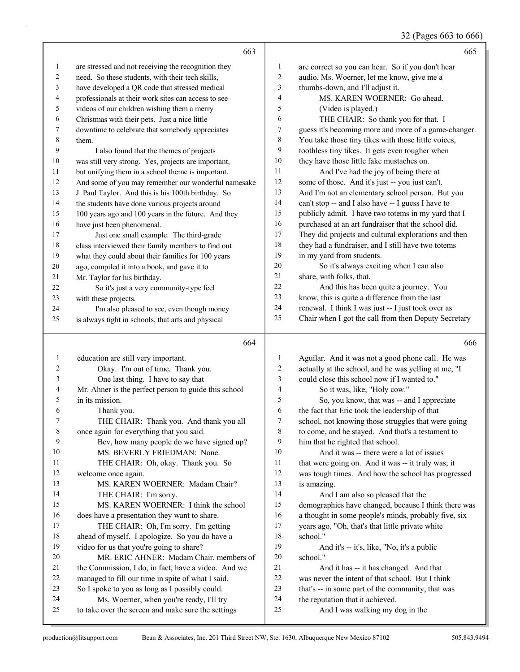#### 32 (Pages 663 to 666)

|              | 663                                                  |                  | 665                                                  |
|--------------|------------------------------------------------------|------------------|------------------------------------------------------|
| 1            | are stressed and not receiving the recognition they  | $\mathbf{1}$     | are correct so you can hear. So if you don't hear    |
| 2            | need. So these students, with their tech skills,     | $\overline{c}$   | audio, Ms. Woerner, let me know, give me a           |
| 3            | have developed a QR code that stressed medical       | 3                | thumbs-down, and I'll adjust it.                     |
| 4            | professionals at their work sites can access to see  | $\overline{4}$   | MS. KAREN WOERNER: Go ahead.                         |
| 5            | videos of our children wishing them a merry          | 5                | (Video is played.)                                   |
| 6            | Christmas with their pets. Just a nice little        | 6                | THE CHAIR: So thank you for that. I                  |
| 7            | downtime to celebrate that somebody appreciates      | 7                | guess it's becoming more and more of a game-changer. |
| 8            | them.                                                | 8                | You take those tiny tikes with those little voices,  |
| 9            | I also found that the themes of projects             | 9                | toothless tiny tikes. It gets even tougher when      |
| 10           | was still very strong. Yes, projects are important,  | 10               | they have those little fake mustaches on.            |
| 11           | but unifying them in a school theme is important.    | 11               | And I've had the joy of being there at               |
| 12           | And some of you may remember our wonderful namesake  | 12               | some of those. And it's just -- you just can't.      |
| 13           | J. Paul Taylor. And this is his 100th birthday. So   | 13               | And I'm not an elementary school person. But you     |
| 14           | the students have done various projects around       | 14               | can't stop -- and I also have -- I guess I have to   |
| 15           | 100 years ago and 100 years in the future. And they  | 15               | publicly admit. I have two totems in my yard that I  |
| 16           | have just been phenomenal.                           | 16               | purchased at an art fundraiser that the school did.  |
| 17           | Just one small example. The third-grade              | 17               | They did projects and cultural explorations and then |
| 18           | class interviewed their family members to find out   | 18               | they had a fundraiser, and I still have two totems   |
| 19           | what they could about their families for 100 years   | 19               | in my yard from students.                            |
| 20           | ago, compiled it into a book, and gave it to         | $20\,$           | So it's always exciting when I can also              |
| 21           | Mr. Taylor for his birthday.                         | $21$             | share, with folks, that.                             |
| 22           | So it's just a very community-type feel              | 22               | And this has been quite a journey. You               |
| 23           | with these projects.                                 | 23               | know, this is quite a difference from the last       |
| 24           | I'm also pleased to see, even though money           | 24               | renewal. I think I was just -- I just took over as   |
| 25           | is always tight in schools, that arts and physical   | 25               | Chair when I got the call from then Deputy Secretary |
|              | 664                                                  |                  | 666                                                  |
| $\mathbf{1}$ | education are still very important.                  | $\mathbf{1}$     | Aguilar. And it was not a good phone call. He was    |
| 2            | Okay. I'm out of time. Thank you.                    | $\overline{c}$   | actually at the school, and he was yelling at me, "I |
| 3            | One last thing. I have to say that                   | 3                | could close this school now if I wanted to."         |
| 4            | Mr. Ahner is the perfect person to guide this school | $\overline{4}$   | So it was, like, "Holy cow."                         |
| 5            | in its mission.                                      | 5                | So, you know, that was -- and I appreciate           |
| 6            | Thank you.                                           | 6                | the fact that Eric took the leadership of that       |
| 7            | THE CHAIR: Thank you. And thank you all              | $\boldsymbol{7}$ | school, not knowing those struggles that were going  |
| $8\,$        | once again for everything that you said.             | 8                | to come, and he stayed. And that's a testament to    |
| 9            | Bev, how many people do we have signed up?           | 9                | him that he righted that school.                     |
| 10           | MS. BEVERLY FRIEDMAN: None.                          | 10               | And it was -- there were a lot of issues             |
| 11           | THE CHAIR: Oh, okay. Thank you. So                   | 11               | that were going on. And it was -- it truly was; it   |
| 12           | welcome once again.                                  | 12               | was tough times. And how the school has progressed   |
| 13           | MS. KAREN WOERNER: Madam Chair?                      | 13               | is amazing.                                          |
| 14           | THE CHAIR: I'm sorry.                                | 14               | And I am also so pleased that the                    |
| 15           | MS. KAREN WOERNER: I think the school                | 15               | demographics have changed, because I think there was |
| 16           | does have a presentation they want to share.         | 16               | a thought in some people's minds, probably five, six |
| 17           | THE CHAIR: Oh, I'm sorry. I'm getting                | 17               | years ago, "Oh, that's that little private white     |
| 18           | ahead of myself. I apologize. So you do have a       | 18               | school."                                             |
| 19           | video for us that you're going to share?             | 19               | And it's -- it's, like, "No, it's a public           |
| 20           | MR. ERIC AHNER: Madam Chair, members of              | $20\,$           | school."                                             |
| 21           | the Commission, I do, in fact, have a video. And we  | 21               | And it has -- it has changed. And that               |
| 22           |                                                      |                  |                                                      |
|              | managed to fill our time in spite of what I said.    | 22               | was never the intent of that school. But I think     |

that's -- in some part of the community, that was

the reputation that it achieved.

25 And I was walking my dog in the

24 Ms. Woerner, when you're ready, I'll try to take over the screen and make sure the settings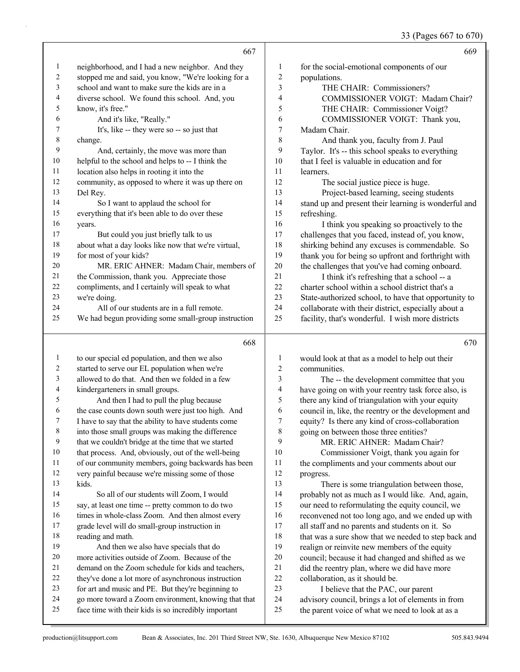# 33 (Pages 667 to 670)

|                   | 667                                                                                                          |                          | 669                                                                                                      |
|-------------------|--------------------------------------------------------------------------------------------------------------|--------------------------|----------------------------------------------------------------------------------------------------------|
| $\mathbf{1}$      | neighborhood, and I had a new neighbor. And they                                                             | 1                        | for the social-emotional components of our                                                               |
| $\overline{c}$    | stopped me and said, you know, "We're looking for a                                                          | $\overline{c}$           | populations.                                                                                             |
| 3                 | school and want to make sure the kids are in a                                                               | 3                        | THE CHAIR: Commissioners?                                                                                |
| 4                 | diverse school. We found this school. And, you                                                               | 4                        | COMMISSIONER VOIGT: Madam Chair?                                                                         |
| 5                 | know, it's free."                                                                                            | 5                        | THE CHAIR: Commissioner Voigt?                                                                           |
| 6                 | And it's like, "Really."                                                                                     | 6                        | COMMISSIONER VOIGT: Thank you,                                                                           |
| 7                 | It's, like -- they were so -- so just that                                                                   | $\boldsymbol{7}$         | Madam Chair.                                                                                             |
| $\,$ 8 $\,$       | change.                                                                                                      | 8                        | And thank you, faculty from J. Paul                                                                      |
| 9                 | And, certainly, the move was more than                                                                       | 9                        | Taylor. It's -- this school speaks to everything                                                         |
| 10                | helpful to the school and helps to -- I think the                                                            | 10                       | that I feel is valuable in education and for                                                             |
| 11                | location also helps in rooting it into the                                                                   | 11                       | learners.                                                                                                |
| 12                | community, as opposed to where it was up there on                                                            | 12                       | The social justice piece is huge.                                                                        |
| 13                | Del Rey.                                                                                                     | 13                       | Project-based learning, seeing students                                                                  |
| 14                | So I want to applaud the school for                                                                          | 14                       | stand up and present their learning is wonderful and                                                     |
| 15                | everything that it's been able to do over these                                                              | 15                       | refreshing.                                                                                              |
| 16                | years.                                                                                                       | 16                       | I think you speaking so proactively to the                                                               |
| 17                | But could you just briefly talk to us                                                                        | 17                       | challenges that you faced, instead of, you know,                                                         |
| $18\,$            | about what a day looks like now that we're virtual,                                                          | 18                       | shirking behind any excuses is commendable. So                                                           |
| 19                | for most of your kids?                                                                                       | 19                       | thank you for being so upfront and forthright with                                                       |
| 20                | MR. ERIC AHNER: Madam Chair, members of                                                                      | 20                       | the challenges that you've had coming onboard.                                                           |
| 21                | the Commission, thank you. Appreciate those                                                                  | 21                       | I think it's refreshing that a school -- a                                                               |
| 22                | compliments, and I certainly will speak to what                                                              | 22                       | charter school within a school district that's a                                                         |
| 23                | we're doing.                                                                                                 | 23                       | State-authorized school, to have that opportunity to                                                     |
| 24                | All of our students are in a full remote.                                                                    | 24                       | collaborate with their district, especially about a                                                      |
| 25                | We had begun providing some small-group instruction                                                          | 25                       | facility, that's wonderful. I wish more districts                                                        |
|                   |                                                                                                              |                          |                                                                                                          |
|                   | 668                                                                                                          |                          | 670                                                                                                      |
|                   |                                                                                                              |                          |                                                                                                          |
| $\mathbf{1}$<br>2 | to our special ed population, and then we also                                                               | $\mathbf{1}$<br>2        | would look at that as a model to help out their<br>communities.                                          |
| 3                 | started to serve our EL population when we're                                                                | 3                        |                                                                                                          |
| 4                 | allowed to do that. And then we folded in a few                                                              | $\overline{\mathcal{L}}$ | The -- the development committee that you                                                                |
| 5                 | kindergarteners in small groups.                                                                             | 5                        | have going on with your reentry task force also, is                                                      |
| 6                 | And then I had to pull the plug because<br>the case counts down south were just too high. And                | 6                        | there any kind of triangulation with your equity<br>council in, like, the reentry or the development and |
| 7                 | I have to say that the ability to have students come                                                         | 7                        | equity? Is there any kind of cross-collaboration                                                         |
| 8                 | into those small groups was making the difference                                                            | 8                        |                                                                                                          |
| 9                 | that we couldn't bridge at the time that we started                                                          | 9                        | going on between those three entities?<br>MR. ERIC AHNER: Madam Chair?                                   |
| 10                | that process. And, obviously, out of the well-being                                                          | 10                       | Commissioner Voigt, thank you again for                                                                  |
| 11                | of our community members, going backwards has been                                                           | 11                       | the compliments and your comments about our                                                              |
| 12                | very painful because we're missing some of those                                                             | 12                       | progress.                                                                                                |
| 13                | kids.                                                                                                        | 13                       | There is some triangulation between those,                                                               |
| 14                | So all of our students will Zoom, I would                                                                    | 14                       | probably not as much as I would like. And, again,                                                        |
| 15                | say, at least one time -- pretty common to do two                                                            | 15                       | our need to reformulating the equity council, we                                                         |
| 16                | times in whole-class Zoom. And then almost every                                                             | 16                       | reconvened not too long ago, and we ended up with                                                        |
| 17                | grade level will do small-group instruction in                                                               | 17                       | all staff and no parents and students on it. So                                                          |
| 18                | reading and math.                                                                                            | 18                       | that was a sure show that we needed to step back and                                                     |
| 19                | And then we also have specials that do                                                                       | 19                       | realign or reinvite new members of the equity                                                            |
| $20\,$            | more activities outside of Zoom. Because of the                                                              | $20\,$                   | council; because it had changed and shifted as we                                                        |
| 21                | demand on the Zoom schedule for kids and teachers,                                                           | 21                       | did the reentry plan, where we did have more                                                             |
| 22                | they've done a lot more of asynchronous instruction                                                          | $22\,$                   | collaboration, as it should be.                                                                          |
| 23                | for art and music and PE. But they're beginning to                                                           | 23                       | I believe that the PAC, our parent                                                                       |
| 24<br>25          | go more toward a Zoom environment, knowing that that<br>face time with their kids is so incredibly important | 24<br>$25\,$             | advisory council, brings a lot of elements in from<br>the parent voice of what we need to look at as a   |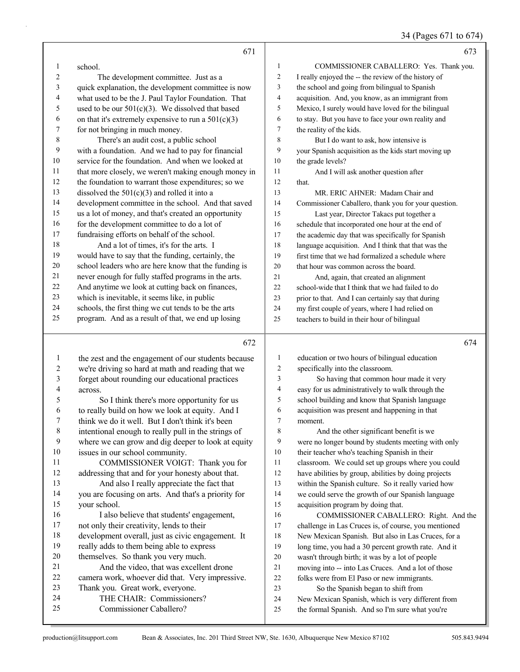|                |                                                       |                | 34 (Pages 671 to 674)                                |
|----------------|-------------------------------------------------------|----------------|------------------------------------------------------|
|                | 671                                                   |                | 673                                                  |
| $\mathbf{1}$   | school.                                               | $\mathbf{1}$   | COMMISSIONER CABALLERO: Yes. Thank you.              |
| 2              | The development committee. Just as a                  | $\overline{c}$ | I really enjoyed the -- the review of the history of |
| 3              | quick explanation, the development committee is now   | 3              | the school and going from bilingual to Spanish       |
| $\overline{4}$ | what used to be the J. Paul Taylor Foundation. That   | $\overline{4}$ | acquisition. And, you know, as an immigrant from     |
| 5              | used to be our $501(c)(3)$ . We dissolved that based  | 5              | Mexico, I surely would have loved for the bilingual  |
| 6              | on that it's extremely expensive to run a $501(c)(3)$ | 6              | to stay. But you have to face your own reality and   |
| 7              | for not bringing in much money.                       | 7              | the reality of the kids.                             |
| 8              | There's an audit cost, a public school                | 8              | But I do want to ask, how intensive is               |
| 9              | with a foundation. And we had to pay for financial    | 9              | your Spanish acquisition as the kids start moving up |
| 10             | service for the foundation. And when we looked at     | 10             | the grade levels?                                    |
| 11             | that more closely, we weren't making enough money in  | 11             | And I will ask another question after                |
| 12             | the foundation to warrant those expenditures; so we   | 12             | that.                                                |
| 13             | dissolved the $501(c)(3)$ and rolled it into a        | 13             | MR. ERIC AHNER: Madam Chair and                      |
| 14             | development committee in the school. And that saved   | 14             | Commissioner Caballero, thank you for your question. |
| 15             | us a lot of money, and that's created an opportunity  | 15             | Last year, Director Takacs put together a            |
| 16             | for the development committee to do a lot of          | 16             | schedule that incorporated one hour at the end of    |
| 17             | fundraising efforts on behalf of the school.          | 17             | the academic day that was specifically for Spanish   |
| 18             | And a lot of times, it's for the arts. I              | 18             | language acquisition. And I think that that was the  |
| 19             | would have to say that the funding, certainly, the    | 19             | first time that we had formalized a schedule where   |
| 20             | school leaders who are here know that the funding is  | 20             | that hour was common across the board.               |
| 21             | never enough for fully staffed programs in the arts.  | 21             | And, again, that created an alignment                |
| 22             | And anytime we look at cutting back on finances,      | 22             | school-wide that I think that we had failed to do    |
| 23             | which is inevitable, it seems like, in public         | 23             | prior to that. And I can certainly say that during   |
| 24             | schools, the first thing we cut tends to be the arts  | 24             | my first couple of years, where I had relied on      |
| 25             | program. And as a result of that, we end up losing    | 25             | teachers to build in their hour of bilingual         |
|                | 672                                                   |                | 674                                                  |
| 1              | the zest and the engagement of our students because   | $\mathbf{1}$   | education or two hours of bilingual education        |
| 2              | we're driving so hard at math and reading that we     | $\overline{2}$ | specifically into the classroom.                     |
| 3              | forget about rounding our educational practices       | 3              | So having that common hour made it very              |
| 4              | across.                                               | $\overline{4}$ | easy for us administratively to walk through the     |
| 5              | So I think there's more opportunity for us            | 5              | school building and know that Spanish language       |
| 6              | to really build on how we look at equity. And I       | 6              | acquisition was present and happening in that        |

- think we do it well. But I don't think it's been
- intentional enough to really pull in the strings of
- where we can grow and dig deeper to look at equity
- issues in our school community. 11 COMMISSIONER VOIGT: Thank you for
- addressing that and for your honesty about that. 13 And also I really appreciate the fact that
- you are focusing on arts. And that's a priority for your school.
- 16 I also believe that students' engagement, not only their creativity, lends to their development overall, just as civic engagement. It really adds to them being able to express themselves. So thank you very much. 21 And the video, that was excellent drone camera work, whoever did that. Very impressive. Thank you. Great work, everyone.
- 24 THE CHAIR: Commissioners?
- 25 Commissioner Caballero?
- moment. 8 And the other significant benefit is we were no longer bound by students meeting with only their teacher who's teaching Spanish in their
- classroom. We could set up groups where you could
- have abilities by group, abilities by doing projects
- within the Spanish culture. So it really varied how
- we could serve the growth of our Spanish language acquisition program by doing that.
- 16 COMMISSIONER CABALLERO: Right. And the challenge in Las Cruces is, of course, you mentioned New Mexican Spanish. But also in Las Cruces, for a long time, you had a 30 percent growth rate. And it wasn't through birth; it was by a lot of people moving into -- into Las Cruces. And a lot of those folks were from El Paso or new immigrants.
- 23 So the Spanish began to shift from
- New Mexican Spanish, which is very different from
- the formal Spanish. And so I'm sure what you're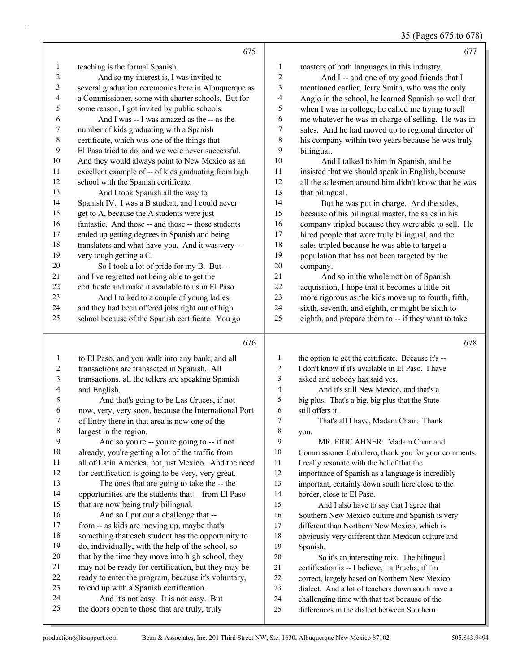## 35 (Pages 675 to 678)

|                | 675                                                                                                    |                          | 677                                                                                           |
|----------------|--------------------------------------------------------------------------------------------------------|--------------------------|-----------------------------------------------------------------------------------------------|
| 1              | teaching is the formal Spanish.                                                                        | $\mathbf{1}$             | masters of both languages in this industry.                                                   |
| $\overline{c}$ | And so my interest is, I was invited to                                                                | $\overline{c}$           | And I -- and one of my good friends that I                                                    |
| 3              | several graduation ceremonies here in Albuquerque as                                                   | 3                        | mentioned earlier, Jerry Smith, who was the only                                              |
| 4              | a Commissioner, some with charter schools. But for                                                     | $\overline{\mathcal{A}}$ | Anglo in the school, he learned Spanish so well that                                          |
| 5              | some reason, I got invited by public schools.                                                          | 5                        | when I was in college, he called me trying to sell                                            |
| 6              | And I was -- I was amazed as the -- as the                                                             | 6                        | me whatever he was in charge of selling. He was in                                            |
| 7              | number of kids graduating with a Spanish                                                               | $\boldsymbol{7}$         | sales. And he had moved up to regional director of                                            |
| $\,$ $\,$      | certificate, which was one of the things that                                                          | $\,$ 8 $\,$              | his company within two years because he was truly                                             |
| 9              | El Paso tried to do, and we were never successful.                                                     | 9                        | bilingual.                                                                                    |
| 10             | And they would always point to New Mexico as an                                                        | $10\,$                   | And I talked to him in Spanish, and he                                                        |
| 11             | excellent example of -- of kids graduating from high                                                   | 11                       | insisted that we should speak in English, because                                             |
| 12             | school with the Spanish certificate.                                                                   | 12                       | all the salesmen around him didn't know that he was                                           |
| 13             | And I took Spanish all the way to                                                                      | 13                       | that bilingual.                                                                               |
| 14             | Spanish IV. I was a B student, and I could never                                                       | 14                       | But he was put in charge. And the sales,                                                      |
| 15             | get to A, because the A students were just                                                             | 15                       | because of his bilingual master, the sales in his                                             |
| 16             | fantastic. And those -- and those -- those students                                                    | 16                       | company tripled because they were able to sell. He                                            |
| 17             | ended up getting degrees in Spanish and being                                                          | 17                       | hired people that were truly bilingual, and the                                               |
| 18             | translators and what-have-you. And it was very --                                                      | 18                       | sales tripled because he was able to target a                                                 |
| 19             | very tough getting a C.                                                                                | 19                       | population that has not been targeted by the                                                  |
| 20             | So I took a lot of pride for my B. But --                                                              | $20\,$                   | company.                                                                                      |
| 21             | and I've regretted not being able to get the                                                           | 21                       | And so in the whole notion of Spanish                                                         |
| $22\,$         | certificate and make it available to us in El Paso.                                                    | $22\,$                   | acquisition, I hope that it becomes a little bit                                              |
| 23             | And I talked to a couple of young ladies,                                                              | 23                       | more rigorous as the kids move up to fourth, fifth,                                           |
| 24             | and they had been offered jobs right out of high                                                       | 24                       | sixth, seventh, and eighth, or might be sixth to                                              |
| 25             | school because of the Spanish certificate. You go                                                      | 25                       | eighth, and prepare them to -- if they want to take                                           |
|                |                                                                                                        |                          |                                                                                               |
|                |                                                                                                        |                          |                                                                                               |
|                | 676                                                                                                    |                          | 678                                                                                           |
| $\mathbf{1}$   | to El Paso, and you walk into any bank, and all                                                        | 1                        | the option to get the certificate. Because it's --                                            |
| $\overline{c}$ | transactions are transacted in Spanish. All                                                            | $\overline{c}$           | I don't know if it's available in El Paso. I have                                             |
| 3              | transactions, all the tellers are speaking Spanish                                                     | 3                        | asked and nobody has said yes.                                                                |
| 4              | and English.                                                                                           | $\overline{\mathcal{L}}$ | And it's still New Mexico, and that's a                                                       |
| 5              | And that's going to be Las Cruces, if not                                                              | 5                        | big plus. That's a big, big plus that the State                                               |
| 6              | now, very, very soon, because the International Port                                                   | 6                        | still offers it.                                                                              |
| 7              | of Entry there in that area is now one of the                                                          | $\overline{7}$           | That's all I have, Madam Chair. Thank                                                         |
| 8              | largest in the region.                                                                                 | 8                        | you.                                                                                          |
| 9              | And so you're -- you're going to -- if not                                                             | 9                        | MR. ERIC AHNER: Madam Chair and                                                               |
| 10             | already, you're getting a lot of the traffic from                                                      | 10                       | Commissioner Caballero, thank you for your comments.                                          |
| 11             | all of Latin America, not just Mexico. And the need                                                    | 11                       | I really resonate with the belief that the                                                    |
| 12             | for certification is going to be very, very great.                                                     | 12                       | importance of Spanish as a language is incredibly                                             |
| 13             | The ones that are going to take the -- the                                                             | 13                       | important, certainly down south here close to the                                             |
| 14             | opportunities are the students that -- from El Paso                                                    | 14                       | border, close to El Paso.                                                                     |
| 15             | that are now being truly bilingual.                                                                    | 15                       | And I also have to say that I agree that                                                      |
| 16<br>17       | And so I put out a challenge that --                                                                   | 16                       | Southern New Mexico culture and Spanish is very                                               |
| $18\,$         | from -- as kids are moving up, maybe that's                                                            | 17<br>$18\,$             | different than Northern New Mexico, which is                                                  |
| 19             | something that each student has the opportunity to                                                     | 19                       | obviously very different than Mexican culture and                                             |
| $20\,$         | do, individually, with the help of the school, so<br>that by the time they move into high school, they | $20\,$                   | Spanish.                                                                                      |
| 21             | may not be ready for certification, but they may be                                                    | 21                       | So it's an interesting mix. The bilingual<br>certification is -- I believe, La Prueba, if I'm |
| $22\,$         | ready to enter the program, because it's voluntary,                                                    | 22                       | correct, largely based on Northern New Mexico                                                 |
| 23             | to end up with a Spanish certification.                                                                | 23                       | dialect. And a lot of teachers down south have a                                              |
| 24<br>25       | And it's not easy. It is not easy. But<br>the doors open to those that are truly, truly                | 24                       | challenging time with that test because of the                                                |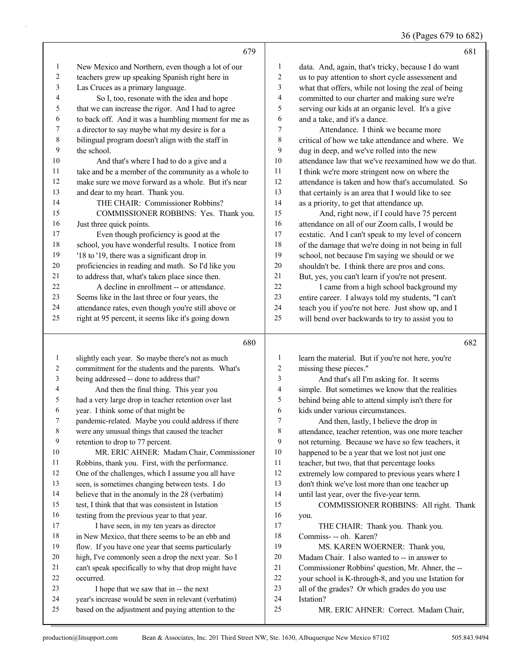36 (Pages 679 to 682)

|                | 679                                                  |                         | 681                                                  |
|----------------|------------------------------------------------------|-------------------------|------------------------------------------------------|
| $\mathbf{1}$   | New Mexico and Northern, even though a lot of our    | $\mathbf{1}$            | data. And, again, that's tricky, because I do want   |
| 2              | teachers grew up speaking Spanish right here in      | $\sqrt{2}$              | us to pay attention to short cycle assessment and    |
| 3              | Las Cruces as a primary language.                    | 3                       | what that offers, while not losing the zeal of being |
| 4              | So I, too, resonate with the idea and hope           | $\overline{4}$          | committed to our charter and making sure we're       |
| 5              | that we can increase the rigor. And I had to agree   | 5                       | serving our kids at an organic level. It's a give    |
| 6              | to back off. And it was a humbling moment for me as  | 6                       | and a take, and it's a dance.                        |
| 7              | a director to say maybe what my desire is for a      | $\overline{7}$          | Attendance. I think we became more                   |
| 8              | bilingual program doesn't align with the staff in    | 8                       | critical of how we take attendance and where. We     |
| 9              | the school.                                          | 9                       | dug in deep, and we've rolled into the new           |
| 10             | And that's where I had to do a give and a            | 10                      | attendance law that we've reexamined how we do that. |
| 11             | take and be a member of the community as a whole to  | 11                      | I think we're more stringent now on where the        |
| 12             | make sure we move forward as a whole. But it's near  | 12                      | attendance is taken and how that's accumulated. So   |
| 13             | and dear to my heart. Thank you.                     | 13                      | that certainly is an area that I would like to see   |
| 14             | THE CHAIR: Commissioner Robbins?                     | 14                      | as a priority, to get that attendance up.            |
| 15             | COMMISSIONER ROBBINS: Yes. Thank you.                | 15                      | And, right now, if I could have 75 percent           |
| 16             | Just three quick points.                             | 16                      | attendance on all of our Zoom calls, I would be      |
| 17             | Even though proficiency is good at the               | 17                      | ecstatic. And I can't speak to my level of concern   |
| 18             | school, you have wonderful results. I notice from    | 18                      | of the damage that we're doing in not being in full  |
| 19             | '18 to '19, there was a significant drop in          | 19                      | school, not because I'm saying we should or we       |
| 20             | proficiencies in reading and math. So I'd like you   | 20                      | shouldn't be. I think there are pros and cons.       |
| 21             | to address that, what's taken place since then.      | 21                      | But, yes, you can't learn if you're not present.     |
| 22             | A decline in enrollment -- or attendance.            | 22                      | I came from a high school background my              |
| 23             | Seems like in the last three or four years, the      | 23                      | entire career. I always told my students, "I can't   |
| 24             | attendance rates, even though you're still above or  | 24                      | teach you if you're not here. Just show up, and I    |
| 25             | right at 95 percent, it seems like it's going down   | 25                      | will bend over backwards to try to assist you to     |
|                | 680                                                  |                         | 682                                                  |
| $\mathbf{1}$   | slightly each year. So maybe there's not as much     | $\mathbf{1}$            | learn the material. But if you're not here, you're   |
| $\overline{c}$ | commitment for the students and the parents. What's  | 2                       | missing these pieces."                               |
| 3              | being addressed -- done to address that?             | $\overline{\mathbf{3}}$ | And that's all I'm asking for. It seems              |
| 4              | And then the final thing. This year you              | $\overline{4}$          | simple. But sometimes we know that the realities     |
| 5              | had a very large drop in teacher retention over last | 5                       | behind being able to attend simply isn't there for   |
| 6              | year. I think some of that might be                  | 6                       | kids under various circumstances.                    |
| 7              | pandemic-related. Maybe you could address if there   | $\overline{7}$          | And then, lastly. I believe the drop in              |

- pandemic-related. Maybe you could address if there
- were any unusual things that caused the teacher
- retention to drop to 77 percent.
- 10 MR. ERIC AHNER: Madam Chair, Commissioner Robbins, thank you. First, with the performance.
- One of the challenges, which I assume you all have
- seen, is sometimes changing between tests. I do
- believe that in the anomaly in the 28 (verbatim)
- test, I think that that was consistent in Istation
- testing from the previous year to that year. 17 I have seen, in my ten years as director
- in New Mexico, that there seems to be an ebb and
- flow. If you have one year that seems particularly
- high, I've commonly seen a drop the next year. So I
- can't speak specifically to why that drop might have
- occurred.
- 23 I hope that we saw that in -- the next
- year's increase would be seen in relevant (verbatim)
- based on the adjustment and paying attention to the

you.

Istation?

 attendance, teacher retention, was one more teacher not returning. Because we have so few teachers, it happened to be a year that we lost not just one teacher, but two, that that percentage looks extremely low compared to previous years where I don't think we've lost more than one teacher up

15 COMMISSIONER ROBBINS: All right. Thank

until last year, over the five-year term.

Commiss- -- oh. Karen?

17 THE CHAIR: Thank you. Thank you.

19 MS. KAREN WOERNER: Thank you, Madam Chair. I also wanted to -- in answer to Commissioner Robbins' question, Mr. Ahner, the -- your school is K-through-8, and you use Istation for all of the grades? Or which grades do you use

25 MR. ERIC AHNER: Correct. Madam Chair,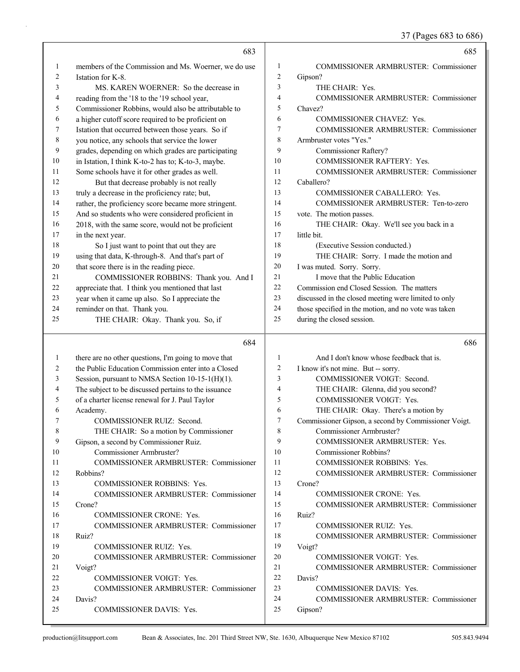37 (Pages 683 to 686)

|              | 683                                                                                                         |                  | 685                                                     |
|--------------|-------------------------------------------------------------------------------------------------------------|------------------|---------------------------------------------------------|
| $\mathbf{1}$ | members of the Commission and Ms. Woerner, we do use                                                        | 1                | COMMISSIONER ARMBRUSTER: Commissioner                   |
| 2            | Istation for K-8.                                                                                           | $\overline{2}$   | Gipson?                                                 |
| 3            | MS. KAREN WOERNER: So the decrease in                                                                       | 3                | THE CHAIR: Yes.                                         |
| 4            | reading from the '18 to the '19 school year,                                                                | 4                | <b>COMMISSIONER ARMBRUSTER: Commissioner</b>            |
| 5            | Commissioner Robbins, would also be attributable to                                                         | 5                | Chavez?                                                 |
| 6            | a higher cutoff score required to be proficient on                                                          | 6                | COMMISSIONER CHAVEZ: Yes.                               |
| 7            | Istation that occurred between those years. So if                                                           | 7                | COMMISSIONER ARMBRUSTER: Commissioner                   |
| $\,$ $\,$    | you notice, any schools that service the lower                                                              | 8                | Armbruster votes "Yes."                                 |
| 9            | grades, depending on which grades are participating                                                         | 9                | <b>Commissioner Raftery?</b>                            |
| 10           | in Istation, I think K-to-2 has to; K-to-3, maybe.                                                          | 10               | COMMISSIONER RAFTERY: Yes.                              |
| 11           | Some schools have it for other grades as well.                                                              | 11               | <b>COMMISSIONER ARMBRUSTER: Commissioner</b>            |
| 12           | But that decrease probably is not really                                                                    | 12               | Caballero?                                              |
| 13           | truly a decrease in the proficiency rate; but,                                                              | 13               | COMMISSIONER CABALLERO: Yes.                            |
| 14           | rather, the proficiency score became more stringent.                                                        | 14               | COMMISSIONER ARMBRUSTER: Ten-to-zero                    |
| 15           | And so students who were considered proficient in                                                           | 15               | vote. The motion passes.                                |
| 16           | 2018, with the same score, would not be proficient                                                          | 16               | THE CHAIR: Okay. We'll see you back in a                |
| 17           | in the next year.                                                                                           | 17               | little bit.                                             |
| 18           | So I just want to point that out they are                                                                   | 18               | (Executive Session conducted.)                          |
| 19           | using that data, K-through-8. And that's part of                                                            | 19               | THE CHAIR: Sorry. I made the motion and                 |
| $20\,$       | that score there is in the reading piece.                                                                   | 20               | I was muted. Sorry. Sorry.                              |
| 21           | COMMISSIONER ROBBINS: Thank you. And I                                                                      | 21               | I move that the Public Education                        |
| 22           | appreciate that. I think you mentioned that last                                                            | 22               | Commission end Closed Session. The matters              |
| 23           | year when it came up also. So I appreciate the                                                              | 23               | discussed in the closed meeting were limited to only    |
| 24           | reminder on that. Thank you.                                                                                | 24               | those specified in the motion, and no vote was taken    |
| 25           | THE CHAIR: Okay. Thank you. So, if                                                                          | 25               | during the closed session.                              |
|              |                                                                                                             |                  |                                                         |
|              | 684                                                                                                         |                  | 686                                                     |
| $\mathbf{1}$ |                                                                                                             | $\mathbf{1}$     | And I don't know whose feedback that is.                |
| 2            | there are no other questions, I'm going to move that<br>the Public Education Commission enter into a Closed | $\boldsymbol{2}$ | I know it's not mine. But -- sorry.                     |
| 3            | Session, pursuant to NMSA Section 10-15-1(H)(1).                                                            | 3                | COMMISSIONER VOIGT: Second.                             |
| 4            | The subject to be discussed pertains to the issuance                                                        | $\overline{4}$   | THE CHAIR: Glenna, did you second?                      |
| 5            | of a charter license renewal for J. Paul Taylor                                                             | 5                | COMMISSIONER VOIGT: Yes.                                |
| 6            | Academy.                                                                                                    | 6                | THE CHAIR: Okay. There's a motion by                    |
| 7            | COMMISSIONER RUIZ: Second.                                                                                  | 7                | Commissioner Gipson, a second by Commissioner Voigt.    |
| 8            | THE CHAIR: So a motion by Commissioner                                                                      | 8                | Commissioner Armbruster?                                |
| 9            | Gipson, a second by Commissioner Ruiz.                                                                      | 9                | COMMISSIONER ARMBRUSTER: Yes.                           |
| 10           | Commissioner Armbruster?                                                                                    | 10               | Commissioner Robbins?                                   |
| 11           | COMMISSIONER ARMBRUSTER: Commissioner                                                                       | 11               | COMMISSIONER ROBBINS: Yes.                              |
| 12           | Robbins?                                                                                                    | 12               | <b>COMMISSIONER ARMBRUSTER: Commissioner</b>            |
| 13           | COMMISSIONER ROBBINS: Yes.                                                                                  | 13               | Crone?                                                  |
| 14           | COMMISSIONER ARMBRUSTER: Commissioner                                                                       | 14               | COMMISSIONER CRONE: Yes.                                |
| 15           | Crone?                                                                                                      | 15               | <b>COMMISSIONER ARMBRUSTER: Commissioner</b>            |
| 16           | <b>COMMISSIONER CRONE: Yes.</b>                                                                             | 16               | Ruiz?                                                   |
| 17           | <b>COMMISSIONER ARMBRUSTER: Commissioner</b>                                                                | 17               | COMMISSIONER RUIZ: Yes.                                 |
| 18           | Ruiz?                                                                                                       | 18               | <b>COMMISSIONER ARMBRUSTER: Commissioner</b>            |
| 19           | <b>COMMISSIONER RUIZ: Yes.</b>                                                                              | 19               | Voigt?                                                  |
| 20           | <b>COMMISSIONER ARMBRUSTER: Commissioner</b>                                                                | 20               | <b>COMMISSIONER VOIGT: Yes.</b>                         |
| 21           | Voigt?                                                                                                      | 21               | <b>COMMISSIONER ARMBRUSTER: Commissioner</b>            |
| 22           | <b>COMMISSIONER VOIGT: Yes.</b>                                                                             | 22               | Davis?                                                  |
| 23           | COMMISSIONER ARMBRUSTER: Commissioner                                                                       | 23               | <b>COMMISSIONER DAVIS: Yes.</b>                         |
| 24<br>25     | Davis?<br><b>COMMISSIONER DAVIS: Yes.</b>                                                                   | 24<br>25         | <b>COMMISSIONER ARMBRUSTER: Commissioner</b><br>Gipson? |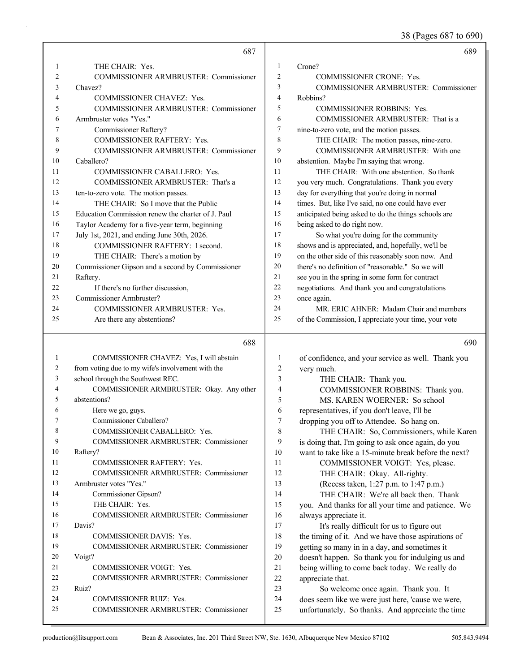38 (Pages 687 to 690)

|                | 687                                               |                | 689                                                  |
|----------------|---------------------------------------------------|----------------|------------------------------------------------------|
| 1              | THE CHAIR: Yes.                                   | 1              | Crone?                                               |
| $\overline{c}$ | COMMISSIONER ARMBRUSTER: Commissioner             | $\overline{2}$ | <b>COMMISSIONER CRONE: Yes.</b>                      |
| 3              | Chavez?                                           | 3              | COMMISSIONER ARMBRUSTER: Commissioner                |
| 4              | <b>COMMISSIONER CHAVEZ: Yes.</b>                  | $\overline{4}$ | Robbins?                                             |
| 5              | COMMISSIONER ARMBRUSTER: Commissioner             | 5              | <b>COMMISSIONER ROBBINS: Yes.</b>                    |
| 6              | Armbruster votes "Yes."                           | 6              | COMMISSIONER ARMBRUSTER: That is a                   |
| 7              | Commissioner Raftery?                             | $\tau$         | nine-to-zero vote, and the motion passes.            |
| 8              | COMMISSIONER RAFTERY: Yes.                        | 8              | THE CHAIR: The motion passes, nine-zero.             |
| 9              | COMMISSIONER ARMBRUSTER: Commissioner             | 9              | COMMISSIONER ARMBRUSTER: With one                    |
| 10             | Caballero?                                        | 10             | abstention. Maybe I'm saying that wrong.             |
| 11             | COMMISSIONER CABALLERO: Yes.                      | 11             | THE CHAIR: With one abstention. So thank             |
| 12             | COMMISSIONER ARMBRUSTER: That's a                 | 12             | you very much. Congratulations. Thank you every      |
| 13             | ten-to-zero vote. The motion passes.              | 13             | day for everything that you're doing in normal       |
| 14             | THE CHAIR: So I move that the Public              | 14             | times. But, like I've said, no one could have ever   |
| 15             | Education Commission renew the charter of J. Paul | 15             | anticipated being asked to do the things schools are |
| 16             | Taylor Academy for a five-year term, beginning    | 16             | being asked to do right now.                         |
| 17             | July 1st, 2021, and ending June 30th, 2026.       | 17             | So what you're doing for the community               |
| 18             | COMMISSIONER RAFTERY: I second.                   | 18             | shows and is appreciated, and, hopefully, we'll be   |
| 19             | THE CHAIR: There's a motion by                    | 19             | on the other side of this reasonably soon now. And   |
| 20             | Commissioner Gipson and a second by Commissioner  | 20             | there's no definition of "reasonable." So we will    |
| 21             | Raftery.                                          | 21             | see you in the spring in some form for contract      |
| 22             | If there's no further discussion,                 | 22             | negotiations. And thank you and congratulations      |
| 23             | Commissioner Armbruster?                          | 23             | once again.                                          |
| 24             | <b>COMMISSIONER ARMBRUSTER: Yes.</b>              | 24             | MR. ERIC AHNER: Madam Chair and members              |
| 25             | Are there any abstentions?                        | 25             | of the Commission, I appreciate your time, your vote |
|                |                                                   |                |                                                      |
|                | 688                                               |                | 690                                                  |
| 1              | COMMISSIONER CHAVEZ: Yes, I will abstain          | $\mathbf{1}$   | of confidence, and your service as well. Thank you   |
| 2              | from voting due to my wife's involvement with the | $\overline{c}$ | very much.                                           |
| 3              | school through the Southwest REC.                 | 3              | THE CHAIR: Thank you.                                |
| 4              | COMMISSIONER ARMBRUSTER: Okay. Any other          | 4              | COMMISSIONER ROBBINS: Thank you.                     |
| 5              | abstentions?                                      | 5              | MS. KAREN WOERNER: So school                         |
| 6              | Here we go, guys.                                 | 6              | representatives, if you don't leave, I'll be         |
| 7              | Commissioner Caballero?                           | 7              | dropping you off to Attendee. So hang on.            |
| 8              | COMMISSIONER CABALLERO: Yes.                      | 8              | THE CHAIR: So, Commissioners, while Karen            |
| 9              | COMMISSIONER ARMBRUSTER: Commissioner             | 9              | is doing that, I'm going to ask once again, do you   |
| 10             | Raftery?                                          | 10             | want to take like a 15-minute break before the next? |
| 11             | COMMISSIONER RAFTERY: Yes.                        | 11             | COMMISSIONER VOIGT: Yes, please.                     |
| 12             | COMMISSIONER ARMBRUSTER: Commissioner             | 12             | THE CHAIR: Okay. All-righty.                         |
| 13             | Armbruster votes "Yes."                           | 13             | (Recess taken, 1:27 p.m. to 1:47 p.m.)               |
| 14             | Commissioner Gipson?                              | 14             | THE CHAIR: We're all back then. Thank                |
| 15             | THE CHAIR: Yes.                                   | 15             | you. And thanks for all your time and patience. We   |
| 16             | COMMISSIONER ARMBRUSTER: Commissioner             | 16             | always appreciate it.                                |
| 17             | Davis?                                            | 17             | It's really difficult for us to figure out           |
| 18             | COMMISSIONER DAVIS: Yes.                          | 18             | the timing of it. And we have those aspirations of   |
| 19             | COMMISSIONER ARMBRUSTER: Commissioner             | 19             | getting so many in in a day, and sometimes it        |
| 20             | Voigt?                                            | $20\,$         | doesn't happen. So thank you for indulging us and    |
| 21             | COMMISSIONER VOIGT: Yes.                          | $21\,$         | being willing to come back today. We really do       |
| 22             | COMMISSIONER ARMBRUSTER: Commissioner             | 22             | appreciate that.                                     |
| 23             | Ruiz?                                             | 23             | So welcome once again. Thank you. It                 |
| 24             | <b>COMMISSIONER RUIZ: Yes.</b>                    | 24             | does seem like we were just here, 'cause we were,    |
| 25             | COMMISSIONER ARMBRUSTER: Commissioner             | 25             |                                                      |
|                |                                                   |                | unfortunately. So thanks. And appreciate the time    |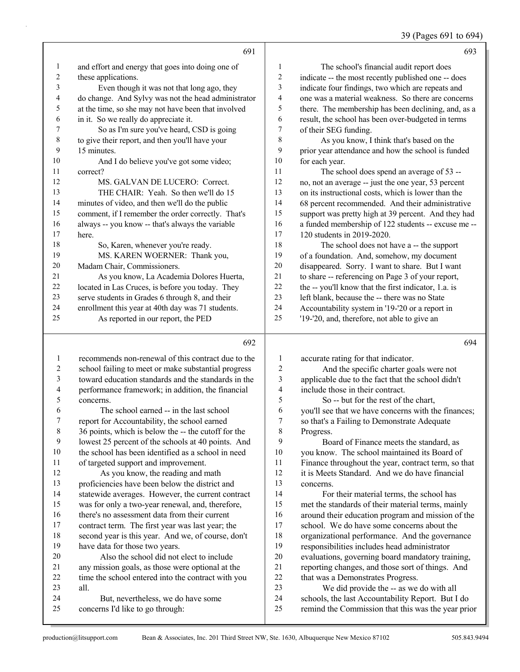39 (Pages 691 to 694)

|             | 691                                                 |    | 693                                                  |
|-------------|-----------------------------------------------------|----|------------------------------------------------------|
| 1           | and effort and energy that goes into doing one of   | 1  | The school's financial audit report does             |
| 2           | these applications.                                 | 2  | indicate -- the most recently published one -- does  |
| 3           | Even though it was not that long ago, they          | 3  | indicate four findings, two which are repeats and    |
| 4           | do change. And Sylvy was not the head administrator | 4  | one was a material weakness. So there are concerns   |
| 5           | at the time, so she may not have been that involved | 5  | there. The membership has been declining, and, as a  |
| 6           | in it. So we really do appreciate it.               | 6  | result, the school has been over-budgeted in terms   |
| 7           | So as I'm sure you've heard, CSD is going           | 7  | of their SEG funding.                                |
| $\,$ 8 $\,$ | to give their report, and then you'll have your     | 8  | As you know, I think that's based on the             |
| 9           | 15 minutes.                                         | 9  | prior year attendance and how the school is funded   |
| 10          | And I do believe you've got some video;             | 10 | for each year.                                       |
| 11          | correct?                                            | 11 | The school does spend an average of 53 --            |
| 12          | MS. GALVAN DE LUCERO: Correct.                      | 12 | no, not an average -- just the one year, 53 percent  |
| 13          | THE CHAIR: Yeah. So then we'll do 15                | 13 | on its instructional costs, which is lower than the  |
| 14          | minutes of video, and then we'll do the public      | 14 | 68 percent recommended. And their administrative     |
| 15          | comment, if I remember the order correctly. That's  | 15 | support was pretty high at 39 percent. And they had  |
| 16          | always -- you know -- that's always the variable    | 16 | a funded membership of 122 students -- excuse me --  |
| 17          | here.                                               | 17 | 120 students in 2019-2020.                           |
| 18          | So, Karen, whenever you're ready.                   | 18 | The school does not have a -- the support            |
| 19          | MS. KAREN WOERNER: Thank you,                       | 19 | of a foundation. And, somehow, my document           |
| 20          | Madam Chair, Commissioners.                         | 20 | disappeared. Sorry. I want to share. But I want      |
| 21          | As you know, La Academia Dolores Huerta,            | 21 | to share -- referencing on Page 3 of your report,    |
| 22          | located in Las Cruces, is before you today. They    | 22 | the -- you'll know that the first indicator, 1.a. is |
| 23          | serve students in Grades 6 through 8, and their     | 23 | left blank, because the -- there was no State        |
| 24          | enrollment this year at 40th day was 71 students.   | 24 | Accountability system in '19-'20 or a report in      |
| 25          | As reported in our report, the PED                  | 25 | '19-'20, and, therefore, not able to give an         |
|             | 692                                                 |    | 694                                                  |
|             | recommends non-renewal of this contract due to the  | 1  | accurate rating for that indicator.                  |

 recommends non-renewal of this contract due to the school failing to meet or make substantial progress toward education standards and the standards in the performance framework; in addition, the financial concerns. 6 The school earned -- in the last school<br>7 report for Accountability, the school earned report for Accountability, the school earned 36 points, which is below the -- the cutoff for the lowest 25 percent of the schools at 40 points. And the school has been identified as a school in need of targeted support and improvement. 12 As you know, the reading and math proficiencies have been below the district and statewide averages. However, the current contract was for only a two-year renewal, and, therefore, there's no assessment data from their current 2 And the specific charter goals were not applicable due to the fact that the school didn't include those in their contract. 5 So -- but for the rest of the chart, you'll see that we have concerns with the finances; so that's a Failing to Demonstrate Adequate Progress. 9 Board of Finance meets the standard, as you know. The school maintained its Board of Finance throughout the year, contract term, so that it is Meets Standard. And we do have financial concerns. 14 For their material terms, the school has met the standards of their material terms, mainly around their education program and mission of the

 contract term. The first year was last year; the second year is this year. And we, of course, don't have data for those two years. 20 Also the school did not elect to include

 any mission goals, as those were optional at the time the school entered into the contract with you all. 24 But, nevertheless, we do have some concerns I'd like to go through:

production@litsupport.com Bean & Associates, Inc. 201 Third Street NW, Ste. 1630, Albuquerque New Mexico 87102 505.843.9494

school. We do have some concerns about the

23 We did provide the -- as we do with all schools, the last Accountability Report. But I do remind the Commission that this was the year prior

22 that was a Demonstrates Progress.

18 organizational performance. And the governance<br>19 responsibilities includes head administrator responsibilities includes head administrator evaluations, governing board mandatory training, reporting changes, and those sort of things. And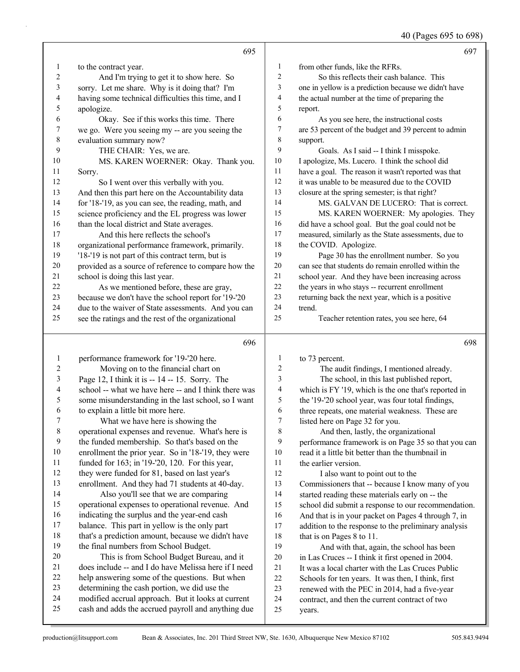40 (Pages 695 to 698)

|    | 695                                                  |    | 697                                                  |
|----|------------------------------------------------------|----|------------------------------------------------------|
| 1  | to the contract year.                                | -1 | from other funds, like the RFRs.                     |
| 2  | And I'm trying to get it to show here. So            | 2  | So this reflects their cash balance. This            |
| 3  | sorry. Let me share. Why is it doing that? I'm       | 3  | one in yellow is a prediction because we didn't have |
| 4  | having some technical difficulties this time, and I  | 4  | the actual number at the time of preparing the       |
| 5  | apologize.                                           | 5  | report.                                              |
| 6  | Okay. See if this works this time. There             | 6  | As you see here, the instructional costs             |
| 7  | we go. Were you seeing my -- are you seeing the      | 7  | are 53 percent of the budget and 39 percent to admin |
| 8  | evaluation summary now?                              | 8  | support.                                             |
| 9  | THE CHAIR: Yes, we are.                              | 9  | Goals. As I said -- I think I misspoke.              |
| 10 | MS. KAREN WOERNER: Okay. Thank you.                  | 10 | I apologize, Ms. Lucero. I think the school did      |
| 11 | Sorry.                                               | 11 | have a goal. The reason it wasn't reported was that  |
| 12 | So I went over this verbally with you.               | 12 | it was unable to be measured due to the COVID        |
| 13 | And then this part here on the Accountability data   | 13 | closure at the spring semester; is that right?       |
| 14 | for '18-'19, as you can see, the reading, math, and  | 14 | MS. GALVAN DE LUCERO: That is correct.               |
| 15 | science proficiency and the EL progress was lower    | 15 | MS. KAREN WOERNER: My apologies. They                |
| 16 | than the local district and State averages.          | 16 | did have a school goal. But the goal could not be    |
| 17 | And this here reflects the school's                  | 17 | measured, similarly as the State assessments, due to |
| 18 | organizational performance framework, primarily.     | 18 | the COVID. Apologize.                                |
| 19 | '18-'19 is not part of this contract term, but is    | 19 | Page 30 has the enrollment number. So you            |
| 20 | provided as a source of reference to compare how the | 20 | can see that students do remain enrolled within the  |
| 21 | school is doing this last year.                      | 21 | school year. And they have been increasing across    |
| 22 | As we mentioned before, these are gray,              | 22 | the years in who stays -- recurrent enrollment       |
| 23 | because we don't have the school report for '19-'20  | 23 | returning back the next year, which is a positive    |
| 24 | due to the waiver of State assessments. And you can  | 24 | trend.                                               |
| 25 | see the ratings and the rest of the organizational   | 25 | Teacher retention rates, you see here, 64            |

#### 

| -1             | performance framework for '19-'20 here.              | 1  | to 73 percent.                                       |
|----------------|------------------------------------------------------|----|------------------------------------------------------|
| 2              | Moving on to the financial chart on                  | 2  | The audit findings, I mentioned already.             |
| $\mathfrak{Z}$ | Page 12, I think it is -- 14 -- 15. Sorry. The       | 3  | The school, in this last published report,           |
| $\overline{4}$ | school -- what we have here -- and I think there was | 4  | which is FY '19, which is the one that's reported in |
| 5              | some misunderstanding in the last school, so I want  | 5  | the '19-'20 school year, was four total findings,    |
| 6              | to explain a little bit more here.                   | 6  | three repeats, one material weakness. These are      |
| 7              | What we have here is showing the                     | 7  | listed here on Page 32 for you.                      |
| $\,8\,$        | operational expenses and revenue. What's here is     | 8  | And then, lastly, the organizational                 |
| 9              | the funded membership. So that's based on the        | 9  | performance framework is on Page 35 so that you can  |
| 10             | enrollment the prior year. So in '18-'19, they were  | 10 | read it a little bit better than the thumbnail in    |
| 11             | funded for 163; in '19-'20, 120. For this year,      | 11 | the earlier version.                                 |
| 12             | they were funded for 81, based on last year's        | 12 | I also want to point out to the                      |
| 13             | enrollment. And they had 71 students at 40-day.      | 13 | Commissioners that -- because I know many of you     |
| 14             | Also you'll see that we are comparing                | 14 | started reading these materials early on -- the      |
| 15             | operational expenses to operational revenue. And     | 15 | school did submit a response to our recommendation.  |
| 16             | indicating the surplus and the year-end cash         | 16 | And that is in your packet on Pages 4 through 7, in  |
| 17             | balance. This part in yellow is the only part        | 17 | addition to the response to the preliminary analysis |
| 18             | that's a prediction amount, because we didn't have   | 18 | that is on Pages 8 to 11.                            |
| 19             | the final numbers from School Budget.                | 19 | And with that, again, the school has been            |
| 20             | This is from School Budget Bureau, and it            | 20 | in Las Cruces -- I think it first opened in 2004.    |
| 21             | does include -- and I do have Melissa here if I need | 21 | It was a local charter with the Las Cruces Public    |
| 22             | help answering some of the questions. But when       | 22 | Schools for ten years. It was then, I think, first   |
| 23             | determining the cash portion, we did use the         | 23 | renewed with the PEC in 2014, had a five-year        |
| 24             | modified accrual approach. But it looks at current   | 24 | contract, and then the current contract of two       |
| 25             | cash and adds the accrued payroll and anything due   | 25 | years.                                               |
|                |                                                      |    |                                                      |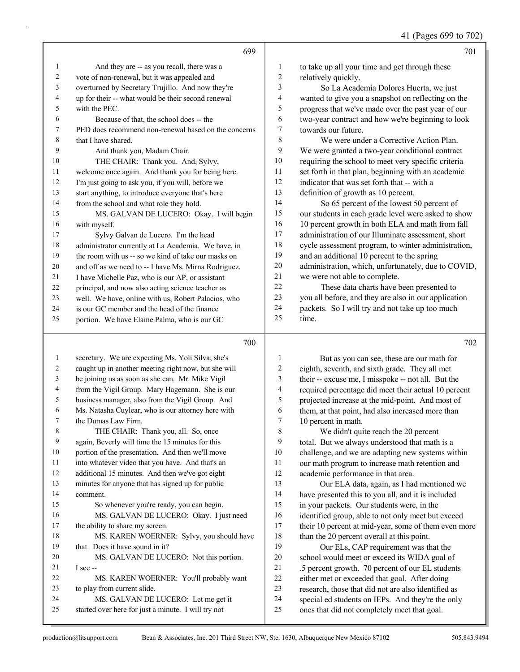41 (Pages 699 to 702)

|    | 699                                                  |    | 701                                                  |
|----|------------------------------------------------------|----|------------------------------------------------------|
| 1  | And they are -- as you recall, there was a           | 1  | to take up all your time and get through these       |
| 2  | vote of non-renewal, but it was appealed and         | 2  | relatively quickly.                                  |
| 3  | overturned by Secretary Trujillo. And now they're    | 3  | So La Academia Dolores Huerta, we just               |
| 4  | up for their -- what would be their second renewal   | 4  | wanted to give you a snapshot on reflecting on the   |
| 5  | with the PEC.                                        | 5  | progress that we've made over the past year of our   |
| 6  | Because of that, the school does -- the              | 6  | two-year contract and how we're beginning to look    |
| 7  | PED does recommend non-renewal based on the concerns | 7  | towards our future.                                  |
| 8  | that I have shared.                                  | 8  | We were under a Corrective Action Plan.              |
| 9  | And thank you, Madam Chair.                          | 9  | We were granted a two-year conditional contract      |
| 10 | THE CHAIR: Thank you. And, Sylvy,                    | 10 | requiring the school to meet very specific criteria  |
| 11 | welcome once again. And thank you for being here.    | 11 | set forth in that plan, beginning with an academic   |
| 12 | I'm just going to ask you, if you will, before we    | 12 | indicator that was set forth that -- with a          |
| 13 | start anything, to introduce everyone that's here    | 13 | definition of growth as 10 percent.                  |
| 14 | from the school and what role they hold.             | 14 | So 65 percent of the lowest 50 percent of            |
| 15 | MS. GALVAN DE LUCERO: Okay. I will begin             | 15 | our students in each grade level were asked to show  |
| 16 | with myself.                                         | 16 | 10 percent growth in both ELA and math from fall     |
| 17 | Sylvy Galvan de Lucero. I'm the head                 | 17 | administration of our Illuminate assessment, short   |
| 18 | administrator currently at La Academia. We have, in  | 18 | cycle assessment program, to winter administration,  |
| 19 | the room with us -- so we kind of take our masks on  | 19 | and an additional 10 percent to the spring           |
| 20 | and off as we need to -- I have Ms. Mirna Rodriguez. | 20 | administration, which, unfortunately, due to COVID,  |
| 21 | I have Michelle Paz, who is our AP, or assistant     | 21 | we were not able to complete.                        |
| 22 | principal, and now also acting science teacher as    | 22 | These data charts have been presented to             |
| 23 | well. We have, online with us, Robert Palacios, who  | 23 | you all before, and they are also in our application |
| 24 | is our GC member and the head of the finance         | 24 | packets. So I will try and not take up too much      |
| 25 | portion. We have Elaine Palma, who is our GC         | 25 | time.                                                |
|    | 700                                                  |    | 702                                                  |
|    | secretary We are expecting Ms Yoli Silva; she's      |    | But as you can see these are our math for            |

| $\mathbf{1}$   | secretary. We are expecting Ms. Yoli Silva; she's    | 1  | But as you can see, these are our math for           |
|----------------|------------------------------------------------------|----|------------------------------------------------------|
| $\overline{2}$ | caught up in another meeting right now, but she will | 2  | eighth, seventh, and sixth grade. They all met       |
| 3              | be joining us as soon as she can. Mr. Mike Vigil     | 3  | their -- excuse me, I misspoke -- not all. But the   |
| 4              | from the Vigil Group. Mary Hagemann. She is our      | 4  | required percentage did meet their actual 10 percent |
| 5              | business manager, also from the Vigil Group. And     | 5  | projected increase at the mid-point. And most of     |
| 6              | Ms. Natasha Cuylear, who is our attorney here with   | 6  | them, at that point, had also increased more than    |
| 7              | the Dumas Law Firm.                                  | 7  | 10 percent in math.                                  |
| 8              | THE CHAIR: Thank you, all. So, once                  | 8  | We didn't quite reach the 20 percent                 |
| 9              | again, Beverly will time the 15 minutes for this     | 9  | total. But we always understood that math is a       |
| 10             | portion of the presentation. And then we'll move     | 10 | challenge, and we are adapting new systems within    |
| 11             | into whatever video that you have. And that's an     | 11 | our math program to increase math retention and      |
| 12             | additional 15 minutes. And then we've got eight      | 12 | academic performance in that area.                   |
| 13             | minutes for anyone that has signed up for public     | 13 | Our ELA data, again, as I had mentioned we           |
| 14             | comment.                                             | 14 | have presented this to you all, and it is included   |
| 15             | So whenever you're ready, you can begin.             | 15 | in your packets. Our students were, in the           |
| 16             | MS. GALVAN DE LUCERO: Okay. I just need              | 16 | identified group, able to not only meet but exceed   |
| 17             | the ability to share my screen.                      | 17 | their 10 percent at mid-year, some of them even more |
| 18             | MS. KAREN WOERNER: Sylvy, you should have            | 18 | than the 20 percent overall at this point.           |
| 19             | that. Does it have sound in it?                      | 19 | Our ELs, CAP requirement was that the                |
| 20             | MS. GALVAN DE LUCERO: Not this portion.              | 20 | school would meet or exceed its WIDA goal of         |
| 21             | $I$ see $-$                                          | 21 | .5 percent growth. 70 percent of our EL students     |
| 22             | MS. KAREN WOERNER: You'll probably want              | 22 | either met or exceeded that goal. After doing        |
| 23             | to play from current slide.                          | 23 | research, those that did not are also identified as  |
| 24             | MS. GALVAN DE LUCERO: Let me get it                  | 24 | special ed students on IEPs. And they're the only    |
| 25             | started over here for just a minute. I will try not  | 25 | ones that did not completely meet that goal.         |
|                |                                                      |    |                                                      |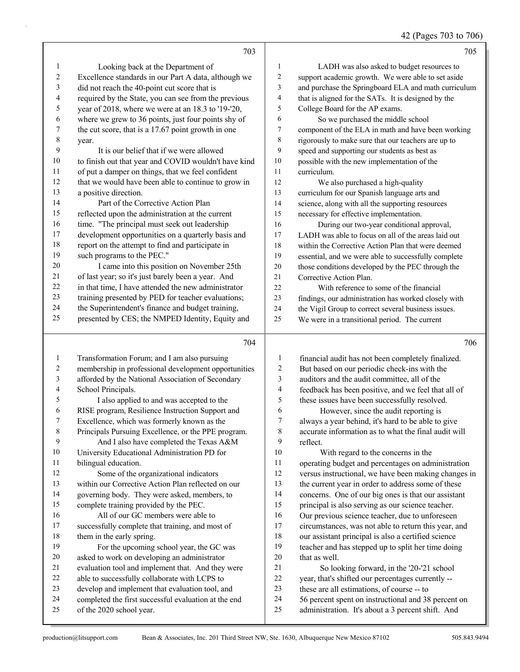#### 42 (Pages 703 to 706)

|                         | 703                                                  |                          | 705                                                  |
|-------------------------|------------------------------------------------------|--------------------------|------------------------------------------------------|
| $\mathbf{1}$            | Looking back at the Department of                    | 1                        | LADH was also asked to budget resources to           |
| $\overline{c}$          | Excellence standards in our Part A data, although we | $\sqrt{2}$               | support academic growth. We were able to set aside   |
| $\overline{\mathbf{3}}$ | did not reach the 40-point cut score that is         | $\mathfrak{Z}$           | and purchase the Springboard ELA and math curriculum |
| $\overline{\mathbf{4}}$ | required by the State, you can see from the previous | $\overline{\mathcal{A}}$ | that is aligned for the SATs. It is designed by the  |
| 5                       | year of 2018, where we were at an 18.3 to '19-'20,   | 5                        | College Board for the AP exams.                      |
| 6                       | where we grew to 36 points, just four points shy of  | 6                        | So we purchased the middle school                    |
| $\boldsymbol{7}$        | the cut score, that is a 17.67 point growth in one   | $\boldsymbol{7}$         | component of the ELA in math and have been working   |
| $\,$ $\,$               | year.                                                | 8                        | rigorously to make sure that our teachers are up to  |
| 9                       | It is our belief that if we were allowed             | 9                        | speed and supporting our students as best as         |
| $10\,$                  | to finish out that year and COVID wouldn't have kind | 10                       | possible with the new implementation of the          |
| 11                      | of put a damper on things, that we feel confident    | 11                       | curriculum.                                          |
| 12                      | that we would have been able to continue to grow in  | 12                       | We also purchased a high-quality                     |
| 13                      | a positive direction.                                | 13                       | curriculum for our Spanish language arts and         |
| 14                      | Part of the Corrective Action Plan                   | 14                       | science, along with all the supporting resources     |
| 15                      | reflected upon the administration at the current     | 15                       | necessary for effective implementation.              |
| 16                      | time. "The principal must seek out leadership        | 16                       | During our two-year conditional approval,            |
| 17                      | development opportunities on a quarterly basis and   | 17                       | LADH was able to focus on all of the areas laid out  |
| 18                      | report on the attempt to find and participate in     | 18                       | within the Corrective Action Plan that were deemed   |
| 19                      | such programs to the PEC."                           | 19                       | essential, and we were able to successfully complete |
| 20                      | I came into this position on November 25th           | 20                       | those conditions developed by the PEC through the    |
| 21                      | of last year; so it's just barely been a year. And   | 21                       | Corrective Action Plan.                              |
| 22                      | in that time, I have attended the new administrator  | 22                       | With reference to some of the financial              |
| 23                      | training presented by PED for teacher evaluations;   | 23                       | findings, our administration has worked closely with |
| 24                      | the Superintendent's finance and budget training,    | 24                       | the Vigil Group to correct several business issues.  |
| 25                      | presented by CES; the NMPED Identity, Equity and     | 25                       | We were in a transitional period. The current        |
|                         | 704                                                  |                          | 706                                                  |
| $\mathbf{1}$            | Transformation Forum; and I am also pursuing         | $\mathbf{1}$             | financial audit has not been completely finalized.   |
| $\overline{c}$          | membership in professional development opportunities | $\overline{c}$           | But based on our periodic check-ins with the         |
| 3                       | afforded by the National Association of Secondary    | 3                        | auditors and the audit committee, all of the         |
| $\overline{\mathbf{4}}$ | School Principals.                                   | $\overline{4}$           | feedback has been positive, and we feel that all of  |
| 5                       | I also applied to and was accepted to the            | 5                        | these issues have been successfully resolved.        |
| 6                       | RISE program, Resilience Instruction Support and     | 6                        | However, since the audit reporting is                |
| 7                       | Excellence, which was formerly known as the          | $\boldsymbol{7}$         | always a year behind, it's hard to be able to give   |
| $\,$ $\,$               | Principals Pursuing Excellence, or the PPE program.  | $\,$ 8 $\,$              | accurate information as to what the final audit will |
| 9                       | And I also have completed the Texas A&M              | 9                        | reflect.                                             |

- University Educational Administration PD for bilingual education.
- 12 Some of the organizational indicators
- within our Corrective Action Plan reflected on our
- governing body. They were asked, members, to complete training provided by the PEC.
- 16 All of our GC members were able to successfully complete that training, and most of
- 18 them in the early spring. 19 For the upcoming school year, the GC was
- asked to work on developing an administrator
- evaluation tool and implement that. And they were
- able to successfully collaborate with LCPS to develop and implement that evaluation tool, and
- completed the first successful evaluation at the end
- of the 2020 school year.

 reflect. 10 With regard to the concerns in the operating budget and percentages on administration versus instructional, we have been making changes in the current year in order to address some of these concerns. One of our big ones is that our assistant

- principal is also serving as our science teacher.
- Our previous science teacher, due to unforeseen circumstances, was not able to return this year, and
- our assistant principal is also a certified science
- teacher and has stepped up to split her time doing that as well.
- 21 So looking forward, in the '20-'21 school
- year, that's shifted our percentages currently --
- these are all estimations, of course -- to
- 56 percent spent on instructional and 38 percent on
- administration. It's about a 3 percent shift. And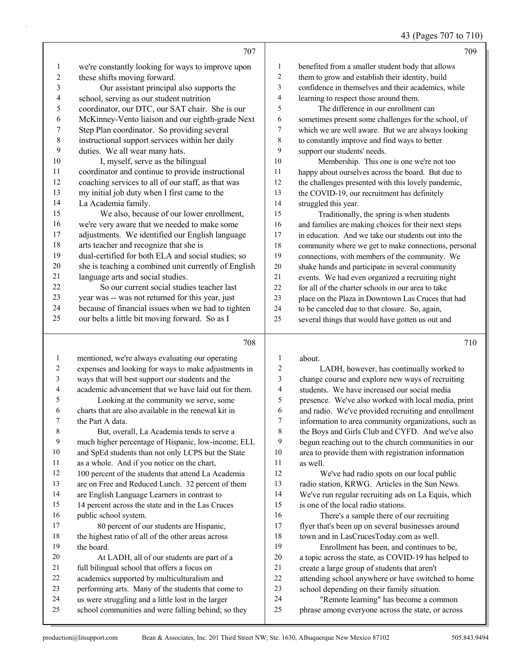43 (Pages 707 to 710)

|              |                                                      |              | $15 \text{ (1450)}$ 101 to 110                       |
|--------------|------------------------------------------------------|--------------|------------------------------------------------------|
|              | 707                                                  |              | 709                                                  |
| 1            | we're constantly looking for ways to improve upon    | 1            | benefited from a smaller student body that allows    |
| 2            | these shifts moving forward.                         | 2            | them to grow and establish their identity, build     |
| 3            | Our assistant principal also supports the            | 3            | confidence in themselves and their academics, while  |
| 4            | school, serving as our student nutrition             | 4            | learning to respect those around them.               |
| 5            | coordinator, our DTC, our SAT chair. She is our      | 5            | The difference in our enrollment can                 |
| 6            | McKinney-Vento liaison and our eighth-grade Next     | 6            | sometimes present some challenges for the school, of |
| 7            | Step Plan coordinator. So providing several          | 7            | which we are well aware. But we are always looking   |
| $\,8\,$      | instructional support services within her daily      | $\,8\,$      | to constantly improve and find ways to better        |
| 9            | duties. We all wear many hats.                       | 9            | support our students' needs.                         |
| 10           | I, myself, serve as the bilingual                    | 10           | Membership. This one is one we're not too            |
| 11           | coordinator and continue to provide instructional    | 11           | happy about ourselves across the board. But due to   |
| 12           | coaching services to all of our staff, as that was   | 12           | the challenges presented with this lovely pandemic,  |
| 13           | my initial job duty when I first came to the         | 13           | the COVID-19, our recruitment has definitely         |
| 14           | La Academia family.                                  | 14           | struggled this year.                                 |
| 15           | We also, because of our lower enrollment,            | 15           | Traditionally, the spring is when students           |
| 16           | we're very aware that we needed to make some         | 16           | and families are making choices for their next steps |
| 17           | adjustments. We identified our English language      | 17           | in education. And we take our students out into the  |
| 18           | arts teacher and recognize that she is               | 18           | community where we get to make connections, personal |
| 19           | dual-certified for both ELA and social studies; so   | 19           | connections, with members of the community. We       |
| 20           | she is teaching a combined unit currently of English | $20\,$       | shake hands and participate in several community     |
| 21           | language arts and social studies.                    | 21           | events. We had even organized a recruiting night     |
| 22           | So our current social studies teacher last           | 22           | for all of the charter schools in our area to take   |
| 23           | year was -- was not returned for this year, just     | 23           | place on the Plaza in Downtown Las Cruces that had   |
| 24           | because of financial issues when we had to tighten   | 24           | to be canceled due to that closure. So, again,       |
| 25           | our belts a little bit moving forward. So as I       | 25           | several things that would have gotten us out and     |
|              | 708                                                  |              | 710                                                  |
| $\mathbf{1}$ | mentioned, we're always evaluating our operating     | 1            | about.                                               |
| 2            | expenses and looking for ways to make adjustments in | 2            | LADH, however, has continually worked to             |
| 3            | ways that will best support our students and the     | $\mathbf{3}$ | change course and evology new ways of recruiting     |

 ways that will best support our students and the academic advancement that we have laid out for them. 5 Looking at the community we serve, some charts that are also available in the renewal kit in the Part A data. 8 But, overall, La Academia tends to serve a

 much higher percentage of Hispanic, low-income, ELL and SpEd students than not only LCPS but the State as a whole. And if you notice on the chart, 100 percent of the students that attend La Academia are on Free and Reduced Lunch. 32 percent of them are English Language Learners in contrast to 14 percent across the state and in the Las Cruces public school system. 17 80 percent of our students are Hispanic, the highest ratio of all of the other areas across

 the board. 20 At LADH, all of our students are part of a

- full bilingual school that offers a focus on
- academics supported by multiculturalism and
- performing arts. Many of the students that come to us were struggling and a little lost in the larger
- school communities and were falling behind; so they

change course and explore new ways of recruiting students. We have increased our social media presence. We've also worked with local media, print and radio. We've provided recruiting and enrollment information to area community organizations, such as the Boys and Girls Club and CYFD. And we've also begun reaching out to the church communities in our area to provide them with registration information as well. 12 We've had radio spots on our local public radio station, KRWG. Articles in the Sun News. We've run regular recruiting ads on La Equis, which is one of the local radio stations.

16 There's a sample there of our recruiting flyer that's been up on several businesses around town and in LasCrucesToday.com as well.

19 Enrollment has been, and continues to be, a topic across the state, as COVID-19 has helped to create a large group of students that aren't attending school anywhere or have switched to home school depending on their family situation.

24 "Remote learning" has become a common phrase among everyone across the state, or across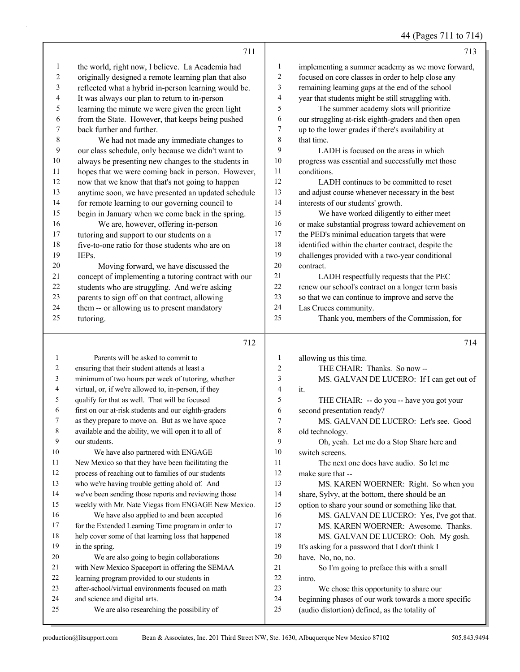## 44 (Pages 711 to 714)

|                | 711                                                                         |              | 713                                                                                                    |
|----------------|-----------------------------------------------------------------------------|--------------|--------------------------------------------------------------------------------------------------------|
| $\mathbf{1}$   | the world, right now, I believe. La Academia had                            | 1            | implementing a summer academy as we move forward,                                                      |
| 2              | originally designed a remote learning plan that also                        | 2            | focused on core classes in order to help close any                                                     |
| 3              | reflected what a hybrid in-person learning would be.                        | 3            | remaining learning gaps at the end of the school                                                       |
| 4              | It was always our plan to return to in-person                               | 4            | year that students might be still struggling with.                                                     |
| 5              | learning the minute we were given the green light                           | 5            | The summer academy slots will prioritize                                                               |
| 6              | from the State. However, that keeps being pushed                            | 6            | our struggling at-risk eighth-graders and then open                                                    |
| 7              | back further and further.                                                   | 7            | up to the lower grades if there's availability at                                                      |
| $\,$ $\,$      | We had not made any immediate changes to                                    | 8            | that time.                                                                                             |
| 9              | our class schedule, only because we didn't want to                          | 9            | LADH is focused on the areas in which                                                                  |
| 10             | always be presenting new changes to the students in                         | $10\,$       | progress was essential and successfully met those                                                      |
| 11             | hopes that we were coming back in person. However,                          | 11           | conditions.                                                                                            |
| 12             | now that we know that that's not going to happen                            | 12           | LADH continues to be committed to reset                                                                |
| 13             | anytime soon, we have presented an updated schedule                         | 13           | and adjust course whenever necessary in the best                                                       |
| 14             | for remote learning to our governing council to                             | 14           | interests of our students' growth.                                                                     |
| 15             | begin in January when we come back in the spring.                           | 15           | We have worked diligently to either meet                                                               |
| 16             | We are, however, offering in-person                                         | 16           | or make substantial progress toward achievement on                                                     |
| 17             | tutoring and support to our students on a                                   | 17           | the PED's minimal education targets that were                                                          |
| 18             | five-to-one ratio for those students who are on                             | $18\,$       | identified within the charter contract, despite the                                                    |
| 19             | IEPs.                                                                       | 19           | challenges provided with a two-year conditional                                                        |
| $20\,$         | Moving forward, we have discussed the                                       | 20           | contract.                                                                                              |
| 21             | concept of implementing a tutoring contract with our                        | 21           | LADH respectfully requests that the PEC                                                                |
| 22             | students who are struggling. And we're asking                               | 22           | renew our school's contract on a longer term basis                                                     |
| 23             | parents to sign off on that contract, allowing                              | 23           | so that we can continue to improve and serve the                                                       |
| 24             | them -- or allowing us to present mandatory                                 | 24           | Las Cruces community.                                                                                  |
| 25             | tutoring.                                                                   | 25           | Thank you, members of the Commission, for                                                              |
|                |                                                                             |              |                                                                                                        |
|                |                                                                             |              |                                                                                                        |
|                | 712                                                                         |              | 714                                                                                                    |
| $\mathbf{1}$   | Parents will be asked to commit to                                          | $\mathbf{1}$ | allowing us this time.                                                                                 |
| $\overline{c}$ | ensuring that their student attends at least a                              | 2            | THE CHAIR: Thanks. So now --                                                                           |
| 3              | minimum of two hours per week of tutoring, whether                          | 3            | MS. GALVAN DE LUCERO: If I can get out of                                                              |
| 4              | virtual, or, if we're allowed to, in-person, if they                        | 4            | it.                                                                                                    |
| 5              | qualify for that as well. That will be focused                              | 5            | THE CHAIR: -- do you -- have you got your                                                              |
| 6              | first on our at-risk students and our eighth-graders                        | 6            | second presentation ready?                                                                             |
| 7              | as they prepare to move on. But as we have space                            | 7            | MS. GALVAN DE LUCERO: Let's see. Good                                                                  |
| 8              | available and the ability, we will open it to all of                        | 8            | old technology.                                                                                        |
| 9              | our students.                                                               | 9            | Oh, yeah. Let me do a Stop Share here and                                                              |
| 10             | We have also partnered with ENGAGE                                          | 10           | switch screens.                                                                                        |
| 11             | New Mexico so that they have been facilitating the                          | 11           | The next one does have audio. So let me                                                                |
| 12             | process of reaching out to families of our students                         | 12           | make sure that --                                                                                      |
| 13             | who we're having trouble getting ahold of. And                              | 13           | MS. KAREN WOERNER: Right. So when you                                                                  |
| 14             | we've been sending those reports and reviewing those                        | 14           | share, Sylvy, at the bottom, there should be an                                                        |
| 15             | weekly with Mr. Nate Viegas from ENGAGE New Mexico.                         | 15           | option to share your sound or something like that.                                                     |
| 16             | We have also applied to and been accepted                                   | 16           | MS. GALVAN DE LUCERO: Yes, I've got that.                                                              |
| 17             | for the Extended Learning Time program in order to                          | 17           | MS. KAREN WOERNER: Awesome. Thanks.                                                                    |
| 18             | help cover some of that learning loss that happened                         | 18           | MS. GALVAN DE LUCERO: Ooh. My gosh.                                                                    |
| 19             | in the spring.                                                              | 19           | It's asking for a password that I don't think I                                                        |
| 20             | We are also going to begin collaborations                                   | $20\,$       | have. No, no, no.                                                                                      |
| 21             | with New Mexico Spaceport in offering the SEMAA                             | 21           | So I'm going to preface this with a small                                                              |
| 22             | learning program provided to our students in                                | 22           | intro.                                                                                                 |
| 23             | after-school/virtual environments focused on math                           | 23           | We chose this opportunity to share our                                                                 |
| 24<br>25       | and science and digital arts.<br>We are also researching the possibility of | 24<br>$25\,$ | beginning phases of our work towards a more specific<br>(audio distortion) defined, as the totality of |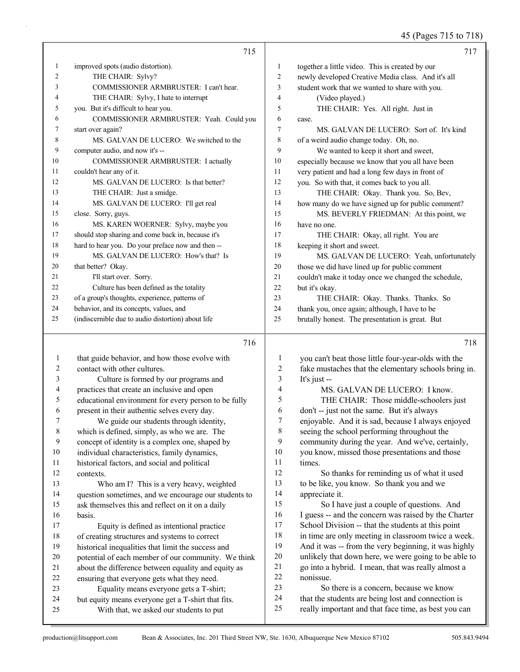## 45 (Pages 715 to 718)

|              | 715                                                                                           |              | 717                                                                                                        |
|--------------|-----------------------------------------------------------------------------------------------|--------------|------------------------------------------------------------------------------------------------------------|
| $\mathbf{1}$ | improved spots (audio distortion).                                                            | 1            | together a little video. This is created by our                                                            |
| 2            | THE CHAIR: Sylvy?                                                                             | 2            | newly developed Creative Media class. And it's all                                                         |
| 3            | COMMISSIONER ARMBRUSTER: I can't hear.                                                        | 3            | student work that we wanted to share with you.                                                             |
| 4            | THE CHAIR: Sylvy, I hate to interrupt                                                         | 4            | (Video played.)                                                                                            |
| 5            | you. But it's difficult to hear you.                                                          | 5            | THE CHAIR: Yes. All right. Just in                                                                         |
| 6            | COMMISSIONER ARMBRUSTER: Yeah. Could you                                                      | 6            | case.                                                                                                      |
| 7            | start over again?                                                                             | 7            | MS. GALVAN DE LUCERO: Sort of. It's kind                                                                   |
| 8            | MS. GALVAN DE LUCERO: We switched to the                                                      | 8            | of a weird audio change today. Oh, no.                                                                     |
| 9            | computer audio, and now it's --                                                               | 9            | We wanted to keep it short and sweet,                                                                      |
| 10           | COMMISSIONER ARMBRUSTER: I actually                                                           | 10           | especially because we know that you all have been                                                          |
| 11           | couldn't hear any of it.                                                                      | 11           | very patient and had a long few days in front of                                                           |
| 12           | MS. GALVAN DE LUCERO: Is that better?                                                         | 12           | you. So with that, it comes back to you all.                                                               |
| 13           | THE CHAIR: Just a smidge.                                                                     | 13           | THE CHAIR: Okay. Thank you. So, Bev,                                                                       |
| 14           | MS. GALVAN DE LUCERO: I'll get real                                                           | 14           | how many do we have signed up for public comment?                                                          |
| 15           | close. Sorry, guys.                                                                           | 15           | MS. BEVERLY FRIEDMAN: At this point, we                                                                    |
| 16           | MS. KAREN WOERNER: Sylvy, maybe you                                                           | 16           | have no one.                                                                                               |
| 17           | should stop sharing and come back in, because it's                                            | 17           | THE CHAIR: Okay, all right. You are                                                                        |
| 18           | hard to hear you. Do your preface now and then --                                             | 18           | keeping it short and sweet.                                                                                |
| 19           | MS. GALVAN DE LUCERO: How's that? Is                                                          | 19           | MS. GALVAN DE LUCERO: Yeah, unfortunately                                                                  |
| 20           | that better? Okay.                                                                            | 20           | those we did have lined up for public comment                                                              |
| 21           | I'll start over. Sorry.                                                                       | 21           | couldn't make it today once we changed the schedule,                                                       |
| 22           | Culture has been defined as the totality                                                      | $22\,$       | but it's okay.                                                                                             |
| 23           | of a group's thoughts, experience, patterns of                                                | 23           | THE CHAIR: Okay. Thanks. Thanks. So                                                                        |
| 24           | behavior, and its concepts, values, and                                                       | 24           | thank you, once again; although, I have to be                                                              |
| 25           | (indiscernible due to audio distortion) about life                                            | 25           | brutally honest. The presentation is great. But                                                            |
|              |                                                                                               |              |                                                                                                            |
|              |                                                                                               |              |                                                                                                            |
|              | 716                                                                                           |              | 718                                                                                                        |
| $\mathbf{1}$ | that guide behavior, and how those evolve with                                                | $\mathbf{1}$ | you can't beat those little four-year-olds with the                                                        |
| 2            | contact with other cultures.                                                                  | 2            | fake mustaches that the elementary schools bring in.                                                       |
| 3            | Culture is formed by our programs and                                                         | 3            | It's just --                                                                                               |
| 4            | practices that create an inclusive and open                                                   | 4            | MS. GALVAN DE LUCERO: I know.                                                                              |
| 5            | educational environment for every person to be fully                                          | 5            | THE CHAIR: Those middle-schoolers just                                                                     |
| 6            | present in their authentic selves every day.                                                  | 6            | don't -- just not the same. But it's always                                                                |
| 7            | We guide our students through identity,                                                       | $\tau$       | enjoyable. And it is sad, because I always enjoyed                                                         |
| $\,$ $\,$    | which is defined, simply, as who we are. The                                                  | $\,$ $\,$    | seeing the school performing throughout the                                                                |
| 9            | concept of identity is a complex one, shaped by                                               | 9            | community during the year. And we've, certainly,                                                           |
| $10\,$       | individual characteristics, family dynamics,                                                  | $10\,$       | you know, missed those presentations and those                                                             |
| 11           | historical factors, and social and political                                                  | 11           | times.                                                                                                     |
| 12           | contexts.                                                                                     | 12           | So thanks for reminding us of what it used                                                                 |
| 13           | Who am I? This is a very heavy, weighted                                                      | 13           | to be like, you know. So thank you and we                                                                  |
| 14           | question sometimes, and we encourage our students to                                          | 14           | appreciate it.                                                                                             |
| 15           | ask themselves this and reflect on it on a daily                                              | 15           | So I have just a couple of questions. And                                                                  |
| 16           | basis.                                                                                        | 16           | I guess -- and the concern was raised by the Charter                                                       |
| 17           | Equity is defined as intentional practice                                                     | 17           | School Division -- that the students at this point                                                         |
| 18           | of creating structures and systems to correct                                                 | 18           | in time are only meeting in classroom twice a week.                                                        |
| 19           | historical inequalities that limit the success and                                            | 19           | And it was -- from the very beginning, it was highly                                                       |
| 20           | potential of each member of our community. We think                                           | $20\,$       | unlikely that down here, we were going to be able to                                                       |
| 21           | about the difference between equality and equity as                                           | 21           | go into a hybrid. I mean, that was really almost a                                                         |
| 22           | ensuring that everyone gets what they need.                                                   | 22           | nonissue.                                                                                                  |
| 23<br>24     | Equality means everyone gets a T-shirt;                                                       | 23<br>24     | So there is a concern, because we know                                                                     |
| 25           | but equity means everyone get a T-shirt that fits.<br>With that, we asked our students to put | 25           | that the students are being lost and connection is<br>really important and that face time, as best you can |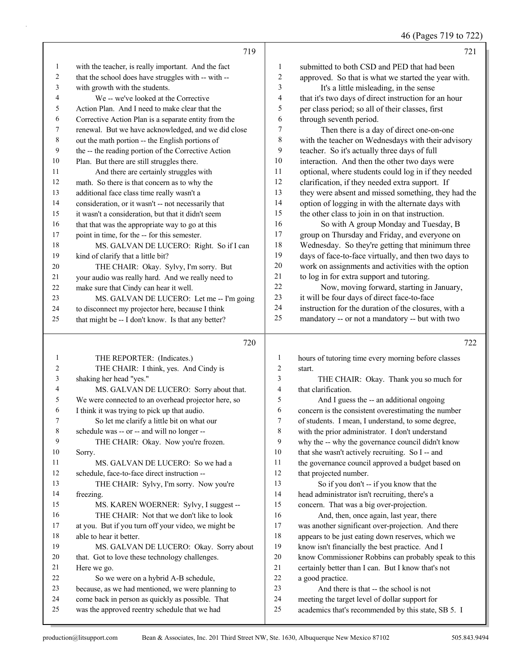46 (Pages 719 to 722)

|    | 719                                                  |    | 721                                                  |
|----|------------------------------------------------------|----|------------------------------------------------------|
| 1  | with the teacher, is really important. And the fact  | 1  | submitted to both CSD and PED that had been          |
| 2  | that the school does have struggles with -- with --  | 2  | approved. So that is what we started the year with.  |
| 3  | with growth with the students.                       | 3  | It's a little misleading, in the sense               |
| 4  | We -- we've looked at the Corrective                 | 4  | that it's two days of direct instruction for an hour |
| 5  | Action Plan. And I need to make clear that the       | 5  | per class period; so all of their classes, first     |
| 6  | Corrective Action Plan is a separate entity from the | 6  | through seventh period.                              |
| 7  | renewal. But we have acknowledged, and we did close  | 7  | Then there is a day of direct one-on-one             |
| 8  | out the math portion -- the English portions of      | 8  | with the teacher on Wednesdays with their advisory   |
| 9  | the -- the reading portion of the Corrective Action  | 9  | teacher. So it's actually three days of full         |
| 10 | Plan. But there are still struggles there.           | 10 | interaction. And then the other two days were        |
| 11 | And there are certainly struggles with               | 11 | optional, where students could log in if they needed |
| 12 | math. So there is that concern as to why the         | 12 | clarification, if they needed extra support. If      |
| 13 | additional face class time really wasn't a           | 13 | they were absent and missed something, they had the  |
| 14 | consideration, or it wasn't -- not necessarily that  | 14 | option of logging in with the alternate days with    |
| 15 | it wasn't a consideration, but that it didn't seem   | 15 | the other class to join in on that instruction.      |
| 16 | that that was the appropriate way to go at this      | 16 | So with A group Monday and Tuesday, B                |
| 17 | point in time, for the -- for this semester.         | 17 | group on Thursday and Friday, and everyone on        |
| 18 | MS. GALVAN DE LUCERO: Right. So if I can             | 18 | Wednesday. So they're getting that minimum three     |
| 19 | kind of clarify that a little bit?                   | 19 | days of face-to-face virtually, and then two days to |
| 20 | THE CHAIR: Okay. Sylvy, I'm sorry. But               | 20 | work on assignments and activities with the option   |
| 21 | your audio was really hard. And we really need to    | 21 | to log in for extra support and tutoring.            |
| 22 | make sure that Cindy can hear it well.               | 22 | Now, moving forward, starting in January,            |
| 23 | MS. GALVAN DE LUCERO: Let me -- I'm going            | 23 | it will be four days of direct face-to-face          |
| 24 | to disconnect my projector here, because I think     | 24 | instruction for the duration of the closures, with a |
| 25 | that might be -- I don't know. Is that any better?   | 25 | mandatory -- or not a mandatory -- but with two      |
|    | 720                                                  |    | 722                                                  |

#### 

| 1              | THE REPORTER: (Indicates.)                          | 1              | hours of tutoring time every morning before classes  |
|----------------|-----------------------------------------------------|----------------|------------------------------------------------------|
| $\overline{c}$ | THE CHAIR: I think, yes. And Cindy is               | $\overline{c}$ | start.                                               |
| 3              | shaking her head "yes."                             | 3              | THE CHAIR: Okay. Thank you so much for               |
| 4              | MS. GALVAN DE LUCERO: Sorry about that.             | 4              | that clarification.                                  |
| 5              | We were connected to an overhead projector here, so | 5              | And I guess the -- an additional ongoing             |
| 6              | I think it was trying to pick up that audio.        | 6              | concern is the consistent overestimating the number  |
| 7              | So let me clarify a little bit on what our          | 7              | of students. I mean, I understand, to some degree,   |
| 8              | schedule was -- or -- and will no longer --         | 8              | with the prior administrator. I don't understand     |
| 9              | THE CHAIR: Okay. Now you're frozen.                 | 9              | why the -- why the governance council didn't know    |
| 10             | Sorry.                                              | 10             | that she wasn't actively recruiting. So I -- and     |
| 11             | MS. GALVAN DE LUCERO: So we had a                   | 11             | the governance council approved a budget based on    |
| 12             | schedule, face-to-face direct instruction --        | 12             | that projected number.                               |
| 13             | THE CHAIR: Sylvy, I'm sorry. Now you're             | 13             | So if you don't -- if you know that the              |
| 14             | freezing.                                           | 14             | head administrator isn't recruiting, there's a       |
| 15             | MS. KAREN WOERNER: Sylvy, I suggest --              | 15             | concern. That was a big over-projection.             |
| 16             | THE CHAIR: Not that we don't like to look           | 16             | And, then, once again, last year, there              |
| 17             | at you. But if you turn off your video, we might be | 17             | was another significant over-projection. And there   |
| 18             | able to hear it better.                             | 18             | appears to be just eating down reserves, which we    |
| 19             | MS. GALVAN DE LUCERO: Okay. Sorry about             | 19             | know isn't financially the best practice. And I      |
| 20             | that. Got to love these technology challenges.      | 20             | know Commissioner Robbins can probably speak to this |
| 21             | Here we go.                                         | 21             | certainly better than I can. But I know that's not   |
| 22             | So we were on a hybrid A-B schedule,                | 22             | a good practice.                                     |
| 23             | because, as we had mentioned, we were planning to   | 23             | And there is that -- the school is not               |
| 24             | come back in person as quickly as possible. That    | 24             | meeting the target level of dollar support for       |
| 25             | was the approved reentry schedule that we had       | 25             | academics that's recommended by this state, SB 5. I  |
|                |                                                     |                |                                                      |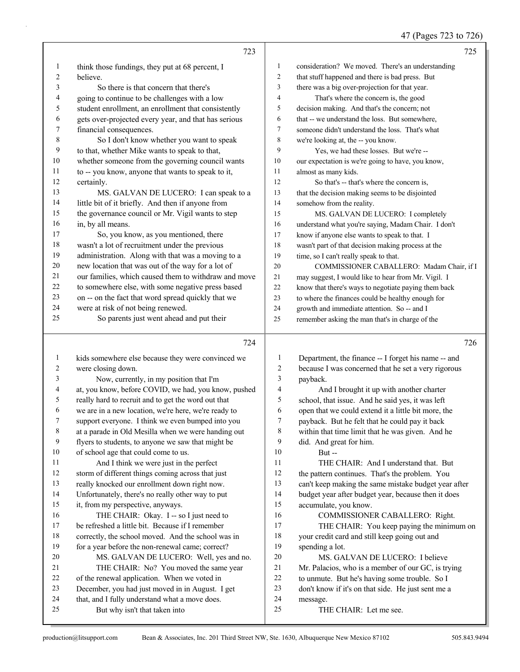47 (Pages 723 to 726)

|                | 723                                                  |                          | 725                                                  |
|----------------|------------------------------------------------------|--------------------------|------------------------------------------------------|
| 1              | think those fundings, they put at 68 percent, I      | $\mathbf{1}$             | consideration? We moved. There's an understanding    |
| $\overline{c}$ | believe.                                             | 2                        | that stuff happened and there is bad press. But      |
| 3              | So there is that concern that there's                | 3                        | there was a big over-projection for that year.       |
| 4              | going to continue to be challenges with a low        | $\overline{\mathcal{L}}$ | That's where the concern is, the good                |
| 5              | student enrollment, an enrollment that consistently  | 5                        | decision making. And that's the concern; not         |
| 6              | gets over-projected every year, and that has serious | 6                        | that -- we understand the loss. But somewhere,       |
| 7              | financial consequences.                              | 7                        | someone didn't understand the loss. That's what      |
| 8              | So I don't know whether you want to speak            | 8                        | we're looking at, the -- you know.                   |
| 9              | to that, whether Mike wants to speak to that,        | 9                        | Yes, we had these losses. But we're --               |
| 10             | whether someone from the governing council wants     | 10                       | our expectation is we're going to have, you know,    |
| 11             | to -- you know, anyone that wants to speak to it,    | 11                       | almost as many kids.                                 |
| 12             | certainly.                                           | 12                       | So that's -- that's where the concern is,            |
| 13             | MS. GALVAN DE LUCERO: I can speak to a               | 13                       | that the decision making seems to be disjointed      |
| 14             | little bit of it briefly. And then if anyone from    | 14                       | somehow from the reality.                            |
| 15             | the governance council or Mr. Vigil wants to step    | 15                       | MS. GALVAN DE LUCERO: I completely                   |
| 16             | in, by all means.                                    | 16                       | understand what you're saying, Madam Chair. I don't  |
| 17             | So, you know, as you mentioned, there                | 17                       | know if anyone else wants to speak to that. I        |
| 18             | wasn't a lot of recruitment under the previous       | 18                       | wasn't part of that decision making process at the   |
| 19             | administration. Along with that was a moving to a    | 19                       | time, so I can't really speak to that.               |
| 20             | new location that was out of the way for a lot of    | 20                       | COMMISSIONER CABALLERO: Madam Chair, if I            |
| 21             | our families, which caused them to withdraw and move | 21                       | may suggest, I would like to hear from Mr. Vigil. I  |
| 22             | to somewhere else, with some negative press based    | 22                       | know that there's ways to negotiate paying them back |
| 23             | on -- on the fact that word spread quickly that we   | 23                       | to where the finances could be healthy enough for    |
| 24             | were at risk of not being renewed.                   | 24                       | growth and immediate attention. So -- and I          |
| 25             | So parents just went ahead and put their             | 25                       | remember asking the man that's in charge of the      |
|                |                                                      |                          |                                                      |
|                | 724                                                  |                          | 726                                                  |
| 1              | kids somewhere else because they were convinced we   | $\mathbf{1}$             | Department, the finance -- I forget his name -- and  |
| 2              | were closing down.                                   | 2                        | because I was concerned that he set a very rigorous  |
| 3              | Now, currently, in my position that I'm              | 3                        | payback.                                             |
| 4              | at, you know, before COVID, we had, you know, pushed | 4                        | And I brought it up with another charter             |
| 5              | really hard to recruit and to get the word out that  | 5                        | school, that issue. And he said yes, it was left     |
| 6              | we are in a new location, we're here, we're ready to | 6                        | open that we could extend it a little bit more, the  |
| 7              | support everyone. I think we even bumped into you    | 7                        | payback. But he felt that he could pay it back       |
| $\,8\,$        | at a parade in Old Mesilla when we were handing out  | $\,8$                    | within that time limit that he was given. And he     |
| 9              | flyers to students, to anyone we saw that might be   | 9                        | did. And great for him.                              |
| 10             | of school age that could come to us.                 | 10                       | $But -$                                              |
| 11             | And I think we were just in the perfect              | 11                       | THE CHAIR: And I understand that. But                |
| 12             | storm of different things coming across that just    | 12                       | the pattern continues. That's the problem. You       |
| 13             | really knocked our enrollment down right now.        | 13                       | can't keep making the same mistake budget year after |
| 14             | Unfortunately, there's no really other way to put    | 14                       | budget year after budget year, because then it does  |
| 15             | it, from my perspective, anyways.                    | 15                       | accumulate, you know.                                |
| 16             | THE CHAIR: Okay. I -- so I just need to              | 16                       | COMMISSIONER CABALLERO: Right.                       |
| 17             | be refreshed a little bit. Because if I remember     | 17                       | THE CHAIR: You keep paying the minimum on            |
| 18             | correctly, the school moved. And the school was in   | 18                       | your credit card and still keep going out and        |
| 19             | for a year before the non-renewal came; correct?     | 19                       | spending a lot.                                      |
| 20             | MS. GALVAN DE LUCERO: Well, yes and no.              | $20\,$                   | MS. GALVAN DE LUCERO: I believe                      |
| 21             | THE CHAIR: No? You moved the same year               | 21                       | Mr. Palacios, who is a member of our GC, is trying   |
| 22             | of the renewal application. When we voted in         | $22\,$                   | to unmute. But he's having some trouble. So I        |
| 23             | December, you had just moved in in August. I get     | 23                       | don't know if it's on that side. He just sent me a   |
|                |                                                      |                          |                                                      |
| 24             | that, and I fully understand what a move does.       | 24                       | message.                                             |
| 25             | But why isn't that taken into                        | 25                       | THE CHAIR: Let me see.                               |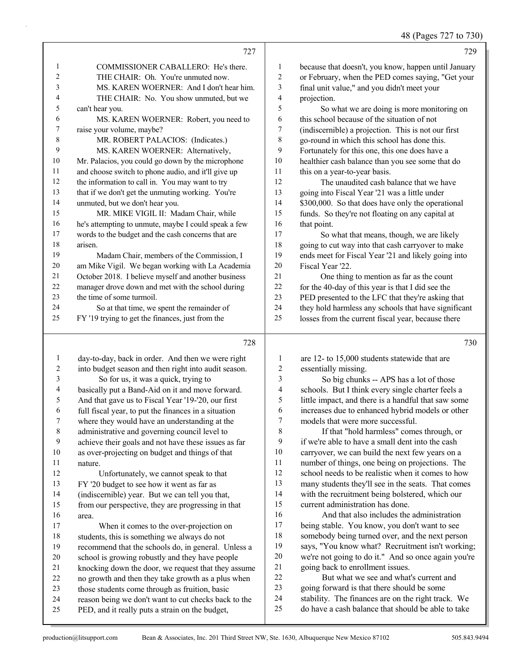48 (Pages 727 to 730)

- 1 COMMISSIONER CABALLERO: He's there. 2 THE CHAIR: Oh. You're unmuted now. 3 MS. KAREN WOERNER: And I don't hear him. 4 THE CHAIR: No. You show unmuted, but we can't hear you. 6 MS. KAREN WOERNER: Robert, you need to raise your volume, maybe? 8 MR. ROBERT PALACIOS: (Indicates.) 9 MS. KAREN WOERNER: Alternatively, Mr. Palacios, you could go down by the microphone and choose switch to phone audio, and it'll give up 12 the information to call in. You may want to try that if we don't get the unmuting working. You're unmuted, but we don't hear you. 15 MR. MIKE VIGIL II: Madam Chair, while he's attempting to unmute, maybe I could speak a few words to the budget and the cash concerns that are arisen. 19 Madam Chair, members of the Commission, I am Mike Vigil. We began working with La Academia October 2018. I believe myself and another business manager drove down and met with the school during the time of some turmoil. 24 So at that time, we spent the remainder of FY '19 trying to get the finances, just from the day-to-day, back in order. And then we were right into budget season and then right into audit season. 3 So for us, it was a quick, trying to basically put a Band-Aid on it and move forward. And that gave us to Fiscal Year '19-'20, our first because that doesn't, you know, happen until January or February, when the PED comes saying, "Get your final unit value," and you didn't meet your projection. 5 So what we are doing is more monitoring on this school because of the situation of not (indiscernible) a projection. This is not our first go-round in which this school has done this. Fortunately for this one, this one does have a healthier cash balance than you see some that do 11 this on a year-to-year basis. 12 The unaudited cash balance that we have going into Fiscal Year '21 was a little under 14 \$300,000. So that does have only the operational funds. So they're not floating on any capital at 16 that point. 17 So what that means, though, we are likely going to cut way into that cash carryover to make ends meet for Fiscal Year '21 and likely going into Fiscal Year '22. 21 One thing to mention as far as the count for the 40-day of this year is that I did see the PED presented to the LFC that they're asking that they hold harmless any schools that have significant losses from the current fiscal year, because there are 12- to 15,000 students statewide that are essentially missing. 3 So big chunks -- APS has a lot of those schools. But I think every single charter feels a little impact, and there is a handful that saw some
	- 6 increases due to enhanced hybrid models or other<br>
	7 models that were more successful. models that were more successful. 8 If that "hold harmless" comes through, or if we're able to have a small dent into the cash carryover, we can build the next few years on a number of things, one being on projections. The school needs to be realistic when it comes to how many students they'll see in the seats. That comes with the recruitment being bolstered, which our current administration has done. 16 And that also includes the administration
	- being stable. You know, you don't want to see somebody being turned over, and the next person says, "You know what? Recruitment isn't working; we're not going to do it." And so once again you're going back to enrollment issues. 22 But what we see and what's current and

 going forward is that there should be some stability. The finances are on the right track. We do have a cash balance that should be able to take

nature.

area.

 full fiscal year, to put the finances in a situation where they would have an understanding at the

 administrative and governing council level to achieve their goals and not have these issues as far as over-projecting on budget and things of that

12 Unfortunately, we cannot speak to that FY '20 budget to see how it went as far as (indiscernible) year. But we can tell you that, from our perspective, they are progressing in that

17 When it comes to the over-projection on students, this is something we always do not recommend that the schools do, in general. Unless a school is growing robustly and they have people knocking down the door, we request that they assume no growth and then they take growth as a plus when those students come through as fruition, basic reason being we don't want to cut checks back to the PED, and it really puts a strain on the budget,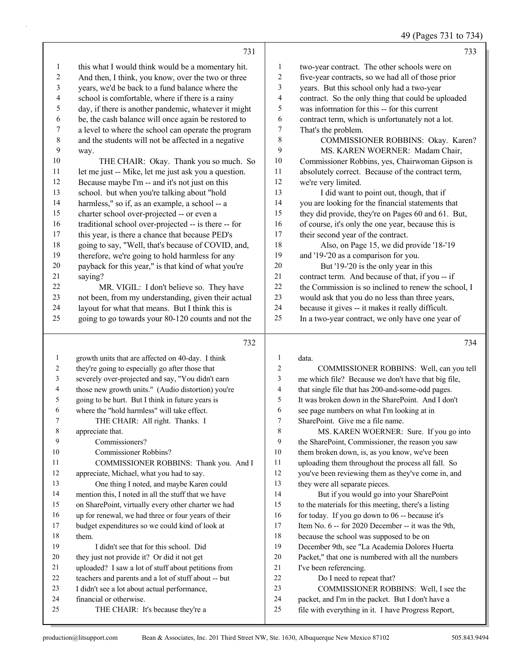### 49 (Pages 731 to 734)

|                | 731                                                                     |                          | 733                                                                                        |
|----------------|-------------------------------------------------------------------------|--------------------------|--------------------------------------------------------------------------------------------|
| 1              | this what I would think would be a momentary hit.                       | $\mathbf{1}$             | two-year contract. The other schools were on                                               |
| $\overline{c}$ | And then, I think, you know, over the two or three                      | $\overline{c}$           | five-year contracts, so we had all of those prior                                          |
| 3              | years, we'd be back to a fund balance where the                         | $\mathfrak{Z}$           | years. But this school only had a two-year                                                 |
| 4              | school is comfortable, where if there is a rainy                        | $\overline{\mathcal{A}}$ | contract. So the only thing that could be uploaded                                         |
| 5              | day, if there is another pandemic, whatever it might                    | 5                        | was information for this -- for this current                                               |
| 6              | be, the cash balance will once again be restored to                     | 6                        | contract term, which is unfortunately not a lot.                                           |
| 7              | a level to where the school can operate the program                     | $\boldsymbol{7}$         | That's the problem.                                                                        |
| $\,$ 8 $\,$    | and the students will not be affected in a negative                     | 8                        | COMMISSIONER ROBBINS: Okay. Karen?                                                         |
| 9              | way.                                                                    | 9                        | MS. KAREN WOERNER: Madam Chair,                                                            |
| 10             | THE CHAIR: Okay. Thank you so much. So                                  | 10                       | Commissioner Robbins, yes, Chairwoman Gipson is                                            |
| 11             | let me just -- Mike, let me just ask you a question.                    | 11                       | absolutely correct. Because of the contract term,                                          |
| 12             | Because maybe I'm -- and it's not just on this                          | 12                       | we're very limited.                                                                        |
| 13             | school. but when you're talking about "hold                             | 13                       | I did want to point out, though, that if                                                   |
| 14             | harmless," so if, as an example, a school -- a                          | 14                       | you are looking for the financial statements that                                          |
| 15             | charter school over-projected -- or even a                              | 15                       | they did provide, they're on Pages 60 and 61. But,                                         |
| 16             | traditional school over-projected -- is there -- for                    | 16                       | of course, it's only the one year, because this is                                         |
| 17             | this year, is there a chance that because PED's                         | 17                       | their second year of the contract.                                                         |
| 18             | going to say, "Well, that's because of COVID, and,                      | 18                       | Also, on Page 15, we did provide '18-'19                                                   |
| 19             | therefore, we're going to hold harmless for any                         | 19                       | and '19-'20 as a comparison for you.                                                       |
| $20\,$         | payback for this year," is that kind of what you're                     | 20                       | But '19-'20 is the only year in this                                                       |
| 21             | saying?                                                                 | 21                       | contract term. And because of that, if you -- if                                           |
| 22             | MR. VIGIL: I don't believe so. They have                                | 22                       | the Commission is so inclined to renew the school, I                                       |
| 23             | not been, from my understanding, given their actual                     | 23                       | would ask that you do no less than three years,                                            |
| 24             | layout for what that means. But I think this is                         | 24                       | because it gives -- it makes it really difficult.                                          |
| 25             | going to go towards your 80-120 counts and not the                      | 25                       | In a two-year contract, we only have one year of                                           |
|                |                                                                         |                          |                                                                                            |
|                | 732                                                                     |                          | 734                                                                                        |
| $\mathbf{1}$   | growth units that are affected on 40-day. I think                       | 1                        | data.                                                                                      |
| 2              | they're going to especially go after those that                         | 2                        | COMMISSIONER ROBBINS: Well, can you tell                                                   |
| 3              | severely over-projected and say, "You didn't earn                       | 3                        | me which file? Because we don't have that big file,                                        |
| 4              | those new growth units." (Audio distortion) you're                      | 4                        | that single file that has 200-and-some-odd pages.                                          |
| 5              | going to be hurt. But I think in future years is                        | 5                        | It was broken down in the SharePoint. And I don't                                          |
| 6              | where the "hold harmless" will take effect.                             | 6                        | see page numbers on what I'm looking at in                                                 |
| 7              | THE CHAIR: All right. Thanks. I                                         | 7                        | SharePoint. Give me a file name.                                                           |
| 8              | appreciate that.                                                        | 8                        | MS. KAREN WOERNER: Sure. If you go into                                                    |
| 9              | Commissioners?                                                          | 9                        | the SharePoint, Commissioner, the reason you saw                                           |
| 10             | <b>Commissioner Robbins?</b>                                            | 10                       | them broken down, is, as you know, we've been                                              |
| 11             | COMMISSIONER ROBBINS: Thank you. And I                                  | 11                       | uploading them throughout the process all fall. So                                         |
| 12             | appreciate, Michael, what you had to say.                               | 12                       | you've been reviewing them as they've come in, and                                         |
| 13             | One thing I noted, and maybe Karen could                                | 13                       | they were all separate pieces.                                                             |
| 14             | mention this, I noted in all the stuff that we have                     | 14                       | But if you would go into your SharePoint                                                   |
| 15             | on SharePoint, virtually every other charter we had                     | 15                       | to the materials for this meeting, there's a listing                                       |
| 16             | up for renewal, we had three or four years of their                     | 16                       | for today. If you go down to 06 -- because it's                                            |
| 17             | budget expenditures so we could kind of look at                         | 17                       | Item No. 6 -- for 2020 December -- it was the 9th,                                         |
| 18             | them.                                                                   | 18                       | because the school was supposed to be on                                                   |
| 19             | I didn't see that for this school. Did                                  | 19                       | December 9th, see "La Academia Dolores Huerta                                              |
| 20             | they just not provide it? Or did it not get                             | 20                       | Packet," that one is numbered with all the numbers                                         |
| 21<br>22       | uploaded? I saw a lot of stuff about petitions from                     | 21                       | I've been referencing.                                                                     |
| 23             | teachers and parents and a lot of stuff about -- but                    | 22<br>23                 | Do I need to repeat that?                                                                  |
| 24             | I didn't see a lot about actual performance,<br>financial or otherwise. | 24                       | COMMISSIONER ROBBINS: Well, I see the<br>packet, and I'm in the packet. But I don't have a |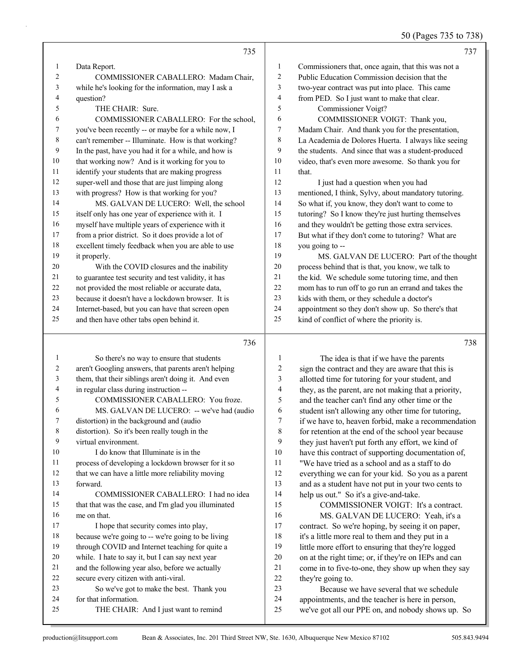50 (Pages 735 to 738)

|                   | 735                                                                                   |                  | 737                                                                                                       |
|-------------------|---------------------------------------------------------------------------------------|------------------|-----------------------------------------------------------------------------------------------------------|
| $\mathbf{1}$      | Data Report.                                                                          | 1                | Commissioners that, once again, that this was not a                                                       |
| 2                 | COMMISSIONER CABALLERO: Madam Chair,                                                  | 2                | Public Education Commission decision that the                                                             |
| 3                 | while he's looking for the information, may I ask a                                   | 3                | two-year contract was put into place. This came                                                           |
| 4                 | question?                                                                             | 4                | from PED. So I just want to make that clear.                                                              |
| 5                 | THE CHAIR: Sure.                                                                      | 5                | Commissioner Voigt?                                                                                       |
| 6                 | COMMISSIONER CABALLERO: For the school,                                               | 6                | COMMISSIONER VOIGT: Thank you,                                                                            |
| 7                 | you've been recently -- or maybe for a while now, I                                   | 7                | Madam Chair. And thank you for the presentation,                                                          |
| 8                 | can't remember -- Illuminate. How is that working?                                    | 8                | La Academia de Dolores Huerta. I always like seeing                                                       |
| 9                 | In the past, have you had it for a while, and how is                                  | 9                | the students. And since that was a student-produced                                                       |
| 10                | that working now? And is it working for you to                                        | 10               | video, that's even more awesome. So thank you for                                                         |
| 11                | identify your students that are making progress                                       | 11               | that.                                                                                                     |
| 12                | super-well and those that are just limping along                                      | 12               | I just had a question when you had                                                                        |
| 13                | with progress? How is that working for you?                                           | 13               | mentioned, I think, Sylvy, about mandatory tutoring.                                                      |
| 14                | MS. GALVAN DE LUCERO: Well, the school                                                | 14               | So what if, you know, they don't want to come to                                                          |
| 15                | itself only has one year of experience with it. I                                     | 15               | tutoring? So I know they're just hurting themselves                                                       |
| 16                | myself have multiple years of experience with it                                      | 16               | and they wouldn't be getting those extra services.                                                        |
| 17                | from a prior district. So it does provide a lot of                                    | 17               | But what if they don't come to tutoring? What are                                                         |
| 18                | excellent timely feedback when you are able to use                                    | 18               | you going to --                                                                                           |
| 19                | it properly.                                                                          | 19               | MS. GALVAN DE LUCERO: Part of the thought                                                                 |
| 20                | With the COVID closures and the inability                                             | $20\,$           | process behind that is that, you know, we talk to                                                         |
| 21                | to guarantee test security and test validity, it has                                  | $21\,$           | the kid. We schedule some tutoring time, and then                                                         |
| 22                | not provided the most reliable or accurate data,                                      | $22\,$           | mom has to run off to go run an errand and takes the                                                      |
| 23                | because it doesn't have a lockdown browser. It is                                     | $23\,$           | kids with them, or they schedule a doctor's                                                               |
| 24                | Internet-based, but you can have that screen open                                     | 24               | appointment so they don't show up. So there's that                                                        |
| 25                | and then have other tabs open behind it.                                              | 25               | kind of conflict of where the priority is.                                                                |
|                   | 736                                                                                   |                  |                                                                                                           |
|                   |                                                                                       |                  | 738                                                                                                       |
|                   |                                                                                       |                  |                                                                                                           |
| $\mathbf{1}$<br>2 | So there's no way to ensure that students                                             | 1                | The idea is that if we have the parents                                                                   |
| 3                 | aren't Googling answers, that parents aren't helping                                  | $\boldsymbol{2}$ | sign the contract and they are aware that this is                                                         |
| 4                 | them, that their siblings aren't doing it. And even                                   | 3<br>4           | allotted time for tutoring for your student, and                                                          |
| 5                 | in regular class during instruction --<br>COMMISSIONER CABALLERO: You froze.          | 5                | they, as the parent, are not making that a priority,                                                      |
| 6                 |                                                                                       | 6                | and the teacher can't find any other time or the                                                          |
|                   | MS. GALVAN DE LUCERO: -- we've had (audio<br>distortion) in the background and (audio | 7                | student isn't allowing any other time for tutoring,                                                       |
| 8                 | distortion). So it's been really tough in the                                         | 8                | if we have to, heaven forbid, make a recommendation                                                       |
| 9                 | virtual environment.                                                                  | 9                | for retention at the end of the school year because<br>they just haven't put forth any effort, we kind of |
| 10                | I do know that Illuminate is in the                                                   | 10               | have this contract of supporting documentation of,                                                        |
| 11                | process of developing a lockdown browser for it so                                    | 11               | "We have tried as a school and as a staff to do                                                           |
| 12                | that we can have a little more reliability moving                                     | 12               | everything we can for your kid. So you as a parent                                                        |
| 13                | forward.                                                                              | 13               | and as a student have not put in your two cents to                                                        |
| 14                | COMMISSIONER CABALLERO: I had no idea                                                 | 14               | help us out." So it's a give-and-take.                                                                    |
| 15                | that that was the case, and I'm glad you illuminated                                  | 15               | COMMISSIONER VOIGT: It's a contract.                                                                      |
| 16                | me on that.                                                                           | 16               | MS. GALVAN DE LUCERO: Yeah, it's a                                                                        |
| 17                | I hope that security comes into play,                                                 | 17               | contract. So we're hoping, by seeing it on paper,                                                         |
| 18                | because we're going to -- we're going to be living                                    | 18               | it's a little more real to them and they put in a                                                         |
| 19                | through COVID and Internet teaching for quite a                                       | 19               | little more effort to ensuring that they're logged                                                        |
| 20                | while. I hate to say it, but I can say next year                                      | $20\,$           | on at the right time; or, if they're on IEPs and can                                                      |
| 21                | and the following year also, before we actually                                       | 21               | come in to five-to-one, they show up when they say                                                        |
| 22                | secure every citizen with anti-viral.                                                 | $22\,$           | they're going to.                                                                                         |
| 23                | So we've got to make the best. Thank you                                              | 23               | Because we have several that we schedule                                                                  |
| 24<br>25          | for that information.<br>THE CHAIR: And I just want to remind                         | 24<br>25         | appointments, and the teacher is here in person,<br>we've got all our PPE on, and nobody shows up. So     |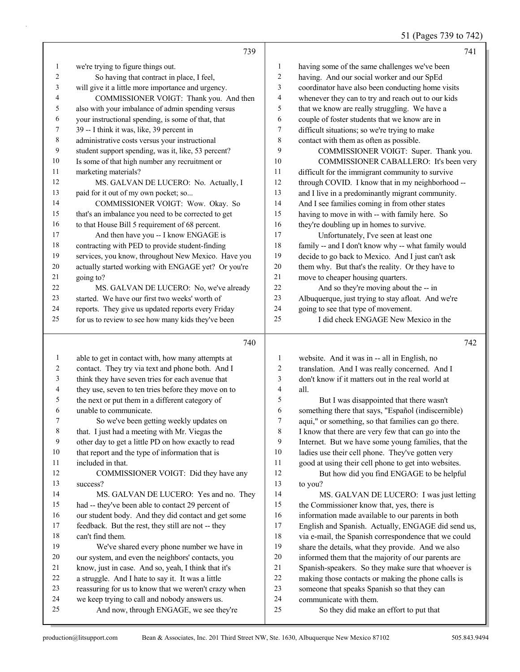51 (Pages 739 to 742)

|                | 739                                                                                      |                          | 741                                                              |
|----------------|------------------------------------------------------------------------------------------|--------------------------|------------------------------------------------------------------|
| $\mathbf{1}$   | we're trying to figure things out.                                                       | 1                        | having some of the same challenges we've been                    |
| $\overline{2}$ | So having that contract in place, I feel,                                                | 2                        | having. And our social worker and our SpEd                       |
| 3              | will give it a little more importance and urgency.                                       | 3                        | coordinator have also been conducting home visits                |
| 4              | COMMISSIONER VOIGT: Thank you. And then                                                  | 4                        | whenever they can to try and reach out to our kids               |
| 5              | also with your imbalance of admin spending versus                                        | 5                        | that we know are really struggling. We have a                    |
| 6              | your instructional spending, is some of that, that                                       | 6                        | couple of foster students that we know are in                    |
| 7              | 39 -- I think it was, like, 39 percent in                                                | 7                        | difficult situations; so we're trying to make                    |
| 8              | administrative costs versus your instructional                                           | $\,$ $\,$                | contact with them as often as possible.                          |
| 9              | student support spending, was it, like, 53 percent?                                      | 9                        | COMMISSIONER VOIGT: Super. Thank you.                            |
| 10             | Is some of that high number any recruitment or                                           | 10                       | COMMISSIONER CABALLERO: It's been very                           |
| 11             | marketing materials?                                                                     | 11                       | difficult for the immigrant community to survive                 |
| 12             | MS. GALVAN DE LUCERO: No. Actually, I                                                    | 12                       | through COVID. I know that in my neighborhood --                 |
| 13             | paid for it out of my own pocket; so                                                     | 13                       | and I live in a predominantly migrant community.                 |
| 14             | COMMISSIONER VOIGT: Wow. Okay. So                                                        | 14                       | And I see families coming in from other states                   |
| 15             | that's an imbalance you need to be corrected to get                                      | 15                       | having to move in with -- with family here. So                   |
| 16             | to that House Bill 5 requirement of 68 percent.                                          | 16                       | they're doubling up in homes to survive.                         |
| 17             | And then have you -- I know ENGAGE is                                                    | 17                       | Unfortunately, I've seen at least one                            |
| 18             | contracting with PED to provide student-finding                                          | 18                       | family -- and I don't know why -- what family would              |
| 19             | services, you know, throughout New Mexico. Have you                                      | 19                       | decide to go back to Mexico. And I just can't ask                |
| 20             | actually started working with ENGAGE yet? Or you're                                      | 20                       | them why. But that's the reality. Or they have to                |
| 21             | going to?                                                                                | $21\,$                   | move to cheaper housing quarters.                                |
| 22             | MS. GALVAN DE LUCERO: No, we've already                                                  | 22                       | And so they're moving about the -- in                            |
| 23             | started. We have our first two weeks' worth of                                           | 23                       | Albuquerque, just trying to stay afloat. And we're               |
| 24             | reports. They give us updated reports every Friday                                       | 24                       | going to see that type of movement.                              |
| 25             | for us to review to see how many kids they've been                                       | 25                       | I did check ENGAGE New Mexico in the                             |
|                |                                                                                          |                          |                                                                  |
|                | 740                                                                                      |                          | 742                                                              |
| $\mathbf{1}$   | able to get in contact with, how many attempts at                                        | 1                        | website. And it was in -- all in English, no                     |
| 2              | contact. They try via text and phone both. And I                                         | 2                        | translation. And I was really concerned. And I                   |
| 3              | think they have seven tries for each avenue that                                         | 3                        | don't know if it matters out in the real world at                |
| 4              | they use, seven to ten tries before they move on to                                      | $\overline{\mathcal{A}}$ | all.                                                             |
| 5              | the next or put them in a different category of                                          | 5                        | But I was disappointed that there wasn't                         |
| 6              | unable to communicate.                                                                   | 6                        | something there that says, "Español (indiscernible)              |
| 7              | So we've been getting weekly updates on                                                  | 7                        | aqui," or something, so that families can go there.              |
| 8              | that. I just had a meeting with Mr. Viegas the                                           | 8                        | I know that there are very few that can go into the              |
| 9              | other day to get a little PD on how exactly to read                                      | 9                        | Internet. But we have some young families, that the              |
| 10             | that report and the type of information that is                                          | 10                       | ladies use their cell phone. They've gotten very                 |
| 11             | included in that.                                                                        | 11                       | good at using their cell phone to get into websites.             |
| 12             | COMMISSIONER VOIGT: Did they have any                                                    | 12                       | But how did you find ENGAGE to be helpful                        |
| 13             | success?                                                                                 | 13                       | to you?                                                          |
| 14             | MS. GALVAN DE LUCERO: Yes and no. They                                                   | 14                       | MS. GALVAN DE LUCERO: I was just letting                         |
| 15             | had -- they've been able to contact 29 percent of                                        | 15                       | the Commissioner know that, yes, there is                        |
| 16             | our student body. And they did contact and get some                                      | 16                       | information made available to our parents in both                |
| 17             | feedback. But the rest, they still are not -- they                                       | 17                       | English and Spanish. Actually, ENGAGE did send us,               |
| 18             | can't find them.                                                                         | 18                       | via e-mail, the Spanish correspondence that we could             |
| 19             | We've shared every phone number we have in                                               | 19                       | share the details, what they provide. And we also                |
| 20             | our system, and even the neighbors' contacts, you                                        | 20                       | informed them that the majority of our parents are               |
| 21             | know, just in case. And so, yeah, I think that it's                                      | 21                       | Spanish-speakers. So they make sure that whoever is              |
| 22             | a struggle. And I hate to say it. It was a little                                        | 22                       | making those contacts or making the phone calls is               |
| 23             | reassuring for us to know that we weren't crazy when                                     | 23                       | someone that speaks Spanish so that they can                     |
| 24<br>25       | we keep trying to call and nobody answers us.<br>And now, through ENGAGE, we see they're | $24\,$<br>25             | communicate with them.<br>So they did make an effort to put that |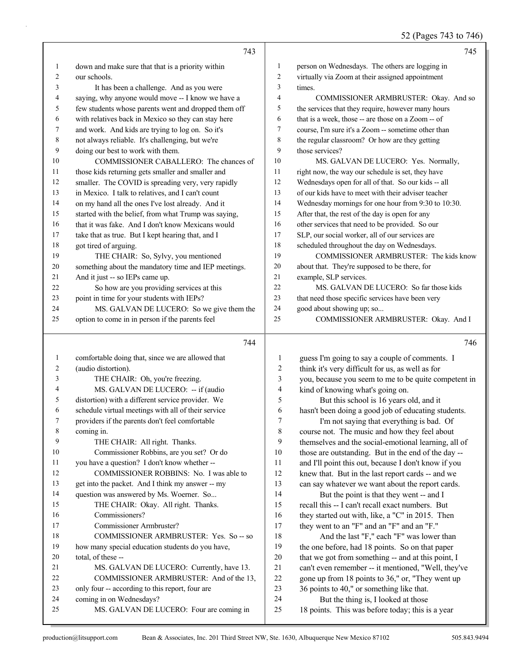52 (Pages 743 to 746)

|              | 743                                                                  |                | 745                                                                                     |
|--------------|----------------------------------------------------------------------|----------------|-----------------------------------------------------------------------------------------|
| $\mathbf{1}$ | down and make sure that that is a priority within                    | 1              | person on Wednesdays. The others are logging in                                         |
| 2            | our schools.                                                         | $\overline{c}$ | virtually via Zoom at their assigned appointment                                        |
| 3            | It has been a challenge. And as you were                             | 3              | times.                                                                                  |
| 4            | saying, why anyone would move -- I know we have a                    | 4              | COMMISSIONER ARMBRUSTER: Okay. And so                                                   |
| 5            | few students whose parents went and dropped them off                 | 5              | the services that they require, however many hours                                      |
| 6            | with relatives back in Mexico so they can stay here                  | 6              | that is a week, those -- are those on a Zoom -- of                                      |
| 7            | and work. And kids are trying to log on. So it's                     | $\tau$         | course, I'm sure it's a Zoom -- sometime other than                                     |
| 8            | not always reliable. It's challenging, but we're                     | $\,$ 8 $\,$    | the regular classroom? Or how are they getting                                          |
| 9            | doing our best to work with them.                                    | 9              | those services?                                                                         |
| 10           | COMMISSIONER CABALLERO: The chances of                               | 10             | MS. GALVAN DE LUCERO: Yes. Normally,                                                    |
| 11           | those kids returning gets smaller and smaller and                    | 11             | right now, the way our schedule is set, they have                                       |
| 12           | smaller. The COVID is spreading very, very rapidly                   | 12             | Wednesdays open for all of that. So our kids -- all                                     |
| 13           | in Mexico. I talk to relatives, and I can't count                    | 13             | of our kids have to meet with their adviser teacher                                     |
| 14           | on my hand all the ones I've lost already. And it                    | 14             | Wednesday mornings for one hour from 9:30 to 10:30.                                     |
| 15           | started with the belief, from what Trump was saying,                 | 15             | After that, the rest of the day is open for any                                         |
| 16           | that it was fake. And I don't know Mexicans would                    | 16             | other services that need to be provided. So our                                         |
| 17           | take that as true. But I kept hearing that, and I                    | 17             | SLP, our social worker, all of our services are                                         |
| 18           | got tired of arguing.                                                | 18             | scheduled throughout the day on Wednesdays.                                             |
| 19           | THE CHAIR: So, Sylvy, you mentioned                                  | 19             | COMMISSIONER ARMBRUSTER: The kids know                                                  |
| 20           | something about the mandatory time and IEP meetings.                 | $20\,$         | about that. They're supposed to be there, for                                           |
| 21           | And it just -- so IEPs came up.                                      | 21             | example, SLP services.                                                                  |
| 22           | So how are you providing services at this                            | 22             | MS. GALVAN DE LUCERO: So far those kids                                                 |
| 23           | point in time for your students with IEPs?                           | 23             | that need those specific services have been very                                        |
| 24           | MS. GALVAN DE LUCERO: So we give them the                            | 24             | good about showing up; so                                                               |
| 25           | option to come in in person if the parents feel                      | 25             | COMMISSIONER ARMBRUSTER: Okay. And I                                                    |
|              |                                                                      |                |                                                                                         |
|              |                                                                      |                |                                                                                         |
|              | 744                                                                  |                | 746                                                                                     |
| $\mathbf{1}$ | comfortable doing that, since we are allowed that                    | $\mathbf{1}$   | guess I'm going to say a couple of comments. I                                          |
| 2            | (audio distortion).                                                  | $\sqrt{2}$     | think it's very difficult for us, as well as for                                        |
| 3            | THE CHAIR: Oh, you're freezing.                                      | 3              | you, because you seem to me to be quite competent in                                    |
| 4            | MS. GALVAN DE LUCERO: -- if (audio                                   | $\overline{4}$ | kind of knowing what's going on.                                                        |
| 5            | distortion) with a different service provider. We                    | 5              | But this school is 16 years old, and it                                                 |
| 6            | schedule virtual meetings with all of their service                  | 6              | hasn't been doing a good job of educating students.                                     |
| 7            | providers if the parents don't feel comfortable                      | 7              | I'm not saying that everything is bad. Of                                               |
| 8            | coming in.                                                           | 8              | course not. The music and how they feel about                                           |
| 9            | THE CHAIR: All right. Thanks.                                        | 9              | themselves and the social-emotional learning, all of                                    |
| 10           | Commissioner Robbins, are you set? Or do                             | 10             | those are outstanding. But in the end of the day --                                     |
| 11           | you have a question? I don't know whether --                         | 11             | and I'll point this out, because I don't know if you                                    |
| 12           | COMMISSIONER ROBBINS: No. I was able to                              | 12             | knew that. But in the last report cards -- and we                                       |
| 13           | get into the packet. And I think my answer -- my                     | 13             | can say whatever we want about the report cards.                                        |
| 14           | question was answered by Ms. Woerner. So                             | 14             | But the point is that they went -- and I                                                |
| 15           | THE CHAIR: Okay. All right. Thanks.                                  | 15             | recall this -- I can't recall exact numbers. But                                        |
| 16           | Commissioners?                                                       | 16             | they started out with, like, a "C" in 2015. Then                                        |
| 17           | Commissioner Armbruster?                                             | 17             | they went to an "F" and an "F" and an "F."                                              |
| 18           | COMMISSIONER ARMBRUSTER: Yes. So -- so                               | 18             | And the last "F," each "F" was lower than                                               |
| 19           | how many special education students do you have,                     | 19             | the one before, had 18 points. So on that paper                                         |
| 20           | total, of these --                                                   | $20\,$         | that we got from something -- and at this point, I                                      |
| 21           | MS. GALVAN DE LUCERO: Currently, have 13.                            | 21             | can't even remember -- it mentioned, "Well, they've                                     |
| 22           | COMMISSIONER ARMBRUSTER: And of the 13,                              | $22\,$         | gone up from 18 points to 36," or, "They went up                                        |
| 23<br>24     | only four -- according to this report, four are                      | 23             | 36 points to 40," or something like that.                                               |
| 25           | coming in on Wednesdays?<br>MS. GALVAN DE LUCERO: Four are coming in | 24<br>25       | But the thing is, I looked at those<br>18 points. This was before today; this is a year |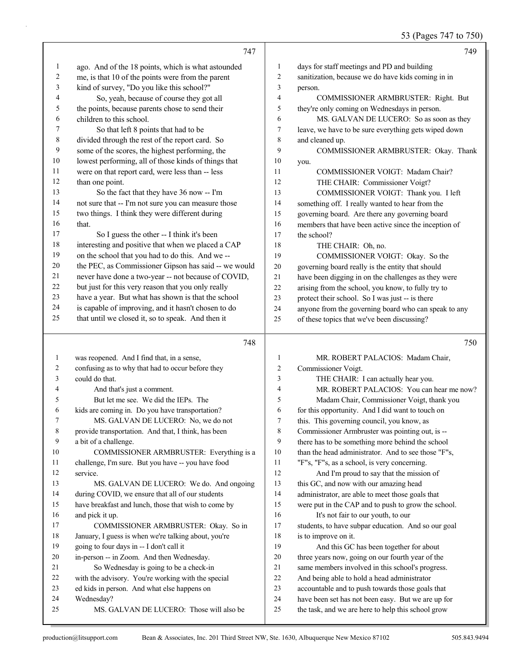53 (Pages 747 to 750)

|              | 747                                                                                                      |                | 749                                                                                                      |
|--------------|----------------------------------------------------------------------------------------------------------|----------------|----------------------------------------------------------------------------------------------------------|
|              |                                                                                                          |                |                                                                                                          |
| 1            | ago. And of the 18 points, which is what astounded                                                       | $\mathbf{1}$   | days for staff meetings and PD and building                                                              |
| 2            | me, is that 10 of the points were from the parent                                                        | $\overline{c}$ | sanitization, because we do have kids coming in in                                                       |
| 3            | kind of survey, "Do you like this school?"                                                               | 3              | person.                                                                                                  |
| 4            | So, yeah, because of course they got all                                                                 | 4              | COMMISSIONER ARMBRUSTER: Right. But                                                                      |
| 5            | the points, because parents chose to send their                                                          | 5              | they're only coming on Wednesdays in person.                                                             |
| 6            | children to this school.                                                                                 | 6              | MS. GALVAN DE LUCERO: So as soon as they                                                                 |
| 7            | So that left 8 points that had to be                                                                     | $\tau$         | leave, we have to be sure everything gets wiped down                                                     |
| 8            | divided through the rest of the report card. So                                                          | 8<br>9         | and cleaned up.                                                                                          |
| 9<br>10      | some of the scores, the highest performing, the                                                          |                | COMMISSIONER ARMBRUSTER: Okay. Thank                                                                     |
| 11           | lowest performing, all of those kinds of things that<br>were on that report card, were less than -- less | 10<br>11       | you.<br>COMMISSIONER VOIGT: Madam Chair?                                                                 |
| 12           | than one point.                                                                                          | 12             |                                                                                                          |
| 13           | So the fact that they have 36 now -- I'm                                                                 | 13             | THE CHAIR: Commissioner Voigt?                                                                           |
| 14           | not sure that -- I'm not sure you can measure those                                                      | 14             | COMMISSIONER VOIGT: Thank you. I left                                                                    |
| 15           | two things. I think they were different during                                                           | 15             | something off. I really wanted to hear from the                                                          |
| 16           | that.                                                                                                    | 16             | governing board. Are there any governing board<br>members that have been active since the inception of   |
| 17           | So I guess the other -- I think it's been                                                                | 17             | the school?                                                                                              |
| 18           | interesting and positive that when we placed a CAP                                                       | 18             | THE CHAIR: Oh, no.                                                                                       |
| 19           | on the school that you had to do this. And we --                                                         | 19             | COMMISSIONER VOIGT: Okay. So the                                                                         |
| 20           | the PEC, as Commissioner Gipson has said -- we would                                                     | $20\,$         | governing board really is the entity that should                                                         |
| 21           | never have done a two-year -- not because of COVID,                                                      | 21             | have been digging in on the challenges as they were                                                      |
| 22           | but just for this very reason that you only really                                                       | 22             | arising from the school, you know, to fully try to                                                       |
| 23           | have a year. But what has shown is that the school                                                       | 23             | protect their school. So I was just -- is there                                                          |
| 24           | is capable of improving, and it hasn't chosen to do                                                      | 24             | anyone from the governing board who can speak to any                                                     |
| 25           | that until we closed it, so to speak. And then it                                                        | 25             | of these topics that we've been discussing?                                                              |
|              |                                                                                                          |                |                                                                                                          |
|              | 748                                                                                                      |                | 750                                                                                                      |
| $\mathbf{1}$ | was reopened. And I find that, in a sense,                                                               | $\mathbf{1}$   | MR. ROBERT PALACIOS: Madam Chair,                                                                        |
| 2            | confusing as to why that had to occur before they                                                        | $\overline{c}$ | Commissioner Voigt.                                                                                      |
| 3            | could do that.                                                                                           | 3              |                                                                                                          |
| 4            |                                                                                                          |                | THE CHAIR: I can actually hear you.                                                                      |
|              | And that's just a comment.                                                                               | 4              | MR. ROBERT PALACIOS: You can hear me now?                                                                |
| 5            | But let me see. We did the IEPs. The                                                                     | 5              | Madam Chair, Commissioner Voigt, thank you                                                               |
| 6            | kids are coming in. Do you have transportation?                                                          | 6              | for this opportunity. And I did want to touch on                                                         |
| 7            | MS. GALVAN DE LUCERO: No, we do not                                                                      |                | this. This governing council, you know, as                                                               |
| 8            | provide transportation. And that, I think, has been                                                      | 8              | Commissioner Armbruster was pointing out, is --                                                          |
| 9            | a bit of a challenge.                                                                                    | 9              | there has to be something more behind the school                                                         |
| 10           | COMMISSIONER ARMBRUSTER: Everything is a                                                                 | $10\,$         | than the head administrator. And to see those "F"s,                                                      |
| 11           | challenge, I'm sure. But you have -- you have food                                                       | 11             | "F"s, "F"s, as a school, is very concerning.                                                             |
| 12           | service.                                                                                                 | 12             | And I'm proud to say that the mission of                                                                 |
| 13           | MS. GALVAN DE LUCERO: We do. And ongoing                                                                 | 13             | this GC, and now with our amazing head                                                                   |
| 14           | during COVID, we ensure that all of our students                                                         | 14             | administrator, are able to meet those goals that                                                         |
| 15           | have breakfast and lunch, those that wish to come by                                                     | 15             | were put in the CAP and to push to grow the school.                                                      |
| 16           | and pick it up.                                                                                          | 16             | It's not fair to our youth, to our                                                                       |
| 17           | COMMISSIONER ARMBRUSTER: Okay. So in                                                                     | 17             | students, to have subpar education. And so our goal                                                      |
| 18           | January, I guess is when we're talking about, you're                                                     | 18             | is to improve on it.                                                                                     |
| 19           | going to four days in -- I don't call it                                                                 | 19             | And this GC has been together for about                                                                  |
| 20           | in-person -- in Zoom. And then Wednesday.                                                                | $20\,$         | three years now, going on our fourth year of the                                                         |
| 21           | So Wednesday is going to be a check-in                                                                   | 21             | same members involved in this school's progress.                                                         |
| 22           | with the advisory. You're working with the special                                                       | 22             | And being able to hold a head administrator                                                              |
| 23           | ed kids in person. And what else happens on                                                              | 23             | accountable and to push towards those goals that                                                         |
| 24<br>25     | Wednesday?<br>MS. GALVAN DE LUCERO: Those will also be                                                   | 24<br>25       | have been set has not been easy. But we are up for<br>the task, and we are here to help this school grow |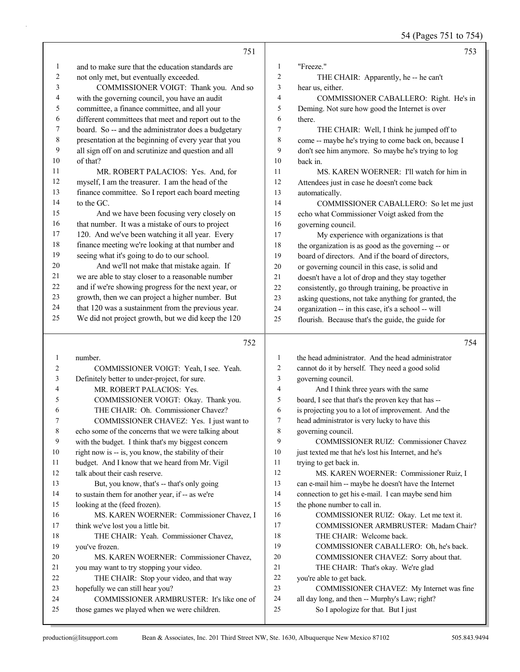54 (Pages 751 to 754)

|                | 751                                                                                                    |          | 753                                                                                   |
|----------------|--------------------------------------------------------------------------------------------------------|----------|---------------------------------------------------------------------------------------|
| 1              | and to make sure that the education standards are                                                      | 1        | "Freeze."                                                                             |
| $\overline{c}$ | not only met, but eventually exceeded.                                                                 | 2        | THE CHAIR: Apparently, he -- he can't                                                 |
| 3              | COMMISSIONER VOIGT: Thank you. And so                                                                  | 3        | hear us, either.                                                                      |
| 4              | with the governing council, you have an audit                                                          | 4        | COMMISSIONER CABALLERO: Right. He's in                                                |
| 5              | committee, a finance committee, and all your                                                           | 5        | Deming. Not sure how good the Internet is over                                        |
| 6              | different committees that meet and report out to the                                                   | 6        | there.                                                                                |
| 7              | board. So -- and the administrator does a budgetary                                                    | 7        | THE CHAIR: Well, I think he jumped off to                                             |
| $\,$ 8 $\,$    | presentation at the beginning of every year that you                                                   | 8        | come -- maybe he's trying to come back on, because I                                  |
| 9              | all sign off on and scrutinize and question and all                                                    | 9        | don't see him anymore. So maybe he's trying to log                                    |
| $10\,$         | of that?                                                                                               | 10       | back in.                                                                              |
| 11             | MR. ROBERT PALACIOS: Yes. And, for                                                                     | 11       | MS. KAREN WOERNER: I'll watch for him in                                              |
| 12             | myself, I am the treasurer. I am the head of the                                                       | 12       | Attendees just in case he doesn't come back                                           |
| 13             | finance committee. So I report each board meeting                                                      | 13       | automatically.                                                                        |
| 14             | to the GC.                                                                                             | 14       | COMMISSIONER CABALLERO: So let me just                                                |
| 15             | And we have been focusing very closely on                                                              | 15       | echo what Commissioner Voigt asked from the                                           |
| 16             | that number. It was a mistake of ours to project                                                       | 16       | governing council.                                                                    |
| 17             | 120. And we've been watching it all year. Every                                                        | 17       | My experience with organizations is that                                              |
| 18             | finance meeting we're looking at that number and                                                       | 18       | the organization is as good as the governing -- or                                    |
| 19             | seeing what it's going to do to our school.                                                            | 19       | board of directors. And if the board of directors,                                    |
| $20\,$         | And we'll not make that mistake again. If                                                              | 20       | or governing council in this case, is solid and                                       |
| 21             | we are able to stay closer to a reasonable number                                                      | $21\,$   | doesn't have a lot of drop and they stay together                                     |
| $22\,$<br>23   | and if we're showing progress for the next year, or                                                    | 22       | consistently, go through training, be proactive in                                    |
| 24             | growth, then we can project a higher number. But<br>that 120 was a sustainment from the previous year. | 23       | asking questions, not take anything for granted, the                                  |
| 25             | We did not project growth, but we did keep the 120                                                     | 24<br>25 | organization -- in this case, it's a school -- will                                   |
|                |                                                                                                        |          | flourish. Because that's the guide, the guide for                                     |
|                |                                                                                                        |          |                                                                                       |
|                | 752                                                                                                    |          | 754                                                                                   |
| $\mathbf{1}$   | number.                                                                                                | 1        | the head administrator. And the head administrator                                    |
| $\overline{c}$ | COMMISSIONER VOIGT: Yeah, I see. Yeah.                                                                 | 2        | cannot do it by herself. They need a good solid                                       |
| 3              | Definitely better to under-project, for sure.                                                          | 3        | governing council.                                                                    |
| 4              | MR. ROBERT PALACIOS: Yes.                                                                              | 4        | And I think three years with the same                                                 |
| 5              | COMMISSIONER VOIGT: Okay. Thank you.                                                                   | 5        | board, I see that that's the proven key that has --                                   |
| 6              | THE CHAIR: Oh. Commissioner Chavez?                                                                    | 6        | is projecting you to a lot of improvement. And the                                    |
| 7              | COMMISSIONER CHAVEZ: Yes. I just want to                                                               | 7        | head administrator is very lucky to have this                                         |
| $\,$ $\,$      | echo some of the concerns that we were talking about                                                   | 8        | governing council.                                                                    |
| 9              | with the budget. I think that's my biggest concern                                                     | 9        | COMMISSIONER RUIZ: Commissioner Chavez                                                |
| 10             | right now is -- is, you know, the stability of their                                                   | 10       | just texted me that he's lost his Internet, and he's                                  |
| 11             | budget. And I know that we heard from Mr. Vigil                                                        | 11       | trying to get back in.                                                                |
| 12             | talk about their cash reserve.                                                                         | 12       | MS. KAREN WOERNER: Commissioner Ruiz, I                                               |
| 13             | But, you know, that's -- that's only going                                                             | 13       | can e-mail him -- maybe he doesn't have the Internet                                  |
| 14             | to sustain them for another year, if -- as we're                                                       | 14       | connection to get his e-mail. I can maybe send him                                    |
| 15             | looking at the (feed frozen).                                                                          | 15       | the phone number to call in.                                                          |
| 16             | MS. KAREN WOERNER: Commissioner Chavez, I                                                              | 16       | COMMISSIONER RUIZ: Okay. Let me text it.                                              |
| 17             | think we've lost you a little bit.                                                                     | 17       | COMMISSIONER ARMBRUSTER: Madam Chair?                                                 |
| 18             | THE CHAIR: Yeah. Commissioner Chavez,                                                                  | 18       | THE CHAIR: Welcome back.                                                              |
| 19             | you've frozen.                                                                                         | 19       | COMMISSIONER CABALLERO: Oh, he's back.                                                |
| 20             | MS. KAREN WOERNER: Commissioner Chavez,                                                                | 20       | COMMISSIONER CHAVEZ: Sorry about that.                                                |
| 21             | you may want to try stopping your video.                                                               | 21       | THE CHAIR: That's okay. We're glad                                                    |
| 22             | THE CHAIR: Stop your video, and that way                                                               | 22       | you're able to get back.                                                              |
| 23             | hopefully we can still hear you?                                                                       | 23       | COMMISSIONER CHAVEZ: My Internet was fine                                             |
| 24<br>25       | COMMISSIONER ARMBRUSTER: It's like one of<br>those games we played when we were children.              | 24<br>25 | all day long, and then -- Murphy's Law; right?<br>So I apologize for that. But I just |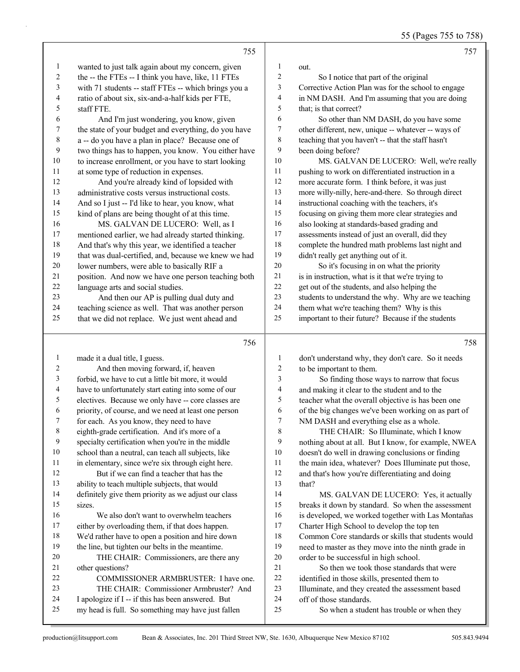55 (Pages 755 to 758)

|                  | 755                                                                                                      |                  | 757                                                                   |
|------------------|----------------------------------------------------------------------------------------------------------|------------------|-----------------------------------------------------------------------|
| $\mathbf{1}$     | wanted to just talk again about my concern, given                                                        | 1                | out.                                                                  |
| $\overline{c}$   | the -- the FTEs -- I think you have, like, 11 FTEs                                                       | $\overline{c}$   | So I notice that part of the original                                 |
| 3                | with 71 students -- staff FTEs -- which brings you a                                                     | 3                | Corrective Action Plan was for the school to engage                   |
| $\overline{4}$   | ratio of about six, six-and-a-half kids per FTE,                                                         | 4                | in NM DASH. And I'm assuming that you are doing                       |
| 5                | staff FTE.                                                                                               | 5                | that; is that correct?                                                |
| 6                | And I'm just wondering, you know, given                                                                  | 6                | So other than NM DASH, do you have some                               |
| $\boldsymbol{7}$ | the state of your budget and everything, do you have                                                     | 7                | other different, new, unique -- whatever -- ways of                   |
| $\,$ $\,$        | a -- do you have a plan in place? Because one of                                                         | $\,$ 8 $\,$      | teaching that you haven't -- that the staff hasn't                    |
| 9                | two things has to happen, you know. You either have                                                      | 9                | been doing before?                                                    |
| $10\,$           | to increase enrollment, or you have to start looking                                                     | 10               | MS. GALVAN DE LUCERO: Well, we're really                              |
| 11               | at some type of reduction in expenses.                                                                   | 11               | pushing to work on differentiated instruction in a                    |
| 12               | And you're already kind of lopsided with                                                                 | 12               | more accurate form. I think before, it was just                       |
| 13               | administrative costs versus instructional costs.                                                         | 13               | more willy-nilly, here-and-there. So through direct                   |
| 14               | And so I just -- I'd like to hear, you know, what                                                        | 14               | instructional coaching with the teachers, it's                        |
| 15               | kind of plans are being thought of at this time.                                                         | 15               | focusing on giving them more clear strategies and                     |
| 16               | MS. GALVAN DE LUCERO: Well, as I                                                                         | 16               | also looking at standards-based grading and                           |
| 17               | mentioned earlier, we had already started thinking.                                                      | 17               | assessments instead of just an overall, did they                      |
| 18               | And that's why this year, we identified a teacher                                                        | $18\,$           | complete the hundred math problems last night and                     |
| 19               | that was dual-certified, and, because we knew we had                                                     | 19               | didn't really get anything out of it.                                 |
| 20               | lower numbers, were able to basically RIF a                                                              | $20\,$           | So it's focusing in on what the priority                              |
| 21               | position. And now we have one person teaching both                                                       | $21\,$           | is in instruction, what is it that we're trying to                    |
| 22               | language arts and social studies.                                                                        | 22               | get out of the students, and also helping the                         |
| 23               | And then our AP is pulling dual duty and                                                                 | 23               | students to understand the why. Why are we teaching                   |
| 24               | teaching science as well. That was another person                                                        | 24               | them what we're teaching them? Why is this                            |
| 25               | that we did not replace. We just went ahead and                                                          | 25               | important to their future? Because if the students                    |
|                  | 756                                                                                                      |                  | 758                                                                   |
| $\mathbf{1}$     | made it a dual title, I guess.                                                                           | $\mathbf{1}$     | don't understand why, they don't care. So it needs                    |
| 2                | And then moving forward, if, heaven                                                                      | $\boldsymbol{2}$ | to be important to them.                                              |
| 3                | forbid, we have to cut a little bit more, it would                                                       | 3                | So finding those ways to narrow that focus                            |
| 4                | have to unfortunately start eating into some of our                                                      | 4                | and making it clear to the student and to the                         |
| 5                | electives. Because we only have -- core classes are                                                      | 5                | teacher what the overall objective is has been one                    |
| 6                | priority, of course, and we need at least one person                                                     | 6                | of the big changes we've been working on as part of                   |
| 7                | for each. As you know, they need to have                                                                 | 7                | NM DASH and everything else as a whole.                               |
| $\,$ 8 $\,$      | eighth-grade certification. And it's more of a                                                           | 8                | THE CHAIR: So Illuminate, which I know                                |
| 9                | specialty certification when you're in the middle                                                        | 9                | nothing about at all. But I know, for example, NWEA                   |
| 10               | school than a neutral, can teach all subjects, like                                                      | 10               | doesn't do well in drawing conclusions or finding                     |
| 11               | in elementary, since we're six through eight here.                                                       | 11               | the main idea, whatever? Does Illuminate put those,                   |
| 12               | But if we can find a teacher that has the                                                                | 12               | and that's how you're differentiating and doing                       |
| 13               | ability to teach multiple subjects, that would                                                           | 13               | that?                                                                 |
| 14               | definitely give them priority as we adjust our class                                                     | 14               | MS. GALVAN DE LUCERO: Yes, it actually                                |
| 15               | sizes.                                                                                                   | 15               | breaks it down by standard. So when the assessment                    |
| 16               | We also don't want to overwhelm teachers                                                                 | 16               | is developed, we worked together with Las Montañas                    |
| 17               | either by overloading them, if that does happen.                                                         | 17               | Charter High School to develop the top ten                            |
| 18               | We'd rather have to open a position and hire down                                                        | 18               | Common Core standards or skills that students would                   |
| 19               | the line, but tighten our belts in the meantime.                                                         | 19               | need to master as they move into the ninth grade in                   |
|                  |                                                                                                          |                  |                                                                       |
| 20               | THE CHAIR: Commissioners, are there any                                                                  | 20               | order to be successful in high school.                                |
| 21               | other questions?                                                                                         | 21               | So then we took those standards that were                             |
| 22               | COMMISSIONER ARMBRUSTER: I have one.                                                                     | $22\,$           | identified in those skills, presented them to                         |
| 23               | THE CHAIR: Commissioner Armbruster? And                                                                  | 23               | Illuminate, and they created the assessment based                     |
| 24<br>25         | I apologize if I -- if this has been answered. But<br>my head is full. So something may have just fallen | 24<br>25         | off of those standards.<br>So when a student has trouble or when they |

J.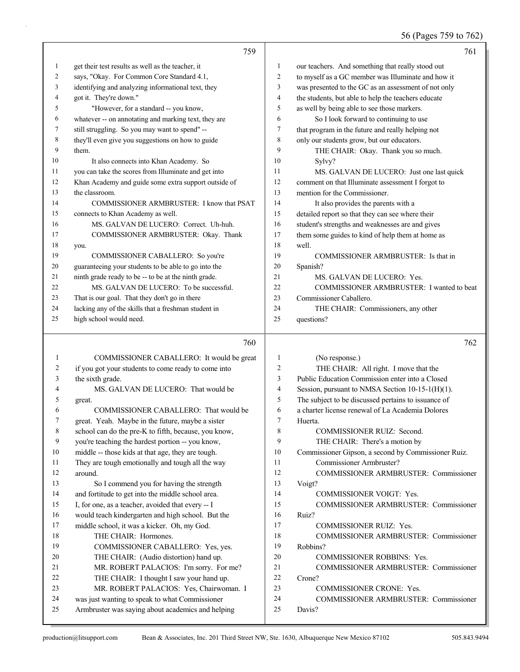#### 56 (Pages 759 to 762)

|    | 759                                                  |                | 761                                                  |
|----|------------------------------------------------------|----------------|------------------------------------------------------|
| 1  | get their test results as well as the teacher, it    | 1              | our teachers. And something that really stood out    |
| 2  | says, "Okay. For Common Core Standard 4.1,           | 2              | to myself as a GC member was Illuminate and how it   |
| 3  | identifying and analyzing informational text, they   | 3              | was presented to the GC as an assessment of not only |
| 4  | got it. They're down."                               | $\overline{4}$ | the students, but able to help the teachers educate  |
| 5  | "However, for a standard -- you know,                | 5              | as well by being able to see those markers.          |
| 6  | whatever -- on annotating and marking text, they are | 6              | So I look forward to continuing to use               |
| 7  | still struggling. So you may want to spend" --       | $\tau$         | that program in the future and really helping not    |
| 8  | they'll even give you suggestions on how to guide    | 8              | only our students grow, but our educators.           |
| 9  | them.                                                | 9              | THE CHAIR: Okay. Thank you so much.                  |
| 10 | It also connects into Khan Academy. So               | 10             | Sylvy?                                               |
| 11 | you can take the scores from Illuminate and get into | 11             | MS. GALVAN DE LUCERO: Just one last quick            |
| 12 | Khan Academy and guide some extra support outside of | 12             | comment on that Illuminate assessment I forgot to    |
| 13 | the classroom.                                       | 13             | mention for the Commissioner.                        |
| 14 | COMMISSIONER ARMBRUSTER: I know that PSAT            | 14             | It also provides the parents with a                  |
| 15 | connects to Khan Academy as well.                    | 15             | detailed report so that they can see where their     |
| 16 | MS. GALVAN DE LUCERO: Correct. Uh-huh.               | 16             | student's strengths and weaknesses are and gives     |
| 17 | COMMISSIONER ARMBRUSTER: Okay. Thank                 | 17             | them some guides to kind of help them at home as     |
| 18 | you.                                                 | 18             | well.                                                |
| 19 | COMMISSIONER CABALLERO: So you're                    | 19             | COMMISSIONER ARMBRUSTER: Is that in                  |
| 20 | guaranteeing your students to be able to go into the | 20             | Spanish?                                             |
| 21 | ninth grade ready to be -- to be at the ninth grade. | 21             | MS. GALVAN DE LUCERO: Yes.                           |
| 22 | MS. GALVAN DE LUCERO: To be successful.              | 22             | COMMISSIONER ARMBRUSTER: I wanted to beat            |
| 23 | That is our goal. That they don't go in there        | 23             | Commissioner Caballero.                              |
| 24 | lacking any of the skills that a freshman student in | 24             | THE CHAIR: Commissioners, any other                  |
| 25 | high school would need.                              | 25             | questions?                                           |
|    | 760                                                  |                | 762                                                  |
| 1  | COMMISSIONER CABALLERO: It would be great            | 1              | (No response.)                                       |
| 2  | if you got your students to come ready to come into  | 2              | THE CHAIR: All right. I move that the                |
| 3  | the sixth grade.                                     | 3              | Public Education Commission enter into a Closed      |
| 4  | MS. GALVAN DE LUCERO: That would be                  | 4              | Session, pursuant to NMSA Section 10-15-1(H)(1).     |

great.

around.

6 COMMISSIONER CABALLERO: That would be great. Yeah. Maybe in the future, maybe a sister school can do the pre-K to fifth, because, you know, you're teaching the hardest portion -- you know, middle -- those kids at that age, they are tough. They are tough emotionally and tough all the way

13 So I commend you for having the strength and fortitude to get into the middle school area. I, for one, as a teacher, avoided that every -- I would teach kindergarten and high school. But the middle school, it was a kicker. Oh, my God.

19 COMMISSIONER CABALLERO: Yes, yes. 20 THE CHAIR: (Audio distortion) hand up. 21 MR. ROBERT PALACIOS: I'm sorry. For me? 22 THE CHAIR: I thought I saw your hand up. 23 MR. ROBERT PALACIOS: Yes, Chairwoman. I was just wanting to speak to what Commissioner Armbruster was saying about academics and helping

18 THE CHAIR: Hormones.

- The subject to be discussed pertains to issuance of
- a charter license renewal of La Academia Dolores Huerta.
- 8 COMMISSIONER RUIZ: Second.
- 9 THE CHAIR: There's a motion by
- Commissioner Gipson, a second by Commissioner Ruiz.
- 11 Commissioner Armbruster?
- 12 COMMISSIONER ARMBRUSTER: Commissioner Voigt?
- 14 COMMISSIONER VOIGT: Yes.
- 15 COMMISSIONER ARMBRUSTER: Commissioner Ruiz?
- 17 COMMISSIONER RUIZ: Yes.
- 18 COMMISSIONER ARMBRUSTER: Commissioner
- Robbins?
- 20 COMMISSIONER ROBBINS: Yes.
- 21 COMMISSIONER ARMBRUSTER: Commissioner
- Crone?
- 23 COMMISSIONER CRONE: Yes.
- 24 COMMISSIONER ARMBRUSTER: Commissioner Davis?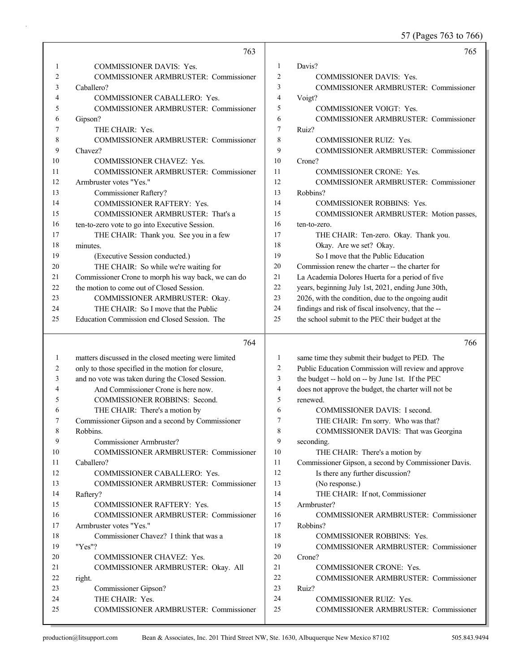57 (Pages 763 to 766)

|                | 763                                                                   |                  | 765                                                  |
|----------------|-----------------------------------------------------------------------|------------------|------------------------------------------------------|
| 1              | <b>COMMISSIONER DAVIS: Yes.</b>                                       | 1                | Davis?                                               |
| $\overline{c}$ | COMMISSIONER ARMBRUSTER: Commissioner                                 | $\overline{2}$   | <b>COMMISSIONER DAVIS: Yes.</b>                      |
| 3              | Caballero?                                                            | 3                | <b>COMMISSIONER ARMBRUSTER: Commissioner</b>         |
| 4              | COMMISSIONER CABALLERO: Yes.                                          | $\overline{4}$   | Voigt?                                               |
| 5              | COMMISSIONER ARMBRUSTER: Commissioner                                 | 5                | <b>COMMISSIONER VOIGT: Yes.</b>                      |
| 6              | Gipson?                                                               | 6                | COMMISSIONER ARMBRUSTER: Commissioner                |
| 7              | THE CHAIR: Yes.                                                       | $\tau$           | Ruiz?                                                |
| 8              | <b>COMMISSIONER ARMBRUSTER: Commissioner</b>                          | 8                | <b>COMMISSIONER RUIZ: Yes.</b>                       |
| 9              | Chavez?                                                               | 9                | COMMISSIONER ARMBRUSTER: Commissioner                |
| 10             | COMMISSIONER CHAVEZ: Yes.                                             | 10               | Crone?                                               |
| 11             | COMMISSIONER ARMBRUSTER: Commissioner                                 | 11               | COMMISSIONER CRONE: Yes.                             |
| 12             | Armbruster votes "Yes."                                               | 12               | COMMISSIONER ARMBRUSTER: Commissioner                |
| 13             | Commissioner Raftery?                                                 | 13               | Robbins?                                             |
| 14             | COMMISSIONER RAFTERY: Yes.                                            | 14               | <b>COMMISSIONER ROBBINS: Yes.</b>                    |
| 15             | COMMISSIONER ARMBRUSTER: That's a                                     | 15               | COMMISSIONER ARMBRUSTER: Motion passes,              |
| 16             | ten-to-zero vote to go into Executive Session.                        | 16               | ten-to-zero.                                         |
| 17             | THE CHAIR: Thank you. See you in a few                                | 17               | THE CHAIR: Ten-zero. Okay. Thank you.                |
| 18             | minutes.                                                              | 18               | Okay. Are we set? Okay.                              |
| 19             | (Executive Session conducted.)                                        | 19               | So I move that the Public Education                  |
| 20             | THE CHAIR: So while we're waiting for                                 | 20               | Commission renew the charter -- the charter for      |
| 21             | Commissioner Crone to morph his way back, we can do                   | 21               | La Academia Dolores Huerta for a period of five      |
| 22             | the motion to come out of Closed Session.                             | 22               | years, beginning July 1st, 2021, ending June 30th,   |
| 23             | COMMISSIONER ARMBRUSTER: Okay.                                        | 23               | 2026, with the condition, due to the ongoing audit   |
| 24             | THE CHAIR: So I move that the Public                                  | 24               | findings and risk of fiscal insolvency, that the --  |
| 25             | Education Commission end Closed Session. The                          | 25               | the school submit to the PEC their budget at the     |
|                |                                                                       |                  |                                                      |
|                |                                                                       |                  |                                                      |
|                | 764                                                                   |                  | 766                                                  |
|                |                                                                       | 1                |                                                      |
| 1              | matters discussed in the closed meeting were limited                  | $\overline{2}$   | same time they submit their budget to PED. The       |
| 2              | only to those specified in the motion for closure,                    | 3                | Public Education Commission will review and approve  |
| 3<br>4         | and no vote was taken during the Closed Session.                      | $\overline{4}$   | the budget -- hold on -- by June 1st. If the PEC     |
| 5              | And Commissioner Crone is here now.                                   | 5                | does not approve the budget, the charter will not be |
| 6              | COMMISSIONER ROBBINS: Second.                                         | 6                | renewed.<br>COMMISSIONER DAVIS: I second.            |
| 7              | THE CHAIR: There's a motion by                                        | 7                |                                                      |
|                | Commissioner Gipson and a second by Commissioner                      |                  | THE CHAIR: I'm sorry. Who was that?                  |
| 8<br>9         | Robbins.<br>Commissioner Armbruster?                                  | $\,$ 8 $\,$<br>9 | COMMISSIONER DAVIS: That was Georgina                |
| 10             |                                                                       | 10               | seconding.                                           |
| 11             | COMMISSIONER ARMBRUSTER: Commissioner<br>Caballero?                   | 11               | THE CHAIR: There's a motion by                       |
| 12             |                                                                       | 12               | Commissioner Gipson, a second by Commissioner Davis. |
| 13             | COMMISSIONER CABALLERO: Yes.<br>COMMISSIONER ARMBRUSTER: Commissioner | 13               | Is there any further discussion?<br>(No response.)   |
| 14             |                                                                       | 14               |                                                      |
| 15             | Raftery?                                                              | 15               | THE CHAIR: If not, Commissioner<br>Armbruster?       |
| 16             | COMMISSIONER RAFTERY: Yes.                                            | 16               | <b>COMMISSIONER ARMBRUSTER: Commissioner</b>         |
| 17             | COMMISSIONER ARMBRUSTER: Commissioner<br>Armbruster votes "Yes."      | 17               | Robbins?                                             |
| 18             | Commissioner Chavez? I think that was a                               | 18               | COMMISSIONER ROBBINS: Yes.                           |
| 19             | "Yes"?                                                                | 19               | COMMISSIONER ARMBRUSTER: Commissioner                |
| 20             | COMMISSIONER CHAVEZ: Yes.                                             | 20               | Crone?                                               |
| 21             | COMMISSIONER ARMBRUSTER: Okay. All                                    | 21               | <b>COMMISSIONER CRONE: Yes.</b>                      |
| 22             | right.                                                                | 22               | <b>COMMISSIONER ARMBRUSTER: Commissioner</b>         |
| 23             | Commissioner Gipson?                                                  | 23               | Ruiz?                                                |
| 24             | THE CHAIR: Yes.                                                       | 24               | <b>COMMISSIONER RUIZ: Yes.</b>                       |
| 25             | COMMISSIONER ARMBRUSTER: Commissioner                                 | 25               | COMMISSIONER ARMBRUSTER: Commissioner                |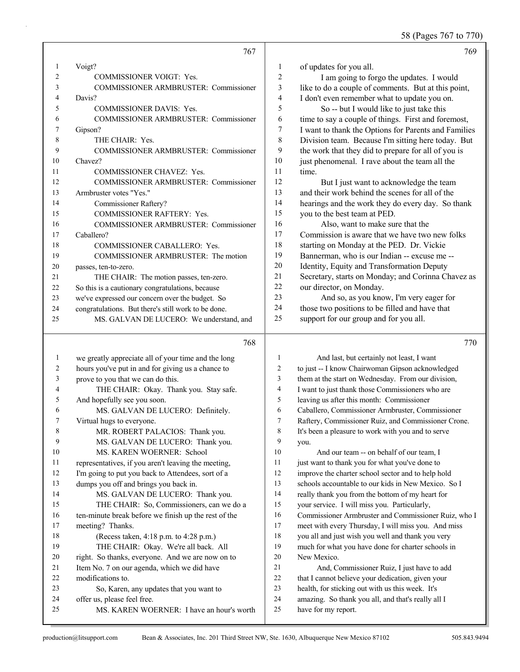58 (Pages 767 to 770)

|    | 767                                                 |                | 769                                                  |
|----|-----------------------------------------------------|----------------|------------------------------------------------------|
|    | Voigt?                                              | 1              | of updates for you all.                              |
| 2  | <b>COMMISSIONER VOIGT: Yes.</b>                     | 2              | I am going to forgo the updates. I would             |
| 3  | <b>COMMISSIONER ARMBRUSTER: Commissioner</b>        | 3              | like to do a couple of comments. But at this point,  |
| 4  | Davis?                                              | $\overline{4}$ | I don't even remember what to update you on.         |
| 5  | <b>COMMISSIONER DAVIS: Yes.</b>                     | 5              | So -- but I would like to just take this             |
| 6  | COMMISSIONER ARMBRUSTER: Commissioner               | 6              | time to say a couple of things. First and foremost,  |
| 7  | Gipson?                                             | 7              | I want to thank the Options for Parents and Families |
| 8  | THE CHAIR: Yes.                                     | 8              | Division team. Because I'm sitting here today. But   |
| 9  | <b>COMMISSIONER ARMBRUSTER: Commissioner</b>        | 9              | the work that they did to prepare for all of you is  |
| 10 | Chavez?                                             | 10             | just phenomenal. I rave about the team all the       |
| 11 | <b>COMMISSIONER CHAVEZ: Yes.</b>                    | 11             | time.                                                |
| 12 | <b>COMMISSIONER ARMBRUSTER: Commissioner</b>        | 12             | But I just want to acknowledge the team              |
| 13 | Armbruster votes "Yes."                             | 13             | and their work behind the scenes for all of the      |
| 14 | Commissioner Raftery?                               | 14             | hearings and the work they do every day. So thank    |
| 15 | <b>COMMISSIONER RAFTERY: Yes.</b>                   | 15             | you to the best team at PED.                         |
| 16 | <b>COMMISSIONER ARMBRUSTER: Commissioner</b>        | 16             | Also, want to make sure that the                     |
| 17 | Caballero?                                          | 17             | Commission is aware that we have two new folks       |
| 18 | <b>COMMISSIONER CABALLERO: Yes.</b>                 | 18             | starting on Monday at the PED. Dr. Vickie            |
| 19 | COMMISSIONER ARMBRUSTER: The motion                 | 19             | Bannerman, who is our Indian -- excuse me --         |
| 20 | passes, ten-to-zero.                                | 20             | Identity, Equity and Transformation Deputy           |
| 21 | THE CHAIR: The motion passes, ten-zero.             | 21             | Secretary, starts on Monday; and Corinna Chavez as   |
| 22 | So this is a cautionary congratulations, because    | 22             | our director, on Monday.                             |
| 23 | we've expressed our concern over the budget. So     | 23             | And so, as you know, I'm very eager for              |
| 24 | congratulations. But there's still work to be done. | 24             | those two positions to be filled and have that       |
| 25 | MS. GALVAN DE LUCERO: We understand, and            | 25             | support for our group and for you all.               |
|    | 768                                                 |                | 770                                                  |

| 1  | we greatly appreciate all of your time and the long  | 1              | And last, but certainly not least, I want            |
|----|------------------------------------------------------|----------------|------------------------------------------------------|
| 2  | hours you've put in and for giving us a chance to    | 2              | to just -- I know Chairwoman Gipson acknowledged     |
| 3  | prove to you that we can do this.                    | $\overline{3}$ | them at the start on Wednesday. From our division,   |
| 4  | THE CHAIR: Okay. Thank you. Stay safe.               | 4              | I want to just thank those Commissioners who are     |
| 5  | And hopefully see you soon.                          | 5              | leaving us after this month: Commissioner            |
| 6  | MS. GALVAN DE LUCERO: Definitely.                    | 6              | Caballero, Commissioner Armbruster, Commissioner     |
| 7  | Virtual hugs to everyone.                            | 7              | Raftery, Commissioner Ruiz, and Commissioner Crone.  |
| 8  | MR. ROBERT PALACIOS: Thank you.                      | 8              | It's been a pleasure to work with you and to serve   |
| 9  | MS. GALVAN DE LUCERO: Thank you.                     | 9              | you.                                                 |
| 10 | MS. KAREN WOERNER: School                            | 10             | And our team -- on behalf of our team, I             |
| 11 | representatives, if you aren't leaving the meeting,  | 11             | just want to thank you for what you've done to       |
| 12 | I'm going to put you back to Attendees, sort of a    | 12             | improve the charter school sector and to help hold   |
| 13 | dumps you off and brings you back in.                | 13             | schools accountable to our kids in New Mexico. So I  |
| 14 | MS. GALVAN DE LUCERO: Thank you.                     | 14             | really thank you from the bottom of my heart for     |
| 15 | THE CHAIR: So, Commissioners, can we do a            | 15             | your service. I will miss you. Particularly,         |
| 16 | ten-minute break before we finish up the rest of the | 16             | Commissioner Armbruster and Commissioner Ruiz, who I |
| 17 | meeting? Thanks.                                     | 17             | meet with every Thursday, I will miss you. And miss  |
| 18 | (Recess taken, 4:18 p.m. to 4:28 p.m.)               | 18             | you all and just wish you well and thank you very    |
| 19 | THE CHAIR: Okay. We're all back. All                 | 19             | much for what you have done for charter schools in   |
| 20 | right. So thanks, everyone. And we are now on to     | 20             | New Mexico.                                          |
| 21 | Item No. 7 on our agenda, which we did have          | 21             | And, Commissioner Ruiz, I just have to add           |
| 22 | modifications to.                                    | 22             | that I cannot believe your dedication, given your    |
| 23 | So, Karen, any updates that you want to              | 23             | health, for sticking out with us this week. It's     |
| 24 | offer us, please feel free.                          | 24             | amazing. So thank you all, and that's really all I   |
| 25 | MS. KAREN WOERNER: I have an hour's worth            | 25             | have for my report.                                  |
|    |                                                      |                |                                                      |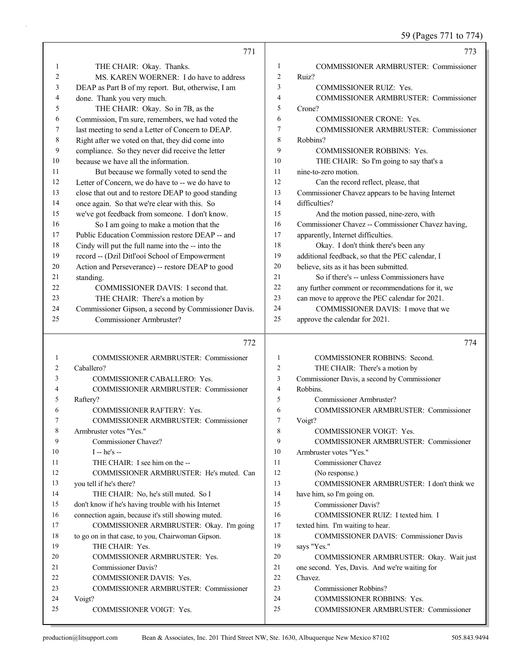59 (Pages 771 to 774)

|          | 771                                                                     |                | 773                                                                        |
|----------|-------------------------------------------------------------------------|----------------|----------------------------------------------------------------------------|
| 1        | THE CHAIR: Okay. Thanks.                                                | 1              | COMMISSIONER ARMBRUSTER: Commissioner                                      |
| 2        | MS. KAREN WOERNER: I do have to address                                 | $\overline{2}$ | Ruiz?                                                                      |
| 3        | DEAP as Part B of my report. But, otherwise, I am                       | 3              | COMMISSIONER RUIZ: Yes.                                                    |
| 4        | done. Thank you very much.                                              | $\overline{4}$ | COMMISSIONER ARMBRUSTER: Commissioner                                      |
| 5        | THE CHAIR: Okay. So in 7B, as the                                       | 5              | Crone?                                                                     |
| 6        | Commission, I'm sure, remembers, we had voted the                       | 6              | COMMISSIONER CRONE: Yes.                                                   |
| 7        | last meeting to send a Letter of Concern to DEAP.                       | 7              | COMMISSIONER ARMBRUSTER: Commissioner                                      |
| 8        | Right after we voted on that, they did come into                        | 8              | Robbins?                                                                   |
| 9        | compliance. So they never did receive the letter                        | 9              | <b>COMMISSIONER ROBBINS: Yes.</b>                                          |
| 10       | because we have all the information.                                    | 10             | THE CHAIR: So I'm going to say that's a                                    |
| 11       | But because we formally voted to send the                               | 11             | nine-to-zero motion.                                                       |
| 12       | Letter of Concern, we do have to -- we do have to                       | 12             | Can the record reflect, please, that                                       |
| 13       | close that out and to restore DEAP to good standing                     | 13             | Commissioner Chavez appears to be having Internet                          |
| 14       | once again. So that we're clear with this. So                           | 14             | difficulties?                                                              |
| 15       | we've got feedback from someone. I don't know.                          | 15             | And the motion passed, nine-zero, with                                     |
| 16       | So I am going to make a motion that the                                 | 16             | Commissioner Chavez -- Commissioner Chavez having,                         |
| 17       | Public Education Commission restore DEAP -- and                         | 17             | apparently, Internet difficulties.                                         |
| 18       | Cindy will put the full name into the -- into the                       | 18             | Okay. I don't think there's been any                                       |
| 19       | record -- (Dzil Ditl'ooi School of Empowerment                          | 19             | additional feedback, so that the PEC calendar, I                           |
| 20       | Action and Perseverance) -- restore DEAP to good                        | 20             | believe, sits as it has been submitted.                                    |
| 21       | standing.                                                               | 21             | So if there's -- unless Commissioners have                                 |
| 22       | COMMISSIONER DAVIS: I second that.                                      | 22             | any further comment or recommendations for it, we                          |
| 23       | THE CHAIR: There's a motion by                                          | 23             | can move to approve the PEC calendar for 2021.                             |
| 24       | Commissioner Gipson, a second by Commissioner Davis.                    | 24             | COMMISSIONER DAVIS: I move that we                                         |
| 25       | Commissioner Armbruster?                                                | 25             | approve the calendar for 2021.                                             |
|          |                                                                         |                |                                                                            |
|          |                                                                         |                |                                                                            |
|          | 772                                                                     |                | 774                                                                        |
| 1        | COMMISSIONER ARMBRUSTER: Commissioner                                   | 1              | <b>COMMISSIONER ROBBINS: Second.</b>                                       |
| 2        | Caballero?                                                              | $\overline{2}$ | THE CHAIR: There's a motion by                                             |
| 3        | COMMISSIONER CABALLERO: Yes.                                            | 3              | Commissioner Davis, a second by Commissioner                               |
| 4        | COMMISSIONER ARMBRUSTER: Commissioner                                   | $\overline{4}$ | Robbins.                                                                   |
| 5        | Raftery?                                                                | 5<br>6         | Commissioner Armbruster?                                                   |
| 6<br>7   | COMMISSIONER RAFTERY: Yes.                                              | 7              | <b>COMMISSIONER ARMBRUSTER: Commissioner</b>                               |
| 8        | <b>COMMISSIONER ARMBRUSTER: Commissioner</b><br>Armbruster votes "Yes." | 8              | Voigt?<br>COMMISSIONER VOIGT: Yes.                                         |
| 9        | Commissioner Chavez?                                                    | 9              | COMMISSIONER ARMBRUSTER: Commissioner                                      |
| 10       | $I - he's -$                                                            | 10             | Armbruster votes "Yes."                                                    |
| 11       | THE CHAIR: I see him on the --                                          | 11             | <b>Commissioner Chavez</b>                                                 |
| 12       | COMMISSIONER ARMBRUSTER: He's muted. Can                                | 12             | (No response.)                                                             |
| 13       | you tell if he's there?                                                 | 13             | COMMISSIONER ARMBRUSTER: I don't think we                                  |
| 14       | THE CHAIR: No, he's still muted. So I                                   | 14             | have him, so I'm going on.                                                 |
| 15       | don't know if he's having trouble with his Internet                     | 15             | <b>Commissioner Davis?</b>                                                 |
| 16       | connection again, because it's still showing muted.                     | 16             | COMMISSIONER RUIZ: I texted him. I                                         |
| 17       | COMMISSIONER ARMBRUSTER: Okay. I'm going                                | 17             | texted him. I'm waiting to hear.                                           |
| 18       | to go on in that case, to you, Chairwoman Gipson.                       | 18             | <b>COMMISSIONER DAVIS: Commissioner Davis</b>                              |
| 19       | THE CHAIR: Yes.                                                         | 19             | says "Yes."                                                                |
| 20       | COMMISSIONER ARMBRUSTER: Yes.                                           | 20             | COMMISSIONER ARMBRUSTER: Okay. Wait just                                   |
| 21       | <b>Commissioner Davis?</b>                                              | 21             | one second. Yes, Davis. And we're waiting for                              |
| 22       | COMMISSIONER DAVIS: Yes.                                                | 22             | Chavez.                                                                    |
| 23       | COMMISSIONER ARMBRUSTER: Commissioner                                   | 23             | Commissioner Robbins?                                                      |
| 24<br>25 | Voigt?<br><b>COMMISSIONER VOIGT: Yes.</b>                               | 24<br>25       | <b>COMMISSIONER ROBBINS: Yes.</b><br>COMMISSIONER ARMBRUSTER: Commissioner |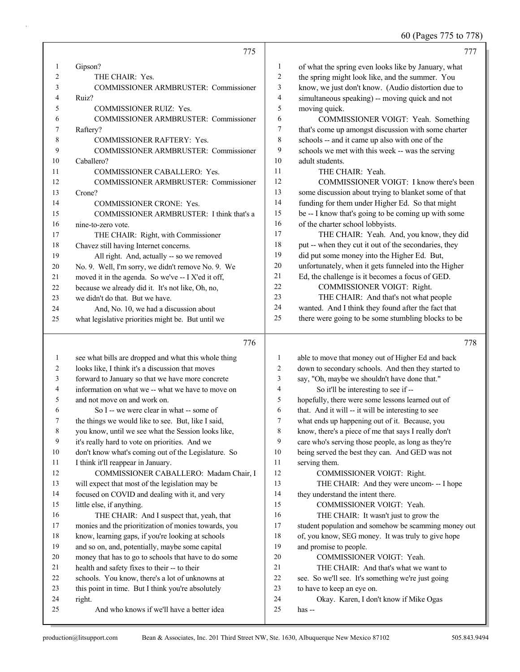60 (Pages 775 to 778)

|                | 775                                                  |                | 777                                                  |
|----------------|------------------------------------------------------|----------------|------------------------------------------------------|
| $\mathbf{1}$   | Gipson?                                              | $\mathbf{1}$   | of what the spring even looks like by January, what  |
| $\overline{c}$ | THE CHAIR: Yes.                                      | $\overline{c}$ | the spring might look like, and the summer. You      |
| 3              | COMMISSIONER ARMBRUSTER: Commissioner                | 3              | know, we just don't know. (Audio distortion due to   |
| 4              | Ruiz?                                                | 4              | simultaneous speaking) -- moving quick and not       |
| 5              | <b>COMMISSIONER RUIZ: Yes.</b>                       | 5              | moving quick.                                        |
| 6              | COMMISSIONER ARMBRUSTER: Commissioner                | 6              | COMMISSIONER VOIGT: Yeah. Something                  |
| 7              | Raftery?                                             | 7              | that's come up amongst discussion with some charter  |
| 8              | <b>COMMISSIONER RAFTERY: Yes.</b>                    | 8              | schools -- and it came up also with one of the       |
| 9              | COMMISSIONER ARMBRUSTER: Commissioner                | 9              | schools we met with this week -- was the serving     |
| 10             | Caballero?                                           | 10             | adult students.                                      |
| 11             | COMMISSIONER CABALLERO: Yes.                         | 11             | THE CHAIR: Yeah.                                     |
| 12             | COMMISSIONER ARMBRUSTER: Commissioner                | 12             | COMMISSIONER VOIGT: I know there's been              |
| 13             | Crone?                                               | 13             | some discussion about trying to blanket some of that |
| 14             | <b>COMMISSIONER CRONE: Yes.</b>                      | 14             | funding for them under Higher Ed. So that might      |
| 15             | COMMISSIONER ARMBRUSTER: I think that's a            | 15             | be -- I know that's going to be coming up with some  |
| 16             | nine-to-zero vote.                                   | 16             | of the charter school lobbyists.                     |
| 17             | THE CHAIR: Right, with Commissioner                  | 17             | THE CHAIR: Yeah. And, you know, they did             |
| 18             | Chavez still having Internet concerns.               | 18             | put -- when they cut it out of the secondaries, they |
| 19             | All right. And, actually -- so we removed            | 19             | did put some money into the Higher Ed. But,          |
| 20             | No. 9. Well, I'm sorry, we didn't remove No. 9. We   | 20             | unfortunately, when it gets funneled into the Higher |
| 21             | moved it in the agenda. So we've -- I X'ed it off,   | 21             | Ed, the challenge is it becomes a focus of GED.      |
| 22             | because we already did it. It's not like, Oh, no,    | 22             | COMMISSIONER VOIGT: Right.                           |
| 23             | we didn't do that. But we have.                      | 23             | THE CHAIR: And that's not what people                |
| 24             | And, No. 10, we had a discussion about               | 24             | wanted. And I think they found after the fact that   |
| 25             | what legislative priorities might be. But until we   | 25             | there were going to be some stumbling blocks to be   |
|                |                                                      |                |                                                      |
|                | 776                                                  |                | 778                                                  |
| $\mathbf{1}$   | see what bills are dropped and what this whole thing | 1              | able to move that money out of Higher Ed and back    |
| $\overline{c}$ | looks like, I think it's a discussion that moves     | 2              | down to secondary schools. And then they started to  |
| 3              | forward to January so that we have more concrete     | 3              | say, "Oh, maybe we shouldn't have done that."        |
| 4              | information on what we -- what we have to move on    | 4              | So it'll be interesting to see if --                 |
| 5              | and not move on and work on.                         | 5              | hopefully, there were some lessons learned out of    |
| 6              | So I -- we were clear in what -- some of             | 6              | that. And it will -- it will be interesting to see   |
|                | the things we would like to see. But, like I said,   | 7              | what ends up happening out of it. Because, you       |
| 8              | you know, until we see what the Session looks like,  | 8              | know, there's a piece of me that says I really don't |
| 9              | it's really hard to vote on priorities. And we       | 9              | care who's serving those people, as long as they're  |
| 10             | don't know what's coming out of the Legislature. So  | 10             | being served the best they can. And GED was not      |
| 11             | I think it'll reappear in January.                   | 11             | serving them.                                        |
| 12             | COMMISSIONER CABALLERO: Madam Chair, I               | 12             | COMMISSIONER VOIGT: Right.                           |
| 13             | will expect that most of the legislation may be      | 13             | THE CHAIR: And they were uncom- -- I hope            |
| 14             | focused on COVID and dealing with it, and very       | 14             | they understand the intent there.                    |
| 15             | little else, if anything.                            | 15             | COMMISSIONER VOIGT: Yeah.                            |
| 16             | THE CHAIR: And I suspect that, yeah, that            | 16             | THE CHAIR: It wasn't just to grow the                |
| 17             | monies and the prioritization of monies towards, you | 17             | student population and somehow be scamming money out |
| 18             | know, learning gaps, if you're looking at schools    | 18             | of, you know, SEG money. It was truly to give hope   |
| 19             | and so on, and, potentially, maybe some capital      | 19             | and promise to people.                               |
| 20             | money that has to go to schools that have to do some | 20             | COMMISSIONER VOIGT: Yeah.                            |
| 21             | health and safety fixes to their -- to their         | 21             | THE CHAIR: And that's what we want to                |
| 22             | schools. You know, there's a lot of unknowns at      | 22             | see. So we'll see. It's something we're just going   |
| 23             | this point in time. But I think you're absolutely    | 23             | to have to keep an eye on.                           |
| 24<br>25       | right.<br>And who knows if we'll have a better idea  | 24<br>25       | Okay. Karen, I don't know if Mike Ogas<br>$has -$    |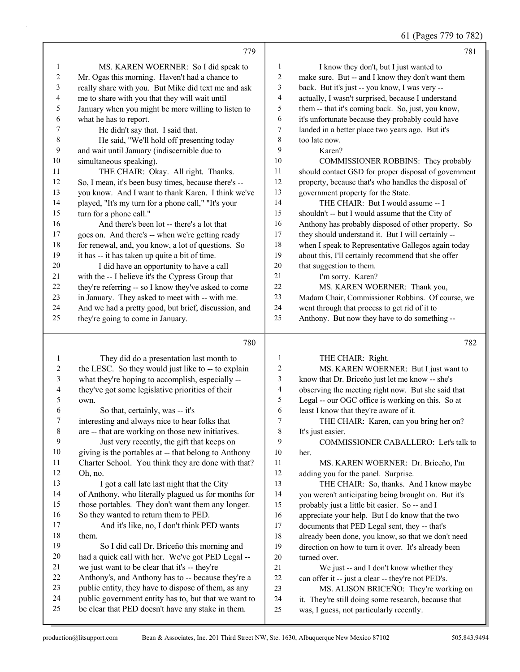61 (Pages 779 to 782)

|                          | 779                                                                                                       |                       | 781                                                                                             |
|--------------------------|-----------------------------------------------------------------------------------------------------------|-----------------------|-------------------------------------------------------------------------------------------------|
| 1                        | MS. KAREN WOERNER: So I did speak to                                                                      | 1                     | I know they don't, but I just wanted to                                                         |
| $\overline{c}$           | Mr. Ogas this morning. Haven't had a chance to                                                            | $\boldsymbol{2}$      | make sure. But -- and I know they don't want them                                               |
| 3                        | really share with you. But Mike did text me and ask                                                       | 3                     | back. But it's just -- you know, I was very --                                                  |
| $\overline{\mathcal{L}}$ | me to share with you that they will wait until                                                            | $\overline{4}$        | actually, I wasn't surprised, because I understand                                              |
| 5                        | January when you might be more willing to listen to                                                       | 5                     | them -- that it's coming back. So, just, you know,                                              |
| 6                        | what he has to report.                                                                                    | 6                     | it's unfortunate because they probably could have                                               |
| 7                        | He didn't say that. I said that.                                                                          | 7                     | landed in a better place two years ago. But it's                                                |
| $\,$ $\,$                | He said, "We'll hold off presenting today                                                                 | 8                     | too late now.                                                                                   |
| 9                        | and wait until January (indiscernible due to                                                              | 9                     | Karen?                                                                                          |
| 10                       | simultaneous speaking).                                                                                   | 10                    | COMMISSIONER ROBBINS: They probably                                                             |
| 11                       | THE CHAIR: Okay. All right. Thanks.                                                                       | 11                    | should contact GSD for proper disposal of government                                            |
| 12                       | So, I mean, it's been busy times, because there's --                                                      | 12                    | property, because that's who handles the disposal of                                            |
| 13                       | you know. And I want to thank Karen. I think we've                                                        | 13                    | government property for the State.                                                              |
| 14                       | played, "It's my turn for a phone call," "It's your                                                       | 14                    | THE CHAIR: But I would assume -- I                                                              |
| 15                       | turn for a phone call."                                                                                   | 15                    | shouldn't -- but I would assume that the City of                                                |
| 16                       | And there's been lot -- there's a lot that                                                                | 16                    | Anthony has probably disposed of other property. So                                             |
| $17$                     | goes on. And there's -- when we're getting ready                                                          | 17                    | they should understand it. But I will certainly --                                              |
| 18                       | for renewal, and, you know, a lot of questions. So                                                        | 18                    | when I speak to Representative Gallegos again today                                             |
| 19                       | it has -- it has taken up quite a bit of time.                                                            | 19                    | about this, I'll certainly recommend that she offer                                             |
| $20\,$                   | I did have an opportunity to have a call                                                                  | $20\,$                | that suggestion to them.                                                                        |
| 21                       | with the -- I believe it's the Cypress Group that                                                         | 21                    | I'm sorry. Karen?                                                                               |
| 22                       | they're referring -- so I know they've asked to come                                                      | 22                    | MS. KAREN WOERNER: Thank you,                                                                   |
| 23                       | in January. They asked to meet with -- with me.                                                           | 23                    | Madam Chair, Commissioner Robbins. Of course, we                                                |
| 24                       | And we had a pretty good, but brief, discussion, and                                                      | 24                    | went through that process to get rid of it to                                                   |
| 25                       | they're going to come in January.                                                                         | 25                    | Anthony. But now they have to do something --                                                   |
|                          |                                                                                                           |                       |                                                                                                 |
|                          | 780                                                                                                       |                       | 782                                                                                             |
|                          |                                                                                                           |                       |                                                                                                 |
| $\mathbf{1}$             | They did do a presentation last month to                                                                  | 1                     | THE CHAIR: Right.                                                                               |
| 2                        | the LESC. So they would just like to -- to explain                                                        | $\boldsymbol{2}$<br>3 | MS. KAREN WOERNER: But I just want to                                                           |
| 3<br>4                   | what they're hoping to accomplish, especially --                                                          | 4                     | know that Dr. Briceño just let me know -- she's                                                 |
| 5                        | they've got some legislative priorities of their<br>own.                                                  | 5                     | observing the meeting right now. But she said that                                              |
| 6                        | So that, certainly, was -- it's                                                                           | 6                     | Legal -- our OGC office is working on this. So at<br>least I know that they're aware of it.     |
| 7                        | interesting and always nice to hear folks that                                                            | 7                     |                                                                                                 |
| 8                        | are -- that are working on those new initiatives.                                                         | 8                     | THE CHAIR: Karen, can you bring her on?<br>It's just easier.                                    |
| 9                        | Just very recently, the gift that keeps on                                                                | 9                     | COMMISSIONER CABALLERO: Let's talk to                                                           |
| 10                       | giving is the portables at -- that belong to Anthony                                                      | 10                    | her.                                                                                            |
| 11                       | Charter School. You think they are done with that?                                                        | 11                    | MS. KAREN WOERNER: Dr. Briceño, I'm                                                             |
| 12                       | Oh, no.                                                                                                   | 12                    | adding you for the panel. Surprise.                                                             |
| 13                       | I got a call late last night that the City                                                                | 13                    | THE CHAIR: So, thanks. And I know maybe                                                         |
| 14                       | of Anthony, who literally plagued us for months for                                                       | 14                    | you weren't anticipating being brought on. But it's                                             |
| 15                       | those portables. They don't want them any longer.                                                         | 15                    | probably just a little bit easier. So -- and I                                                  |
| 16                       | So they wanted to return them to PED.                                                                     | 16                    | appreciate your help. But I do know that the two                                                |
| 17                       | And it's like, no, I don't think PED wants                                                                | 17                    | documents that PED Legal sent, they -- that's                                                   |
| 18                       | them.                                                                                                     | 18                    | already been done, you know, so that we don't need                                              |
| 19                       | So I did call Dr. Briceño this morning and                                                                | 19                    | direction on how to turn it over. It's already been                                             |
| $20\,$                   | had a quick call with her. We've got PED Legal --                                                         | $20\,$                | turned over.                                                                                    |
| 21                       | we just want to be clear that it's -- they're                                                             | 21                    | We just -- and I don't know whether they                                                        |
| 22                       | Anthony's, and Anthony has to -- because they're a                                                        | 22                    | can offer it -- just a clear -- they're not PED's.                                              |
| 23                       | public entity, they have to dispose of them, as any                                                       | 23                    | MS. ALISON BRICEÑO: They're working on                                                          |
| 24<br>25                 | public government entity has to, but that we want to<br>be clear that PED doesn't have any stake in them. | 24<br>$25\,$          | it. They're still doing some research, because that<br>was, I guess, not particularly recently. |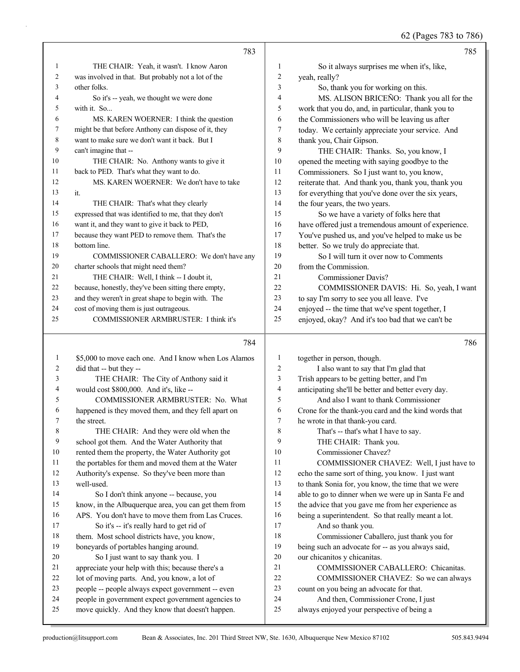62 (Pages 783 to 786)

|                | 783                                                  |                | 785                                                  |
|----------------|------------------------------------------------------|----------------|------------------------------------------------------|
| 1              | THE CHAIR: Yeah, it wasn't. I know Aaron             | 1              | So it always surprises me when it's, like,           |
| $\overline{c}$ | was involved in that. But probably not a lot of the  | $\overline{2}$ | yeah, really?                                        |
| 3              | other folks.                                         | 3              | So, thank you for working on this.                   |
| 4              | So it's -- yeah, we thought we were done             | 4              | MS. ALISON BRICEÑO: Thank you all for the            |
| 5              | with it. So                                          | 5              | work that you do, and, in particular, thank you to   |
| 6              | MS. KAREN WOERNER: I think the question              | 6              | the Commissioners who will be leaving us after       |
| 7              | might be that before Anthony can dispose of it, they | 7              | today. We certainly appreciate your service. And     |
| 8              | want to make sure we don't want it back. But I       | 8              | thank you, Chair Gipson.                             |
| 9              | can't imagine that --                                | 9              | THE CHAIR: Thanks. So, you know, I                   |
| 10             | THE CHAIR: No. Anthony wants to give it              | 10             | opened the meeting with saying goodbye to the        |
| 11             | back to PED. That's what they want to do.            | 11             | Commissioners. So I just want to, you know,          |
| 12             | MS. KAREN WOERNER: We don't have to take             | 12             | reiterate that. And thank you, thank you, thank you  |
| 13             | it.                                                  | 13             | for everything that you've done over the six years,  |
| 14             | THE CHAIR: That's what they clearly                  | 14             | the four years, the two years.                       |
| 15             | expressed that was identified to me, that they don't | 15             | So we have a variety of folks here that              |
| 16             | want it, and they want to give it back to PED,       | 16             | have offered just a tremendous amount of experience. |
| 17             | because they want PED to remove them. That's the     | 17             | You've pushed us, and you've helped to make us be    |
| 18             | bottom line.                                         | 18             | better. So we truly do appreciate that.              |
| 19             | COMMISSIONER CABALLERO: We don't have any            | 19             | So I will turn it over now to Comments               |
| 20             | charter schools that might need them?                | 20             | from the Commission.                                 |
| 21             | THE CHAIR: Well, I think -- I doubt it,              | 21             | Commissioner Davis?                                  |
| 22             | because, honestly, they've been sitting there empty, | 22             | COMMISSIONER DAVIS: Hi. So, yeah, I want             |
| 23             | and they weren't in great shape to begin with. The   | 23             | to say I'm sorry to see you all leave. I've          |
| 24             | cost of moving them is just outrageous.              | 24             | enjoyed -- the time that we've spent together, I     |
| 25             | COMMISSIONER ARMBRUSTER: I think it's                | 25             | enjoyed, okay? And it's too bad that we can't be     |
|                | 784                                                  |                | 786                                                  |
| 1              | \$5,000 to move each one. And I know when Los Alamos | 1              | together in person, though.                          |
| 2              | did that -- but they --                              | $\overline{c}$ | I also want to say that I'm glad that                |

| 3              | THE CHAIR: The City of Anthony said it               | 3  | Trish appears to be getting better, and I'm          |
|----------------|------------------------------------------------------|----|------------------------------------------------------|
| $\overline{4}$ | would cost \$800,000. And it's, like --              | 4  | anticipating she'll be better and better every day.  |
| 5              | COMMISSIONER ARMBRUSTER: No. What                    | 5  | And also I want to thank Commissioner                |
| 6              | happened is they moved them, and they fell apart on  | 6  | Crone for the thank-you card and the kind words that |
| 7              | the street.                                          | 7  | he wrote in that thank-you card.                     |
| 8              | THE CHAIR: And they were old when the                | 8  | That's -- that's what I have to say.                 |
| 9              | school got them. And the Water Authority that        | 9  | THE CHAIR: Thank you.                                |
| 10             | rented them the property, the Water Authority got    | 10 | Commissioner Chavez?                                 |
| 11             | the portables for them and moved them at the Water   | 11 | COMMISSIONER CHAVEZ: Well, I just have to            |
| 12             | Authority's expense. So they've been more than       | 12 | echo the same sort of thing, you know. I just want   |
| 13             | well-used.                                           | 13 | to thank Sonia for, you know, the time that we were  |
| 14             | So I don't think anyone -- because, you              | 14 | able to go to dinner when we were up in Santa Fe and |
| 15             | know, in the Albuquerque area, you can get them from | 15 | the advice that you gave me from her experience as   |
| 16             | APS. You don't have to move them from Las Cruces.    | 16 | being a superintendent. So that really meant a lot.  |
| 17             | So it's -- it's really hard to get rid of            | 17 | And so thank you.                                    |
| 18             | them. Most school districts have, you know,          | 18 | Commissioner Caballero, just thank you for           |
| 19             | boneyards of portables hanging around.               | 19 | being such an advocate for -- as you always said,    |
| 20             | So I just want to say thank you. I                   | 20 | our chicanitos y chicanitas.                         |
| 21             | appreciate your help with this; because there's a    | 21 | COMMISSIONER CABALLERO: Chicanitas.                  |
| 22             | lot of moving parts. And, you know, a lot of         | 22 | COMMISSIONER CHAVEZ: So we can always                |
| 23             | people -- people always expect government -- even    | 23 | count on you being an advocate for that.             |
| 24             | people in government expect government agencies to   | 24 | And then, Commissioner Crone, I just                 |
| 25             | move quickly. And they know that doesn't happen.     | 25 | always enjoyed your perspective of being a           |
|                |                                                      |    |                                                      |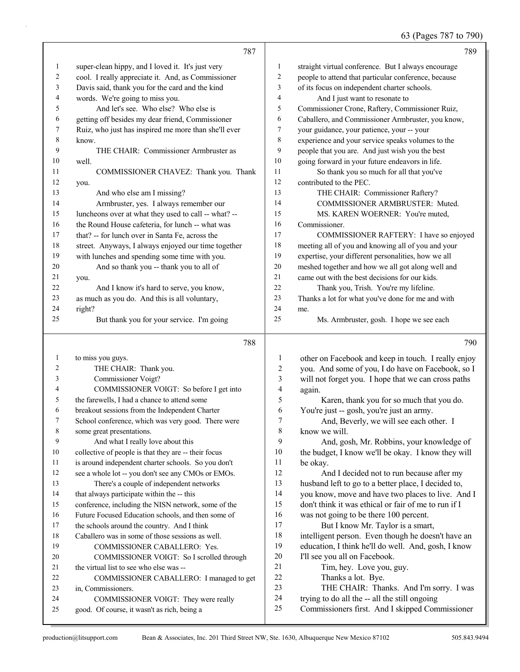## 63 (Pages 787 to 790)

|          | 787                                                                                  |                          | 789                                                           |
|----------|--------------------------------------------------------------------------------------|--------------------------|---------------------------------------------------------------|
| 1        | super-clean hippy, and I loved it. It's just very                                    | 1                        | straight virtual conference. But I always encourage           |
| 2        | cool. I really appreciate it. And, as Commissioner                                   | $\overline{c}$           | people to attend that particular conference, because          |
| 3        | Davis said, thank you for the card and the kind                                      | 3                        | of its focus on independent charter schools.                  |
| 4        | words. We're going to miss you.                                                      | 4                        | And I just want to resonate to                                |
| 5        | And let's see. Who else? Who else is                                                 | 5                        | Commissioner Crone, Raftery, Commissioner Ruiz,               |
| 6        | getting off besides my dear friend, Commissioner                                     | 6                        | Caballero, and Commissioner Armbruster, you know,             |
| 7        | Ruiz, who just has inspired me more than she'll ever                                 | 7                        | your guidance, your patience, your -- your                    |
| 8        | know.                                                                                | 8                        | experience and your service speaks volumes to the             |
| 9        | THE CHAIR: Commissioner Armbruster as                                                | 9                        | people that you are. And just wish you the best               |
| 10       | well.                                                                                | 10                       | going forward in your future endeavors in life.               |
| 11       | COMMISSIONER CHAVEZ: Thank you. Thank                                                | 11                       | So thank you so much for all that you've                      |
| 12       | you.                                                                                 | 12                       | contributed to the PEC.                                       |
| 13       | And who else am I missing?                                                           | 13                       | THE CHAIR: Commissioner Raftery?                              |
| 14       | Armbruster, yes. I always remember our                                               | 14                       | COMMISSIONER ARMBRUSTER: Muted.                               |
| 15       | luncheons over at what they used to call -- what? --                                 | 15                       | MS. KAREN WOERNER: You're muted,                              |
| 16       | the Round House cafeteria, for lunch -- what was                                     | 16                       | Commissioner.                                                 |
| 17       | that? -- for lunch over in Santa Fe, across the                                      | 17                       | COMMISSIONER RAFTERY: I have so enjoyed                       |
| $18\,$   | street. Anyways, I always enjoyed our time together                                  | 18                       | meeting all of you and knowing all of you and your            |
| 19       | with lunches and spending some time with you.                                        | 19                       | expertise, your different personalities, how we all           |
| 20       | And so thank you -- thank you to all of                                              | $20\,$                   | meshed together and how we all got along well and             |
| 21       | you.                                                                                 | 21                       | came out with the best decisions for our kids.                |
| 22       | And I know it's hard to serve, you know,                                             | 22                       | Thank you, Trish. You're my lifeline.                         |
| 23       | as much as you do. And this is all voluntary,                                        | 23                       | Thanks a lot for what you've done for me and with             |
| 24       | right?                                                                               | 24                       | me.                                                           |
| 25       | But thank you for your service. I'm going                                            | 25                       | Ms. Armbruster, gosh. I hope we see each                      |
|          |                                                                                      |                          |                                                               |
|          | 788                                                                                  |                          | 790                                                           |
| 1        | to miss you guys.                                                                    | 1                        | other on Facebook and keep in touch. I really enjoy           |
| 2        | THE CHAIR: Thank you.                                                                | 2                        | you. And some of you, I do have on Facebook, so I             |
| 3        | Commissioner Voigt?                                                                  | 3                        | will not forget you. I hope that we can cross paths           |
| 4        | COMMISSIONER VOIGT: So before I get into                                             | $\overline{\mathcal{L}}$ | again.                                                        |
| 5        | the farewells, I had a chance to attend some                                         | 5                        | Karen, thank you for so much that you do.                     |
| 6        | breakout sessions from the Independent Charter                                       | 6                        | You're just -- gosh, you're just an army.                     |
|          | School conference, which was very good. There were                                   | 7                        | And, Beverly, we will see each other. I                       |
| 8        | some great presentations.                                                            | 8                        | know we will.                                                 |
| 9        | And what I really love about this                                                    | 9                        | And, gosh, Mr. Robbins, your knowledge of                     |
| 10       | collective of people is that they are -- their focus                                 | 10                       | the budget, I know we'll be okay. I know they will            |
| 11       | is around independent charter schools. So you don't                                  | 11                       | be okay.                                                      |
| 12       | see a whole lot -- you don't see any CMOs or EMOs.                                   | 12                       | And I decided not to run because after my                     |
| 13       | There's a couple of independent networks                                             | 13                       | husband left to go to a better place, I decided to,           |
| 14       | that always participate within the -- this                                           | 14                       | you know, move and have two places to live. And I             |
| 15       | conference, including the NISN network, some of the                                  | 15                       | don't think it was ethical or fair of me to run if I          |
| 16       | Future Focused Education schools, and then some of                                   | 16                       | was not going to be there 100 percent.                        |
| 17       | the schools around the country. And I think                                          | 17                       | But I know Mr. Taylor is a smart,                             |
| $18\,$   | Caballero was in some of those sessions as well.                                     | 18                       | intelligent person. Even though he doesn't have an            |
| 19       | COMMISSIONER CABALLERO: Yes.                                                         | 19                       | education, I think he'll do well. And, gosh, I know           |
| 20<br>21 | COMMISSIONER VOIGT: So I scrolled through<br>the virtual list to see who else was -- | 20<br>21                 | I'll see you all on Facebook.                                 |
| 22       |                                                                                      | 22                       | Tim, hey. Love you, guy.                                      |
| 23       | COMMISSIONER CABALLERO: I managed to get<br>in, Commissioners.                       | 23                       | Thanks a lot. Bye.<br>THE CHAIR: Thanks. And I'm sorry. I was |
| 24       | COMMISSIONER VOIGT: They were really                                                 | 24                       | trying to do all the -- all the still ongoing                 |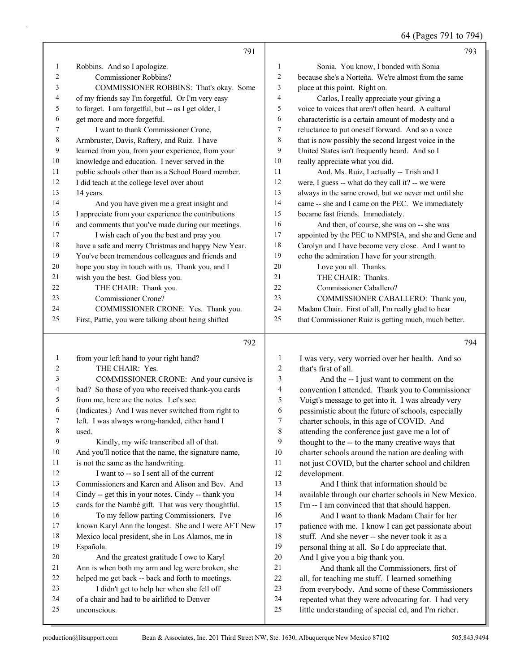64 (Pages 791 to 794)

|              | 791                                                  |                         | 793                                                  |
|--------------|------------------------------------------------------|-------------------------|------------------------------------------------------|
| $\mathbf{1}$ | Robbins. And so I apologize.                         | $\mathbf{1}$            | Sonia. You know, I bonded with Sonia                 |
| 2            | Commissioner Robbins?                                | $\overline{\mathbf{c}}$ | because she's a Norteña. We're almost from the same  |
| 3            | COMMISSIONER ROBBINS: That's okay. Some              | 3                       | place at this point. Right on.                       |
| 4            | of my friends say I'm forgetful. Or I'm very easy    | 4                       | Carlos, I really appreciate your giving a            |
| 5            | to forget. I am forgetful, but -- as I get older, I  | 5                       | voice to voices that aren't often heard. A cultural  |
| 6            | get more and more forgetful.                         | 6                       | characteristic is a certain amount of modesty and a  |
| 7            | I want to thank Commissioner Crone,                  | 7                       | reluctance to put oneself forward. And so a voice    |
| 8            | Armbruster, Davis, Raftery, and Ruiz. I have         | 8                       | that is now possibly the second largest voice in the |
| 9            | learned from you, from your experience, from your    | 9                       | United States isn't frequently heard. And so I       |
| 10           | knowledge and education. I never served in the       | 10                      | really appreciate what you did.                      |
| 11           | public schools other than as a School Board member.  | 11                      | And, Ms. Ruiz, I actually -- Trish and I             |
| 12           | I did teach at the college level over about          | 12                      | were, I guess -- what do they call it? -- we were    |
| 13           | 14 years.                                            | 13                      | always in the same crowd, but we never met until she |
| 14           | And you have given me a great insight and            | 14                      | came -- she and I came on the PEC. We immediately    |
| 15           | I appreciate from your experience the contributions  | 15                      | became fast friends. Immediately.                    |
| 16           | and comments that you've made during our meetings.   | 16                      | And then, of course, she was on -- she was           |
| 17           | I wish each of you the best and pray you             | 17                      | appointed by the PEC to NMPSIA, and she and Gene and |
| 18           | have a safe and merry Christmas and happy New Year.  | 18                      | Carolyn and I have become very close. And I want to  |
| 19           | You've been tremendous colleagues and friends and    | 19                      | echo the admiration I have for your strength.        |
| 20           | hope you stay in touch with us. Thank you, and I     | 20                      | Love you all. Thanks.                                |
| 21           | wish you the best. God bless you.                    | 21                      | THE CHAIR: Thanks.                                   |
| 22           | THE CHAIR: Thank you.                                | 22                      | Commissioner Caballero?                              |
| 23           | Commissioner Crone?                                  | 23                      | COMMISSIONER CABALLERO: Thank you,                   |
| 24           | COMMISSIONER CRONE: Yes. Thank you.                  | $24\,$                  | Madam Chair. First of all, I'm really glad to hear   |
| 25           | First, Pattie, you were talking about being shifted  | 25                      | that Commissioner Ruiz is getting much, much better. |
|              |                                                      |                         |                                                      |
|              | 792                                                  |                         | 794                                                  |
| $\mathbf{1}$ | from your left hand to your right hand?              | $\mathbf{1}$            | I was very, very worried over her health. And so     |
| 2            | THE CHAIR: Yes.                                      | 2                       | that's first of all.                                 |
| 3            | COMMISSIONER CRONE: And your cursive is              | 3                       | And the -- I just want to comment on the             |
| 4            | bad? So those of you who received thank-you cards    | 4                       | convention I attended. Thank you to Commissioner     |
| 5            | from me, here are the notes. Let's see.              | 5                       | Voigt's message to get into it. I was already very   |
| 6            | (Indicates.) And I was never switched from right to  | 6                       | pessimistic about the future of schools, especially  |
| 7            | left. I was always wrong-handed, either hand I       | $\tau$                  | charter schools, in this age of COVID. And           |
| 8            | used.                                                | $\,8\,$                 | attending the conference just gave me a lot of       |
| 9            | Kindly, my wife transcribed all of that.             | 9                       | thought to the -- to the many creative ways that     |
| 10           | And you'll notice that the name, the signature name, | $10\,$                  | charter schools around the nation are dealing with   |
| 11           | is not the same as the handwriting.                  | $11\,$                  | not just COVID, but the charter school and children  |
| 12           | I want to -- so I sent all of the current            | $12\,$                  | development.                                         |
| 13           | Commissioners and Karen and Alison and Bev. And      | 13                      | And I think that information should be               |
| 14           | Cindy -- get this in your notes, Cindy -- thank you  | 14                      | available through our charter schools in New Mexico. |
| 15           | cards for the Nambé gift. That was very thoughtful.  | 15                      | I'm -- I am convinced that that should happen.       |
| 16           | To my fellow parting Commissioners. I've             | 16                      | And I want to thank Madam Chair for her              |
| 17           | known Karyl Ann the longest. She and I were AFT New  | $17$                    | patience with me. I know I can get passionate about  |
| 18           | Mexico local president, she in Los Alamos, me in     | 18                      | stuff. And she never -- she never took it as a       |
| 19           | Española.                                            | 19                      | personal thing at all. So I do appreciate that.      |
| 20           | And the greatest gratitude I owe to Karyl            | $20\,$                  | And I give you a big thank you.                      |
| 21           | Ann is when both my arm and leg were broken, she     | 21                      | And thank all the Commissioners, first of            |
| 22           | helped me get back -- back and forth to meetings.    | $22\,$                  | all, for teaching me stuff. I learned something      |
| 23           | I didn't get to help her when she fell off           | 23                      | from everybody. And some of these Commissioners      |
| 24           | of a chair and had to be airlifted to Denver         | 24                      | repeated what they were advocating for. I had very   |
| 25           | unconscious.                                         | 25                      | little understanding of special ed, and I'm richer.  |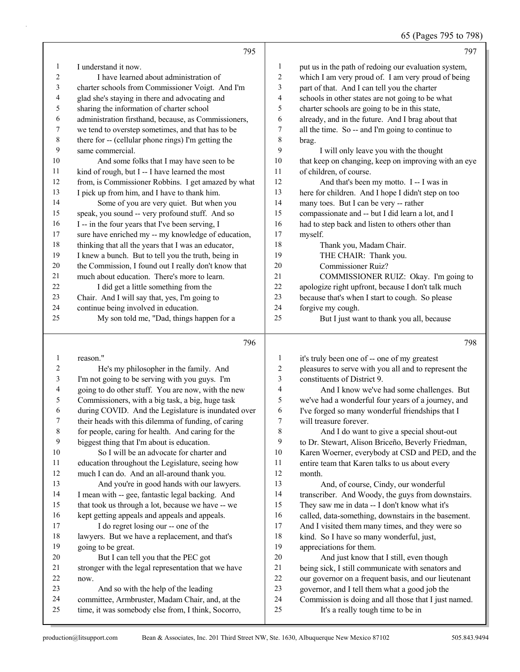#### 65 (Pages 795 to 798)

|                  |                                                      |                          | $0.9$ (1 ugus 199 to 190)                            |
|------------------|------------------------------------------------------|--------------------------|------------------------------------------------------|
|                  | 795                                                  |                          | 797                                                  |
| 1                | I understand it now.                                 | $\mathbf{1}$             | put us in the path of redoing our evaluation system, |
| 2                | I have learned about administration of               | 2                        | which I am very proud of. I am very proud of being   |
| 3                | charter schools from Commissioner Voigt. And I'm     | 3                        | part of that. And I can tell you the charter         |
| 4                | glad she's staying in there and advocating and       | 4                        | schools in other states are not going to be what     |
| 5                | sharing the information of charter school            | 5                        | charter schools are going to be in this state,       |
| 6                | administration firsthand, because, as Commissioners, | 6                        | already, and in the future. And I brag about that    |
| 7                | we tend to overstep sometimes, and that has to be    | 7                        | all the time. So -- and I'm going to continue to     |
| $\,$ $\,$        | there for -- (cellular phone rings) I'm getting the  | $\,$ $\,$                | brag.                                                |
| $\boldsymbol{9}$ | same commercial.                                     | 9                        | I will only leave you with the thought               |
| $10\,$           | And some folks that I may have seen to be            | $10\,$                   | that keep on changing, keep on improving with an eye |
| 11               | kind of rough, but I -- I have learned the most      | 11                       | of children, of course.                              |
| 12               | from, is Commissioner Robbins. I get amazed by what  | 12                       | And that's been my motto. I -- I was in              |
| 13               | I pick up from him, and I have to thank him.         | 13                       | here for children. And I hope I didn't step on too   |
| 14               | Some of you are very quiet. But when you             | 14                       | many toes. But I can be very -- rather               |
| 15               | speak, you sound -- very profound stuff. And so      | 15                       | compassionate and -- but I did learn a lot, and I    |
| 16               | I -- in the four years that I've been serving, I     | 16                       | had to step back and listen to others other than     |
| $17\,$           | sure have enriched my -- my knowledge of education,  | 17                       | myself.                                              |
| $18\,$           | thinking that all the years that I was an educator,  | 18                       | Thank you, Madam Chair.                              |
| 19               | I knew a bunch. But to tell you the truth, being in  | 19                       | THE CHAIR: Thank you.                                |
| $20\,$           | the Commission, I found out I really don't know that | 20                       | Commissioner Ruiz?                                   |
| 21               | much about education. There's more to learn.         | 21                       | COMMISSIONER RUIZ: Okay. I'm going to                |
| 22               | I did get a little something from the                | 22                       | apologize right upfront, because I don't talk much   |
| 23               | Chair. And I will say that, yes, I'm going to        | 23                       | because that's when I start to cough. So please      |
| 24               | continue being involved in education.                | 24                       | forgive my cough.                                    |
| 25               | My son told me, "Dad, things happen for a            | 25                       | But I just want to thank you all, because            |
|                  | 796                                                  |                          | 798                                                  |
| 1                | reason."                                             | $\mathbf{1}$             | it's truly been one of -- one of my greatest         |
| $\overline{c}$   | He's my philosopher in the family. And               | 2                        | pleasures to serve with you all and to represent the |
| 3                | I'm not going to be serving with you guys. I'm       | 3                        | constituents of District 9.                          |
| 4                | going to do other stuff. You are now, with the new   | $\overline{\mathcal{A}}$ | And I know we've had some challenges. But            |
| 5                | Commissioners, with a big task, a big, huge task     | 5                        | we've had a wonderful four years of a journey, and   |
| 6                | during COVID. And the Legislature is inundated over  | 6                        | I've forged so many wonderful friendships that I     |
| 7                | their heads with this dilemma of funding, of caring  | 7                        | will treasure forever.                               |
| $\,8\,$          | for people, caring for health. And caring for the    | 8                        | And I do want to give a special shout-out            |
| 9                | biggest thing that I'm about is education.           | 9                        | to Dr. Stewart, Alison Briceño, Beverly Friedman,    |
| 10               | So I will be an advocate for charter and             | 10                       | Karen Woerner, everybody at CSD and PED, and the     |
| 11               | education throughout the Legislature, seeing how     | 11                       | entire team that Karen talks to us about every       |
| 12               | much I can do. And an all-around thank you.          | 12                       | month.                                               |
| 13               | And you're in good hands with our lawyers.           | 13                       | And, of course, Cindy, our wonderful                 |
| 14               | I mean with -- gee, fantastic legal backing. And     | 14                       | transcriber. And Woody, the guys from downstairs.    |
| 15               | that took us through a lot, because we have -- we    | 15                       | They saw me in data -- I don't know what it's        |
| 16               | kept getting appeals and appeals and appeals.        | 16                       | called, data-something, downstairs in the basement.  |
| 17               | I do regret losing our -- one of the                 | 17                       | And I visited them many times, and they were so      |
| 18               | lawyers. But we have a replacement, and that's       | 18                       | kind. So I have so many wonderful, just,             |
| 19               | going to be great.                                   | 19                       | appreciations for them.                              |
| $20\,$           | But I can tell you that the PEC got                  | 20                       | And just know that I still, even though              |
| 21               | stronger with the legal representation that we have  | $21\,$                   | being sick, I still communicate with senators and    |
| $22\,$           | now.                                                 | 22                       | our governor on a frequent basis, and our lieutenant |

- 23 And so with the help of the leading committee, Armbruster, Madam Chair, and, at the 22 our governor on a frequent basis, and our lieutenant<br>23 overnor, and I tell them what a good job the governor, and I tell them what a good job the Commission is doing and all those that I just named.
- time, it was somebody else from, I think, Socorro,

25 It's a really tough time to be in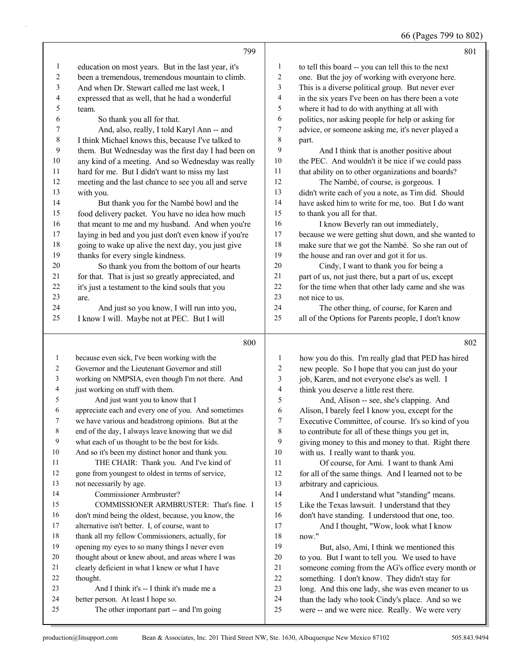66 (Pages 799 to 802)

|                |                                                                                 |                          | $\sim$ $\sim$<br>$\sim$ $\sim$ $\sim$ $\sim$                                                      |
|----------------|---------------------------------------------------------------------------------|--------------------------|---------------------------------------------------------------------------------------------------|
|                | 799                                                                             |                          | 801                                                                                               |
| 1              | education on most years. But in the last year, it's                             | 1                        | to tell this board -- you can tell this to the next                                               |
| $\overline{c}$ | been a tremendous, tremendous mountain to climb.                                | $\boldsymbol{2}$         | one. But the joy of working with everyone here.                                                   |
| 3              | And when Dr. Stewart called me last week, I                                     | 3                        | This is a diverse political group. But never ever                                                 |
| 4              | expressed that as well, that he had a wonderful                                 | $\overline{\mathcal{A}}$ | in the six years I've been on has there been a vote                                               |
| 5              | team.                                                                           | 5                        | where it had to do with anything at all with                                                      |
| 6              | So thank you all for that.                                                      | 6                        | politics, nor asking people for help or asking for                                                |
| 7              | And, also, really, I told Karyl Ann -- and                                      | 7                        | advice, or someone asking me, it's never played a                                                 |
| $\,$ $\,$      | I think Michael knows this, because I've talked to                              | 8                        | part.                                                                                             |
| 9              | them. But Wednesday was the first day I had been on                             | 9                        | And I think that is another positive about                                                        |
| $10\,$         | any kind of a meeting. And so Wednesday was really                              | $10\,$                   | the PEC. And wouldn't it be nice if we could pass                                                 |
| 11             | hard for me. But I didn't want to miss my last                                  | $11\,$                   | that ability on to other organizations and boards?                                                |
| 12             | meeting and the last chance to see you all and serve                            | 12                       | The Nambé, of course, is gorgeous. I                                                              |
| 13             | with you.                                                                       | 13                       | didn't write each of you a note, as Tim did. Should                                               |
| 14             | But thank you for the Nambé bowl and the                                        | 14                       | have asked him to write for me, too. But I do want                                                |
| 15             | food delivery packet. You have no idea how much                                 | 15                       | to thank you all for that.                                                                        |
| 16             | that meant to me and my husband. And when you're                                | 16                       | I know Beverly ran out immediately,                                                               |
| 17             | laying in bed and you just don't even know if you're                            | $17\,$                   | because we were getting shut down, and she wanted to                                              |
| 18             | going to wake up alive the next day, you just give                              | $18\,$                   | make sure that we got the Nambé. So she ran out of                                                |
| 19             | thanks for every single kindness.                                               | 19                       | the house and ran over and got it for us.                                                         |
| $20\,$         | So thank you from the bottom of our hearts                                      | 20                       | Cindy, I want to thank you for being a                                                            |
| 21             | for that. That is just so greatly appreciated, and                              | $21\,$                   | part of us, not just there, but a part of us, except                                              |
| 22             | it's just a testament to the kind souls that you                                | $22\,$                   | for the time when that other lady came and she was                                                |
| 23             | are.                                                                            | 23                       | not nice to us.                                                                                   |
| 24             | And just so you know, I will run into you,                                      | 24<br>25                 | The other thing, of course, for Karen and                                                         |
| 25             | I know I will. Maybe not at PEC. But I will                                     |                          | all of the Options for Parents people, I don't know                                               |
|                | 800                                                                             |                          | 802                                                                                               |
| $\mathbf{1}$   | because even sick, I've been working with the                                   | $\mathbf{1}$             | how you do this. I'm really glad that PED has hired                                               |
| 2              | Governor and the Lieutenant Governor and still                                  | 2                        | new people. So I hope that you can just do your                                                   |
| 3              | working on NMPSIA, even though I'm not there. And                               | 3                        | job, Karen, and not everyone else's as well. I                                                    |
| 4              | just working on stuff with them.                                                | 4                        | think you deserve a little rest there.                                                            |
| 5              | And just want you to know that I                                                | 5                        | And, Alison -- see, she's clapping. And                                                           |
| 6              | appreciate each and every one of you. And sometimes                             | 6                        | Alison, I barely feel I know you, except for the                                                  |
| 7              | we have various and headstrong opinions. But at the                             | Ί                        | Executive Committee, of course. It's so kind of you                                               |
| 8              | end of the day, I always leave knowing that we did                              | 8                        | to contribute for all of these things you get in,                                                 |
| 9              | what each of us thought to be the best for kids.                                | 9                        | giving money to this and money to that. Right there                                               |
| 10             | And so it's been my distinct honor and thank you.                               | 10                       | with us. I really want to thank you.                                                              |
| 11             | THE CHAIR: Thank you. And I've kind of                                          | 11                       | Of course, for Ami. I want to thank Ami                                                           |
| 12             | gone from youngest to oldest in terms of service,                               | 12                       | for all of the same things. And I learned not to be                                               |
| 13             | not necessarily by age.                                                         | 13                       | arbitrary and capricious.                                                                         |
| 14             | Commissioner Armbruster?                                                        | 14                       | And I understand what "standing" means.                                                           |
| 15             | COMMISSIONER ARMBRUSTER: That's fine. I                                         | 15                       | Like the Texas lawsuit. I understand that they                                                    |
| 16             | don't mind being the oldest, because, you know, the                             | 16                       | don't have standing. I understood that one, too.                                                  |
| 17             | alternative isn't better. I, of course, want to                                 | 17                       | And I thought, "Wow, look what I know                                                             |
| 18             | thank all my fellow Commissioners, actually, for                                | 18                       | now."                                                                                             |
|                |                                                                                 |                          | But, also, Ami, I think we mentioned this                                                         |
| 19             | opening my eyes to so many things I never even                                  | 19                       |                                                                                                   |
| 20             | thought about or knew about, and areas where I was                              | 20                       | to you. But I want to tell you. We used to have                                                   |
| 21             | clearly deficient in what I knew or what I have                                 | $21\,$                   | someone coming from the AG's office every month or                                                |
| 22             | thought.                                                                        | $22\,$                   | something. I don't know. They didn't stay for                                                     |
| 23             | And I think it's -- I think it's made me a                                      | 23                       | long. And this one lady, she was even meaner to us                                                |
| 24<br>25       | better person. At least I hope so.<br>The other important part -- and I'm going | 24<br>25                 | than the lady who took Cindy's place. And so we<br>were -- and we were nice. Really. We were very |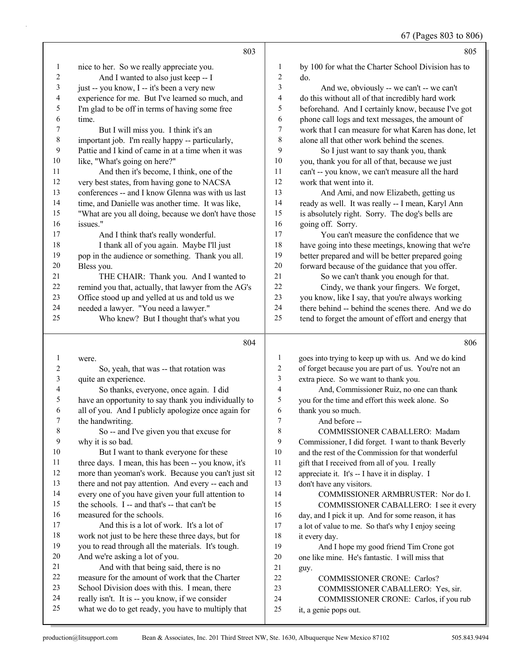|              | 803                                                                                                   |                          | 805                                                             |
|--------------|-------------------------------------------------------------------------------------------------------|--------------------------|-----------------------------------------------------------------|
| $\mathbf{1}$ | nice to her. So we really appreciate you.                                                             | 1                        | by 100 for what the Charter School Division has to              |
| 2            | And I wanted to also just keep -- I                                                                   | $\mathbf{2}$             | do.                                                             |
| 3            | just -- you know, I -- it's been a very new                                                           | 3                        | And we, obviously -- we can't -- we can't                       |
| 4            | experience for me. But I've learned so much, and                                                      | $\overline{\mathcal{L}}$ | do this without all of that incredibly hard work                |
| 5            | I'm glad to be off in terms of having some free                                                       | 5                        | beforehand. And I certainly know, because I've got              |
| 6            | time.                                                                                                 | 6                        | phone call logs and text messages, the amount of                |
| 7            | But I will miss you. I think it's an                                                                  | $\boldsymbol{7}$         | work that I can measure for what Karen has done, let            |
| $\,$ $\,$    | important job. I'm really happy -- particularly,                                                      | $\,$ $\,$                | alone all that other work behind the scenes.                    |
| 9            | Pattie and I kind of came in at a time when it was                                                    | 9                        | So I just want to say thank you, thank                          |
| 10           | like, "What's going on here?"                                                                         | 10                       | you, thank you for all of that, because we just                 |
| 11           | And then it's become, I think, one of the                                                             | 11                       | can't -- you know, we can't measure all the hard                |
| 12           | very best states, from having gone to NACSA                                                           | 12                       | work that went into it.                                         |
| 13           | conferences -- and I know Glenna was with us last                                                     | 13                       | And Ami, and now Elizabeth, getting us                          |
| 14           | time, and Danielle was another time. It was like,                                                     | 14                       | ready as well. It was really -- I mean, Karyl Ann               |
| 15           | "What are you all doing, because we don't have those                                                  | 15                       | is absolutely right. Sorry. The dog's bells are                 |
| 16           | issues."                                                                                              | 16                       | going off. Sorry.                                               |
| 17           | And I think that's really wonderful.                                                                  | 17                       | You can't measure the confidence that we                        |
| 18           | I thank all of you again. Maybe I'll just                                                             | 18                       | have going into these meetings, knowing that we're              |
| 19           | pop in the audience or something. Thank you all.                                                      | 19                       | better prepared and will be better prepared going               |
| $20\,$       | Bless you.                                                                                            | 20                       | forward because of the guidance that you offer.                 |
| 21           | THE CHAIR: Thank you. And I wanted to                                                                 | 21                       | So we can't thank you enough for that.                          |
| 22           | remind you that, actually, that lawyer from the AG's                                                  | $22\,$                   | Cindy, we thank your fingers. We forget,                        |
| 23           | Office stood up and yelled at us and told us we                                                       | 23                       | you know, like I say, that you're always working                |
| 24           | needed a lawyer. "You need a lawyer."                                                                 | 24                       | there behind -- behind the scenes there. And we do              |
| 25           | Who knew? But I thought that's what you                                                               | 25                       | tend to forget the amount of effort and energy that             |
|              |                                                                                                       |                          |                                                                 |
|              |                                                                                                       |                          |                                                                 |
|              | 804                                                                                                   |                          | 806                                                             |
|              |                                                                                                       |                          |                                                                 |
| 1            | were.                                                                                                 | $\mathbf{1}$             | goes into trying to keep up with us. And we do kind             |
| 2            | So, yeah, that was -- that rotation was                                                               | $\boldsymbol{2}$         | of forget because you are part of us. You're not an             |
| 3            | quite an experience.                                                                                  | 3<br>$\overline{4}$      | extra piece. So we want to thank you.                           |
| 4            | So thanks, everyone, once again. I did                                                                | 5                        | And, Commissioner Ruiz, no one can thank                        |
| 5            | have an opportunity to say thank you individually to                                                  |                          | you for the time and effort this week alone. So                 |
| 6<br>7       | all of you. And I publicly apologize once again for                                                   | 6                        | thank you so much.                                              |
|              | the handwriting.                                                                                      | $\boldsymbol{7}$         | And before --                                                   |
| 8            | So -- and I've given you that excuse for                                                              | 8                        | COMMISSIONER CABALLERO: Madam                                   |
| 9            | why it is so bad.                                                                                     | 9                        | Commissioner, I did forget. I want to thank Beverly             |
| $10\,$       | But I want to thank everyone for these                                                                | 10                       | and the rest of the Commission for that wonderful               |
| 11           | three days. I mean, this has been -- you know, it's                                                   | 11                       | gift that I received from all of you. I really                  |
| 12           | more than yeoman's work. Because you can't just sit                                                   | 12                       | appreciate it. It's -- I have it in display. I                  |
| 13           | there and not pay attention. And every -- each and                                                    | 13                       | don't have any visitors.                                        |
| 14           | every one of you have given your full attention to                                                    | 14                       | COMMISSIONER ARMBRUSTER: Nor do I.                              |
| 15           | the schools. I -- and that's -- that can't be                                                         | 15                       | COMMISSIONER CABALLERO: I see it every                          |
| 16           | measured for the schools.                                                                             | 16                       | day, and I pick it up. And for some reason, it has              |
| 17<br>18     | And this is a lot of work. It's a lot of                                                              | 17                       | a lot of value to me. So that's why I enjoy seeing              |
| 19           | work not just to be here these three days, but for                                                    | $18\,$<br>19             | it every day.                                                   |
|              | you to read through all the materials. It's tough.                                                    |                          | And I hope my good friend Tim Crone got                         |
| 20<br>21     | And we're asking a lot of you.                                                                        | $20\,$                   | one like mine. He's fantastic. I will miss that                 |
| 22           | And with that being said, there is no                                                                 | 21                       | guy.                                                            |
| 23           | measure for the amount of work that the Charter                                                       | $22\,$                   | COMMISSIONER CRONE: Carlos?                                     |
| 24           | School Division does with this. I mean, there                                                         | 23                       | COMMISSIONER CABALLERO: Yes, sir.                               |
| 25           | really isn't. It is -- you know, if we consider<br>what we do to get ready, you have to multiply that | 24<br>25                 | COMMISSIONER CRONE: Carlos, if you rub<br>it, a genie pops out. |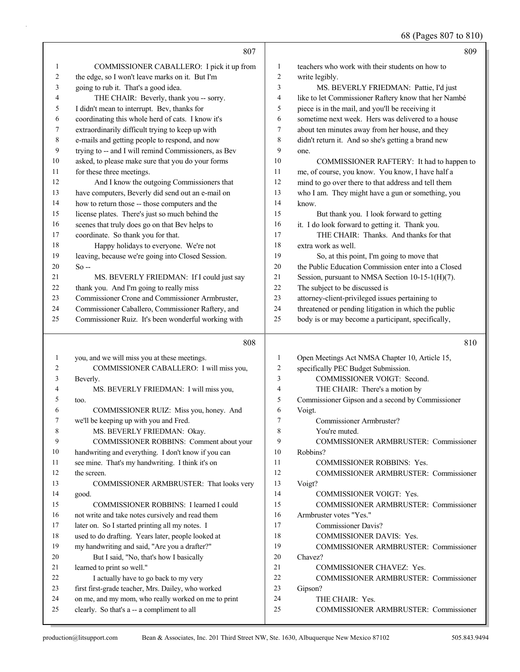|          | 807                                                                                                |                     | 809                                                                                |
|----------|----------------------------------------------------------------------------------------------------|---------------------|------------------------------------------------------------------------------------|
| 1        | COMMISSIONER CABALLERO: I pick it up from                                                          | 1                   | teachers who work with their students on how to                                    |
| 2        | the edge, so I won't leave marks on it. But I'm                                                    | 2                   | write legibly.                                                                     |
| 3        | going to rub it. That's a good idea.                                                               | 3                   | MS. BEVERLY FRIEDMAN: Pattie, I'd just                                             |
| 4        | THE CHAIR: Beverly, thank you -- sorry.                                                            | 4                   | like to let Commissioner Raftery know that her Nambé                               |
| 5        | I didn't mean to interrupt. Bev, thanks for                                                        | 5                   | piece is in the mail, and you'll be receiving it                                   |
| 6        | coordinating this whole herd of cats. I know it's                                                  | 6                   | sometime next week. Hers was delivered to a house                                  |
| 7        | extraordinarily difficult trying to keep up with                                                   | 7                   | about ten minutes away from her house, and they                                    |
| 8        | e-mails and getting people to respond, and now                                                     | 8                   | didn't return it. And so she's getting a brand new                                 |
| 9        | trying to -- and I will remind Commissioners, as Bev                                               | 9                   | one.                                                                               |
| 10       | asked, to please make sure that you do your forms                                                  | 10                  | COMMISSIONER RAFTERY: It had to happen to                                          |
| 11       | for these three meetings.                                                                          | 11                  | me, of course, you know. You know, I have half a                                   |
| 12       | And I know the outgoing Commissioners that                                                         | 12                  | mind to go over there to that address and tell them                                |
| 13       | have computers, Beverly did send out an e-mail on                                                  | 13                  | who I am. They might have a gun or something, you                                  |
| 14       | how to return those -- those computers and the                                                     | 14                  | know.                                                                              |
| 15       | license plates. There's just so much behind the                                                    | 15                  | But thank you. I look forward to getting                                           |
| 16       | scenes that truly does go on that Bev helps to                                                     | 16                  | it. I do look forward to getting it. Thank you.                                    |
| 17       | coordinate. So thank you for that.                                                                 | 17                  | THE CHAIR: Thanks. And thanks for that                                             |
| 18       | Happy holidays to everyone. We're not                                                              | 18                  | extra work as well.                                                                |
| 19       | leaving, because we're going into Closed Session.                                                  | 19                  | So, at this point, I'm going to move that                                          |
| 20       | $So -$                                                                                             | 20                  | the Public Education Commission enter into a Closed                                |
| 21       | MS. BEVERLY FRIEDMAN: If I could just say                                                          | 21                  | Session, pursuant to NMSA Section 10-15-1(H)(7).                                   |
| 22       | thank you. And I'm going to really miss                                                            | 22                  | The subject to be discussed is                                                     |
| 23       | Commissioner Crone and Commissioner Armbruster,                                                    | 23                  | attorney-client-privileged issues pertaining to                                    |
| 24       | Commissioner Caballero, Commissioner Raftery, and                                                  | 24                  | threatened or pending litigation in which the public                               |
| 25       | Commissioner Ruiz. It's been wonderful working with                                                | 25                  | body is or may become a participant, specifically,                                 |
|          |                                                                                                    |                     |                                                                                    |
|          | 808                                                                                                |                     | 810                                                                                |
|          |                                                                                                    |                     |                                                                                    |
| 1<br>2   | you, and we will miss you at these meetings.                                                       | 1<br>$\overline{c}$ | Open Meetings Act NMSA Chapter 10, Article 15,                                     |
| 3        | COMMISSIONER CABALLERO: I will miss you,                                                           | 3                   | specifically PEC Budget Submission.<br>COMMISSIONER VOIGT: Second.                 |
| 4        | Beverly.                                                                                           | 4                   |                                                                                    |
| 5        | MS. BEVERLY FRIEDMAN: I will miss you,<br>too.                                                     | 5                   | THE CHAIR: There's a motion by<br>Commissioner Gipson and a second by Commissioner |
| 6        | COMMISSIONER RUIZ: Miss you, honey. And                                                            | 6                   | Voigt.                                                                             |
| 7        | we'll be keeping up with you and Fred.                                                             | 7                   | Commissioner Armbruster?                                                           |
| 8        | MS. BEVERLY FRIEDMAN: Okay.                                                                        | 8                   | You're muted.                                                                      |
| 9        | COMMISSIONER ROBBINS: Comment about your                                                           | 9                   | COMMISSIONER ARMBRUSTER: Commissioner                                              |
| 10       | handwriting and everything. I don't know if you can                                                | 10                  | Robbins?                                                                           |
| 11       | see mine. That's my handwriting. I think it's on                                                   | 11                  | COMMISSIONER ROBBINS: Yes.                                                         |
| 12       | the screen.                                                                                        | 12                  | COMMISSIONER ARMBRUSTER: Commissioner                                              |
| 13       | COMMISSIONER ARMBRUSTER: That looks very                                                           | 13                  | Voigt?                                                                             |
| 14       | good.                                                                                              | 14                  | <b>COMMISSIONER VOIGT: Yes.</b>                                                    |
| 15       | COMMISSIONER ROBBINS: I learned I could                                                            | 15                  | COMMISSIONER ARMBRUSTER: Commissioner                                              |
| 16       | not write and take notes cursively and read them                                                   | 16                  | Armbruster votes "Yes."                                                            |
| 17       | later on. So I started printing all my notes. I                                                    | 17                  | <b>Commissioner Davis?</b>                                                         |
| 18       | used to do drafting. Years later, people looked at                                                 | 18                  | COMMISSIONER DAVIS: Yes.                                                           |
| 19       | my handwriting and said, "Are you a drafter?"                                                      | 19                  | COMMISSIONER ARMBRUSTER: Commissioner                                              |
| 20       | But I said, "No, that's how I basically                                                            | 20                  | Chavez?                                                                            |
| 21       | learned to print so well."                                                                         | 21                  | COMMISSIONER CHAVEZ: Yes.                                                          |
| 22       | I actually have to go back to my very                                                              | 22                  | COMMISSIONER ARMBRUSTER: Commissioner                                              |
| 23       | first first-grade teacher, Mrs. Dailey, who worked                                                 | 23                  | Gipson?                                                                            |
| 24<br>25 | on me, and my mom, who really worked on me to print<br>clearly. So that's a -- a compliment to all | 24<br>25            | THE CHAIR: Yes.<br>COMMISSIONER ARMBRUSTER: Commissioner                           |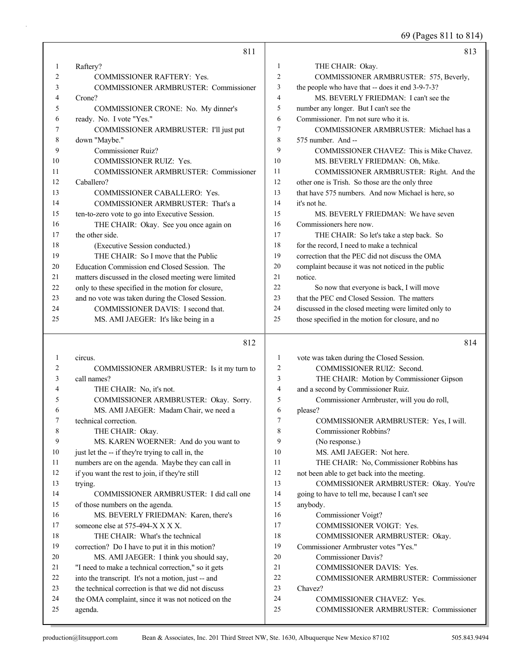69 (Pages 811 to 814)

|        | 811                                                                             |                 | 813                                                            |
|--------|---------------------------------------------------------------------------------|-----------------|----------------------------------------------------------------|
| 1      | Raftery?                                                                        | 1               | THE CHAIR: Okay.                                               |
| 2      | <b>COMMISSIONER RAFTERY: Yes.</b>                                               | $\overline{2}$  | COMMISSIONER ARMBRUSTER: 575, Beverly,                         |
| 3      | COMMISSIONER ARMBRUSTER: Commissioner                                           | 3               | the people who have that -- does it end 3-9-7-3?               |
| 4      | Crone?                                                                          | $\overline{4}$  | MS. BEVERLY FRIEDMAN: I can't see the                          |
| 5      | COMMISSIONER CRONE: No. My dinner's                                             | 5               | number any longer. But I can't see the                         |
| 6      | ready. No. I vote "Yes."                                                        | 6               | Commissioner. I'm not sure who it is.                          |
| 7      | COMMISSIONER ARMBRUSTER: I'll just put                                          | $\overline{7}$  | COMMISSIONER ARMBRUSTER: Michael has a                         |
| 8      | down "Maybe."                                                                   | 8               | 575 number. And --                                             |
| 9      | <b>Commissioner Ruiz?</b>                                                       | 9               | COMMISSIONER CHAVEZ: This is Mike Chavez.                      |
| 10     | <b>COMMISSIONER RUIZ: Yes.</b>                                                  | 10              | MS. BEVERLY FRIEDMAN: Oh, Mike.                                |
| 11     | <b>COMMISSIONER ARMBRUSTER: Commissioner</b>                                    | 11              | COMMISSIONER ARMBRUSTER: Right. And the                        |
| 12     | Caballero?                                                                      | 12              | other one is Trish. So those are the only three                |
| 13     | COMMISSIONER CABALLERO: Yes.                                                    | 13              | that have 575 numbers. And now Michael is here, so             |
| 14     | COMMISSIONER ARMBRUSTER: That's a                                               | 14              | it's not he.                                                   |
| 15     | ten-to-zero vote to go into Executive Session.                                  | 15              | MS. BEVERLY FRIEDMAN: We have seven                            |
| 16     | THE CHAIR: Okay. See you once again on                                          | 16              | Commissioners here now.                                        |
| 17     | the other side.                                                                 | 17              | THE CHAIR: So let's take a step back. So                       |
| 18     | (Executive Session conducted.)                                                  | 18              | for the record, I need to make a technical                     |
| 19     | THE CHAIR: So I move that the Public                                            | 19              | correction that the PEC did not discuss the OMA                |
| 20     | Education Commission end Closed Session. The                                    | 20              | complaint because it was not noticed in the public             |
| 21     | matters discussed in the closed meeting were limited                            | 21              | notice.                                                        |
| 22     | only to these specified in the motion for closure,                              | 22              | So now that everyone is back, I will move                      |
| 23     | and no vote was taken during the Closed Session.                                | 23              | that the PEC end Closed Session. The matters                   |
| 24     | COMMISSIONER DAVIS: I second that.                                              | 24              | discussed in the closed meeting were limited only to           |
| 25     | MS. AMI JAEGER: It's like being in a                                            | 25              | those specified in the motion for closure, and no              |
|        |                                                                                 |                 |                                                                |
|        |                                                                                 |                 |                                                                |
|        | 812                                                                             |                 | 814                                                            |
|        |                                                                                 | $\mathbf{1}$    |                                                                |
| 1<br>2 | circus.                                                                         |                 | vote was taken during the Closed Session.                      |
| 3      | COMMISSIONER ARMBRUSTER: Is it my turn to<br>call names?                        | $\sqrt{2}$<br>3 | COMMISSIONER RUIZ: Second.                                     |
| 4      |                                                                                 | $\overline{4}$  | THE CHAIR: Motion by Commissioner Gipson                       |
| 5      | THE CHAIR: No, it's not.                                                        | 5               | and a second by Commissioner Ruiz.                             |
| 6      | COMMISSIONER ARMBRUSTER: Okay. Sorry.<br>MS. AMI JAEGER: Madam Chair, we need a | 6               | Commissioner Armbruster, will you do roll,<br>please?          |
| 7      | technical correction.                                                           | 7               |                                                                |
| 8      |                                                                                 | 8               | COMMISSIONER ARMBRUSTER: Yes, I will.<br>Commissioner Robbins? |
| 9      | THE CHAIR: Okay.<br>MS. KAREN WOERNER: And do you want to                       | 9               |                                                                |
| 10     | just let the -- if they're trying to call in, the                               | 10              | (No response.)<br>MS. AMI JAEGER: Not here.                    |
| 11     | numbers are on the agenda. Maybe they can call in                               | 11              | THE CHAIR: No, Commissioner Robbins has                        |
| 12     | if you want the rest to join, if they're still                                  | 12              | not been able to get back into the meeting.                    |
| 13     | trying.                                                                         | 13              | COMMISSIONER ARMBRUSTER: Okay. You're                          |
| 14     | COMMISSIONER ARMBRUSTER: I did call one                                         | 14              | going to have to tell me, because I can't see                  |
| 15     | of those numbers on the agenda.                                                 | 15              | anybody.                                                       |
| 16     | MS. BEVERLY FRIEDMAN: Karen, there's                                            | 16              | Commissioner Voigt?                                            |
| 17     | someone else at 575-494-X X X X.                                                | 17              | COMMISSIONER VOIGT: Yes.                                       |
| 18     | THE CHAIR: What's the technical                                                 | 18              | COMMISSIONER ARMBRUSTER: Okay.                                 |
| 19     | correction? Do I have to put it in this motion?                                 | 19              | Commissioner Armbruster votes "Yes."                           |
| 20     | MS. AMI JAEGER: I think you should say,                                         | 20              | <b>Commissioner Davis?</b>                                     |
| 21     | "I need to make a technical correction," so it gets                             | 21              | COMMISSIONER DAVIS: Yes.                                       |
| 22     | into the transcript. It's not a motion, just -- and                             | 22              | COMMISSIONER ARMBRUSTER: Commissioner                          |
| 23     | the technical correction is that we did not discuss                             | 23              | Chavez?                                                        |
| 24     | the OMA complaint, since it was not noticed on the                              | 24              | COMMISSIONER CHAVEZ: Yes.                                      |
| 25     | agenda.                                                                         | 25              | COMMISSIONER ARMBRUSTER: Commissioner                          |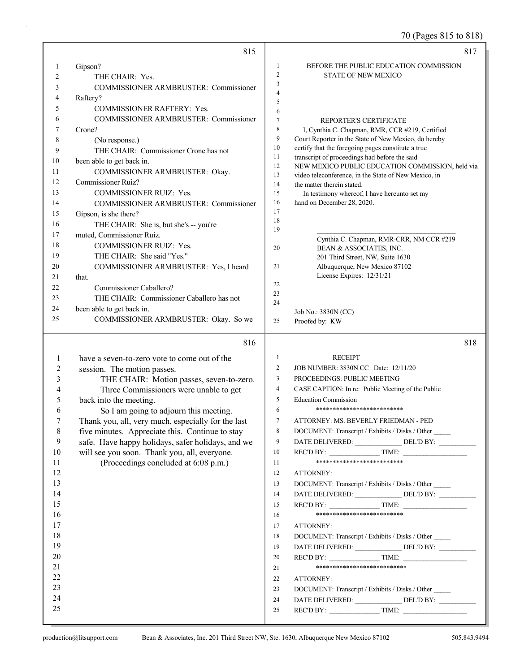70 (Pages 815 to 818)

|                | 815                                                                                                  |                | 817                                                                                                      |
|----------------|------------------------------------------------------------------------------------------------------|----------------|----------------------------------------------------------------------------------------------------------|
| 1              | Gipson?                                                                                              | 1              | BEFORE THE PUBLIC EDUCATION COMMISSION                                                                   |
| $\overline{2}$ | THE CHAIR: Yes.                                                                                      | $\overline{2}$ | STATE OF NEW MEXICO                                                                                      |
| 3              | <b>COMMISSIONER ARMBRUSTER: Commissioner</b>                                                         | 3              |                                                                                                          |
| 4              | Raftery?                                                                                             | $\overline{4}$ |                                                                                                          |
| 5              | <b>COMMISSIONER RAFTERY: Yes.</b>                                                                    | 5<br>6         |                                                                                                          |
| 6              | COMMISSIONER ARMBRUSTER: Commissioner                                                                | $\tau$         | REPORTER'S CERTIFICATE                                                                                   |
| 7              | Crone?                                                                                               | $\,$ 8 $\,$    | I, Cynthia C. Chapman, RMR, CCR #219, Certified                                                          |
| 8              | (No response.)                                                                                       | $\overline{9}$ | Court Reporter in the State of New Mexico, do hereby                                                     |
| 9              | THE CHAIR: Commissioner Crone has not                                                                | 10             | certify that the foregoing pages constitute a true                                                       |
| 10             | been able to get back in.                                                                            | 11             | transcript of proceedings had before the said                                                            |
| 11             | COMMISSIONER ARMBRUSTER: Okay.                                                                       | 12<br>13       | NEW MEXICO PUBLIC EDUCATION COMMISSION, held via<br>video teleconference, in the State of New Mexico, in |
| 12             | <b>Commissioner Ruiz?</b>                                                                            | 14             | the matter therein stated.                                                                               |
| 13             | <b>COMMISSIONER RUIZ: Yes.</b>                                                                       | 15             | In testimony whereof, I have hereunto set my                                                             |
| 14             | COMMISSIONER ARMBRUSTER: Commissioner                                                                | 16             | hand on December 28, 2020.                                                                               |
| 15             | Gipson, is she there?                                                                                | 17             |                                                                                                          |
| 16             | THE CHAIR: She is, but she's -- you're                                                               | 18             |                                                                                                          |
| 17             | muted, Commissioner Ruiz.                                                                            | 19             | Cynthia C. Chapman, RMR-CRR, NM CCR #219                                                                 |
| 18             | <b>COMMISSIONER RUIZ: Yes.</b>                                                                       | 20             | BEAN & ASSOCIATES, INC.                                                                                  |
| 19             | THE CHAIR: She said "Yes."                                                                           |                | 201 Third Street, NW, Suite 1630                                                                         |
| 20             | COMMISSIONER ARMBRUSTER: Yes, I heard                                                                | 21             | Albuquerque, New Mexico 87102                                                                            |
| 21             | that.                                                                                                |                | License Expires: 12/31/21                                                                                |
| 22             | Commissioner Caballero?                                                                              | 22             |                                                                                                          |
| 23             | THE CHAIR: Commissioner Caballero has not                                                            | 23<br>24       |                                                                                                          |
| 24             | been able to get back in.                                                                            |                | Job No.: 3830N (CC)                                                                                      |
| 25             | COMMISSIONER ARMBRUSTER: Okay. So we                                                                 | 25             | Proofed by: KW                                                                                           |
|                |                                                                                                      |                |                                                                                                          |
|                | 816                                                                                                  |                | 818                                                                                                      |
|                |                                                                                                      | $\mathbf{1}$   |                                                                                                          |
| 1              | have a seven-to-zero vote to come out of the                                                         | 2              | <b>RECEIPT</b><br>JOB NUMBER: 3830N CC Date: 12/11/20                                                    |
| 2              | session. The motion passes.                                                                          | $\mathfrak{Z}$ | PROCEEDINGS: PUBLIC MEETING                                                                              |
| 3<br>4         | THE CHAIR: Motion passes, seven-to-zero.                                                             | $\overline{4}$ |                                                                                                          |
| 5              | Three Commissioners were unable to get                                                               | 5              | CASE CAPTION: In re: Public Meeting of the Public<br><b>Education Commission</b>                         |
| 6              | back into the meeting.                                                                               | 6              | **************************                                                                               |
| 7              | So I am going to adjourn this meeting.                                                               | $\tau$         | ATTORNEY: MS. BEVERLY FRIEDMAN - PED                                                                     |
| 8              | Thank you, all, very much, especially for the last                                                   | 8              | DOCUMENT: Transcript / Exhibits / Disks / Other                                                          |
| 9              | five minutes. Appreciate this. Continue to stay<br>safe. Have happy holidays, safer holidays, and we | 9              |                                                                                                          |
| 10             | will see you soon. Thank you, all, everyone.                                                         | 10             | DATE DELIVERED: _______________ DEL'D BY: __________<br>REC'D BY: $\qquad \qquad$ TIME:                  |
| 11             | (Proceedings concluded at 6:08 p.m.)                                                                 | 11             | **************************                                                                               |
| 12             |                                                                                                      | 12             | ATTORNEY:                                                                                                |
| 13             |                                                                                                      | 13             | DOCUMENT: Transcript / Exhibits / Disks / Other                                                          |
| 14             |                                                                                                      | 14             | DATE DELIVERED: ________________ DEL'D BY: ___________                                                   |
| 15             |                                                                                                      | 15             |                                                                                                          |
| 16             |                                                                                                      | 16             | *************************                                                                                |
| 17             |                                                                                                      | 17             | ATTORNEY:                                                                                                |
| 18             |                                                                                                      | 18             | DOCUMENT: Transcript / Exhibits / Disks / Other                                                          |
| 19             |                                                                                                      | 19             |                                                                                                          |
| 20             |                                                                                                      | 20             | $RECD BY:$ TIME:                                                                                         |
| 21             |                                                                                                      | 21             | ***************************                                                                              |
| 22             |                                                                                                      | 22             | ATTORNEY:                                                                                                |
| 23             |                                                                                                      | 23             | DOCUMENT: Transcript / Exhibits / Disks / Other                                                          |
| 24<br>25       |                                                                                                      | 24             | DATE DELIVERED: _______________ DEL'D BY: __________                                                     |